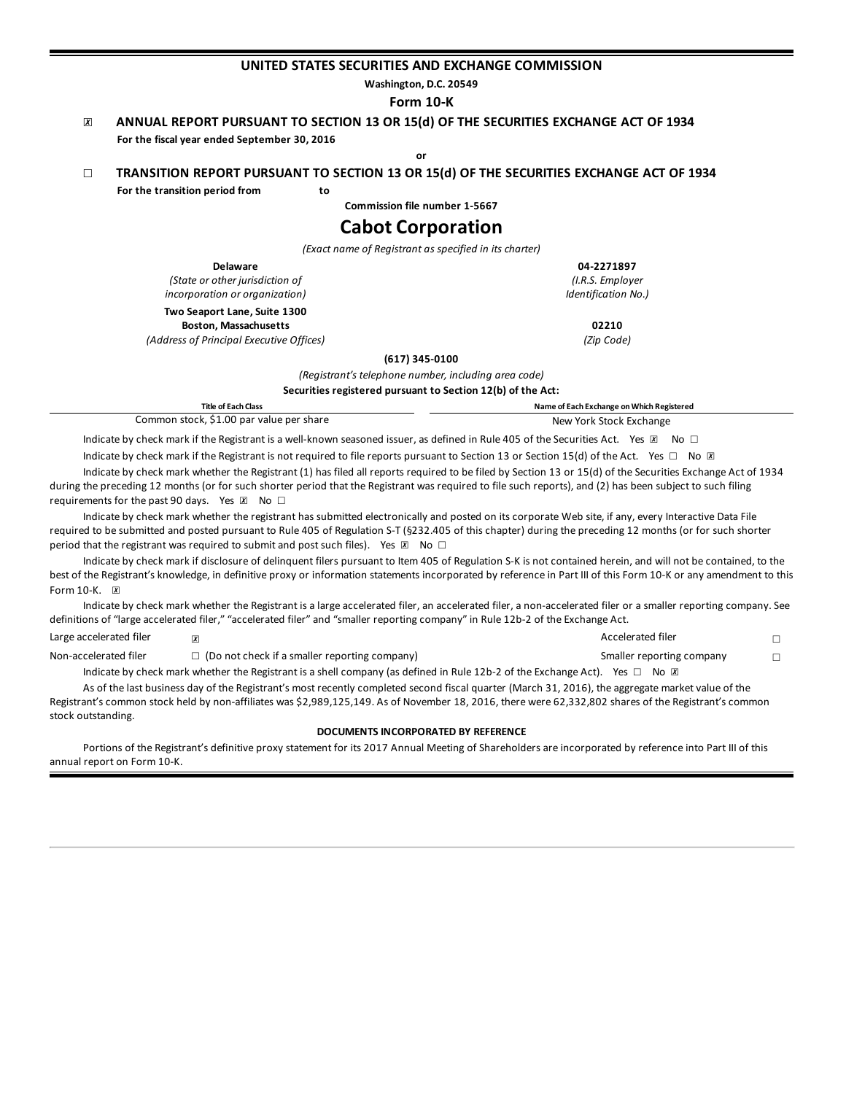# **UNITED STATES SECURITIES AND EXCHANGE COMMISSION**

**Washington, D.C. 20549**

**Form 10-K**

# ☒ **ANNUAL REPORT PURSUANT TO SECTION 13 OR 15(d) OF THE SECURITIES EXCHANGE ACT OF 1934**

**For the fiscal year ended September 30, 2016**

**or**

# ☐ **TRANSITION REPORT PURSUANT TO SECTION 13 OR 15(d) OF THE SECURITIES EXCHANGE ACT OF 1934**

**For the transition period from to**

**Commission file number 1-5667**

# **Cabot Corporation**

*(Exact name of Registrant as specified in its charter)*

**Delaware 04-2271897** *(State or other jurisdiction of incorporation or organization)*

**Two Seaport Lane, Suite 1300**

*(I.R.S. Employer Identification No.)*

**Boston, Massachusetts 02210**

*(Address of Principal Executive Offices) (Zip Code)*

**(617) 345-0100**

*(Registrant's telephone number, including area code)*

**Securities registered pursuant to Section 12(b) of the Act:**

| <b>Title of Each Class</b>               | Name of Each Exchange on Which Registered |
|------------------------------------------|-------------------------------------------|
| Common stock, \$1.00 par value per share | New York Stock Exchange                   |

Indicate by check mark if the Registrant is a well-known seasoned issuer, as defined in Rule 405 of the Securities Act. Yes  $\boxtimes$  No  $\Box$ 

Indicate by check mark if the Registrant is not required to file reports pursuant to Section 13 or Section 15(d) of the Act. Yes  $\Box$  No  $\Box$ 

Indicate by check mark whether the Registrant (1) has filed all reports required to be filed by Section 13 or 15(d) of the Securities Exchange Act of 1934 during the preceding 12 months (or for such shorter period that the Registrant was required to file such reports), and (2) has been subject to such filing requirements for the past 90 days. Yes  $\boxtimes$  No  $\Box$ 

Indicate by check mark whether the registrant has submitted electronically and posted on its corporate Web site, if any, every Interactive Data File required to be submitted and posted pursuant to Rule 405 of Regulation S-T (§232.405 of this chapter) during the preceding 12 months (or for such shorter period that the registrant was required to submit and post such files). Yes  $\boxtimes$  No  $\Box$ 

Indicate by check mark if disclosure of delinquent filers pursuant to Item 405 of Regulation S-K is not contained herein, and will not be contained, to the best of the Registrant's knowledge, in definitive proxy or information statements incorporated by reference in Part III of this Form 10-K or any amendment to this Form  $10-K$ .  $\boxed{X}$ 

Indicate by check mark whether the Registrant is a large accelerated filer, an accelerated filer, a non-accelerated filer or a smaller reporting company. See definitions of "large accelerated filer," "accelerated filer" and "smaller reporting company" in Rule 12b-2 of the Exchange Act.

| Large accelerated filer |                                                      | Accelerated filer         |  |
|-------------------------|------------------------------------------------------|---------------------------|--|
| Non-accelerated filer   | $\Box$ (Do not check if a smaller reporting company) | Smaller reporting company |  |
|                         |                                                      |                           |  |

Indicate by check mark whether the Registrant is a shell company (as defined in Rule 12b-2 of the Exchange Act). Yes  $\Box$  No  $\boxtimes$ 

As of the last business day of the Registrant's most recently completed second fiscal quarter (March 31, 2016), the aggregate market value of the Registrant's common stock held by non-affiliates was \$2,989,125,149. As of November 18, 2016, there were 62,332,802 shares of the Registrant's common stock outstanding.

# **DOCUMENTS INCORPORATED BY REFERENCE**

Portions of the Registrant's definitive proxy statement for its 2017 Annual Meeting of Shareholders are incorporated by reference into Part III of this annual report on Form 10-K.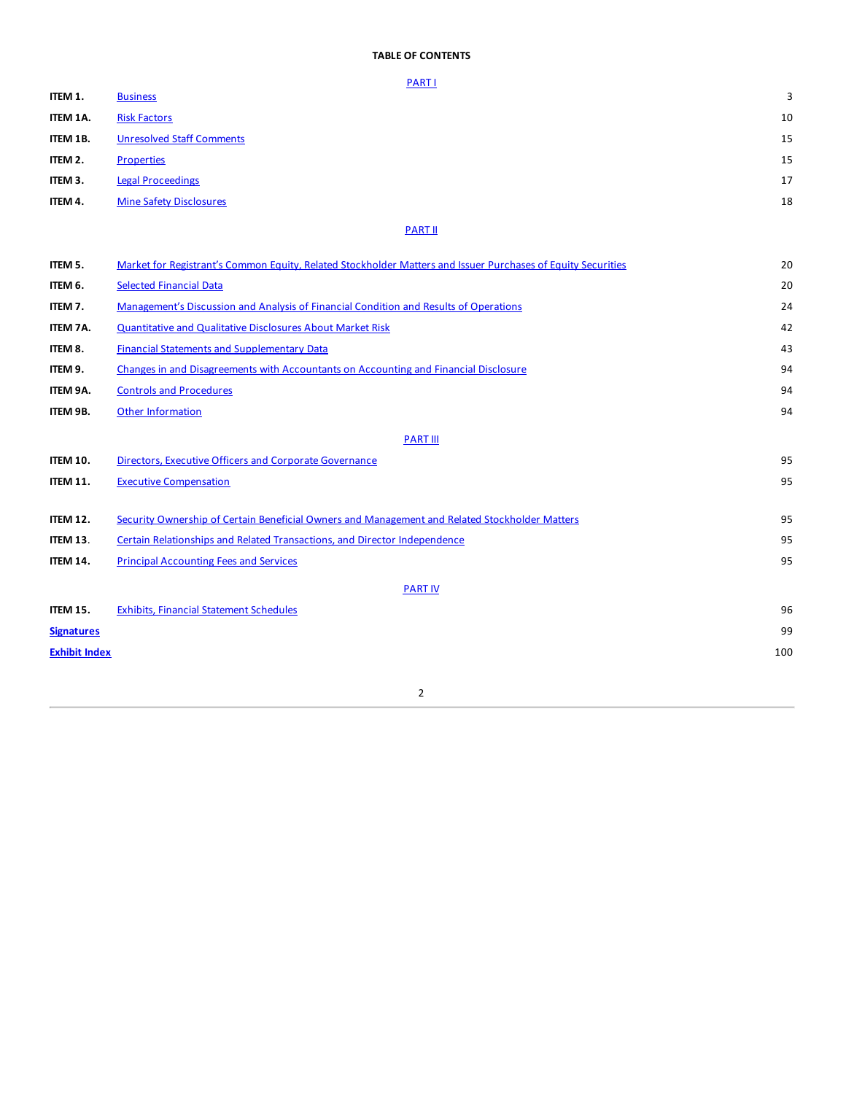# **TABLE OF CONTENTS**

# **[PART](#page-2-0) I**

| ITEM 1.  | <b>Business</b>                  | 3  |
|----------|----------------------------------|----|
| ITEM 1A. | <b>Risk Factors</b>              | 10 |
| ITEM 1B. | <b>Unresolved Staff Comments</b> | 15 |
| ITEM 2.  | <b>Properties</b>                | 15 |
| ITEM 3.  | <b>Legal Proceedings</b>         | 17 |
| ITEM 4.  | <b>Mine Safety Disclosures</b>   | 18 |

# **[PART](#page-19-0) II**

| ITEM 5.              | Market for Registrant's Common Equity, Related Stockholder Matters and Issuer Purchases of Equity Securities | 20  |
|----------------------|--------------------------------------------------------------------------------------------------------------|-----|
| ITEM 6.              | <b>Selected Financial Data</b>                                                                               | 20  |
| ITEM 7.              | Management's Discussion and Analysis of Financial Condition and Results of Operations                        | 24  |
| ITEM 7A.             | <b>Quantitative and Qualitative Disclosures About Market Risk</b>                                            | 42  |
| ITEM 8.              | <b>Financial Statements and Supplementary Data</b>                                                           | 43  |
| ITEM 9.              | Changes in and Disagreements with Accountants on Accounting and Financial Disclosure                         | 94  |
| ITEM 9A.             | <b>Controls and Procedures</b>                                                                               | 94  |
| ITEM 9B.             | Other Information                                                                                            | 94  |
|                      | <b>PART III</b>                                                                                              |     |
| <b>ITEM 10.</b>      | Directors, Executive Officers and Corporate Governance                                                       | 95  |
| <b>ITEM 11.</b>      | <b>Executive Compensation</b>                                                                                | 95  |
| <b>ITEM 12.</b>      | Security Ownership of Certain Beneficial Owners and Management and Related Stockholder Matters               | 95  |
| <b>ITEM 13.</b>      | Certain Relationships and Related Transactions, and Director Independence                                    | 95  |
| <b>ITEM 14.</b>      | <b>Principal Accounting Fees and Services</b>                                                                | 95  |
|                      | <b>PART IV</b>                                                                                               |     |
| <b>ITEM 15.</b>      | <b>Exhibits, Financial Statement Schedules</b>                                                               | 96  |
| <b>Signatures</b>    |                                                                                                              | 99  |
| <b>Exhibit Index</b> |                                                                                                              | 100 |
|                      |                                                                                                              |     |
|                      | 2                                                                                                            |     |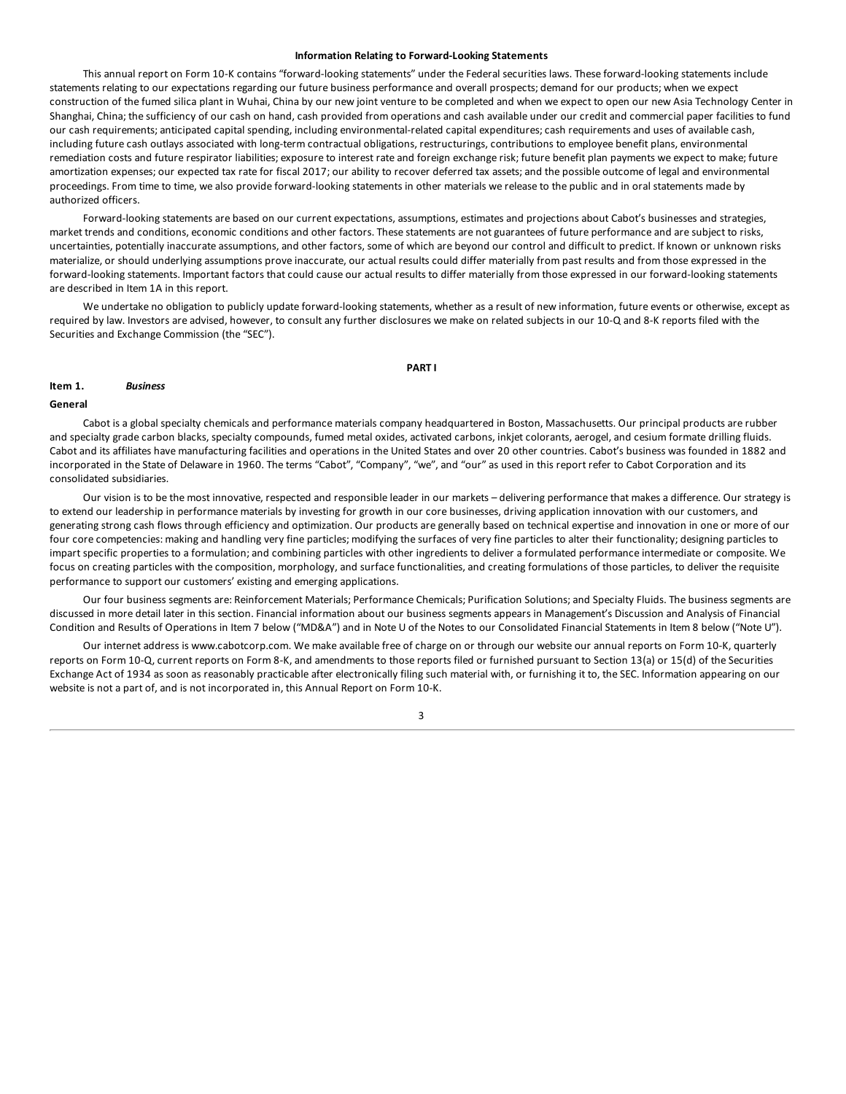# **Information Relating to Forward-Looking Statements**

<span id="page-2-0"></span>This annual report on Form 10-K contains "forward-looking statements" under the Federal securities laws. These forward-looking statements include statements relating to our expectations regarding our future business performance and overall prospects; demand for our products; when we expect construction of the fumed silica plant in Wuhai, China by our new joint venture to be completed and when we expect to open our new Asia Technology Center in Shanghai, China; the sufficiency of our cash on hand, cash provided from operations and cash available under our credit and commercial paper facilities to fund our cash requirements; anticipated capital spending, including environmental-related capital expenditures; cash requirements and uses of available cash, including future cash outlays associated with long-term contractual obligations, restructurings, contributions to employee benefit plans, environmental remediation costs and future respirator liabilities; exposure to interest rate and foreign exchange risk; future benefit plan payments we expect to make; future amortization expenses; our expected tax rate for fiscal 2017; our ability to recover deferred tax assets; and the possible outcome of legal and environmental proceedings. From time to time, we also provide forward-looking statements in other materials we release to the public and in oral statements made by authorized officers.

Forward-looking statements are based on our current expectations, assumptions, estimates and projections about Cabot's businesses and strategies, market trends and conditions, economic conditions and other factors. These statements are not guarantees of future performance and are subject to risks, uncertainties, potentially inaccurate assumptions, and other factors, some of which are beyond our control and difficult to predict. If known or unknown risks materialize, or should underlying assumptions prove inaccurate, our actual results could differ materially from past results and from those expressed in the forward-looking statements. Important factors that could cause our actual results to differ materially from those expressed in our forward-looking statements are described in Item 1A in this report.

We undertake no obligation to publicly update forward-looking statements, whether as a result of new information, future events or otherwise, except as required by law. Investors are advised, however, to consult any further disclosures we make on related subjects in our 10-Q and 8-K reports filed with the Securities and Exchange Commission (the "SEC").

## **PART I**

#### **Item 1.** *Business*

#### **General**

Cabot is a global specialty chemicals and performance materials company headquartered in Boston, Massachusetts. Our principal products are rubber and specialty grade carbon blacks, specialty compounds, fumed metal oxides, activated carbons, inkjet colorants, aerogel, and cesium formate drilling fluids. Cabot and its affiliates have manufacturing facilities and operations in the United States and over 20 other countries. Cabot's business was founded in 1882 and incorporated in the State of Delaware in 1960. The terms "Cabot", "Company", "we", and "our" as used in this report refer to Cabot Corporation and its consolidated subsidiaries.

Our vision is to be the most innovative, respected and responsible leader in our markets – delivering performance that makes a difference. Our strategy is to extend our leadership in performance materials by investing for growth in our core businesses, driving application innovation with our customers, and generating strong cash flows through efficiency and optimization. Our products are generally based on technical expertise and innovation in one or more of our four core competencies: making and handling very fine particles; modifying the surfaces of very fine particles to alter their functionality; designing particles to impart specific properties to a formulation; and combining particles with other ingredients to deliver a formulated performance intermediate or composite. We focus on creating particles with the composition, morphology, and surface functionalities, and creating formulations of those particles, to deliver the requisite performance to support our customers' existing and emerging applications.

Our four business segments are: Reinforcement Materials; Performance Chemicals; Purification Solutions; and Specialty Fluids. The business segments are discussed in more detail later in this section. Financial information about our business segments appears in Management's Discussion and Analysis of Financial Condition and Results of Operations in Item 7 below ("MD&A") and in Note U of the Notes to our Consolidated Financial Statements in Item 8 below ("Note U").

Our internet address is www.cabotcorp.com. We make available free of charge on or through our website our annual reports on Form 10-K, quarterly reports on Form 10-Q, current reports on Form 8-K, and amendments to those reports filed or furnished pursuant to Section 13(a) or 15(d) of the Securities Exchange Act of 1934 as soon as reasonably practicable after electronically filing such material with, or furnishing it to, the SEC. Information appearing on our website is not a part of, and is not incorporated in, this Annual Report on Form 10-K.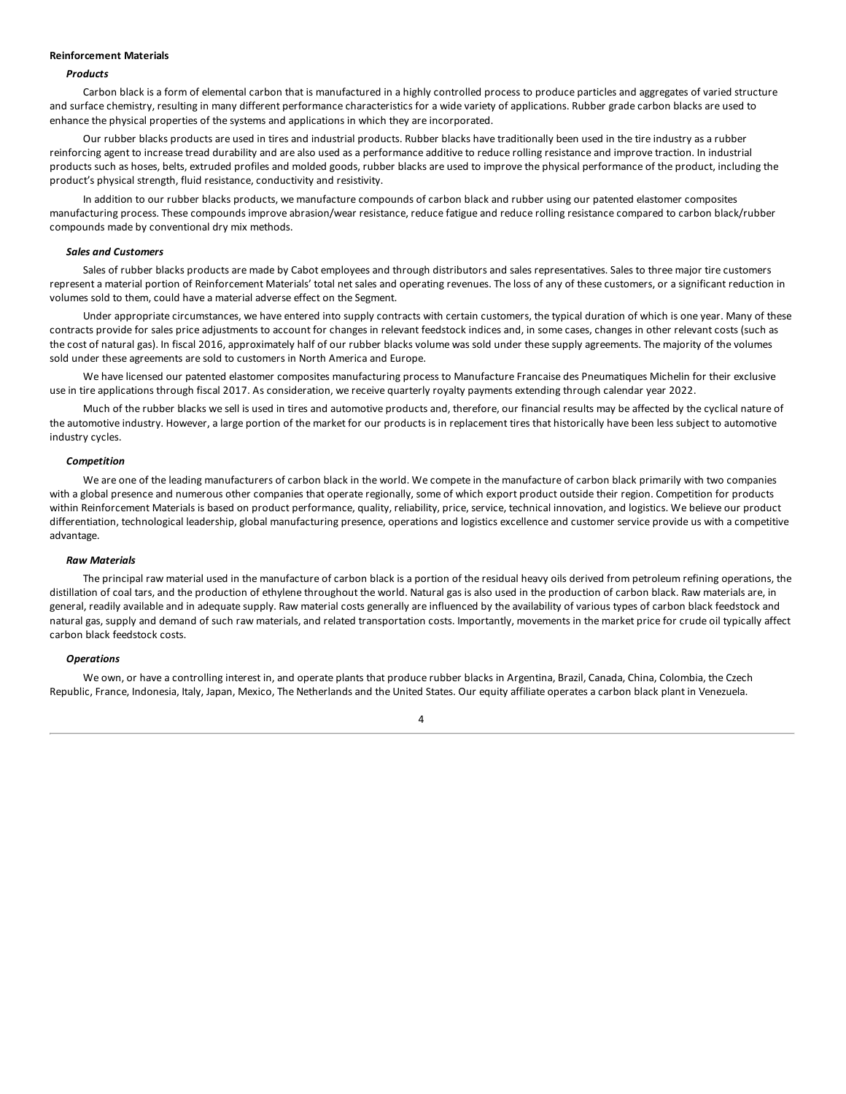# **Reinforcement Materials**

# *Products*

Carbon black is a form of elemental carbon that is manufactured in a highly controlled process to produce particles and aggregates of varied structure and surface chemistry, resulting in many different performance characteristics for a wide variety of applications. Rubber grade carbon blacks are used to enhance the physical properties of the systems and applications in which they are incorporated.

Our rubber blacks products are used in tires and industrial products. Rubber blacks have traditionally been used in the tire industry as a rubber reinforcing agent to increase tread durability and are also used as a performance additive to reduce rolling resistance and improve traction. In industrial products such as hoses, belts, extruded profiles and molded goods, rubber blacks are used to improve the physical performance of the product, including the product's physical strength, fluid resistance, conductivity and resistivity.

In addition to our rubber blacks products, we manufacture compounds of carbon black and rubber using our patented elastomer composites manufacturing process. These compounds improve abrasion/wear resistance, reduce fatigue and reduce rolling resistance compared to carbon black/rubber compounds made by conventional dry mix methods.

# *Sales and Customers*

Sales of rubber blacks products are made by Cabot employees and through distributors and sales representatives. Sales to three major tire customers represent a material portion of Reinforcement Materials' total net sales and operating revenues. The loss of any of these customers, or a significant reduction in volumes sold to them, could have a material adverse effect on the Segment.

Under appropriate circumstances, we have entered into supply contracts with certain customers, the typical duration of which is one year. Many of these contracts provide for sales price adjustments to account for changes in relevant feedstock indices and, in some cases, changes in other relevant costs (such as the cost of natural gas). In fiscal 2016, approximately half of our rubber blacks volume was sold under these supply agreements. The majority of the volumes sold under these agreements are sold to customers in North America and Europe.

We have licensed our patented elastomer composites manufacturing process to Manufacture Francaise des Pneumatiques Michelin for their exclusive use in tire applications through fiscal 2017. As consideration, we receive quarterly royalty payments extending through calendar year 2022.

Much of the rubber blacks we sell is used in tires and automotive products and, therefore, our financial results may be affected by the cyclical nature of the automotive industry. However, a large portion of the market for our products is in replacement tires that historically have been less subject to automotive industry cycles.

## *Competition*

We are one of the leading manufacturers of carbon black in the world. We compete in the manufacture of carbon black primarily with two companies with a global presence and numerous other companies that operate regionally, some of which export product outside their region. Competition for products within Reinforcement Materials is based on product performance, quality, reliability, price, service, technical innovation, and logistics. We believe our product differentiation, technological leadership, global manufacturing presence, operations and logistics excellence and customer service provide us with a competitive advantage.

#### *Raw Materials*

The principal raw material used in the manufacture of carbon black is a portion of the residual heavy oils derived from petroleum refining operations, the distillation of coal tars, and the production of ethylene throughout the world. Natural gas is also used in the production of carbon black. Raw materials are, in general, readily available and in adequate supply. Raw material costs generally are influenced by the availability of various types of carbon black feedstock and natural gas, supply and demand of such raw materials, and related transportation costs. Importantly, movements in the market price for crude oil typically affect carbon black feedstock costs.

# *Operations*

We own, or have a controlling interest in, and operate plants that produce rubber blacks in Argentina, Brazil, Canada, China, Colombia, the Czech Republic, France, Indonesia, Italy, Japan, Mexico, The Netherlands and the United States. Our equity affiliate operates a carbon black plant in Venezuela.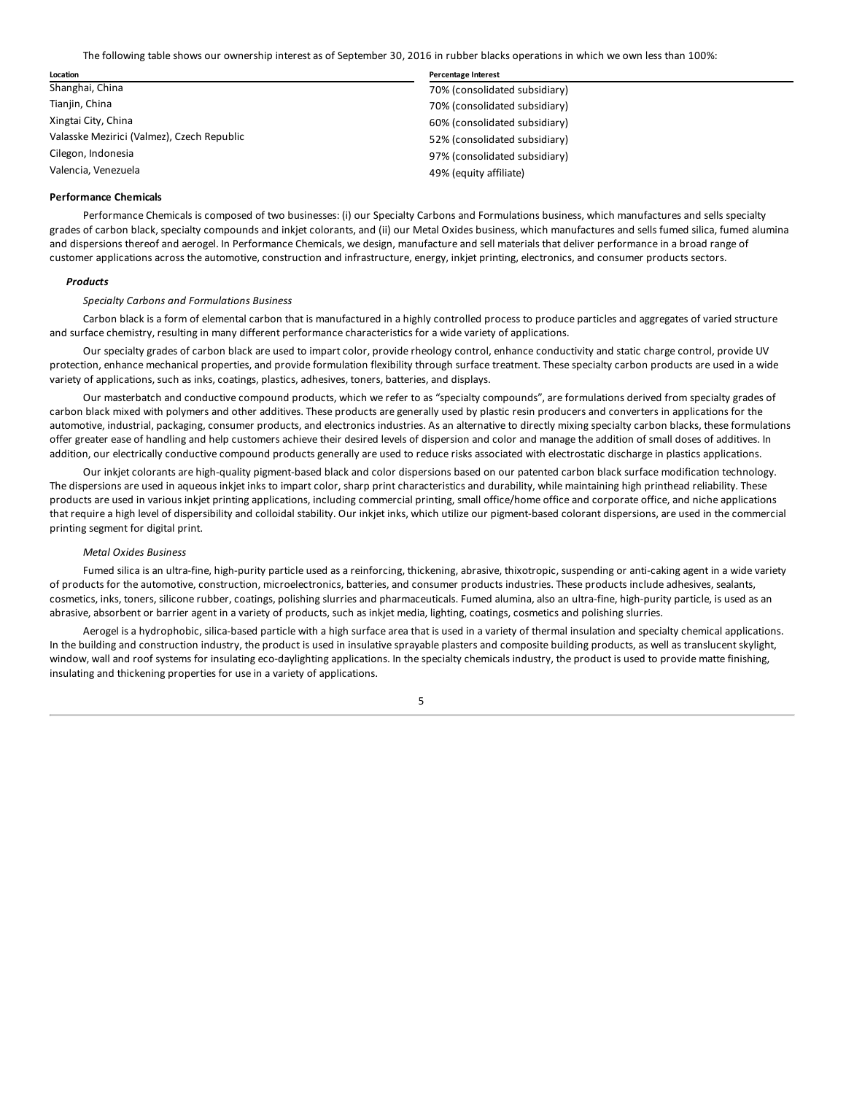The following table shows our ownership interest as of September 30, 2016 in rubber blacks operations in which we own less than 100%:

| Location                                   | <b>Percentage Interest</b>    |
|--------------------------------------------|-------------------------------|
| Shanghai, China                            | 70% (consolidated subsidiary) |
| Tianjin, China                             | 70% (consolidated subsidiary) |
| Xingtai City, China                        | 60% (consolidated subsidiary) |
| Valasske Mezirici (Valmez), Czech Republic | 52% (consolidated subsidiary) |
| Cilegon, Indonesia                         | 97% (consolidated subsidiary) |
| Valencia. Venezuela                        | 49% (equity affiliate)        |

# **Performance Chemicals**

Performance Chemicals is composed of two businesses: (i) our Specialty Carbons and Formulations business, which manufactures and sells specialty grades of carbon black, specialty compounds and inkjet colorants, and (ii) our Metal Oxides business, which manufactures and sells fumed silica, fumed alumina and dispersions thereof and aerogel. In Performance Chemicals, we design, manufacture and sell materials that deliver performance in a broad range of customer applications across the automotive, construction and infrastructure, energy, inkjet printing, electronics, and consumer products sectors.

#### *Products*

#### *Specialty Carbons and Formulations Business*

Carbon black is a form of elemental carbon that is manufactured in a highly controlled process to produce particles and aggregates of varied structure and surface chemistry, resulting in many different performance characteristics for a wide variety of applications.

Our specialty grades of carbon black are used to impart color, provide rheology control, enhance conductivity and static charge control, provide UV protection, enhance mechanical properties, and provide formulation flexibility through surface treatment. These specialty carbon products are used in a wide variety of applications, such as inks, coatings, plastics, adhesives, toners, batteries, and displays.

Our masterbatch and conductive compound products, which we refer to as "specialty compounds", are formulations derived from specialty grades of carbon black mixed with polymers and other additives. These products are generally used by plastic resin producers and converters in applications for the automotive, industrial, packaging, consumer products, and electronics industries. As an alternative to directly mixing specialty carbon blacks, these formulations offer greater ease of handling and help customers achieve their desired levels of dispersion and color and manage the addition of small doses of additives. In addition, our electrically conductive compound products generally are used to reduce risks associated with electrostatic discharge in plastics applications.

Our inkjet colorants are high-quality pigment-based black and color dispersions based on our patented carbon black surface modification technology. The dispersions are used in aqueous inkjet inks to impart color, sharp print characteristics and durability, while maintaining high printhead reliability. These products are used in various inkjet printing applications, including commercial printing, small office/home office and corporate office, and niche applications that require a high level of dispersibility and colloidal stability. Our inkjet inks, which utilize our pigment-based colorant dispersions, are used in the commercial printing segment for digital print.

#### *Metal Oxides Business*

Fumed silica is an ultra-fine, high-purity particle used as a reinforcing, thickening, abrasive, thixotropic, suspending or anti-caking agent in a wide variety of products for the automotive, construction, microelectronics, batteries, and consumer products industries. These products include adhesives, sealants, cosmetics, inks, toners, silicone rubber, coatings, polishing slurries and pharmaceuticals. Fumed alumina, also an ultra-fine, high-purity particle, is used as an abrasive, absorbent or barrier agent in a variety of products, such as inkjet media, lighting, coatings, cosmetics and polishing slurries.

Aerogel is a hydrophobic, silica-based particle with a high surface area that is used in a variety of thermal insulation and specialty chemical applications. In the building and construction industry, the product is used in insulative sprayable plasters and composite building products, as well as translucent skylight, window, wall and roof systems for insulating eco-daylighting applications. In the specialty chemicals industry, the product is used to provide matte finishing, insulating and thickening properties for use in a variety of applications.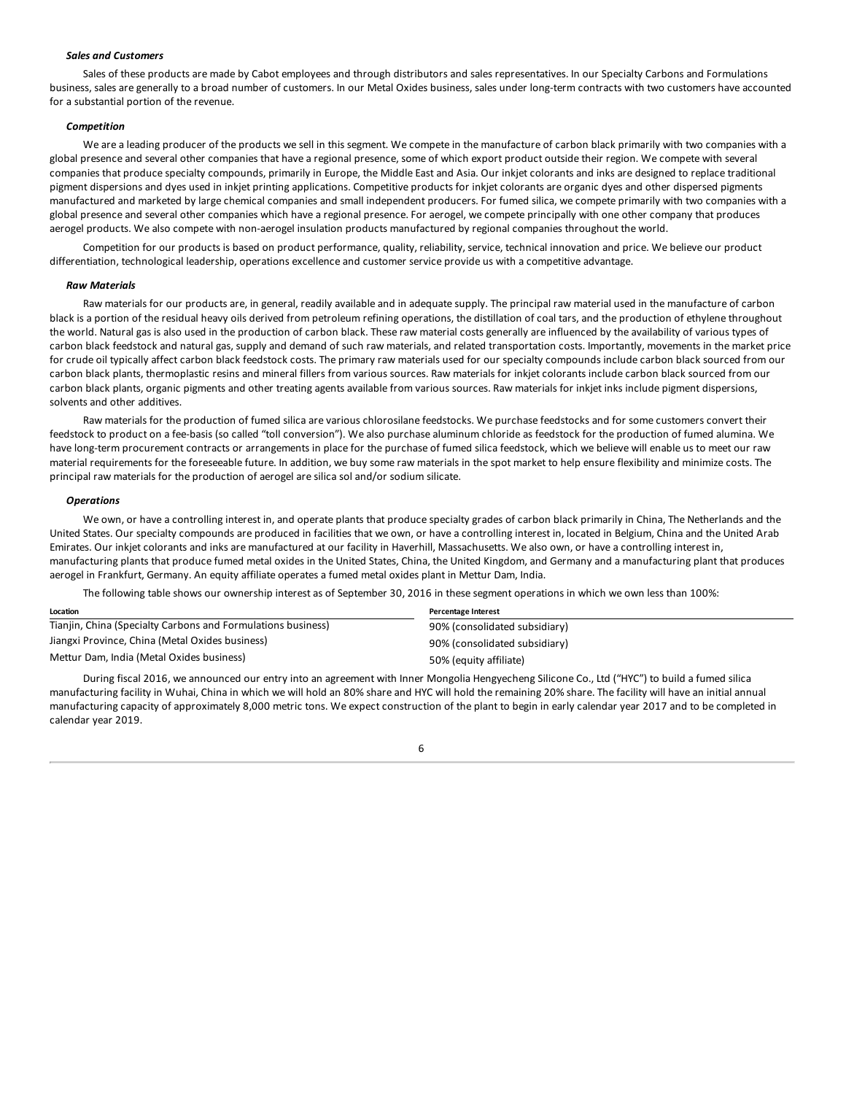# *Sales and Customers*

Sales of these products are made by Cabot employees and through distributors and sales representatives. In our Specialty Carbons and Formulations business, sales are generally to a broad number of customers. In our Metal Oxides business, sales under long-term contracts with two customers have accounted for a substantial portion of the revenue.

# *Competition*

We are a leading producer of the products we sell in this segment. We compete in the manufacture of carbon black primarily with two companies with a global presence and several other companies that have a regional presence, some of which export product outside their region. We compete with several companies that produce specialty compounds, primarily in Europe, the Middle East and Asia. Our inkjet colorants and inks are designed to replace traditional pigment dispersions and dyes used in inkjet printing applications. Competitive products for inkjet colorants are organic dyes and other dispersed pigments manufactured and marketed by large chemical companies and small independent producers. For fumed silica, we compete primarily with two companies with a global presence and several other companies which have a regional presence. For aerogel, we compete principally with one other company that produces aerogel products. We also compete with non-aerogel insulation products manufactured by regional companies throughout the world.

Competition for our products is based on product performance, quality, reliability, service, technical innovation and price. We believe our product differentiation, technological leadership, operations excellence and customer service provide us with a competitive advantage.

#### *Raw Materials*

Raw materials for our products are, in general, readily available and in adequate supply. The principal raw material used in the manufacture of carbon black is a portion of the residual heavy oils derived from petroleum refining operations, the distillation of coal tars, and the production of ethylene throughout the world. Natural gas is also used in the production of carbon black. These raw material costs generally are influenced by the availability of various types of carbon black feedstock and natural gas, supply and demand of such raw materials, and related transportation costs. Importantly, movements in the market price for crude oil typically affect carbon black feedstock costs. The primary raw materials used for our specialty compounds include carbon black sourced from our carbon black plants, thermoplastic resins and mineral fillers from various sources. Raw materials for inkjet colorants include carbon black sourced from our carbon black plants, organic pigments and other treating agents available from various sources. Raw materials for inkjet inks include pigment dispersions, solvents and other additives.

Raw materials for the production of fumed silica are various chlorosilane feedstocks. We purchase feedstocks and for some customers convert their feedstock to product on a fee-basis (so called "toll conversion"). We also purchase aluminum chloride as feedstock for the production of fumed alumina. We have long-term procurement contracts or arrangements in place for the purchase of fumed silica feedstock, which we believe will enable us to meet our raw material requirements for the foreseeable future. In addition, we buy some raw materials in the spot market to help ensure flexibility and minimize costs. The principal raw materials for the production of aerogel are silica sol and/or sodium silicate.

#### *Operations*

We own, or have a controlling interest in, and operate plants that produce specialty grades of carbon black primarily in China, The Netherlands and the United States. Our specialty compounds are produced in facilities that we own, or have a controlling interest in, located in Belgium, China and the United Arab Emirates. Our inkjet colorants and inks are manufactured at our facility in Haverhill, Massachusetts. We also own, or have a controlling interest in, manufacturing plants that produce fumed metal oxides in the United States, China, the United Kingdom, and Germany and a manufacturing plant that produces aerogel in Frankfurt, Germany. An equity affiliate operates a fumed metal oxides plant in Mettur Dam, India.

The following table shows our ownership interest as of September 30, 2016 in these segment operations in which we own less than 100%:

| Location                                                     | <b>Percentage Interest</b>    |
|--------------------------------------------------------------|-------------------------------|
| Tianjin, China (Specialty Carbons and Formulations business) | 90% (consolidated subsidiary) |
| Jiangxi Province, China (Metal Oxides business)              | 90% (consolidated subsidiary) |
| Mettur Dam, India (Metal Oxides business)                    | 50% (equity affiliate)        |

During fiscal 2016, we announced our entry into an agreement with Inner Mongolia Hengyecheng Silicone Co., Ltd ("HYC") to build a fumed silica manufacturing facility in Wuhai, China in which we will hold an 80% share and HYC will hold the remaining 20% share. The facility will have an initial annual manufacturing capacity of approximately 8,000 metric tons. We expect construction of the plant to begin in early calendar year 2017 and to be completed in calendar year 2019.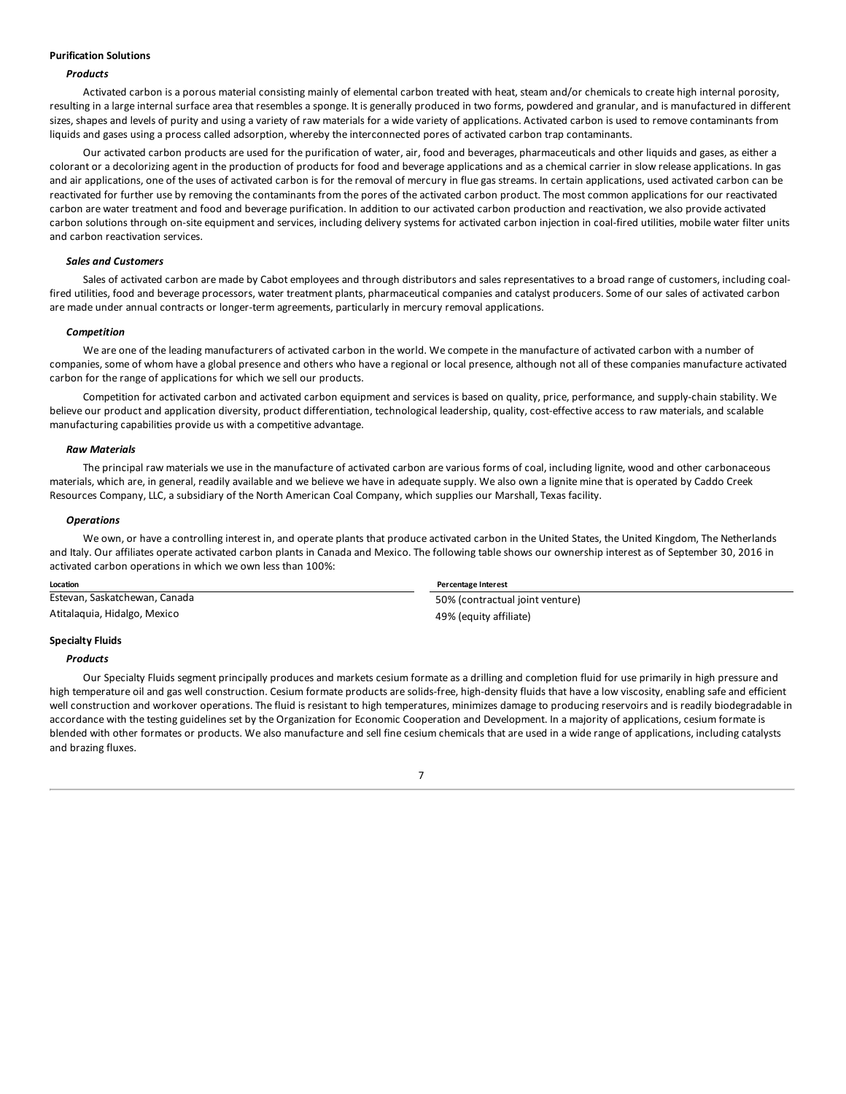# **Purification Solutions**

### *Products*

Activated carbon is a porous material consisting mainly of elemental carbon treated with heat, steam and/or chemicals to create high internal porosity, resulting in a large internal surface area that resembles a sponge. It is generally produced in two forms, powdered and granular, and is manufactured in different sizes, shapes and levels of purity and using a variety of raw materials for a wide variety of applications. Activated carbon is used to remove contaminants from liquids and gases using a process called adsorption, whereby the interconnected pores of activated carbon trap contaminants.

Our activated carbon products are used for the purification of water, air, food and beverages, pharmaceuticals and other liquids and gases, as either a colorant or a decolorizing agent in the production of products for food and beverage applications and as a chemical carrier in slow release applications. In gas and air applications, one of the uses of activated carbon is for the removal of mercury in flue gas streams. In certain applications, used activated carbon can be reactivated for further use by removing the contaminants from the pores of the activated carbon product. The most common applications for our reactivated carbon are water treatment and food and beverage purification. In addition to our activated carbon production and reactivation, we also provide activated carbon solutions through on-site equipment and services, including delivery systems for activated carbon injection in coal-fired utilities, mobile water filter units and carbon reactivation services.

#### *Sales and Customers*

Sales of activated carbon are made by Cabot employees and through distributors and sales representatives to a broad range of customers, including coalfired utilities, food and beverage processors, water treatment plants, pharmaceutical companies and catalyst producers. Some of our sales of activated carbon are made under annual contracts or longer-term agreements, particularly in mercury removal applications.

### *Competition*

We are one of the leading manufacturers of activated carbon in the world. We compete in the manufacture of activated carbon with a number of companies, some of whom have a global presence and others who have a regional or local presence, although not all of these companies manufacture activated carbon for the range of applications for which we sell our products.

Competition for activated carbon and activated carbon equipment and services is based on quality, price, performance, and supply-chain stability. We believe our product and application diversity, product differentiation, technological leadership, quality, cost-effective access to raw materials, and scalable manufacturing capabilities provide us with a competitive advantage.

# *Raw Materials*

The principal raw materials we use in the manufacture of activated carbon are various forms of coal, including lignite, wood and other carbonaceous materials, which are, in general, readily available and we believe we have in adequate supply. We also own a lignite mine that is operated by Caddo Creek Resources Company, LLC, a subsidiary of the North American Coal Company, which supplies our Marshall, Texas facility.

#### *Operations*

We own, or have a controlling interest in, and operate plants that produce activated carbon in the United States, the United Kingdom, The Netherlands and Italy. Our affiliates operate activated carbon plants in Canada and Mexico. The following table shows our ownership interest as of September 30, 2016 in activated carbon operations in which we own less than 100%:

| Location                      | <b>Percentage Interest</b>      |
|-------------------------------|---------------------------------|
| Estevan, Saskatchewan, Canada | 50% (contractual joint venture) |
| Atitalaquia, Hidalgo, Mexico  | 49% (equity affiliate)          |

#### **Specialty Fluids**

#### *Products*

Our Specialty Fluids segment principally produces and markets cesium formate as a drilling and completion fluid for use primarily in high pressure and high temperature oil and gas well construction. Cesium formate products are solids-free, high-density fluids that have a low viscosity, enabling safe and efficient well construction and workover operations. The fluid is resistant to high temperatures, minimizes damage to producing reservoirs and is readily biodegradable in accordance with the testing guidelines set by the Organization for Economic Cooperation and Development. In a majority of applications, cesium formate is blended with other formates or products. We also manufacture and sell fine cesium chemicals that are used in a wide range of applications, including catalysts and brazing fluxes.

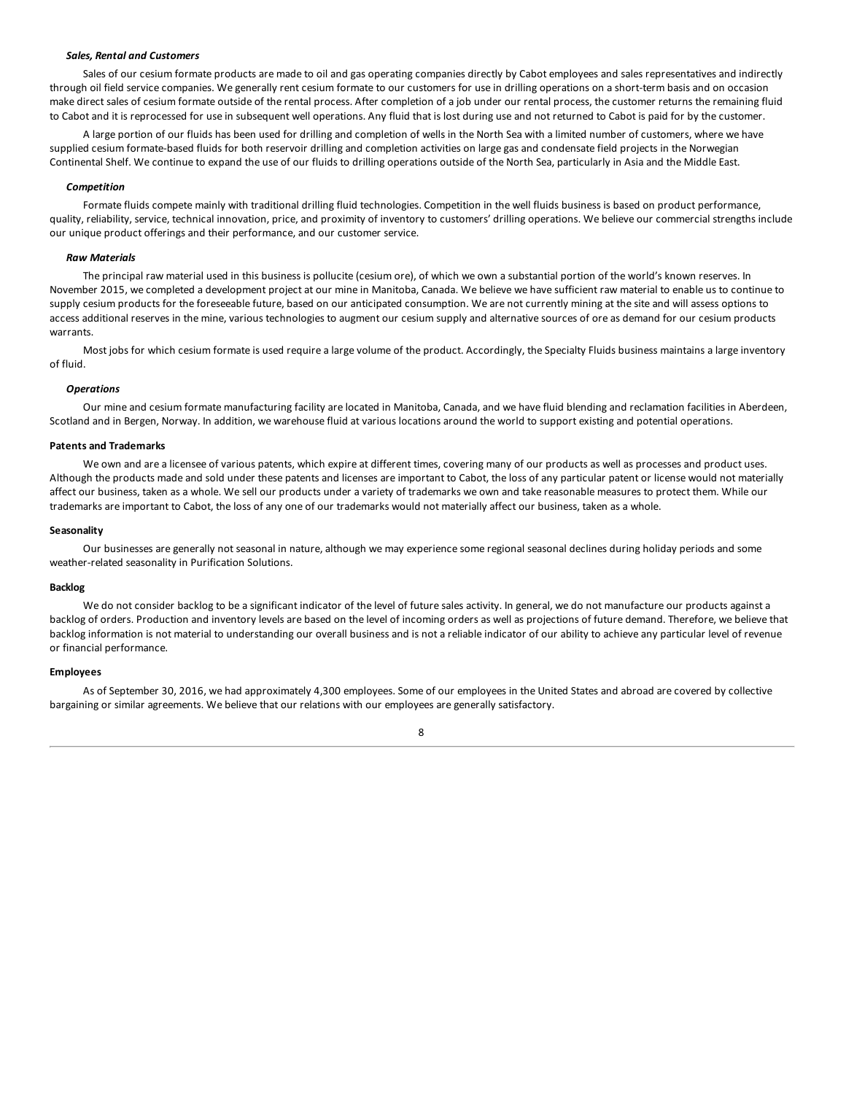# *Sales, Rental and Customers*

Sales of our cesium formate products are made to oil and gas operating companies directly by Cabot employees and sales representatives and indirectly through oil field service companies. We generally rent cesium formate to our customers for use in drilling operations on a short-term basis and on occasion make direct sales of cesium formate outside of the rental process. After completion of a job under our rental process, the customer returns the remaining fluid to Cabot and it is reprocessed for use in subsequent well operations. Any fluid that is lost during use and not returned to Cabot is paid for by the customer.

A large portion of our fluids has been used for drilling and completion of wells in the North Sea with a limited number of customers, where we have supplied cesium formate-based fluids for both reservoir drilling and completion activities on large gas and condensate field projects in the Norwegian Continental Shelf. We continue to expand the use of our fluids to drilling operations outside of the North Sea, particularly in Asia and the Middle East.

#### *Competition*

Formate fluids compete mainly with traditional drilling fluid technologies. Competition in the well fluids business is based on product performance, quality, reliability, service, technical innovation, price, and proximity of inventory to customers' drilling operations. We believe our commercial strengths include our unique product offerings and their performance, and our customer service.

#### *Raw Materials*

The principal raw material used in this business is pollucite (cesium ore), of which we own a substantial portion of the world's known reserves. In November 2015, we completed a development project at our mine in Manitoba, Canada. We believe we have sufficient raw material to enable us to continue to supply cesium products for the foreseeable future, based on our anticipated consumption. We are not currently mining at the site and will assess options to access additional reserves in the mine, various technologies to augment our cesium supply and alternative sources of ore as demand for our cesium products warrants.

Most jobs for which cesium formate is used require a large volume of the product. Accordingly, the Specialty Fluids business maintains a large inventory of fluid.

#### *Operations*

Our mine and cesium formate manufacturing facility are located in Manitoba, Canada, and we have fluid blending and reclamation facilities in Aberdeen, Scotland and in Bergen, Norway. In addition, we warehouse fluid at various locations around the world to support existing and potential operations.

# **Patents and Trademarks**

We own and are a licensee of various patents, which expire at different times, covering many of our products as well as processes and product uses. Although the products made and sold under these patents and licenses are important to Cabot, the loss of any particular patent or license would not materially affect our business, taken as a whole. We sell our products under a variety of trademarks we own and take reasonable measures to protect them. While our trademarks are important to Cabot, the loss of any one of our trademarks would not materially affect our business, taken as a whole.

#### **Seasonality**

Our businesses are generally not seasonal in nature, although we may experience some regional seasonal declines during holiday periods and some weather-related seasonality in Purification Solutions.

#### **Backlog**

We do not consider backlog to be a significant indicator of the level of future sales activity. In general, we do not manufacture our products against a backlog of orders. Production and inventory levels are based on the level of incoming orders as well as projections of future demand. Therefore, we believe that backlog information is not material to understanding our overall business and is not a reliable indicator of our ability to achieve any particular level of revenue or financial performance.

#### **Employees**

As of September 30, 2016, we had approximately 4,300 employees. Some of our employees in the United States and abroad are covered by collective bargaining or similar agreements. We believe that our relations with our employees are generally satisfactory.

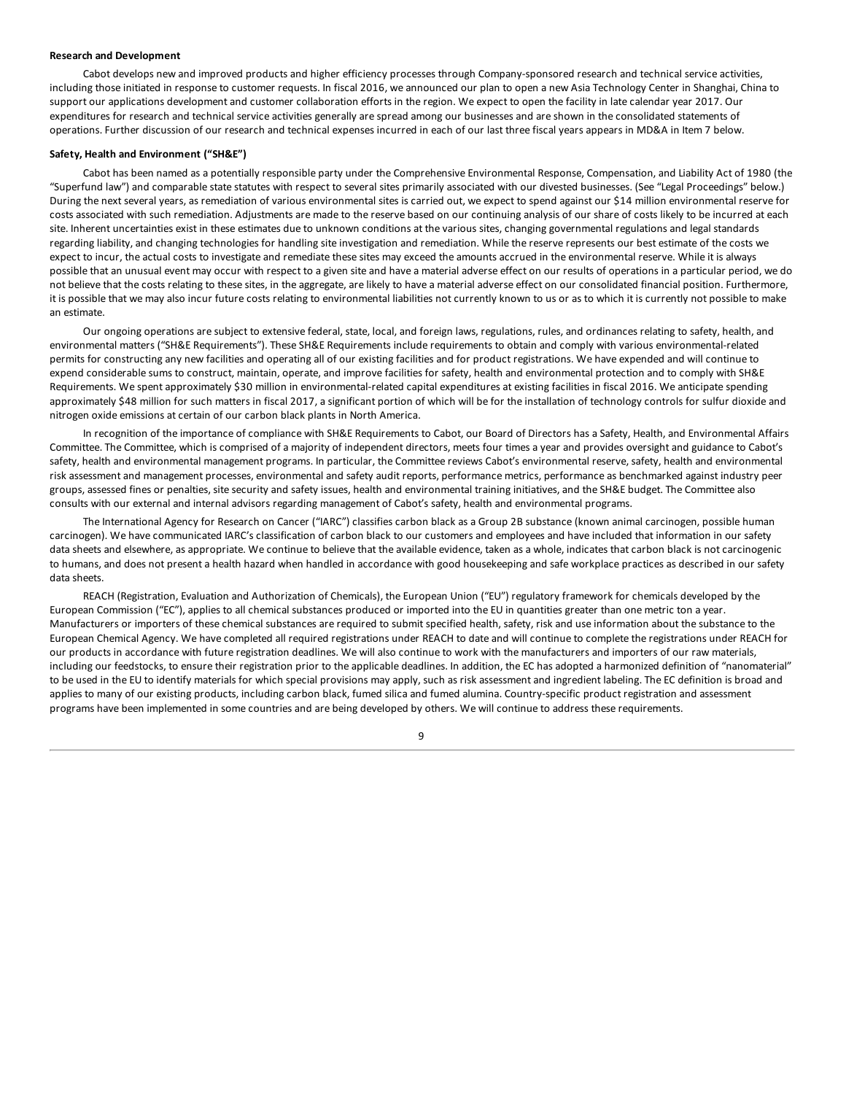# **Research and Development**

Cabot develops new and improved products and higher efficiency processes through Company-sponsored research and technical service activities, including those initiated in response to customer requests. In fiscal 2016, we announced our plan to open a new Asia Technology Center in Shanghai, China to support our applications development and customer collaboration efforts in the region. We expect to open the facility in late calendar year 2017. Our expenditures for research and technical service activities generally are spread among our businesses and are shown in the consolidated statements of operations. Further discussion of our research and technical expenses incurred in each of our last three fiscal years appears in MD&A in Item 7 below.

#### **Safety, Health and Environment ("SH&E")**

Cabot has been named as a potentially responsible party under the Comprehensive Environmental Response, Compensation, and Liability Act of 1980 (the "Superfund law") and comparable state statutes with respect to several sites primarily associated with our divested businesses. (See "Legal Proceedings" below.) During the next several years, as remediation of various environmental sites is carried out, we expect to spend against our \$14 million environmental reserve for costs associated with such remediation. Adjustments are made to the reserve based on our continuing analysis of our share of costs likely to be incurred at each site. Inherent uncertainties exist in these estimates due to unknown conditions at the various sites, changing governmental regulations and legal standards regarding liability, and changing technologies for handling site investigation and remediation. While the reserve represents our best estimate of the costs we expect to incur, the actual costs to investigate and remediate these sites may exceed the amounts accrued in the environmental reserve. While it is always possible that an unusual event may occur with respect to a given site and have a material adverse effect on our results of operations in a particular period, we do not believe that the costs relating to these sites, in the aggregate, are likely to have a material adverse effect on our consolidated financial position. Furthermore, it is possible that we may also incur future costs relating to environmental liabilities not currently known to us or as to which it is currently not possible to make an estimate.

Our ongoing operations are subject to extensive federal, state, local, and foreign laws, regulations, rules, and ordinances relating to safety, health, and environmental matters ("SH&E Requirements"). These SH&E Requirements include requirements to obtain and comply with various environmental-related permits for constructing any new facilities and operating all of our existing facilities and for product registrations. We have expended and will continue to expend considerable sums to construct, maintain, operate, and improve facilities for safety, health and environmental protection and to comply with SH&E Requirements. We spent approximately \$30 million in environmental-related capital expenditures at existing facilities in fiscal 2016. We anticipate spending approximately \$48 million for such matters in fiscal 2017, a significant portion of which will be for the installation of technology controls for sulfur dioxide and nitrogen oxide emissions at certain of our carbon black plants in North America.

In recognition of the importance of compliance with SH&E Requirements to Cabot, our Board of Directors has a Safety, Health, and Environmental Affairs Committee. The Committee, which is comprised of a majority of independent directors, meets four times a year and provides oversight and guidance to Cabot's safety, health and environmental management programs. In particular, the Committee reviews Cabot's environmental reserve, safety, health and environmental risk assessment and management processes, environmental and safety audit reports, performance metrics, performance as benchmarked against industry peer groups, assessed fines or penalties, site security and safety issues, health and environmental training initiatives, and the SH&E budget. The Committee also consults with our external and internal advisors regarding management of Cabot's safety, health and environmental programs.

The International Agency for Research on Cancer ("IARC") classifies carbon black as a Group 2B substance (known animal carcinogen, possible human carcinogen). We have communicated IARC's classification of carbon black to our customers and employees and have included that information in our safety data sheets and elsewhere, as appropriate. We continue to believe that the available evidence, taken as a whole, indicates that carbon black is not carcinogenic to humans, and does not present a health hazard when handled in accordance with good housekeeping and safe workplace practices as described in our safety data sheets.

REACH (Registration, Evaluation and Authorization of Chemicals), the European Union ("EU") regulatory framework for chemicals developed by the European Commission ("EC"), applies to all chemical substances produced or imported into the EU in quantities greater than one metric ton a year. Manufacturers or importers of these chemical substances are required to submit specified health, safety, risk and use information about the substance to the European Chemical Agency. We have completed all required registrations under REACH to date and will continue to complete the registrations under REACH for our products in accordance with future registration deadlines. We will also continue to work with the manufacturers and importers of our raw materials, including our feedstocks, to ensure their registration prior to the applicable deadlines. In addition, the EC has adopted a harmonized definition of "nanomaterial" to be used in the EU to identify materials for which special provisions may apply, such as risk assessment and ingredient labeling. The EC definition is broad and applies to many of our existing products, including carbon black, fumed silica and fumed alumina. Country-specific product registration and assessment programs have been implemented in some countries and are being developed by others. We will continue to address these requirements.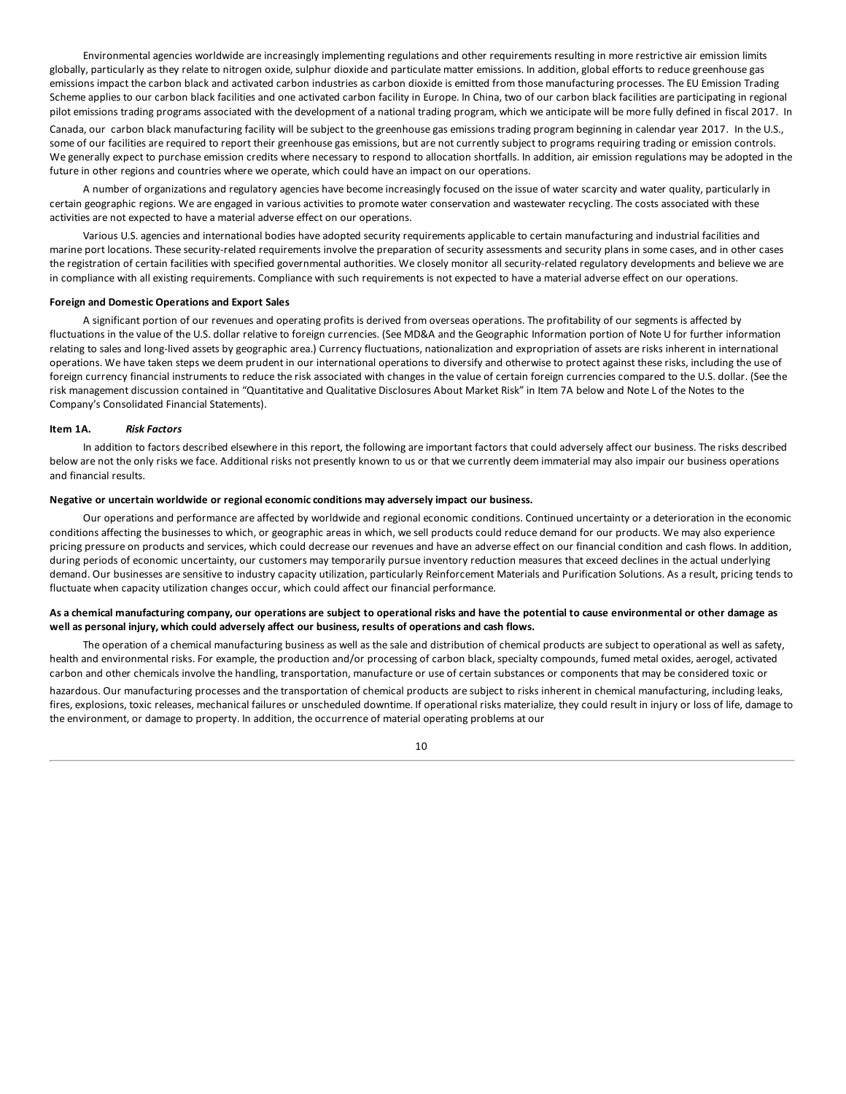<span id="page-9-0"></span>Environmental agencies worldwide are increasingly implementing regulations and other requirements resulting in more restrictive air emission limits globally, particularly as they relate to nitrogen oxide, sulphur dioxide and particulate matter emissions. In addition, global efforts to reduce greenhouse gas emissions impact the carbon black and activated carbon industries as carbon dioxide is emitted from those manufacturing processes. The EU Emission Trading Scheme applies to our carbon black facilities and one activated carbon facility in Europe. In China, two of our carbon black facilities are participating in regional pilot emissions trading programs associated with the development of a national trading program, which we anticipate will be more fully defined in fiscal 2017. In

Canada, our carbon black manufacturing facility will be subject to the greenhouse gas emissions trading program beginning in calendar year 2017. In the U.S., some of our facilities are required to report their greenhouse gas emissions, but are not currently subject to programs requiring trading or emission controls. We generally expect to purchase emission credits where necessary to respond to allocation shortfalls. In addition, air emission regulations may be adopted in the future in other regions and countries where we operate, which could have an impact on our operations.

A number of organizations and regulatory agencies have become increasingly focused on the issue of water scarcity and water quality, particularly in certain geographic regions. We are engaged in various activities to promote water conservation and wastewater recycling. The costs associated with these activities are not expected to have a material adverse effect on our operations.

Various U.S. agencies and international bodies have adopted security requirements applicable to certain manufacturing and industrial facilities and marine port locations. These security-related requirements involve the preparation of security assessments and security plans in some cases, and in other cases the registration of certain facilities with specified governmental authorities. We closely monitor all security-related regulatory developments and believe we are in compliance with all existing requirements. Compliance with such requirements is not expected to have a material adverse effect on our operations.

# **Foreign and Domestic Operations and Export Sales**

A significant portion of our revenues and operating profits is derived from overseas operations. The profitability of our segments is affected by fluctuations in the value of the U.S. dollar relative to foreign currencies. (See MD&A and the Geographic Information portion of Note U for further information relating to sales and long-lived assets by geographic area.) Currency fluctuations, nationalization and expropriation of assets are risks inherent in international operations. We have taken steps we deem prudent in our international operations to diversify and otherwise to protect against these risks, including the use of foreign currency financial instruments to reduce the risk associated with changes in the value of certain foreign currencies compared to the U.S. dollar. (See the risk management discussion contained in "Quantitative and Qualitative Disclosures About Market Risk" in Item 7A below and Note L of the Notes to the Company's Consolidated Financial Statements).

#### **Item 1A.** *Risk Factors*

In addition to factors described elsewhere in this report, the following are important factors that could adversely affect our business. The risks described below are not the only risks we face. Additional risks not presently known to us or that we currently deem immaterial may also impair our business operations and financial results.

# **Negative or uncertain worldwide or regional economic conditions may adversely impact our business.**

Our operations and performance are affected by worldwide and regional economic conditions. Continued uncertainty or a deterioration in the economic conditions affecting the businesses to which, or geographic areas in which, we sell products could reduce demand for our products. We may also experience pricing pressure on products and services, which could decrease our revenues and have an adverse effect on our financial condition and cash flows. In addition, during periods of economic uncertainty, our customers may temporarily pursue inventory reduction measures that exceed declines in the actual underlying demand. Our businesses are sensitive to industry capacity utilization, particularly Reinforcement Materials and Purification Solutions. As a result, pricing tends to fluctuate when capacity utilization changes occur, which could affect our financial performance.

# As a chemical manufacturing company, our operations are subject to operational risks and have the potential to cause environmental or other damage as **well as personal injury, which could adversely affect our business, results of operations and cash flows.**

The operation of a chemical manufacturing business as well as the sale and distribution of chemical products are subject to operational as well as safety, health and environmental risks. For example, the production and/or processing of carbon black, specialty compounds, fumed metal oxides, aerogel, activated carbon and other chemicals involve the handling, transportation, manufacture or use of certain substances or components that may be considered toxic or

hazardous. Our manufacturing processes and the transportation of chemical products are subject to risks inherent in chemical manufacturing, including leaks, fires, explosions, toxic releases, mechanical failures or unscheduled downtime. If operational risks materialize, they could result in injury or loss of life, damage to the environment, or damage to property. In addition, the occurrence of material operating problems at our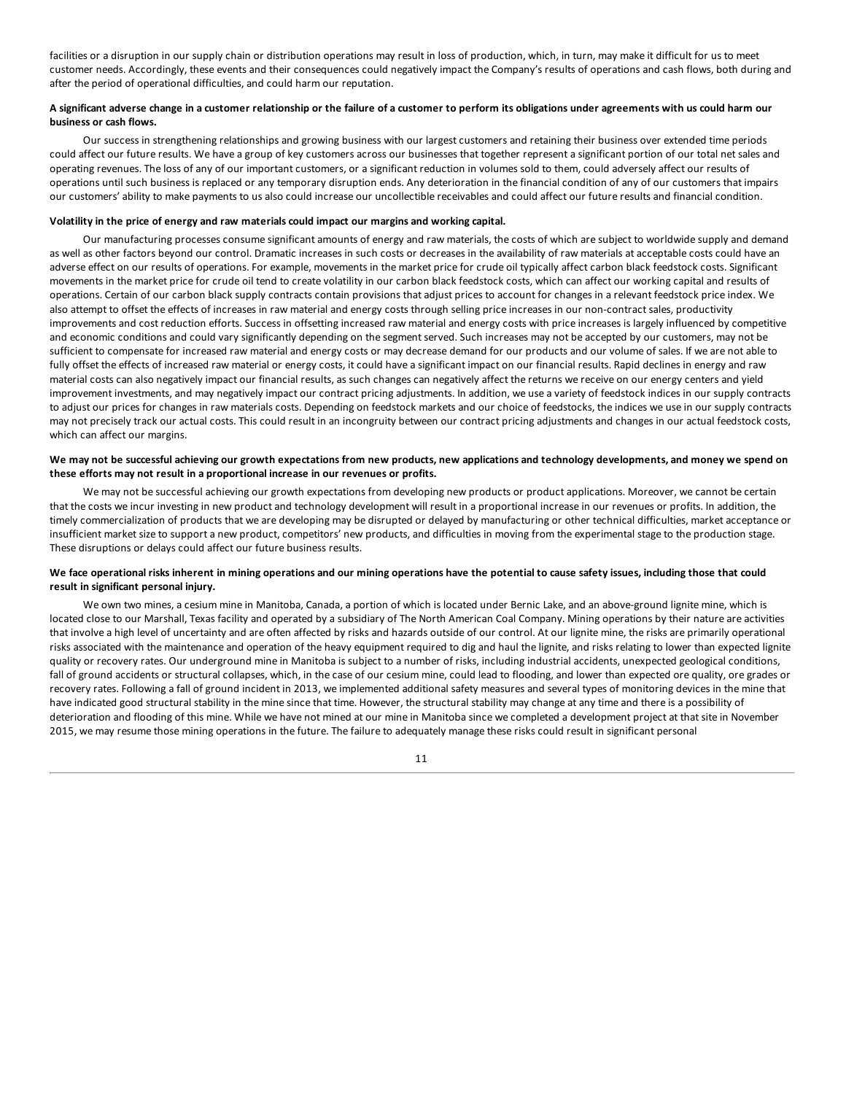facilities or a disruption in our supply chain or distribution operations may result in loss of production, which, in turn, may make it difficult for us to meet customer needs. Accordingly, these events and their consequences could negatively impact the Company's results of operations and cash flows, both during and after the period of operational difficulties, and could harm our reputation.

# A significant adverse change in a customer relationship or the failure of a customer to perform its obligations under agreements with us could harm our **business or cash flows.**

Our success in strengthening relationships and growing business with our largest customers and retaining their business over extended time periods could affect our future results. We have a group of key customers across our businesses that together represent a significant portion of our total net sales and operating revenues. The loss of any of our important customers, or a significant reduction in volumes sold to them, could adversely affect our results of operations until such business is replaced or any temporary disruption ends. Any deterioration in the financial condition of any of our customers that impairs our customers' ability to make payments to us also could increase our uncollectible receivables and could affect our future results and financial condition.

### **Volatility in the price of energy and raw materials could impact our margins and working capital.**

Our manufacturing processes consume significant amounts of energy and raw materials, the costs of which are subject to worldwide supply and demand as well as other factors beyond our control. Dramatic increases in such costs or decreases in the availability of raw materials at acceptable costs could have an adverse effect on our results of operations. For example, movements in the market price for crude oil typically affect carbon black feedstock costs. Significant movements in the market price for crude oil tend to create volatility in our carbon black feedstock costs, which can affect our working capital and results of operations. Certain of our carbon black supply contracts contain provisions that adjust prices to account for changes in a relevant feedstock price index. We also attempt to offset the effects of increases in raw material and energy costs through selling price increases in our non-contract sales, productivity improvements and cost reduction efforts. Success in offsetting increased raw material and energy costs with price increases is largely influenced by competitive and economic conditions and could vary significantly depending on the segment served. Such increases may not be accepted by our customers, may not be sufficient to compensate for increased raw material and energy costs or may decrease demand for our products and our volume of sales. If we are not able to fully offset the effects of increased raw material or energy costs, it could have a significant impact on our financial results. Rapid declines in energy and raw material costs can also negatively impact our financial results, as such changes can negatively affect the returns we receive on our energy centers and yield improvement investments, and may negatively impact our contract pricing adjustments. In addition, we use a variety of feedstock indices in our supply contracts to adjust our prices for changes in raw materials costs. Depending on feedstock markets and our choice of feedstocks, the indices we use in our supply contracts may not precisely track our actual costs. This could result in an incongruity between our contract pricing adjustments and changes in our actual feedstock costs, which can affect our margins.

# We may not be successful achieving our growth expectations from new products, new applications and technology developments, and money we spend on **these efforts may not result in a proportional increase in our revenues or profits.**

We may not be successful achieving our growth expectations from developing new products or product applications. Moreover, we cannot be certain that the costs we incur investing in new product and technology development will result in a proportional increase in our revenues or profits. In addition, the timely commercialization of products that we are developing may be disrupted or delayed by manufacturing or other technical difficulties, market acceptance or insufficient market size to support a new product, competitors' new products, and difficulties in moving from the experimental stage to the production stage. These disruptions or delays could affect our future business results.

# We face operational risks inherent in mining operations and our mining operations have the potential to cause safety issues, including those that could **result in significant personal injury.**

We own two mines, a cesium mine in Manitoba, Canada, a portion of which is located under Bernic Lake, and an above-ground lignite mine, which is located close to our Marshall, Texas facility and operated by a subsidiary of The North American Coal Company. Mining operations by their nature are activities that involve a high level of uncertainty and are often affected by risks and hazards outside of our control. At our lignite mine, the risks are primarily operational risks associated with the maintenance and operation of the heavy equipment required to dig and haul the lignite, and risks relating to lower than expected lignite quality or recovery rates. Our underground mine in Manitoba is subject to a number of risks, including industrial accidents, unexpected geological conditions, fall of ground accidents or structural collapses, which, in the case of our cesium mine, could lead to flooding, and lower than expected ore quality, ore grades or recovery rates. Following a fall of ground incident in 2013, we implemented additional safety measures and several types of monitoring devices in the mine that have indicated good structural stability in the mine since that time. However, the structural stability may change at any time and there is a possibility of deterioration and flooding of this mine. While we have not mined at our mine in Manitoba since we completed a development project at that site in November 2015, we may resume those mining operations in the future. The failure to adequately manage these risks could result in significant personal

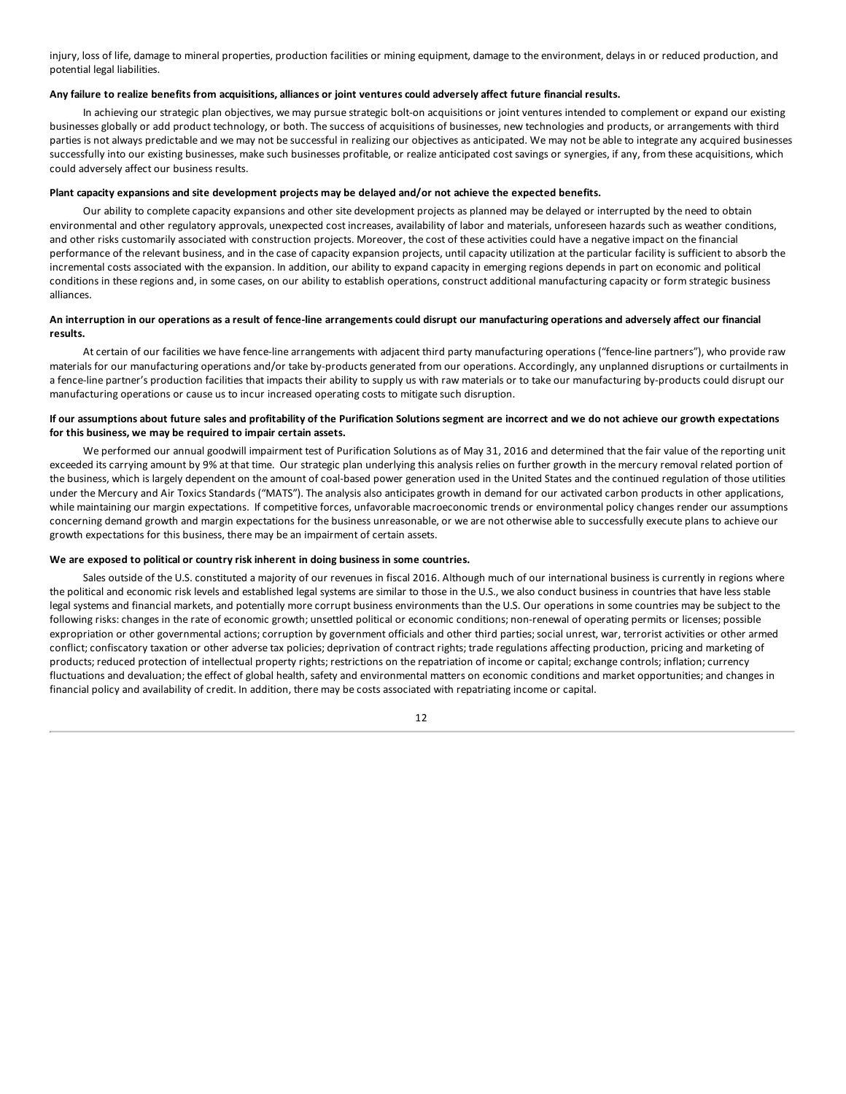injury, loss of life, damage to mineral properties, production facilities or mining equipment, damage to the environment, delays in or reduced production, and potential legal liabilities.

#### Any failure to realize benefits from acquisitions, alliances or joint ventures could adversely affect future financial results.

In achieving our strategic plan objectives, we may pursue strategic bolt-on acquisitions or joint ventures intended to complement or expand our existing businesses globally or add product technology, or both. The success of acquisitions of businesses, new technologies and products, or arrangements with third parties is not always predictable and we may not be successful in realizing our objectives as anticipated. We may not be able to integrate any acquired businesses successfully into our existing businesses, make such businesses profitable, or realize anticipated cost savings or synergies, if any, from these acquisitions, which could adversely affect our business results.

### **Plant capacity expansions and site development projects may be delayed and/or not achieve the expected benefits.**

Our ability to complete capacity expansions and other site development projects as planned may be delayed or interrupted by the need to obtain environmental and other regulatory approvals, unexpected cost increases, availability of labor and materials, unforeseen hazards such as weather conditions, and other risks customarily associated with construction projects. Moreover, the cost of these activities could have a negative impact on the financial performance of the relevant business, and in the case of capacity expansion projects, until capacity utilization at the particular facility is sufficient to absorb the incremental costs associated with the expansion. In addition, our ability to expand capacity in emerging regions depends in part on economic and political conditions in these regions and, in some cases, on our ability to establish operations, construct additional manufacturing capacity or form strategic business alliances.

# An interruption in our operations as a result of fence-line arrangements could disrupt our manufacturing operations and adversely affect our financial **results.**

At certain of our facilities we have fence-line arrangements with adjacent third party manufacturing operations ("fence-line partners"), who provide raw materials for our manufacturing operations and/or take by-products generated from our operations. Accordingly, any unplanned disruptions or curtailments in a fence-line partner's production facilities that impacts their ability to supply us with raw materials or to take our manufacturing by-products could disrupt our manufacturing operations or cause us to incur increased operating costs to mitigate such disruption.

# If our assumptions about future sales and profitability of the Purification Solutions segment are incorrect and we do not achieve our growth expectations **for this business, we may be required to impair certain assets.**

We performed our annual goodwill impairment test of Purification Solutions as of May 31, 2016 and determined that the fair value of the reporting unit exceeded its carrying amount by 9% at that time. Our strategic plan underlying this analysis relies on further growth in the mercury removal related portion of the business, which is largely dependent on the amount of coal-based power generation used in the United States and the continued regulation of those utilities under the Mercury and Air Toxics Standards ("MATS"). The analysis also anticipates growth in demand for our activated carbon products in other applications, while maintaining our margin expectations. If competitive forces, unfavorable macroeconomic trends or environmental policy changes render our assumptions concerning demand growth and margin expectations for the business unreasonable, or we are not otherwise able to successfully execute plans to achieve our growth expectations for this business, there may be an impairment of certain assets.

# **We are exposed to political or country risk inherent in doing business in some countries.**

Sales outside of the U.S. constituted a majority of our revenues in fiscal 2016. Although much of our international business is currently in regions where the political and economic risk levels and established legal systems are similar to those in the U.S., we also conduct business in countries that have less stable legal systems and financial markets, and potentially more corrupt business environments than the U.S. Our operations in some countries may be subject to the following risks: changes in the rate of economic growth; unsettled political or economic conditions; non-renewal of operating permits or licenses; possible expropriation or other governmental actions; corruption by government officials and other third parties; social unrest, war, terrorist activities or other armed conflict; confiscatory taxation or other adverse tax policies; deprivation of contract rights; trade regulations affecting production, pricing and marketing of products; reduced protection of intellectual property rights; restrictions on the repatriation of income or capital; exchange controls; inflation; currency fluctuations and devaluation; the effect of global health, safety and environmental matters on economic conditions and market opportunities; and changes in financial policy and availability of credit. In addition, there may be costs associated with repatriating income or capital.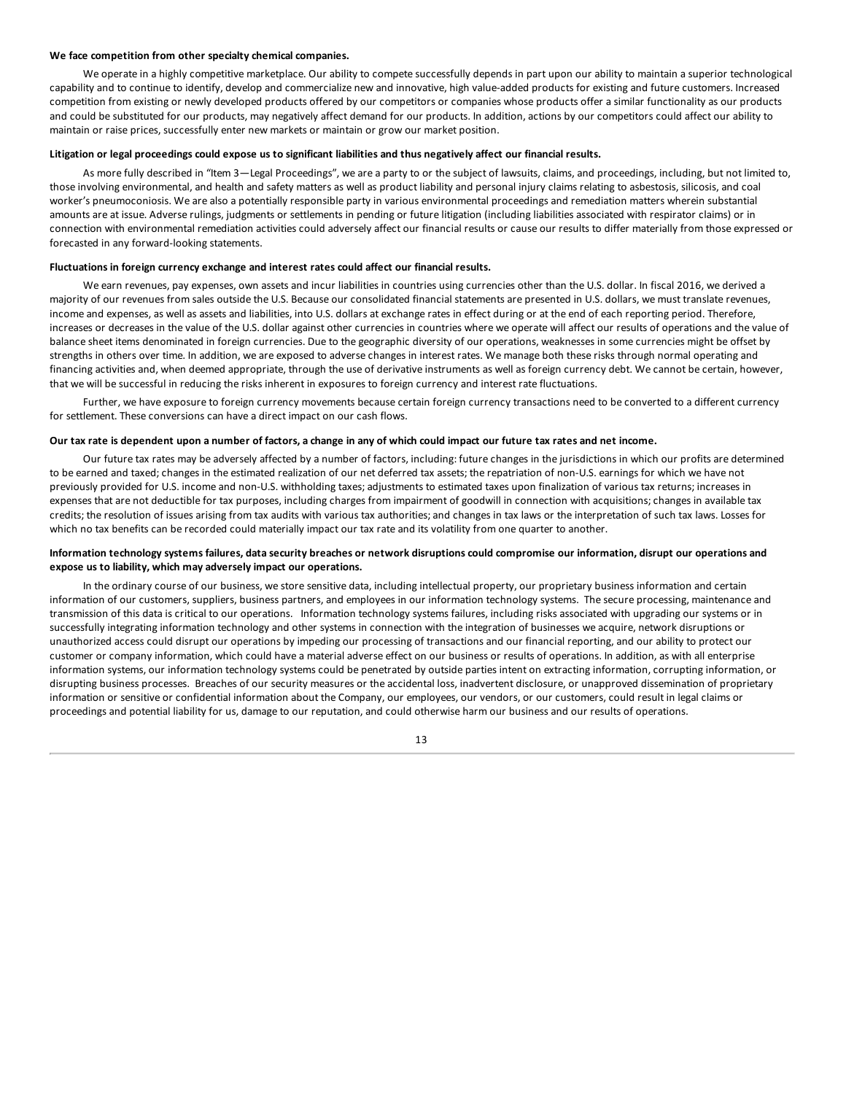# **We face competition from other specialty chemical companies.**

We operate in a highly competitive marketplace. Our ability to compete successfully depends in part upon our ability to maintain a superior technological capability and to continue to identify, develop and commercialize new and innovative, high value-added products for existing and future customers. Increased competition from existing or newly developed products offered by our competitors or companies whose products offer a similar functionality as our products and could be substituted for our products, may negatively affect demand for our products. In addition, actions by our competitors could affect our ability to maintain or raise prices, successfully enter new markets or maintain or grow our market position.

#### Litigation or legal proceedings could expose us to significant liabilities and thus negatively affect our financial results.

As more fully described in "Item 3—Legal Proceedings", we are a party to or the subject of lawsuits, claims, and proceedings, including, but not limited to, those involving environmental, and health and safety matters as well as product liability and personal injury claims relating to asbestosis, silicosis, and coal worker's pneumoconiosis. We are also a potentially responsible party in various environmental proceedings and remediation matters wherein substantial amounts are at issue. Adverse rulings, judgments or settlements in pending or future litigation (including liabilities associated with respirator claims) or in connection with environmental remediation activities could adversely affect our financial results or cause our results to differ materially from those expressed or forecasted in any forward-looking statements.

#### **Fluctuations in foreign currency exchange and interest rates could affect our financial results.**

We earn revenues, pay expenses, own assets and incur liabilities in countries using currencies other than the U.S. dollar. In fiscal 2016, we derived a majority of our revenues from sales outside the U.S. Because our consolidated financial statements are presented in U.S. dollars, we must translate revenues, income and expenses, as well as assets and liabilities, into U.S. dollars at exchange rates in effect during or at the end of each reporting period. Therefore, increases or decreases in the value of the U.S. dollar against other currencies in countries where we operate will affect our results of operations and the value of balance sheet items denominated in foreign currencies. Due to the geographic diversity of our operations, weaknesses in some currencies might be offset by strengths in others over time. In addition, we are exposed to adverse changes in interest rates. We manage both these risks through normal operating and financing activities and, when deemed appropriate, through the use of derivative instruments as well as foreign currency debt. We cannot be certain, however, that we will be successful in reducing the risks inherent in exposures to foreign currency and interest rate fluctuations.

Further, we have exposure to foreign currency movements because certain foreign currency transactions need to be converted to a different currency for settlement. These conversions can have a direct impact on our cash flows.

# Our tax rate is dependent upon a number of factors, a change in any of which could impact our future tax rates and net income.

Our future tax rates may be adversely affected by a number of factors, including: future changes in the jurisdictions in which our profits are determined to be earned and taxed; changes in the estimated realization of our net deferred tax assets; the repatriation of non-U.S. earnings for which we have not previously provided for U.S. income and non-U.S. withholding taxes; adjustments to estimated taxes upon finalization of various tax returns; increases in expenses that are not deductible for tax purposes, including charges from impairment of goodwill in connection with acquisitions; changes in available tax credits; the resolution of issues arising from tax audits with various tax authorities; and changes in tax laws or the interpretation of such tax laws. Losses for which no tax benefits can be recorded could materially impact our tax rate and its volatility from one quarter to another.

# Information technology systems failures, data security breaches or network disruptions could compromise our information, disrupt our operations and **expose us to liability, which may adversely impact our operations.**

In the ordinary course of our business, we store sensitive data, including intellectual property, our proprietary business information and certain information of our customers, suppliers, business partners, and employees in our information technology systems. The secure processing, maintenance and transmission of this data is critical to our operations. Information technology systems failures, including risks associated with upgrading our systems or in successfully integrating information technology and other systems in connection with the integration of businesses we acquire, network disruptions or unauthorized access could disrupt our operations by impeding our processing of transactions and our financial reporting, and our ability to protect our customer or company information, which could have a material adverse effect on our business or results of operations. In addition, as with all enterprise information systems, our information technology systems could be penetrated by outside parties intent on extracting information, corrupting information, or disrupting business processes. Breaches of our security measures or the accidental loss, inadvertent disclosure, or unapproved dissemination of proprietary information or sensitive or confidential information about the Company, our employees, our vendors, or our customers, could result in legal claims or proceedings and potential liability for us, damage to our reputation, and could otherwise harm our business and our results of operations.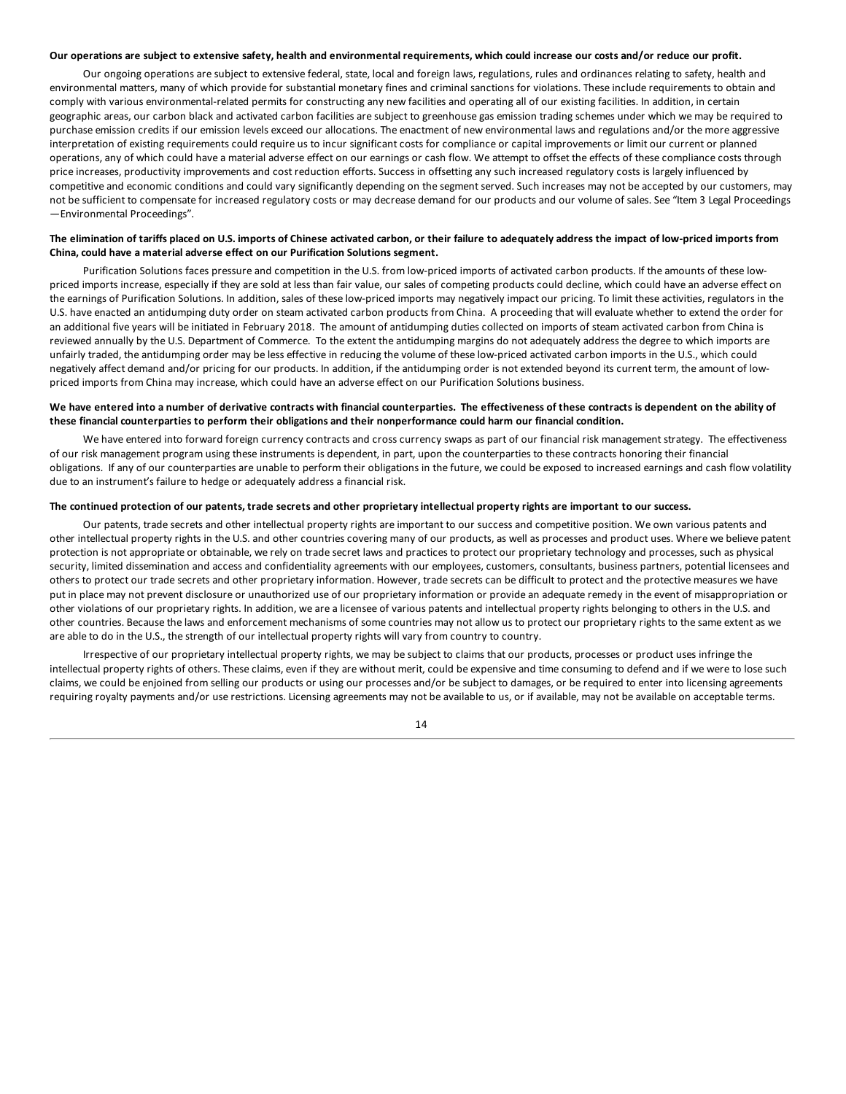# Our operations are subject to extensive safety, health and environmental requirements, which could increase our costs and/or reduce our profit.

Our ongoing operations are subject to extensive federal, state, local and foreign laws, regulations, rules and ordinances relating to safety, health and environmental matters, many of which provide for substantial monetary fines and criminal sanctions for violations. These include requirements to obtain and comply with various environmental-related permits for constructing any new facilities and operating all of our existing facilities. In addition, in certain geographic areas, our carbon black and activated carbon facilities are subject to greenhouse gas emission trading schemes under which we may be required to purchase emission credits if our emission levels exceed our allocations. The enactment of new environmental laws and regulations and/or the more aggressive interpretation of existing requirements could require us to incur significant costs for compliance or capital improvements or limit our current or planned operations, any of which could have a material adverse effect on our earnings or cash flow. We attempt to offset the effects of these compliance costs through price increases, productivity improvements and cost reduction efforts. Success in offsetting any such increased regulatory costs is largely influenced by competitive and economic conditions and could vary significantly depending on the segment served. Such increases may not be accepted by our customers, may not be sufficient to compensate for increased regulatory costs or may decrease demand for our products and our volume of sales. See "Item 3 Legal Proceedings —Environmental Proceedings".

### The elimination of tariffs placed on U.S. imports of Chinese activated carbon, or their failure to adequately address the impact of low-priced imports from **China, could have a material adverse effect on our Purification Solutions segment.**

Purification Solutions faces pressure and competition in the U.S. from low-priced imports of activated carbon products. If the amounts of these lowpriced imports increase, especially if they are sold at less than fair value, our sales of competing products could decline, which could have an adverse effect on the earnings of Purification Solutions. In addition, sales of these low-priced imports may negatively impact our pricing. To limit these activities, regulators in the U.S. have enacted an antidumping duty order on steam activated carbon products from China. A proceeding that will evaluate whether to extend the order for an additional five years will be initiated in February 2018. The amount of antidumping duties collected on imports of steam activated carbon from China is reviewed annually by the U.S. Department of Commerce. To the extent the antidumping margins do not adequately address the degree to which imports are unfairly traded, the antidumping order may be less effective in reducing the volume of these low-priced activated carbon imports in the U.S., which could negatively affect demand and/or pricing for our products. In addition, if the antidumping order is not extended beyond its current term, the amount of lowpriced imports from China may increase, which could have an adverse effect on our Purification Solutions business.

# We have entered into a number of derivative contracts with financial counterparties. The effectiveness of these contracts is dependent on the ability of these financial counterparties to perform their obligations and their nonperformance could harm our financial condition.

We have entered into forward foreign currency contracts and cross currency swaps as part of our financial risk management strategy. The effectiveness of our risk management program using these instruments is dependent, in part, upon the counterparties to these contracts honoring their financial obligations. If any of our counterparties are unable to perform their obligations in the future, we could be exposed to increased earnings and cash flow volatility due to an instrument's failure to hedge or adequately address a financial risk.

#### The continued protection of our patents, trade secrets and other proprietary intellectual property rights are important to our success.

Our patents, trade secrets and other intellectual property rights are important to our success and competitive position. We own various patents and other intellectual property rights in the U.S. and other countries covering many of our products, as well as processes and product uses. Where we believe patent protection is not appropriate or obtainable, we rely on trade secret laws and practices to protect our proprietary technology and processes, such as physical security, limited dissemination and access and confidentiality agreements with our employees, customers, consultants, business partners, potential licensees and others to protect our trade secrets and other proprietary information. However, trade secrets can be difficult to protect and the protective measures we have put in place may not prevent disclosure or unauthorized use of our proprietary information or provide an adequate remedy in the event of misappropriation or other violations of our proprietary rights. In addition, we are a licensee of various patents and intellectual property rights belonging to others in the U.S. and other countries. Because the laws and enforcement mechanisms of some countries may not allow us to protect our proprietary rights to the same extent as we are able to do in the U.S., the strength of our intellectual property rights will vary from country to country.

Irrespective of our proprietary intellectual property rights, we may be subject to claims that our products, processes or product uses infringe the intellectual property rights of others. These claims, even if they are without merit, could be expensive and time consuming to defend and if we were to lose such claims, we could be enjoined from selling our products or using our processes and/or be subject to damages, or be required to enter into licensing agreements requiring royalty payments and/or use restrictions. Licensing agreements may not be available to us, or if available, may not be available on acceptable terms.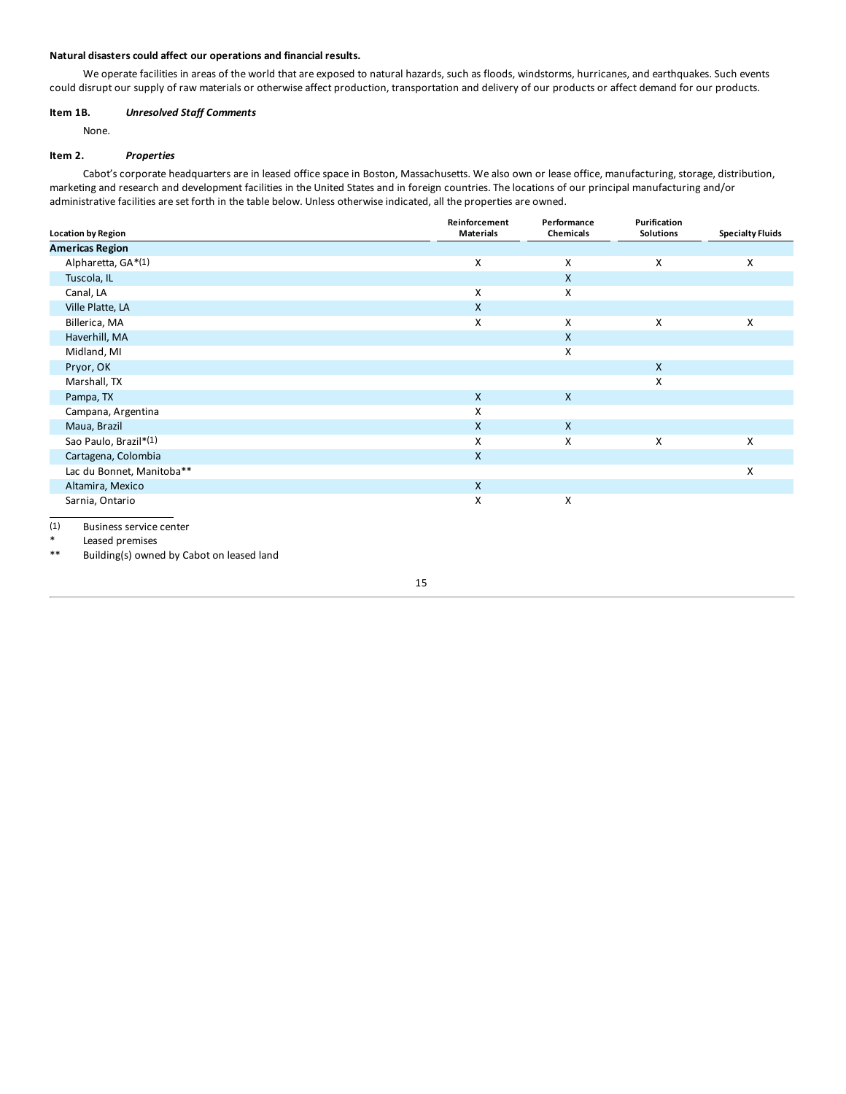# <span id="page-14-0"></span>**Natural disasters could affect our operations and financial results.**

We operate facilities in areas of the world that are exposed to natural hazards, such as floods, windstorms, hurricanes, and earthquakes. Such events could disrupt our supply of raw materials or otherwise affect production, transportation and delivery of our products or affect demand for our products.

# **Item 1B.** *Unresolved Staff Comments*

None.

#### **Item 2.** *Properties*

Cabot's corporate headquarters are in leased office space in Boston, Massachusetts. We also own or lease office, manufacturing, storage, distribution, marketing and research and development facilities in the United States and in foreign countries. The locations of our principal manufacturing and/or administrative facilities are set forth in the table below. Unless otherwise indicated, all the properties are owned.

| <b>Location by Region</b> | Reinforcement<br><b>Materials</b> | Performance<br>Chemicals | Purification<br><b>Solutions</b> | <b>Specialty Fluids</b> |
|---------------------------|-----------------------------------|--------------------------|----------------------------------|-------------------------|
| <b>Americas Region</b>    |                                   |                          |                                  |                         |
| Alpharetta, GA*(1)        | X                                 | x                        | X                                | X                       |
| Tuscola, IL               |                                   | X                        |                                  |                         |
| Canal, LA                 | x                                 | Χ                        |                                  |                         |
| Ville Platte, LA          | $\mathsf{x}$                      |                          |                                  |                         |
| Billerica, MA             | X                                 | X                        | X                                | X                       |
| Haverhill, MA             |                                   | X                        |                                  |                         |
| Midland, MI               |                                   | Χ                        |                                  |                         |
| Pryor, OK                 |                                   |                          | $\mathsf{X}$                     |                         |
| Marshall, TX              |                                   |                          | X                                |                         |
| Pampa, TX                 | X                                 | X                        |                                  |                         |
| Campana, Argentina        | X                                 |                          |                                  |                         |
| Maua, Brazil              | X                                 | X                        |                                  |                         |
| Sao Paulo, Brazil*(1)     | x                                 | Χ                        | X                                | X                       |
| Cartagena, Colombia       | X                                 |                          |                                  |                         |
| Lac du Bonnet, Manitoba** |                                   |                          |                                  | X                       |
| Altamira, Mexico          | X                                 |                          |                                  |                         |
| Sarnia, Ontario           | X                                 | Χ                        |                                  |                         |

(1) Business service center

\* Leased premises

Building(s) owned by Cabot on leased land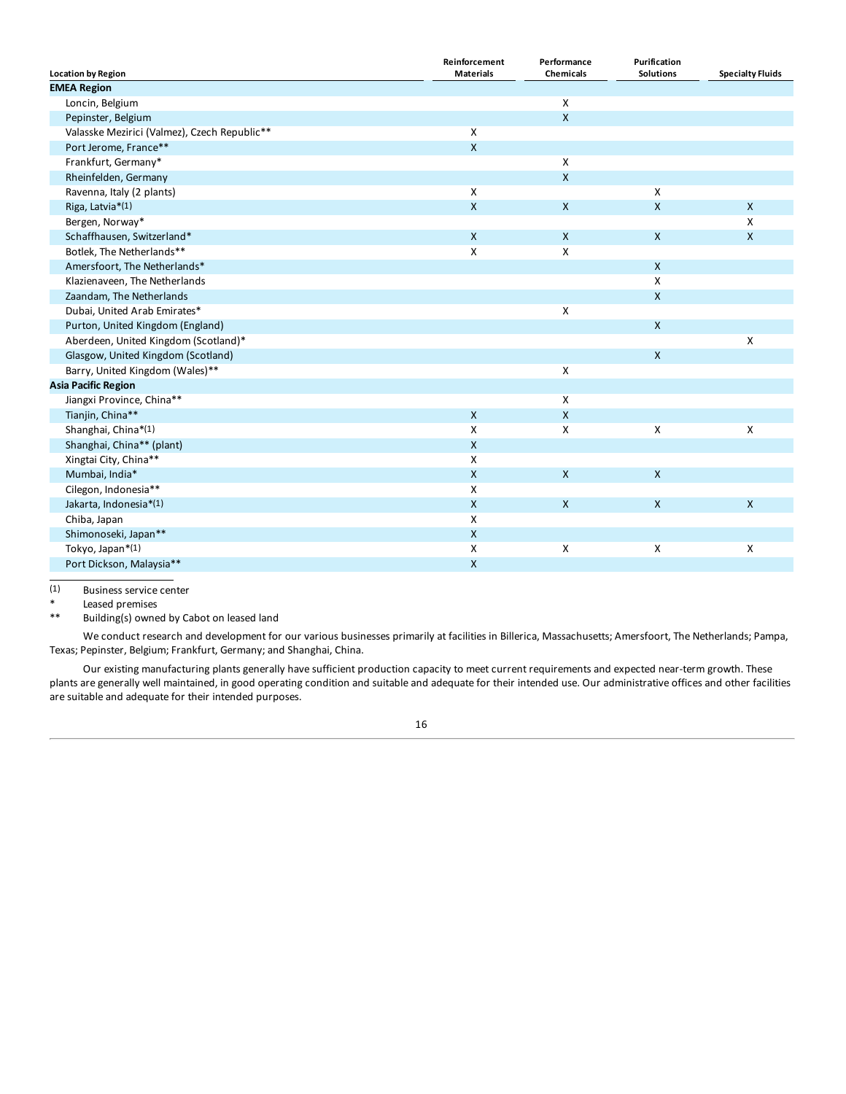| <b>Location by Region</b>                    | Reinforcement<br><b>Materials</b> | Performance<br>Chemicals | Purification<br><b>Solutions</b> | <b>Specialty Fluids</b> |
|----------------------------------------------|-----------------------------------|--------------------------|----------------------------------|-------------------------|
| <b>EMEA Region</b>                           |                                   |                          |                                  |                         |
| Loncin, Belgium                              |                                   | X                        |                                  |                         |
| Pepinster, Belgium                           |                                   | $\mathsf{x}$             |                                  |                         |
| Valasske Mezirici (Valmez), Czech Republic** | X                                 |                          |                                  |                         |
| Port Jerome, France**                        | X                                 |                          |                                  |                         |
| Frankfurt, Germany*                          |                                   | X                        |                                  |                         |
| Rheinfelden, Germany                         |                                   | $\mathsf{X}$             |                                  |                         |
| Ravenna, Italy (2 plants)                    | X                                 |                          | X                                |                         |
| Riga, Latvia*(1)                             | $\mathsf{x}$                      | $\mathsf{x}$             | $\mathsf{X}$                     | $\mathsf{x}$            |
| Bergen, Norway*                              |                                   |                          |                                  | Χ                       |
| Schaffhausen, Switzerland*                   | X                                 | $\pmb{\mathsf{X}}$       | $\mathsf{x}$                     | $\pmb{\mathsf{X}}$      |
| Botlek, The Netherlands**                    | Χ                                 | Χ                        |                                  |                         |
| Amersfoort, The Netherlands*                 |                                   |                          | $\mathsf{X}$                     |                         |
| Klazienaveen, The Netherlands                |                                   |                          | X                                |                         |
| Zaandam, The Netherlands                     |                                   |                          | $\mathsf{X}$                     |                         |
| Dubai, United Arab Emirates*                 |                                   | Χ                        |                                  |                         |
| Purton, United Kingdom (England)             |                                   |                          | $\mathsf{X}$                     |                         |
| Aberdeen, United Kingdom (Scotland)*         |                                   |                          |                                  | Χ                       |
| Glasgow, United Kingdom (Scotland)           |                                   |                          | X                                |                         |
| Barry, United Kingdom (Wales)**              |                                   | X                        |                                  |                         |
| <b>Asia Pacific Region</b>                   |                                   |                          |                                  |                         |
| Jiangxi Province, China**                    |                                   | X                        |                                  |                         |
| Tianjin, China**                             | X                                 | $\mathsf{x}$             |                                  |                         |
| Shanghai, China*(1)                          | X                                 | x                        | Χ                                | Χ                       |
| Shanghai, China** (plant)                    | X                                 |                          |                                  |                         |
| Xingtai City, China**                        | X                                 |                          |                                  |                         |
| Mumbai, India*                               | $\pmb{\chi}$                      | X                        | $\mathsf{x}$                     |                         |
| Cilegon, Indonesia**                         | Χ                                 |                          |                                  |                         |
| Jakarta, Indonesia*(1)                       | X                                 | $\mathsf{X}$             | $\mathsf{X}$                     | $\mathsf{x}$            |
| Chiba, Japan                                 | Χ                                 |                          |                                  |                         |
| Shimonoseki, Japan**                         | X                                 |                          |                                  |                         |
| Tokyo, Japan*(1)                             | X                                 | X                        | Χ                                | x                       |
| Port Dickson, Malaysia**                     | X                                 |                          |                                  |                         |

(1) Business service center

\* Leased premises

Building(s) owned by Cabot on leased land

We conduct research and development for our various businesses primarily at facilities in Billerica, Massachusetts; Amersfoort, The Netherlands; Pampa, Texas; Pepinster, Belgium; Frankfurt, Germany; and Shanghai, China.

Our existing manufacturing plants generally have sufficient production capacity to meet current requirements and expected near-term growth. These plants are generally well maintained, in good operating condition and suitable and adequate for their intended use. Our administrative offices and other facilities are suitable and adequate for their intended purposes.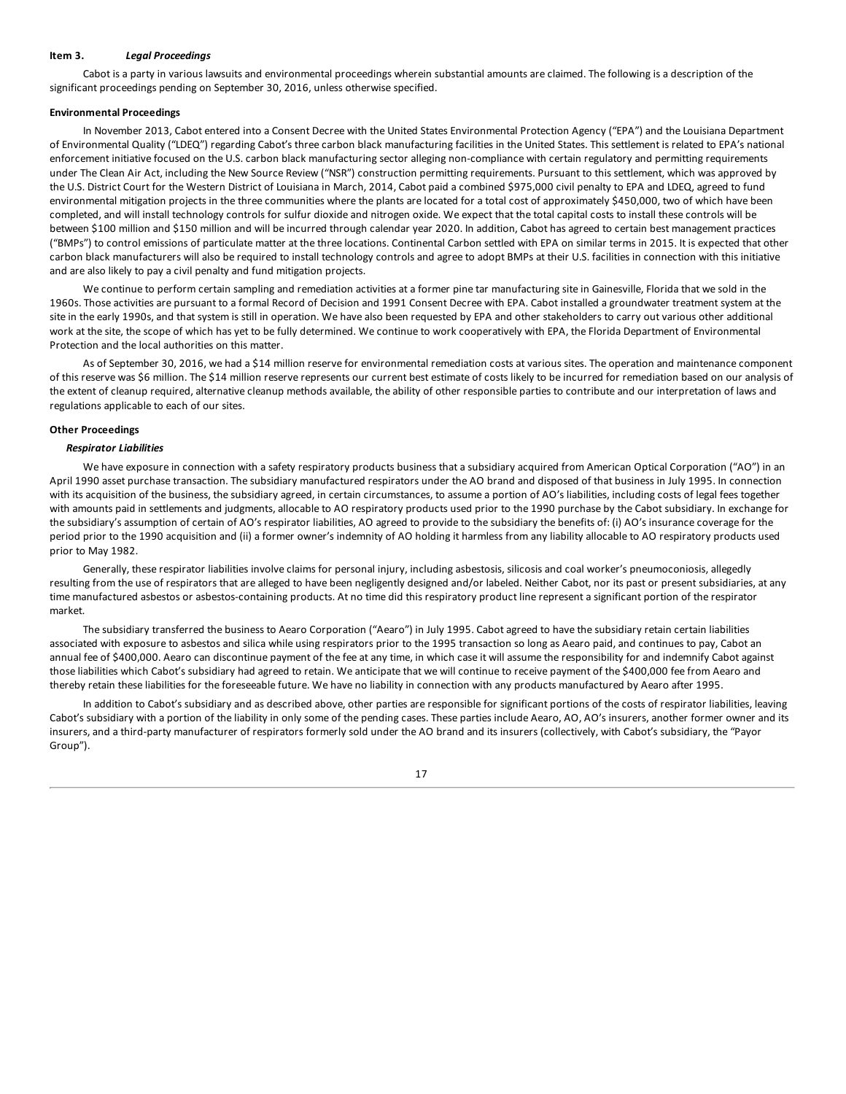#### <span id="page-16-0"></span>**Item 3.** *Legal Proceedings*

Cabot is a party in various lawsuits and environmental proceedings wherein substantial amounts are claimed. The following is a description of the significant proceedings pending on September 30, 2016, unless otherwise specified.

#### **Environmental Proceedings**

In November 2013, Cabot entered into a Consent Decree with the United States Environmental Protection Agency ("EPA") and the Louisiana Department of Environmental Quality ("LDEQ") regarding Cabot's three carbon black manufacturing facilities in the United States. This settlement is related to EPA's national enforcement initiative focused on the U.S. carbon black manufacturing sector alleging non-compliance with certain regulatory and permitting requirements under The Clean Air Act, including the New Source Review ("NSR") construction permitting requirements. Pursuant to this settlement, which was approved by the U.S. District Court for the Western District of Louisiana in March, 2014, Cabot paid a combined \$975,000 civil penalty to EPA and LDEQ, agreed to fund environmental mitigation projects in the three communities where the plants are located for a total cost of approximately \$450,000, two of which have been completed, and will install technology controls for sulfur dioxide and nitrogen oxide. We expect that the total capital costs to install these controls will be between \$100 million and \$150 million and will be incurred through calendar year 2020. In addition, Cabot has agreed to certain best management practices ("BMPs") to control emissions of particulate matter at the three locations. Continental Carbon settled with EPA on similar terms in 2015. It is expected that other carbon black manufacturers will also be required to install technology controls and agree to adopt BMPs at their U.S. facilities in connection with this initiative and are also likely to pay a civil penalty and fund mitigation projects.

We continue to perform certain sampling and remediation activities at a former pine tar manufacturing site in Gainesville, Florida that we sold in the 1960s. Those activities are pursuant to a formal Record of Decision and 1991 Consent Decree with EPA. Cabot installed a groundwater treatment system at the site in the early 1990s, and that system is still in operation. We have also been requested by EPA and other stakeholders to carry out various other additional work at the site, the scope of which has yet to be fully determined. We continue to work cooperatively with EPA, the Florida Department of Environmental Protection and the local authorities on this matter.

As of September 30, 2016, we had a \$14 million reserve for environmental remediation costs at various sites. The operation and maintenance component of this reserve was \$6 million. The \$14 million reserve represents our current best estimate of costs likely to be incurred for remediation based on our analysis of the extent of cleanup required, alternative cleanup methods available, the ability of other responsible parties to contribute and our interpretation of laws and regulations applicable to each of our sites.

# **Other Proceedings**

# *Respirator Liabilities*

We have exposure in connection with a safety respiratory products business that a subsidiary acquired from American Optical Corporation ("AO") in an April 1990 asset purchase transaction. The subsidiary manufactured respirators under the AO brand and disposed of that business in July 1995. In connection with its acquisition of the business, the subsidiary agreed, in certain circumstances, to assume a portion of AO's liabilities, including costs of legal fees together with amounts paid in settlements and judgments, allocable to AO respiratory products used prior to the 1990 purchase by the Cabot subsidiary. In exchange for the subsidiary's assumption of certain of AO's respirator liabilities, AO agreed to provide to the subsidiary the benefits of: (i) AO's insurance coverage for the period prior to the 1990 acquisition and (ii) a former owner's indemnity of AO holding it harmless from any liability allocable to AO respiratory products used prior to May 1982.

Generally, these respirator liabilities involve claims for personal injury, including asbestosis, silicosis and coal worker's pneumoconiosis, allegedly resulting from the use of respirators that are alleged to have been negligently designed and/or labeled. Neither Cabot, nor its past or present subsidiaries, at any time manufactured asbestos or asbestos-containing products. At no time did this respiratory product line represent a significant portion of the respirator market.

The subsidiary transferred the business to Aearo Corporation ("Aearo") in July 1995. Cabot agreed to have the subsidiary retain certain liabilities associated with exposure to asbestos and silica while using respirators prior to the 1995 transaction so long as Aearo paid, and continues to pay, Cabot an annual fee of \$400,000. Aearo can discontinue payment of the fee at any time, in which case it will assume the responsibility for and indemnify Cabot against those liabilities which Cabot's subsidiary had agreed to retain. We anticipate that we will continue to receive payment of the \$400,000 fee from Aearo and thereby retain these liabilities for the foreseeable future. We have no liability in connection with any products manufactured by Aearo after 1995.

In addition to Cabot's subsidiary and as described above, other parties are responsible for significant portions of the costs of respirator liabilities, leaving Cabot's subsidiary with a portion of the liability in only some of the pending cases. These parties include Aearo, AO, AO's insurers, another former owner and its insurers, and a third-party manufacturer of respirators formerly sold under the AO brand and its insurers (collectively, with Cabot's subsidiary, the "Payor Group").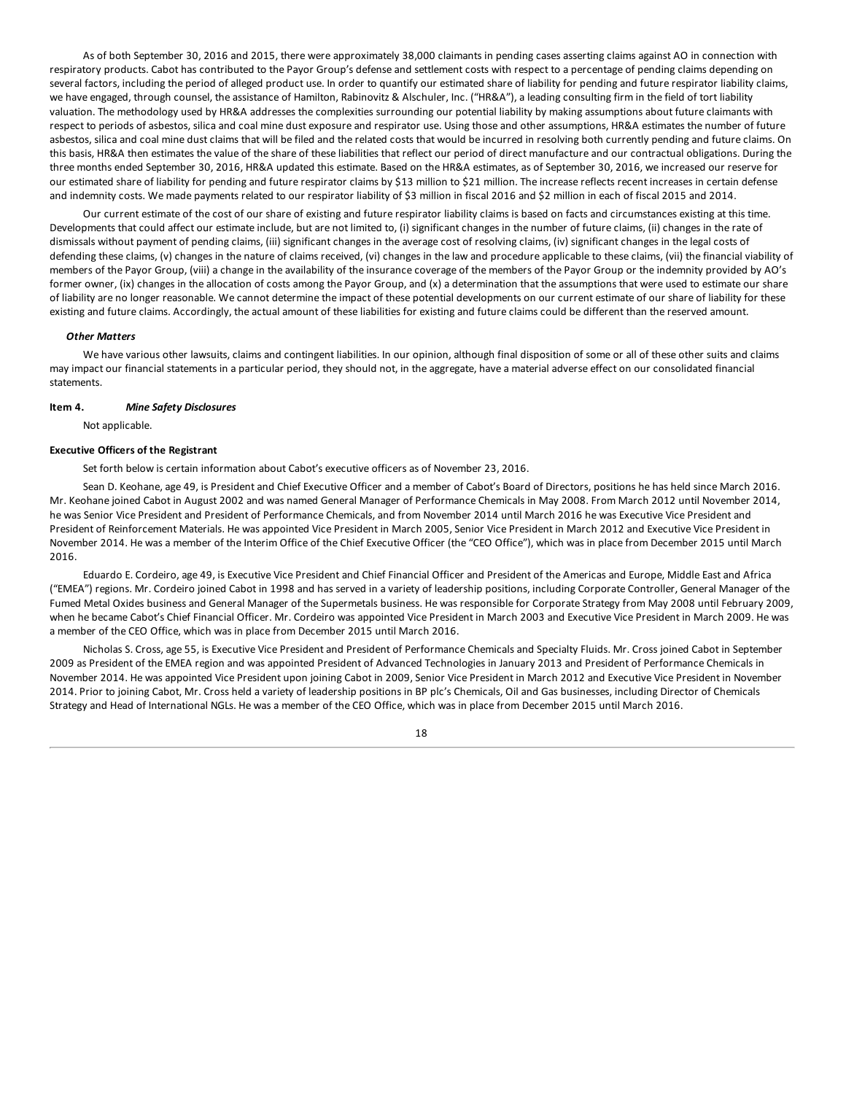<span id="page-17-0"></span>As of both September 30, 2016 and 2015, there were approximately 38,000 claimants in pending cases asserting claims against AO in connection with respiratory products. Cabot has contributed to the Payor Group's defense and settlement costs with respect to a percentage of pending claims depending on several factors, including the period of alleged product use. In order to quantify our estimated share of liability for pending and future respirator liability claims, we have engaged, through counsel, the assistance of Hamilton, Rabinovitz & Alschuler, Inc. ("HR&A"), a leading consulting firm in the field of tort liability valuation. The methodology used by HR&A addresses the complexities surrounding our potential liability by making assumptions about future claimants with respect to periods of asbestos, silica and coal mine dust exposure and respirator use. Using those and other assumptions, HR&A estimates the number of future asbestos, silica and coal mine dust claims that will be filed and the related costs that would be incurred in resolving both currently pending and future claims. On this basis, HR&A then estimates the value of the share of these liabilities that reflect our period of direct manufacture and our contractual obligations. During the three months ended September 30, 2016, HR&A updated this estimate. Based on the HR&A estimates, as of September 30, 2016, we increased our reserve for our estimated share of liability for pending and future respirator claims by \$13 million to \$21 million. The increase reflects recent increases in certain defense and indemnity costs. We made payments related to our respirator liability of \$3 million in fiscal 2016 and \$2 million in each of fiscal 2015 and 2014.

Our current estimate of the cost of our share of existing and future respirator liability claims is based on facts and circumstances existing at this time. Developments that could affect our estimate include, but are not limited to, (i) significant changes in the number of future claims, (ii) changes in the rate of dismissals without payment of pending claims, (iii) significant changes in the average cost of resolving claims, (iv) significant changes in the legal costs of defending these claims, (v) changes in the nature of claims received, (vi) changes in the law and procedure applicable to these claims, (vii) the financial viability of members of the Payor Group, (viii) a change in the availability of the insurance coverage of the members of the Payor Group or the indemnity provided by AO's former owner, (ix) changes in the allocation of costs among the Payor Group, and (x) a determination that the assumptions that were used to estimate our share of liability are no longer reasonable. We cannot determine the impact of these potential developments on our current estimate of our share of liability for these existing and future claims. Accordingly, the actual amount of these liabilities for existing and future claims could be different than the reserved amount.

# *Other Matters*

We have various other lawsuits, claims and contingent liabilities. In our opinion, although final disposition of some or all of these other suits and claims may impact our financial statements in a particular period, they should not, in the aggregate, have a material adverse effect on our consolidated financial statements.

# **Item 4.** *Mine Safety Disclosures*

Not applicable.

# **Executive Officers of the Registrant**

Set forth below is certain information about Cabot's executive officers as of November 23, 2016.

Sean D. Keohane, age 49, is President and Chief Executive Officer and a member of Cabot's Board of Directors, positions he has held since March 2016. Mr. Keohane joined Cabot in August 2002 and was named General Manager of Performance Chemicals in May 2008. From March 2012 until November 2014, he was Senior Vice President and President of Performance Chemicals, and from November 2014 until March 2016 he was Executive Vice President and President of Reinforcement Materials. He was appointed Vice President in March 2005, Senior Vice President in March 2012 and Executive Vice President in November 2014. He was a member of the Interim Office of the Chief Executive Officer (the "CEO Office"), which was in place from December 2015 until March 2016.

Eduardo E. Cordeiro, age 49, is Executive Vice President and Chief Financial Officer and President of the Americas and Europe, Middle East and Africa ("EMEA") regions. Mr. Cordeiro joined Cabot in 1998 and has served in a variety of leadership positions, including Corporate Controller, General Manager of the Fumed Metal Oxides business and General Manager of the Supermetals business. He was responsible for Corporate Strategy from May 2008 until February 2009, when he became Cabot's Chief Financial Officer. Mr. Cordeiro was appointed Vice President in March 2003 and Executive Vice President in March 2009. He was a member of the CEO Office, which was in place from December 2015 until March 2016.

Nicholas S. Cross, age 55, is Executive Vice President and President of Performance Chemicals and Specialty Fluids. Mr. Cross joined Cabot in September 2009 as President of the EMEA region and was appointed President of Advanced Technologies in January 2013 and President of Performance Chemicals in November 2014. He was appointed Vice President upon joining Cabot in 2009, Senior Vice President in March 2012 and Executive Vice President in November 2014. Prior to joining Cabot, Mr. Cross held a variety of leadership positions in BP plc's Chemicals, Oil and Gas businesses, including Director of Chemicals Strategy and Head of International NGLs. He was a member of the CEO Office, which was in place from December 2015 until March 2016.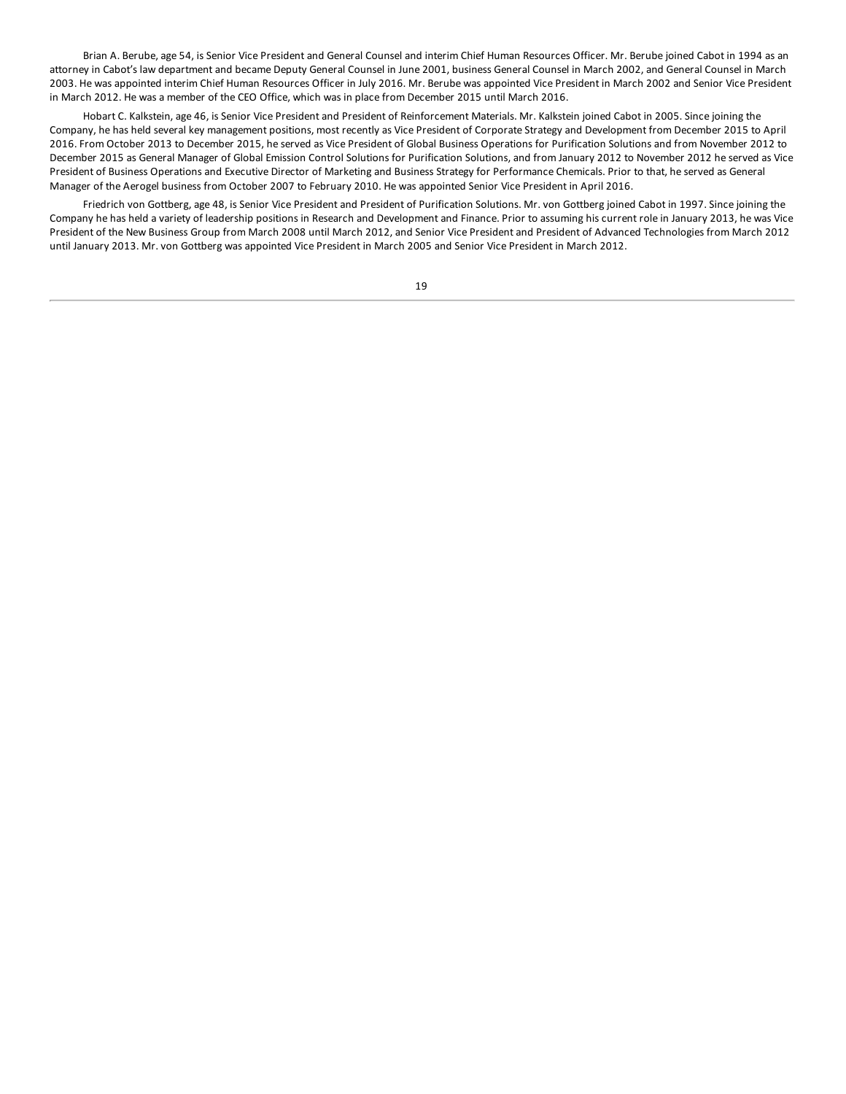Brian A. Berube, age 54, is Senior Vice President and General Counsel and interim Chief Human Resources Officer. Mr. Berube joined Cabot in 1994 as an attorney in Cabot's law department and became Deputy General Counsel in June 2001, business General Counsel in March 2002, and General Counsel in March 2003. He was appointed interim Chief Human Resources Officer in July 2016. Mr. Berube was appointed Vice President in March 2002 and Senior Vice President in March 2012. He was a member of the CEO Office, which was in place from December 2015 until March 2016.

Hobart C. Kalkstein, age 46, is Senior Vice President and President of Reinforcement Materials. Mr. Kalkstein joined Cabot in 2005. Since joining the Company, he has held several key management positions, most recently as Vice President of Corporate Strategy and Development from December 2015 to April 2016. From October 2013 to December 2015, he served as Vice President of Global Business Operations for Purification Solutions and from November 2012 to December 2015 as General Manager of Global Emission Control Solutions for Purification Solutions, and from January 2012 to November 2012 he served as Vice President of Business Operations and Executive Director of Marketing and Business Strategy for Performance Chemicals. Prior to that, he served as General Manager of the Aerogel business from October 2007 to February 2010. He was appointed Senior Vice President in April 2016.

Friedrich von Gottberg, age 48, is Senior Vice President and President of Purification Solutions. Mr. von Gottberg joined Cabot in 1997. Since joining the Company he has held a variety of leadership positions in Research and Development and Finance. Prior to assuming his current role in January 2013, he was Vice President of the New Business Group from March 2008 until March 2012, and Senior Vice President and President of Advanced Technologies from March 2012 until January 2013. Mr. von Gottberg was appointed Vice President in March 2005 and Senior Vice President in March 2012.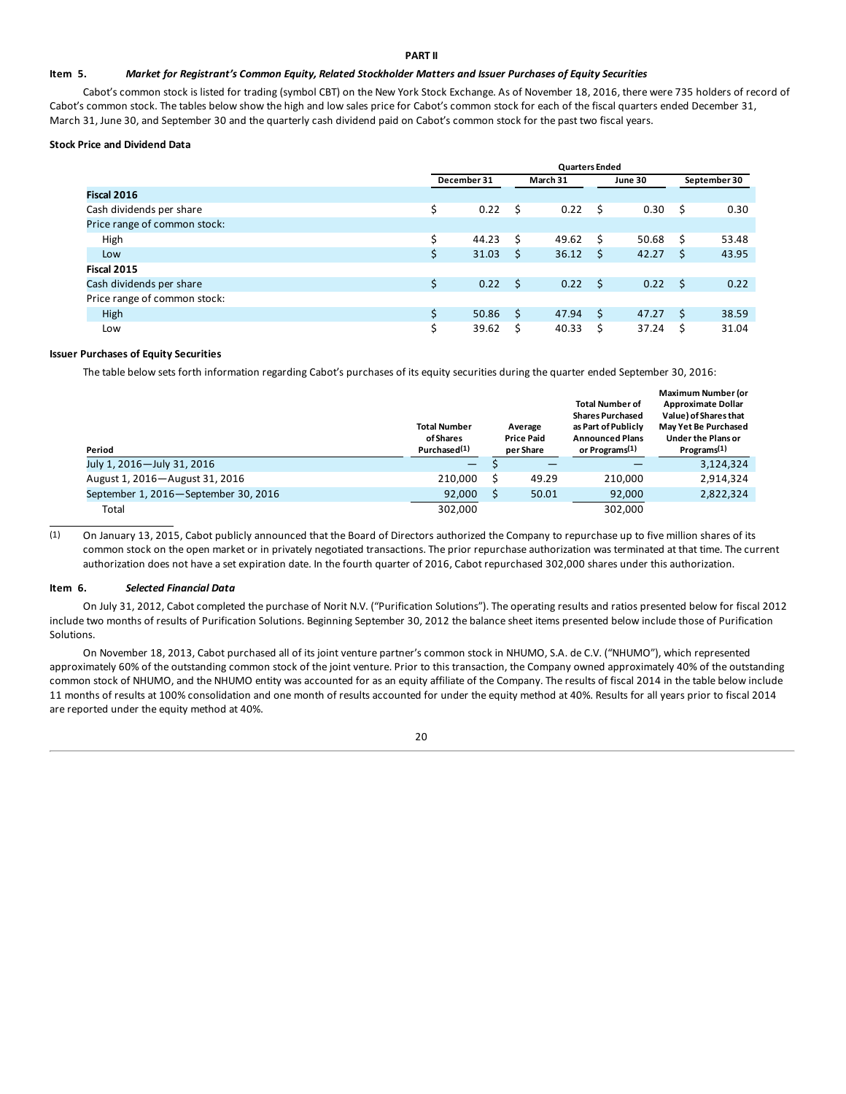# **PART II**

# <span id="page-19-0"></span>Item 5. Market for Registrant's Common Equity, Related Stockholder Matters and Issuer Purchases of Equity Securities

Cabot's common stock is listed for trading (symbol CBT) on the New York Stock Exchange. As of November 18, 2016, there were 735 holders of record of Cabot's common stock. The tables below show the high and low sales price for Cabot's common stock for each of the fiscal quarters ended December 31, March 31, June 30, and September 30 and the quarterly cash dividend paid on Cabot's common stock for the past two fiscal years.

# **Stock Price and Dividend Data**

|                              |             | <b>Quarters Ended</b> |              |       |         |       |    |              |
|------------------------------|-------------|-----------------------|--------------|-------|---------|-------|----|--------------|
|                              | December 31 |                       | March 31     |       | June 30 |       |    | September 30 |
| Fiscal 2016                  |             |                       |              |       |         |       |    |              |
| Cash dividends per share     | \$          | 0.22                  | -Ś           | 0.22  | - \$    | 0.30  | S  | 0.30         |
| Price range of common stock: |             |                       |              |       |         |       |    |              |
| High                         | Ś           | 44.23                 | S            | 49.62 | -Ś      | 50.68 | S  | 53.48        |
| Low                          |             | 31.03                 | <sub>S</sub> | 36.12 | - \$    | 42.27 | S  | 43.95        |
| Fiscal 2015                  |             |                       |              |       |         |       |    |              |
| Cash dividends per share     | Ś           | 0.22                  | - Ś          | 0.22  | 5       | 0.22  | Ŝ. | 0.22         |
| Price range of common stock: |             |                       |              |       |         |       |    |              |
| High                         |             | 50.86                 | S            | 47.94 | \$.     | 47.27 | S  | 38.59        |
| Low                          | \$          | 39.62                 |              | 40.33 | \$      | 37.24 |    | 31.04        |

# **Issuer Purchases of Equity Securities**

The table below sets forth information regarding Cabot's purchases of its equity securities during the quarter ended September 30, 2016:

| Period                                 | <b>Total Number</b><br>of Shares<br>Purchased <sup>(1)</sup> | Average<br><b>Price Paid</b><br>per Share | <b>Total Number of</b><br><b>Shares Purchased</b><br>as Part of Publicly<br><b>Announced Plans</b><br>or Programs(1) | <b>Maximum Number (or</b><br><b>Approximate Dollar</b><br>Value) of Shares that<br>May Yet Be Purchased<br><b>Under the Plans or</b><br>Programs <sup>(1)</sup> |
|----------------------------------------|--------------------------------------------------------------|-------------------------------------------|----------------------------------------------------------------------------------------------------------------------|-----------------------------------------------------------------------------------------------------------------------------------------------------------------|
| July 1, 2016-July 31, 2016             | $\equiv$                                                     |                                           |                                                                                                                      | 3,124,324                                                                                                                                                       |
| August 1, 2016 - August 31, 2016       | 210.000                                                      | 49.29                                     | 210.000                                                                                                              | 2,914,324                                                                                                                                                       |
| September 1, 2016 - September 30, 2016 | 92.000                                                       | 50.01                                     | 92,000                                                                                                               | 2,822,324                                                                                                                                                       |
| Total                                  | 302.000                                                      |                                           | 302.000                                                                                                              |                                                                                                                                                                 |

(1) On January 13, 2015, Cabot publicly announced that the Board of Directors authorized the Company to repurchase up to five million shares of its common stock on the open market or in privately negotiated transactions. The prior repurchase authorization was terminated at that time. The current authorization does not have a set expiration date. In the fourth quarter of 2016, Cabot repurchased 302,000 shares under this authorization.

# **Item 6.** *Selected Financial Data*

On July 31, 2012, Cabot completed the purchase of Norit N.V. ("Purification Solutions"). The operating results and ratios presented below for fiscal 2012 include two months of results of Purification Solutions. Beginning September 30, 2012 the balance sheet items presented below include those of Purification Solutions.

On November 18, 2013, Cabot purchased all of its joint venture partner's common stock in NHUMO, S.A. de C.V. ("NHUMO"), which represented approximately 60% of the outstanding common stock of the joint venture. Prior to this transaction, the Company owned approximately 40% of the outstanding common stock of NHUMO, and the NHUMO entity was accounted for as an equity affiliate of the Company. The results of fiscal 2014 in the table below include 11 months of results at 100% consolidation and one month of results accounted for under the equity method at 40%. Results for all years prior to fiscal 2014 are reported under the equity method at 40%.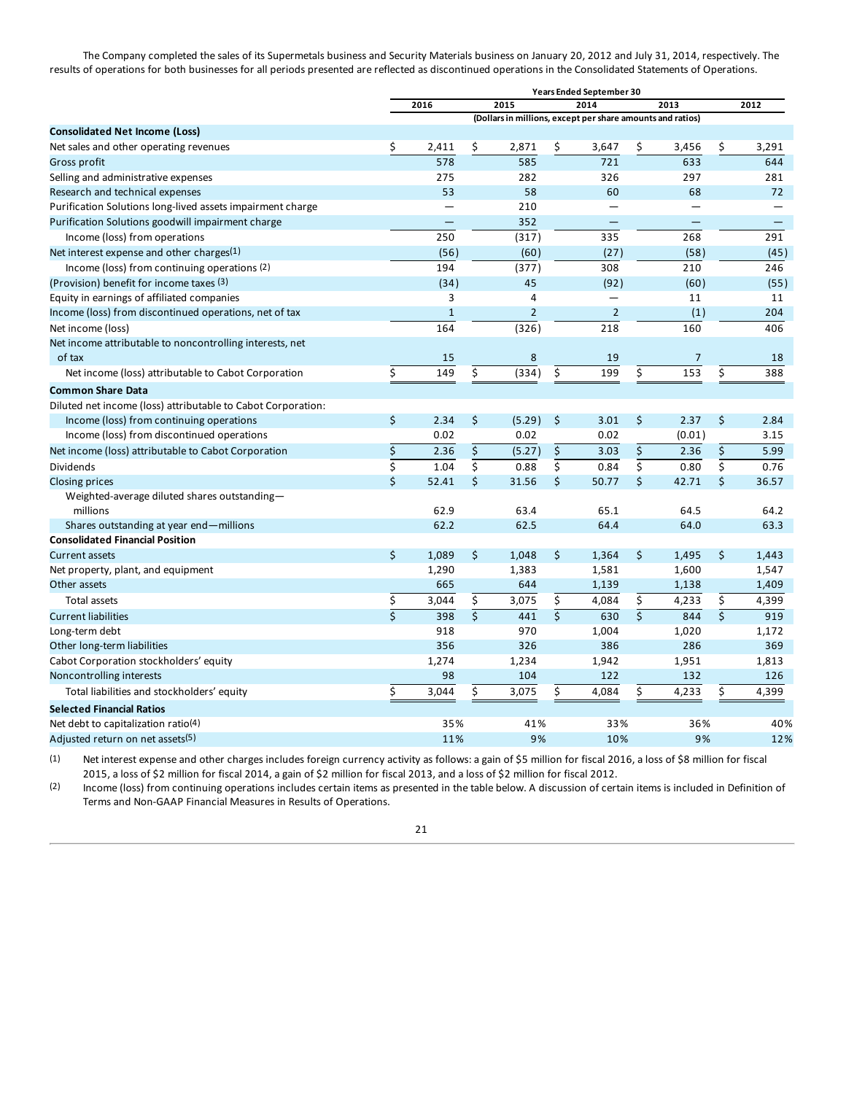The Company completed the sales of its Supermetals business and Security Materials business on January 20, 2012 and July 31, 2014, respectively. The results of operations for both businesses for all periods presented are reflected as discontinued operations in the Consolidated Statements of Operations.

|                                                              | <b>Years Ended September 30</b> |              |                  |                |                    |                                                            |                           |                   |                    |                   |  |
|--------------------------------------------------------------|---------------------------------|--------------|------------------|----------------|--------------------|------------------------------------------------------------|---------------------------|-------------------|--------------------|-------------------|--|
|                                                              |                                 | 2016         | 2015<br>2014     |                |                    |                                                            | 2013                      |                   |                    | 2012              |  |
|                                                              |                                 |              |                  |                |                    | (Dollars in millions, except per share amounts and ratios) |                           |                   |                    |                   |  |
| <b>Consolidated Net Income (Loss)</b>                        |                                 |              |                  |                |                    |                                                            |                           |                   |                    |                   |  |
| Net sales and other operating revenues                       | \$                              | 2,411        | \$               | 2,871          | Ś.                 | 3,647                                                      | Ś.                        | 3,456             | Ś.                 | 3,291             |  |
| Gross profit                                                 |                                 | 578          |                  | 585            |                    | 721                                                        |                           | 633               |                    | 644               |  |
| Selling and administrative expenses                          |                                 | 275          |                  | 282            |                    | 326                                                        |                           | 297               |                    | 281               |  |
| Research and technical expenses                              |                                 | 53           |                  | 58             |                    | 60                                                         |                           | 68                |                    | 72                |  |
| Purification Solutions long-lived assets impairment charge   |                                 |              |                  | 210            |                    |                                                            |                           |                   |                    |                   |  |
| Purification Solutions goodwill impairment charge            |                                 |              |                  | 352            |                    | -                                                          |                           |                   |                    | $\qquad \qquad -$ |  |
| Income (loss) from operations                                |                                 | 250          |                  | (317)          |                    | 335                                                        |                           | 268               |                    | 291               |  |
| Net interest expense and other charges $(1)$                 |                                 | (56)         |                  | (60)           |                    | (27)                                                       |                           | (58)              |                    | (45)              |  |
| Income (loss) from continuing operations (2)                 |                                 | 194          |                  | (377)          |                    | 308                                                        |                           | 210               |                    | 246               |  |
| (Provision) benefit for income taxes (3)                     |                                 | (34)         |                  | 45             |                    | (92)                                                       |                           | (60)              |                    | (55)              |  |
| Equity in earnings of affiliated companies                   |                                 | 3            |                  | $\overline{4}$ |                    | $\overline{\phantom{0}}$                                   |                           | 11                |                    | 11                |  |
| Income (loss) from discontinued operations, net of tax       |                                 | $\mathbf{1}$ |                  | $\overline{2}$ |                    | $\overline{2}$                                             |                           | (1)               |                    | 204               |  |
| Net income (loss)                                            |                                 | 164          |                  | (326)          |                    | 218                                                        |                           | 160               |                    | 406               |  |
| Net income attributable to noncontrolling interests, net     |                                 |              |                  |                |                    |                                                            |                           |                   |                    |                   |  |
| of tax                                                       |                                 | 15           |                  | 8              |                    | 19                                                         |                           | $\overline{7}$    |                    | 18                |  |
| Net income (loss) attributable to Cabot Corporation          | \$                              | 149          | \$               | (334)          | \$                 | 199                                                        | $\overline{\xi}$          | $\frac{153}{153}$ | \$                 | 388               |  |
| <b>Common Share Data</b>                                     |                                 |              |                  |                |                    |                                                            |                           |                   |                    |                   |  |
| Diluted net income (loss) attributable to Cabot Corporation: |                                 |              |                  |                |                    |                                                            |                           |                   |                    |                   |  |
| Income (loss) from continuing operations                     | \$                              | 2.34         | \$               | (5.29)         | $\zeta$            | 3.01                                                       | \$                        | 2.37              | \$                 | 2.84              |  |
| Income (loss) from discontinued operations                   |                                 | 0.02         |                  | 0.02           |                    | 0.02                                                       |                           | (0.01)            |                    | 3.15              |  |
| Net income (loss) attributable to Cabot Corporation          | $\overline{\xi}$                | 2.36         | \$               | (5.27)         | \$                 | 3.03                                                       | \$                        | 2.36              | \$                 | 5.99              |  |
| Dividends                                                    | \$                              | 1.04         | $\overline{\xi}$ | 0.88           | \$                 | 0.84                                                       | \$                        | 0.80              | \$                 | 0.76              |  |
| Closing prices                                               | $\mathsf{\dot{S}}$              | 52.41        | \$               | 31.56          | Ś.                 | 50.77                                                      | Ś.                        | 42.71             | \$                 | 36.57             |  |
| Weighted-average diluted shares outstanding-                 |                                 |              |                  |                |                    |                                                            |                           |                   |                    |                   |  |
| millions                                                     |                                 | 62.9         |                  | 63.4           |                    | 65.1                                                       |                           | 64.5              |                    | 64.2              |  |
| Shares outstanding at year end-millions                      |                                 | 62.2         |                  | 62.5           |                    | 64.4                                                       |                           | 64.0              |                    | 63.3              |  |
| <b>Consolidated Financial Position</b>                       |                                 |              |                  |                |                    |                                                            |                           |                   |                    |                   |  |
| <b>Current assets</b>                                        | \$                              | 1,089        | \$               | 1,048          | \$                 | 1,364                                                      | \$                        | 1,495             | \$                 | 1,443             |  |
| Net property, plant, and equipment                           |                                 | 1,290        |                  | 1,383          |                    | 1,581                                                      |                           | 1,600             |                    | 1,547             |  |
| Other assets                                                 |                                 | 665          |                  | 644            |                    | 1,139                                                      |                           | 1,138             |                    | 1,409             |  |
| <b>Total assets</b>                                          | \$                              | 3,044        | \$               | 3,075          | Ś.                 | 4,084                                                      | \$                        | 4,233             | \$                 | 4,399             |  |
| <b>Current liabilities</b>                                   |                                 | 398          |                  | 441            | $\mathsf{\dot{S}}$ | 630                                                        | $\overline{\overline{S}}$ | 844               | $\mathsf{\dot{S}}$ | 919               |  |
| Long-term debt                                               |                                 | 918          |                  | 970            |                    | 1,004                                                      |                           | 1,020             |                    | 1,172             |  |
| Other long-term liabilities                                  |                                 | 356          |                  | 326            |                    | 386                                                        |                           | 286               |                    | 369               |  |
| Cabot Corporation stockholders' equity                       |                                 | 1,274        |                  | 1,234          |                    | 1,942                                                      |                           | 1,951             |                    | 1,813             |  |
| Noncontrolling interests                                     |                                 | 98           |                  | 104            |                    | 122                                                        |                           | 132               |                    | 126               |  |
| Total liabilities and stockholders' equity                   | \$                              | 3,044        | \$               | 3,075          | Ś.                 | 4,084                                                      | \$                        | 4,233             | Ś                  | 4,399             |  |
| <b>Selected Financial Ratios</b>                             |                                 |              |                  |                |                    |                                                            |                           |                   |                    |                   |  |
| Net debt to capitalization ratio <sup>(4)</sup>              |                                 | 35%          |                  | 41%            |                    | 33%                                                        |                           | 36%               |                    | 40%               |  |
| Adjusted return on net assets(5)                             |                                 | 11%          |                  | 9%             |                    | 10%                                                        |                           | 9%                |                    | 12%               |  |

(1) Net interest expense and other charges includes foreign currency activity as follows: a gain of \$5 million for fiscal 2016, a loss of \$8 million for fiscal 2015, a loss of \$2 million for fiscal 2014, a gain of \$2 million for fiscal 2013, and a loss of \$2 million for fiscal 2012.

(2) Income (loss) from continuing operations includes certain items as presented in the table below. A discussion of certain items is included in Definition of Terms and Non-GAAP Financial Measures in Results of Operations.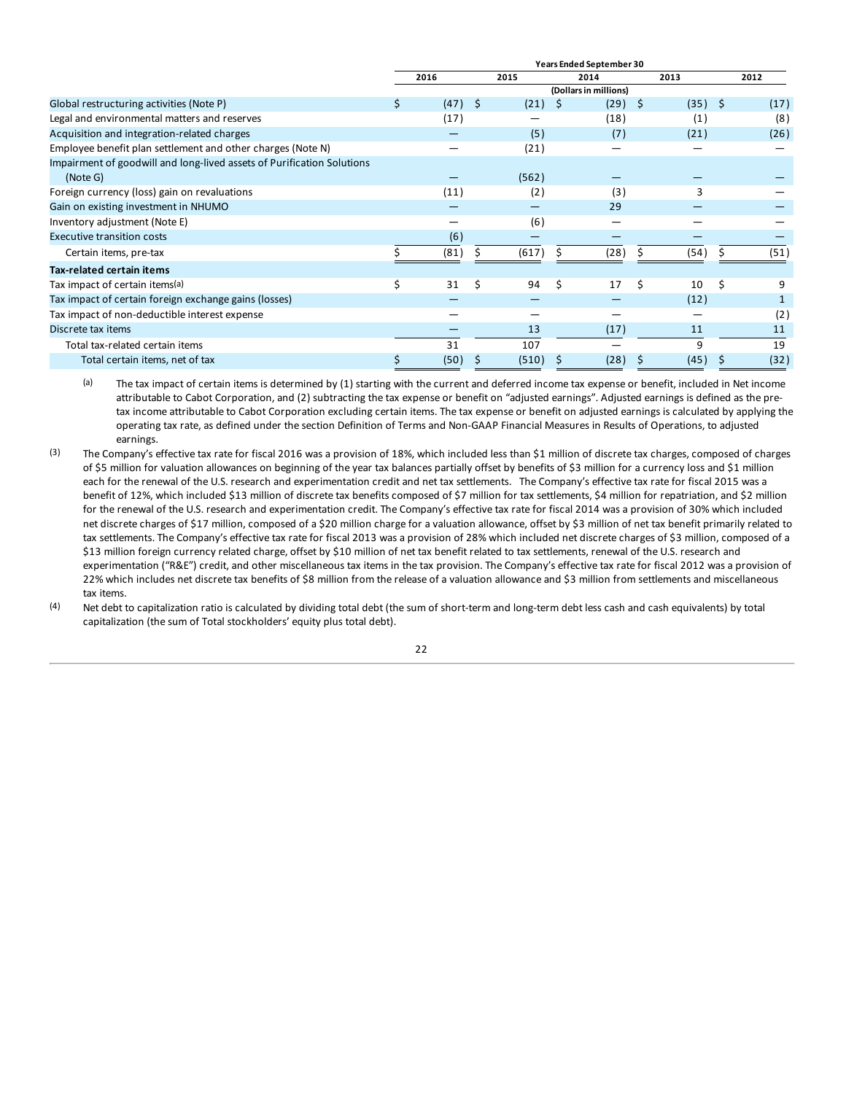|                                                                        | Years Ended September 30 |      |    |       |   |                       |    |      |      |      |
|------------------------------------------------------------------------|--------------------------|------|----|-------|---|-----------------------|----|------|------|------|
|                                                                        |                          | 2016 |    | 2015  |   | 2014                  |    | 2013 |      | 2012 |
|                                                                        |                          |      |    |       |   | (Dollars in millions) |    |      |      |      |
| Global restructuring activities (Note P)                               | S                        | (47) | S  | (21)  |   | (29)                  | S  | (35) | - \$ | (17) |
| Legal and environmental matters and reserves                           |                          | (17) |    |       |   | (18)                  |    | (1)  |      | (8)  |
| Acquisition and integration-related charges                            |                          |      |    | (5)   |   | (7)                   |    | (21) |      | (26) |
| Employee benefit plan settlement and other charges (Note N)            |                          |      |    | (21)  |   |                       |    |      |      |      |
| Impairment of goodwill and long-lived assets of Purification Solutions |                          |      |    |       |   |                       |    |      |      |      |
| (Note G)                                                               |                          |      |    | (562) |   |                       |    |      |      |      |
| Foreign currency (loss) gain on revaluations                           |                          | (11) |    | (2)   |   | (3)                   |    | 3    |      |      |
| Gain on existing investment in NHUMO                                   |                          |      |    |       |   | 29                    |    |      |      |      |
| Inventory adjustment (Note E)                                          |                          |      |    | (6)   |   |                       |    |      |      |      |
| <b>Executive transition costs</b>                                      |                          | (6)  |    |       |   |                       |    |      |      |      |
| Certain items, pre-tax                                                 |                          | (81) |    | (617) |   | (28)                  | Ś  | (54) |      | (51) |
| Tax-related certain items                                              |                          |      |    |       |   |                       |    |      |      |      |
| Tax impact of certain items(a)                                         |                          | 31   | Ś  | 94    |   | 17                    | Ś  | 10   | Ŝ.   | 9    |
| Tax impact of certain foreign exchange gains (losses)                  |                          |      |    |       |   |                       |    | (12) |      |      |
| Tax impact of non-deductible interest expense                          |                          |      |    |       |   |                       |    |      |      | (2)  |
| Discrete tax items                                                     |                          |      |    | 13    |   | (17)                  |    | 11   |      | 11   |
| Total tax-related certain items                                        |                          | 31   |    | 107   |   |                       |    | 9    |      | 19   |
| Total certain items, net of tax                                        | \$                       | (50) | \$ | (510) | S | (28)                  | \$ | (45) |      | (32) |

(a) The tax impact of certain items is determined by (1) starting with the current and deferred income tax expense or benefit, included in Net income attributable to Cabot Corporation, and (2) subtracting the tax expense or benefit on "adjusted earnings". Adjusted earnings is defined as the pretax income attributable to Cabot Corporation excluding certain items. The tax expense or benefit on adjusted earnings is calculated by applying the operating tax rate, as defined under the section Definition of Terms and Non-GAAP Financial Measures in Results of Operations, to adjusted earnings.

- (3) The Company's effective tax rate for fiscal 2016 was a provision of 18%, which included less than \$1 million of discrete tax charges, composed of charges of \$5 million for valuation allowances on beginning of the year tax balances partially offset by benefits of \$3 million for a currency loss and \$1 million each for the renewal of the U.S. research and experimentation credit and net tax settlements. The Company's effective tax rate for fiscal 2015 was a benefit of 12%, which included \$13 million of discrete tax benefits composed of \$7 million for tax settlements, \$4 million for repatriation, and \$2 million for the renewal of the U.S. research and experimentation credit. The Company's effective tax rate for fiscal 2014 was a provision of 30% which included net discrete charges of \$17 million, composed of a \$20 million charge for a valuation allowance, offset by \$3 million of net tax benefit primarily related to tax settlements. The Company's effective tax rate for fiscal 2013 was a provision of 28% which included net discrete charges of \$3 million, composed of a \$13 million foreign currency related charge, offset by \$10 million of net tax benefit related to tax settlements, renewal of the U.S. research and experimentation ("R&E") credit, and other miscellaneous tax items in the tax provision. The Company's effective tax rate for fiscal 2012 was a provision of 22% which includes net discrete tax benefits of \$8 million from the release of a valuation allowance and \$3 million from settlements and miscellaneous tax items.
- (4) Net debt to capitalization ratio is calculated by dividing total debt (the sum of short-term and long-term debt less cash and cash equivalents) by total capitalization (the sum of Total stockholders' equity plus total debt).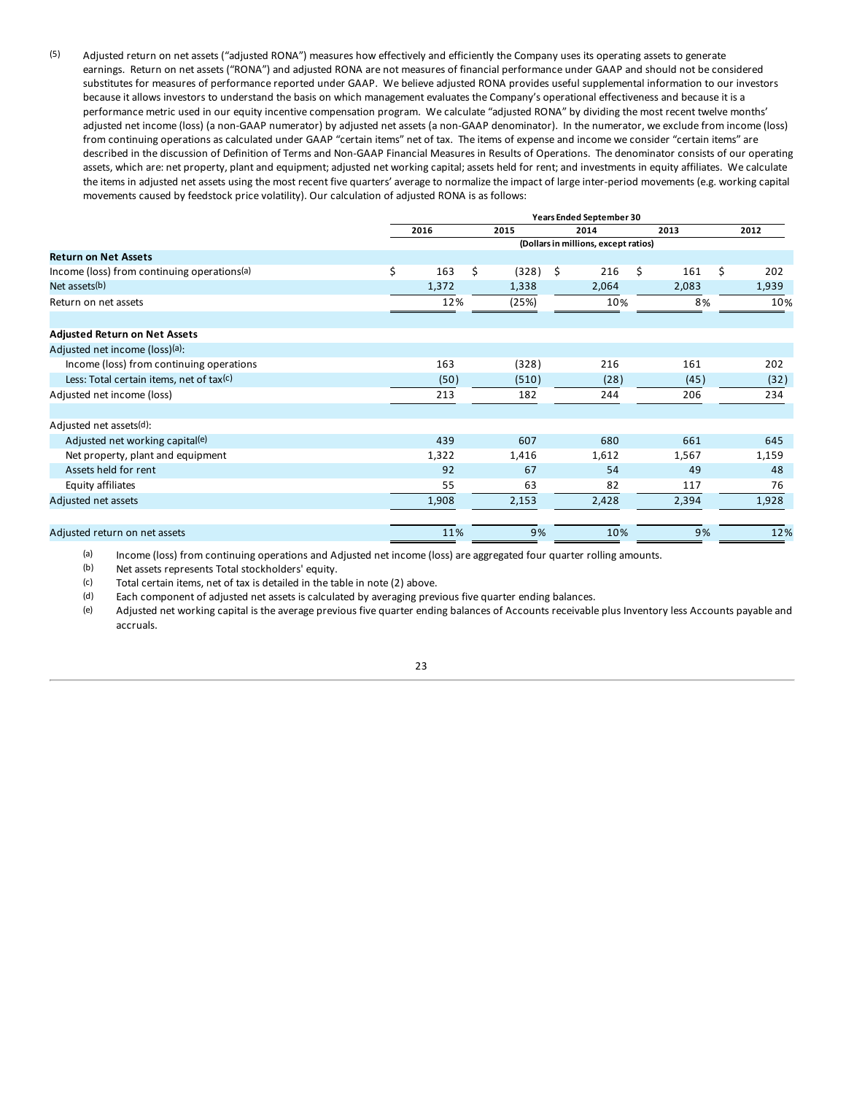(5) Adjusted return on net assets ("adjusted RONA") measures how effectively and efficiently the Company uses its operating assets to generate earnings. Return on net assets ("RONA") and adjusted RONA are not measures of financial performance under GAAP and should not be considered substitutes for measures of performance reported under GAAP. We believe adjusted RONA provides useful supplemental information to our investors because it allows investors to understand the basis on which management evaluates the Company's operational effectiveness and because it is a performance metric used in our equity incentive compensation program. We calculate "adjusted RONA" by dividing the most recent twelve months' adjusted net income (loss) (a non-GAAP numerator) by adjusted net assets (a non-GAAP denominator). In the numerator, we exclude from income (loss) from continuing operations as calculated under GAAP "certain items" net of tax. The items of expense and income we consider "certain items" are described in the discussion of Definition of Terms and Non-GAAP Financial Measures in Results of Operations. The denominator consists of our operating assets, which are: net property, plant and equipment; adjusted net working capital; assets held for rent; and investments in equity affiliates. We calculate the items in adjusted net assets using the most recent five quarters' average to normalize the impact of large inter-period movements (e.g. working capital movements caused by feedstock price volatility). Our calculation of adjusted RONA is as follows:

|                                             | Years Ended September 30 |       |   |       |    |                                      |   |       |   |       |
|---------------------------------------------|--------------------------|-------|---|-------|----|--------------------------------------|---|-------|---|-------|
|                                             | 2016                     |       |   | 2015  |    | 2014                                 |   | 2013  |   | 2012  |
|                                             |                          |       |   |       |    | (Dollars in millions, except ratios) |   |       |   |       |
| <b>Return on Net Assets</b>                 |                          |       |   |       |    |                                      |   |       |   |       |
| Income (loss) from continuing operations(a) | \$                       | 163   | Ś | (328) | \$ | 216                                  | Ś | 161   | Ś | 202   |
| Net assets(b)                               |                          | 1,372 |   | 1,338 |    | 2,064                                |   | 2,083 |   | 1,939 |
| Return on net assets                        |                          | 12%   |   | (25%) |    | 10%                                  |   | 8%    |   | 10%   |
| <b>Adjusted Return on Net Assets</b>        |                          |       |   |       |    |                                      |   |       |   |       |
| Adjusted net income (loss)(a):              |                          |       |   |       |    |                                      |   |       |   |       |
| Income (loss) from continuing operations    |                          | 163   |   | (328) |    | 216                                  |   | 161   |   | 202   |
| Less: Total certain items, net of $tax(c)$  |                          | (50)  |   | (510) |    | (28)                                 |   | (45)  |   | (32)  |
| Adjusted net income (loss)                  |                          | 213   |   | 182   |    | 244                                  |   | 206   |   | 234   |
| Adjusted net assets(d):                     |                          |       |   |       |    |                                      |   |       |   |       |
| Adjusted net working capital(e)             |                          | 439   |   | 607   |    | 680                                  |   | 661   |   | 645   |
| Net property, plant and equipment           |                          | 1,322 |   | 1,416 |    | 1,612                                |   | 1,567 |   | 1,159 |
| Assets held for rent                        |                          | 92    |   | 67    |    | 54                                   |   | 49    |   | 48    |
| Equity affiliates                           |                          | 55    |   | 63    |    | 82                                   |   | 117   |   | 76    |
| Adjusted net assets                         |                          | 1,908 |   | 2,153 |    | 2,428                                |   | 2,394 |   | 1,928 |
| Adjusted return on net assets               |                          | 11%   |   | 9%    |    | 10%                                  |   | 9%    |   | 12%   |

(a) Income (loss) from continuing operations and Adjusted net income (loss) are aggregated four quarter rolling amounts.<br>(b) Net assets represents Total stockholders' equity.

Net assets represents Total stockholders' equity.

(c) Total certain items, net of tax is detailed in the table in note (2) above.

(d) Each component of adjusted net assets is calculated by averaging previous five quarter ending balances.

(e) Adjusted net working capital is the average previous five quarter ending balances of Accounts receivable plus Inventory less Accounts payable and accruals.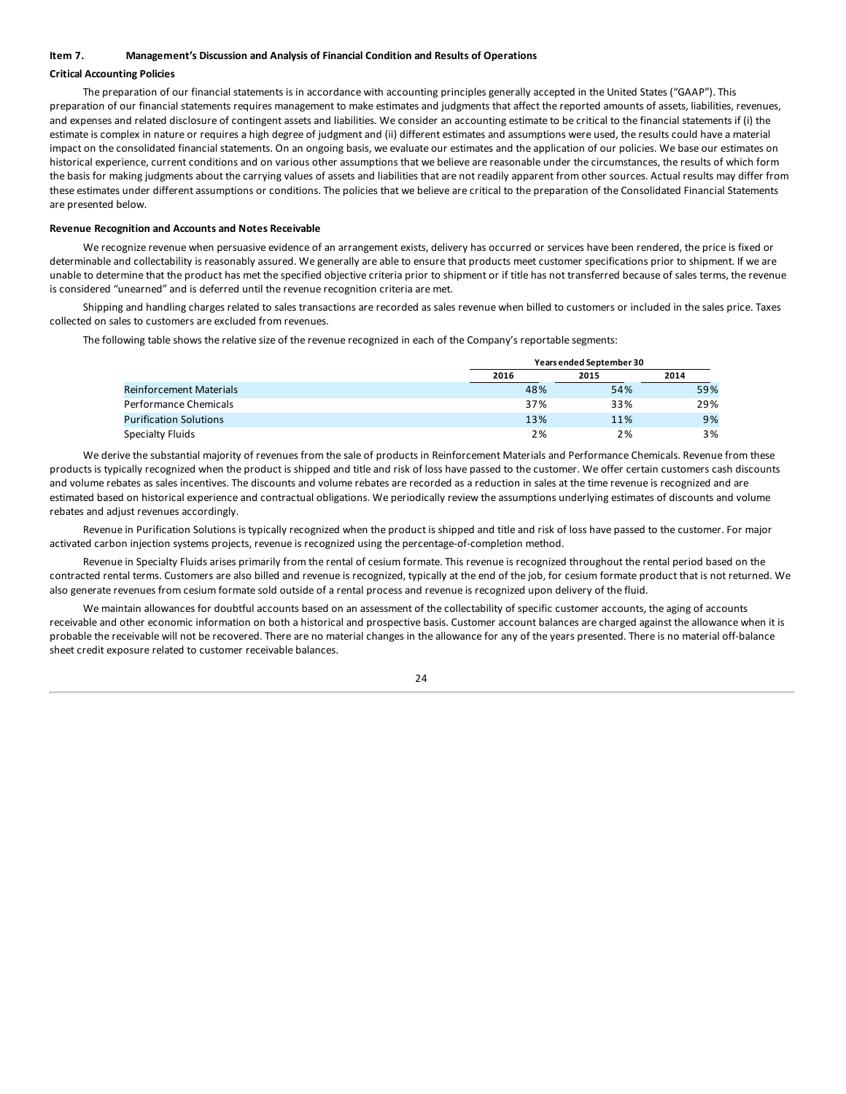# <span id="page-23-0"></span>**Item 7. Management's Discussion and Analysis of Financial Condition and Results of Operations**

# **Critical Accounting Policies**

The preparation of our financial statements is in accordance with accounting principles generally accepted in the United States ("GAAP"). This preparation of our financial statements requires management to make estimates and judgments that affect the reported amounts of assets, liabilities, revenues, and expenses and related disclosure of contingent assets and liabilities. We consider an accounting estimate to be critical to the financial statements if (i) the estimate is complex in nature or requires a high degree of judgment and (ii) different estimates and assumptions were used, the results could have a material impact on the consolidated financial statements. On an ongoing basis, we evaluate our estimates and the application of our policies. We base our estimates on historical experience, current conditions and on various other assumptions that we believe are reasonable under the circumstances, the results of which form the basis for making judgments about the carrying values of assets and liabilities that are not readily apparent from other sources. Actual results may differ from these estimates under different assumptions or conditions. The policies that we believe are critical to the preparation of the Consolidated Financial Statements are presented below.

#### **Revenue Recognition and Accounts and Notes Receivable**

We recognize revenue when persuasive evidence of an arrangement exists, delivery has occurred or services have been rendered, the price is fixed or determinable and collectability is reasonably assured. We generally are able to ensure that products meet customer specifications prior to shipment. If we are unable to determine that the product has met the specified objective criteria prior to shipment or if title has not transferred because of sales terms, the revenue is considered "unearned" and is deferred until the revenue recognition criteria are met.

Shipping and handling charges related to sales transactions are recorded as sales revenue when billed to customers or included in the sales price. Taxes collected on sales to customers are excluded from revenues.

The following table shows the relative size of the revenue recognized in each of the Company's reportable segments:

|                                |      | Years ended September 30 |      |  |  |  |  |  |
|--------------------------------|------|--------------------------|------|--|--|--|--|--|
|                                | 2016 | 2015                     | 2014 |  |  |  |  |  |
| <b>Reinforcement Materials</b> | 48%  | 54%                      | 59%  |  |  |  |  |  |
| Performance Chemicals          | 37%  | 33%                      | 29%  |  |  |  |  |  |
| <b>Purification Solutions</b>  | 13%  | 11%                      | 9%   |  |  |  |  |  |
| Specialty Fluids               | 2%   | 2%                       | 3%   |  |  |  |  |  |

We derive the substantial majority of revenues from the sale of products in Reinforcement Materials and Performance Chemicals. Revenue from these products is typically recognized when the product is shipped and title and risk of loss have passed to the customer. We offer certain customers cash discounts and volume rebates as sales incentives. The discounts and volume rebates are recorded as a reduction in sales at the time revenue is recognized and are estimated based on historical experience and contractual obligations. We periodically review the assumptions underlying estimates of discounts and volume rebates and adjust revenues accordingly.

Revenue in Purification Solutions is typically recognized when the product is shipped and title and risk of loss have passed to the customer. For major activated carbon injection systems projects, revenue is recognized using the percentage-of-completion method.

Revenue in Specialty Fluids arises primarily from the rental of cesium formate. This revenue is recognized throughout the rental period based on the contracted rental terms. Customers are also billed and revenue is recognized, typically at the end of the job, for cesium formate product that is not returned. We also generate revenues from cesium formate sold outside of a rental process and revenue is recognized upon delivery of the fluid.

We maintain allowances for doubtful accounts based on an assessment of the collectability of specific customer accounts, the aging of accounts receivable and other economic information on both a historical and prospective basis. Customer account balances are charged against the allowance when it is probable the receivable will not be recovered. There are no material changes in the allowance for any of the years presented. There is no material off-balance sheet credit exposure related to customer receivable balances.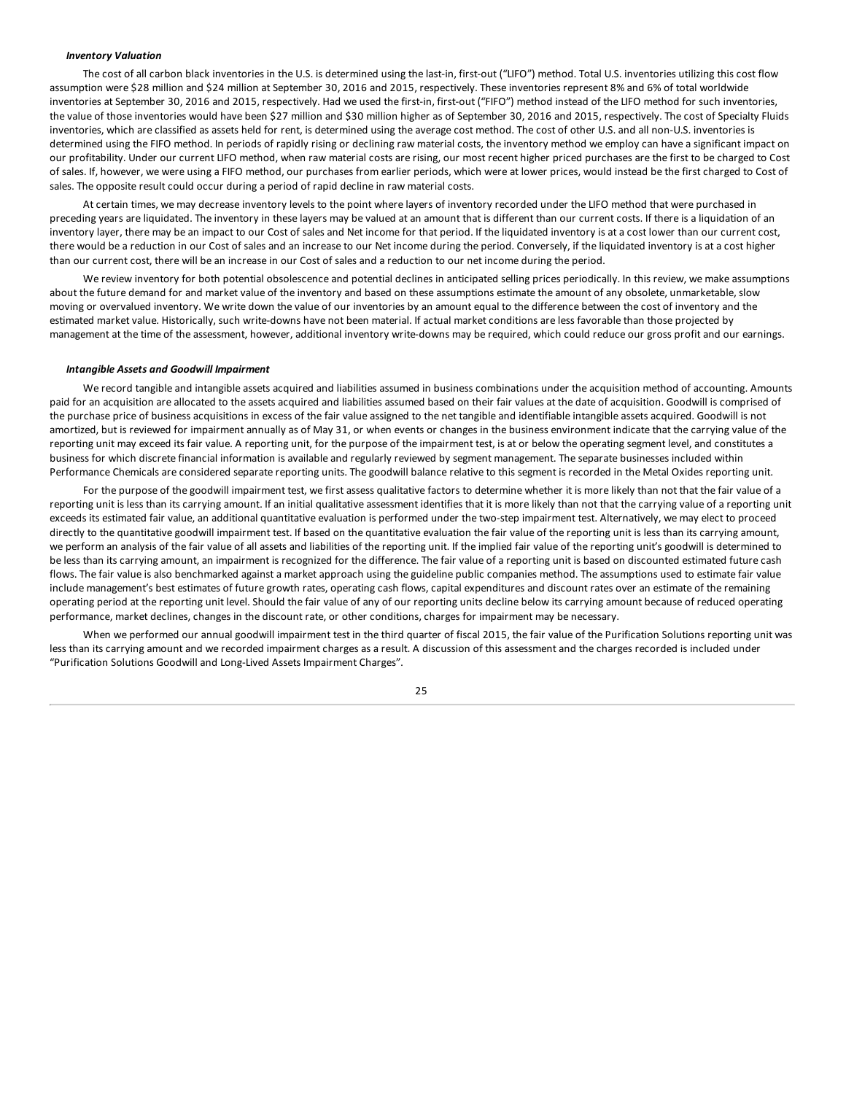#### *Inventory Valuation*

The cost of all carbon black inventories in the U.S. is determined using the last-in, first-out ("LIFO") method. Total U.S. inventories utilizing this cost flow assumption were \$28 million and \$24 million at September 30, 2016 and 2015, respectively. These inventories represent 8% and 6% of total worldwide inventories at September 30, 2016 and 2015, respectively. Had we used the first-in, first-out ("FIFO") method instead of the LIFO method for such inventories, the value of those inventories would have been \$27 million and \$30 million higher as of September 30, 2016 and 2015, respectively. The cost of Specialty Fluids inventories, which are classified as assets held for rent, is determined using the average cost method. The cost of other U.S. and all non-U.S. inventories is determined using the FIFO method. In periods of rapidly rising or declining raw material costs, the inventory method we employ can have a significant impact on our profitability. Under our current LIFO method, when raw material costs are rising, our most recent higher priced purchases are the first to be charged to Cost of sales. If, however, we were using a FIFO method, our purchases from earlier periods, which were at lower prices, would instead be the first charged to Cost of sales. The opposite result could occur during a period of rapid decline in raw material costs.

At certain times, we may decrease inventory levels to the point where layers of inventory recorded under the LIFO method that were purchased in preceding years are liquidated. The inventory in these layers may be valued at an amount that is different than our current costs. If there is a liquidation of an inventory layer, there may be an impact to our Cost of sales and Net income for that period. If the liquidated inventory is at a cost lower than our current cost, there would be a reduction in our Cost of sales and an increase to our Net income during the period. Conversely, if the liquidated inventory is at a cost higher than our current cost, there will be an increase in our Cost of sales and a reduction to our net income during the period.

We review inventory for both potential obsolescence and potential declines in anticipated selling prices periodically. In this review, we make assumptions about the future demand for and market value of the inventory and based on these assumptions estimate the amount of any obsolete, unmarketable, slow moving or overvalued inventory. We write down the value of our inventories by an amount equal to the difference between the cost of inventory and the estimated market value. Historically, such write-downs have not been material. If actual market conditions are less favorable than those projected by management at the time of the assessment, however, additional inventory write-downs may be required, which could reduce our gross profit and our earnings.

#### *Intangible Assets and Goodwill Impairment*

We record tangible and intangible assets acquired and liabilities assumed in business combinations under the acquisition method of accounting. Amounts paid for an acquisition are allocated to the assets acquired and liabilities assumed based on their fair values at the date of acquisition. Goodwill is comprised of the purchase price of business acquisitions in excess of the fair value assigned to the net tangible and identifiable intangible assets acquired. Goodwill is not amortized, but is reviewed for impairment annually as of May 31, or when events or changes in the business environment indicate that the carrying value of the reporting unit may exceed its fair value. A reporting unit, for the purpose of the impairment test, is at or below the operating segment level, and constitutes a business for which discrete financial information is available and regularly reviewed by segment management. The separate businesses included within Performance Chemicals are considered separate reporting units. The goodwill balance relative to this segment is recorded in the Metal Oxides reporting unit.

For the purpose of the goodwill impairment test, we first assess qualitative factors to determine whether it is more likely than not that the fair value of a reporting unit is less than its carrying amount. If an initial qualitative assessment identifies that it is more likely than not that the carrying value of a reporting unit exceeds its estimated fair value, an additional quantitative evaluation is performed under the two-step impairment test. Alternatively, we may elect to proceed directly to the quantitative goodwill impairment test. If based on the quantitative evaluation the fair value of the reporting unit is less than its carrying amount, we perform an analysis of the fair value of all assets and liabilities of the reporting unit. If the implied fair value of the reporting unit's goodwill is determined to be less than its carrying amount, an impairment is recognized for the difference. The fair value of a reporting unit is based on discounted estimated future cash flows. The fair value is also benchmarked against a market approach using the guideline public companies method. The assumptions used to estimate fair value include management's best estimates of future growth rates, operating cash flows, capital expenditures and discount rates over an estimate of the remaining operating period at the reporting unit level. Should the fair value of any of our reporting units decline below its carrying amount because of reduced operating performance, market declines, changes in the discount rate, or other conditions, charges for impairment may be necessary.

When we performed our annual goodwill impairment test in the third quarter of fiscal 2015, the fair value of the Purification Solutions reporting unit was less than its carrying amount and we recorded impairment charges as a result. A discussion of this assessment and the charges recorded is included under "Purification Solutions Goodwill and Long-Lived Assets Impairment Charges".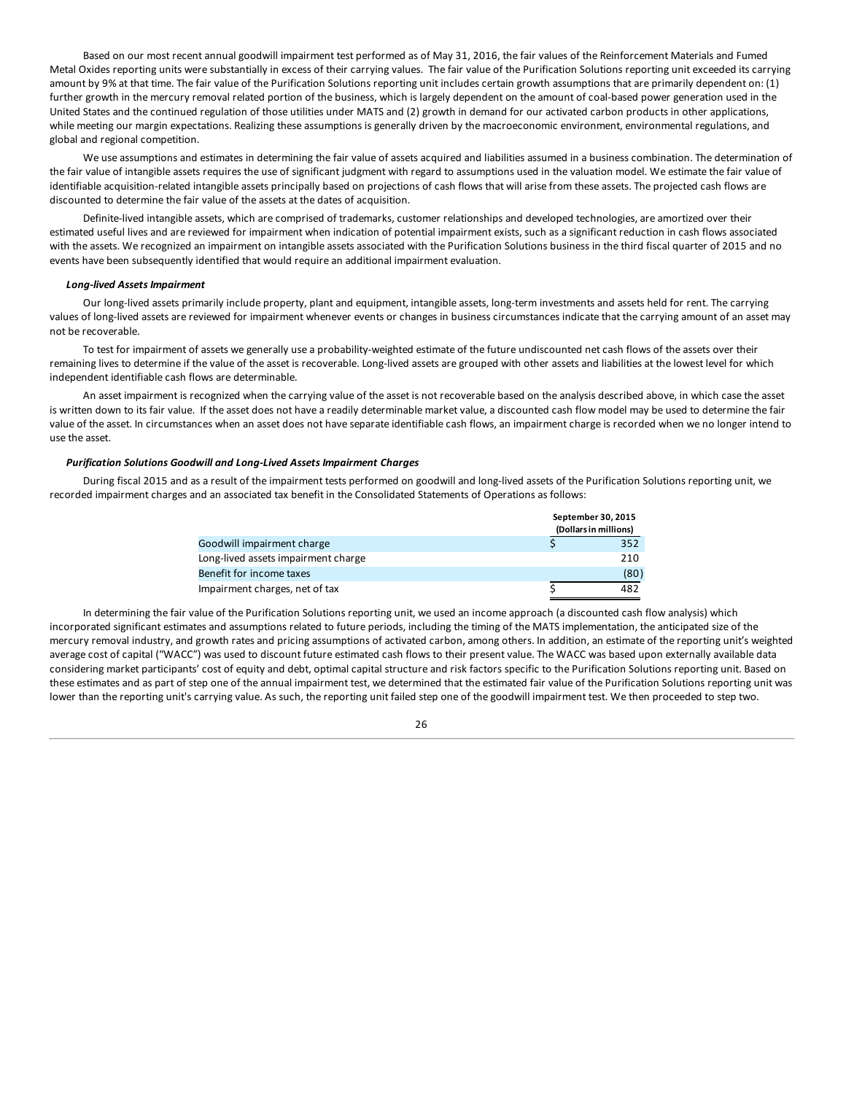Based on our most recent annual goodwill impairment test performed as of May 31, 2016, the fair values of the Reinforcement Materials and Fumed Metal Oxides reporting units were substantially in excess of their carrying values. The fair value of the Purification Solutions reporting unit exceeded its carrying amount by 9% at that time. The fair value of the Purification Solutions reporting unit includes certain growth assumptions that are primarily dependent on: (1) further growth in the mercury removal related portion of the business, which is largely dependent on the amount of coal-based power generation used in the United States and the continued regulation of those utilities under MATS and (2) growth in demand for our activated carbon products in other applications, while meeting our margin expectations. Realizing these assumptions is generally driven by the macroeconomic environment, environmental regulations, and global and regional competition.

We use assumptions and estimates in determining the fair value of assets acquired and liabilities assumed in a business combination. The determination of the fair value of intangible assets requires the use of significant judgment with regard to assumptions used in the valuation model. We estimate the fair value of identifiable acquisition-related intangible assets principally based on projections of cash flows that will arise from these assets. The projected cash flows are discounted to determine the fair value of the assets at the dates of acquisition.

Definite-lived intangible assets, which are comprised of trademarks, customer relationships and developed technologies, are amortized over their estimated useful lives and are reviewed for impairment when indication of potential impairment exists, such as a significant reduction in cash flows associated with the assets. We recognized an impairment on intangible assets associated with the Purification Solutions business in the third fiscal quarter of 2015 and no events have been subsequently identified that would require an additional impairment evaluation.

#### *Long-lived Assets Impairment*

Our long-lived assets primarily include property, plant and equipment, intangible assets, long-term investments and assets held for rent. The carrying values of long-lived assets are reviewed for impairment whenever events or changes in business circumstances indicate that the carrying amount of an asset may not be recoverable.

To test for impairment of assets we generally use a probability-weighted estimate of the future undiscounted net cash flows of the assets over their remaining lives to determine if the value of the asset is recoverable. Long-lived assets are grouped with other assets and liabilities at the lowest level for which independent identifiable cash flows are determinable.

An asset impairment is recognized when the carrying value of the asset is not recoverable based on the analysis described above, in which case the asset is written down to its fair value. If the asset does not have a readily determinable market value, a discounted cash flow model may be used to determine the fair value of the asset. In circumstances when an asset does not have separate identifiable cash flows, an impairment charge is recorded when we no longer intend to use the asset.

# *Purification Solutions Goodwill and Long-Lived Assets Impairment Charges*

During fiscal 2015 and as a result of the impairment tests performed on goodwill and long-lived assets of the Purification Solutions reporting unit, we recorded impairment charges and an associated tax benefit in the Consolidated Statements of Operations as follows:

|                                     | September 30, 2015<br>(Dollars in millions) |      |
|-------------------------------------|---------------------------------------------|------|
| Goodwill impairment charge          |                                             | 352  |
| Long-lived assets impairment charge |                                             | 210  |
| Benefit for income taxes            |                                             | (80) |
| Impairment charges, net of tax      |                                             | 482  |

In determining the fair value of the Purification Solutions reporting unit, we used an income approach (a discounted cash flow analysis) which incorporated significant estimates and assumptions related to future periods, including the timing of the MATS implementation, the anticipated size of the mercury removal industry, and growth rates and pricing assumptions of activated carbon, among others. In addition, an estimate of the reporting unit's weighted average cost of capital ("WACC") was used to discount future estimated cash flows to their present value. The WACC was based upon externally available data considering market participants' cost of equity and debt, optimal capital structure and risk factors specific to the Purification Solutions reporting unit. Based on these estimates and as part of step one of the annual impairment test, we determined that the estimated fair value of the Purification Solutions reporting unit was lower than the reporting unit's carrying value. As such, the reporting unit failed step one of the goodwill impairment test. We then proceeded to step two.

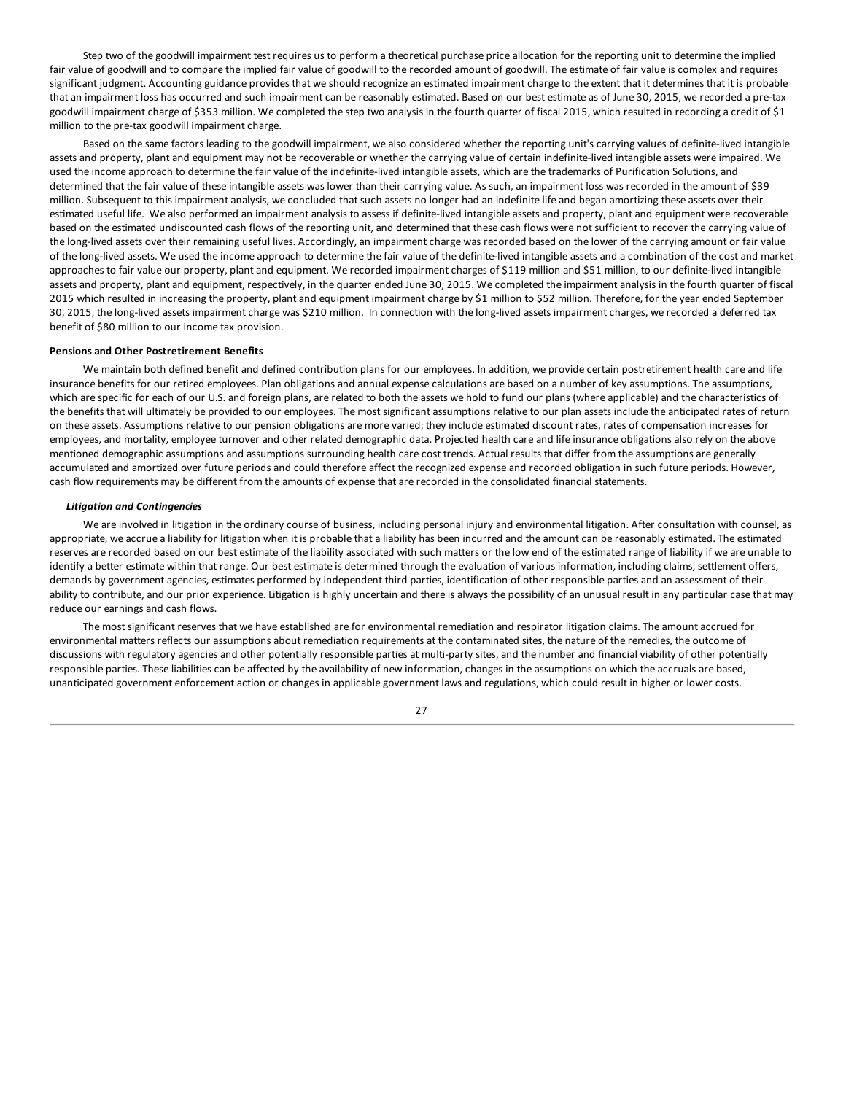Step two of the goodwill impairment test requires us to perform a theoretical purchase price allocation for the reporting unit to determine the implied fair value of goodwill and to compare the implied fair value of goodwill to the recorded amount of goodwill. The estimate of fair value is complex and requires significant judgment. Accounting guidance provides that we should recognize an estimated impairment charge to the extent that it determines that it is probable that an impairment loss has occurred and such impairment can be reasonably estimated. Based on our best estimate as of June 30, 2015, we recorded a pre-tax goodwill impairment charge of \$353 million. We completed the step two analysis in the fourth quarter of fiscal 2015, which resulted in recording a credit of \$1 million to the pre-tax goodwill impairment charge.

Based on the same factors leading to the goodwill impairment, we also considered whether the reporting unit's carrying values of definite-lived intangible assets and property, plant and equipment may not be recoverable or whether the carrying value of certain indefinite-lived intangible assets were impaired. We used the income approach to determine the fair value of the indefinite-lived intangible assets, which are the trademarks of Purification Solutions, and determined that the fair value of these intangible assets was lower than their carrying value. As such, an impairment loss was recorded in the amount of \$39 million. Subsequent to this impairment analysis, we concluded that such assets no longer had an indefinite life and began amortizing these assets over their estimated useful life. We also performed an impairment analysis to assess if definite-lived intangible assets and property, plant and equipment were recoverable based on the estimated undiscounted cash flows of the reporting unit, and determined that these cash flows were not sufficient to recover the carrying value of the long-lived assets over their remaining useful lives. Accordingly, an impairment charge was recorded based on the lower of the carrying amount or fair value of the long-lived assets. We used the income approach to determine the fair value of the definite-lived intangible assets and a combination of the cost and market approaches to fair value our property, plant and equipment. We recorded impairment charges of \$119 million and \$51 million, to our definite-lived intangible assets and property, plant and equipment, respectively, in the quarter ended June 30, 2015. We completed the impairment analysis in the fourth quarter of fiscal 2015 which resulted in increasing the property, plant and equipment impairment charge by \$1 million to \$52 million. Therefore, for the year ended September 30, 2015, the long-lived assets impairment charge was \$210 million. In connection with the long-lived assets impairment charges, we recorded a deferred tax benefit of \$80 million to our income tax provision.

#### **Pensions and Other Postretirement Benefits**

We maintain both defined benefit and defined contribution plans for our employees. In addition, we provide certain postretirement health care and life insurance benefits for our retired employees. Plan obligations and annual expense calculations are based on a number of key assumptions. The assumptions, which are specific for each of our U.S. and foreign plans, are related to both the assets we hold to fund our plans (where applicable) and the characteristics of the benefits that will ultimately be provided to our employees. The most significant assumptions relative to our plan assets include the anticipated rates of return on these assets. Assumptions relative to our pension obligations are more varied; they include estimated discount rates, rates of compensation increases for employees, and mortality, employee turnover and other related demographic data. Projected health care and life insurance obligations also rely on the above mentioned demographic assumptions and assumptions surrounding health care cost trends. Actual results that differ from the assumptions are generally accumulated and amortized over future periods and could therefore affect the recognized expense and recorded obligation in such future periods. However, cash flow requirements may be different from the amounts of expense that are recorded in the consolidated financial statements.

#### *Litigation and Contingencies*

We are involved in litigation in the ordinary course of business, including personal injury and environmental litigation. After consultation with counsel, as appropriate, we accrue a liability for litigation when it is probable that a liability has been incurred and the amount can be reasonably estimated. The estimated reserves are recorded based on our best estimate of the liability associated with such matters or the low end of the estimated range of liability if we are unable to identify a better estimate within that range. Our best estimate is determined through the evaluation of various information, including claims, settlement offers, demands by government agencies, estimates performed by independent third parties, identification of other responsible parties and an assessment of their ability to contribute, and our prior experience. Litigation is highly uncertain and there is always the possibility of an unusual result in any particular case that may reduce our earnings and cash flows.

The most significant reserves that we have established are for environmental remediation and respirator litigation claims. The amount accrued for environmental matters reflects our assumptions about remediation requirements at the contaminated sites, the nature of the remedies, the outcome of discussions with regulatory agencies and other potentially responsible parties at multi-party sites, and the number and financial viability of other potentially responsible parties. These liabilities can be affected by the availability of new information, changes in the assumptions on which the accruals are based, unanticipated government enforcement action or changes in applicable government laws and regulations, which could result in higher or lower costs.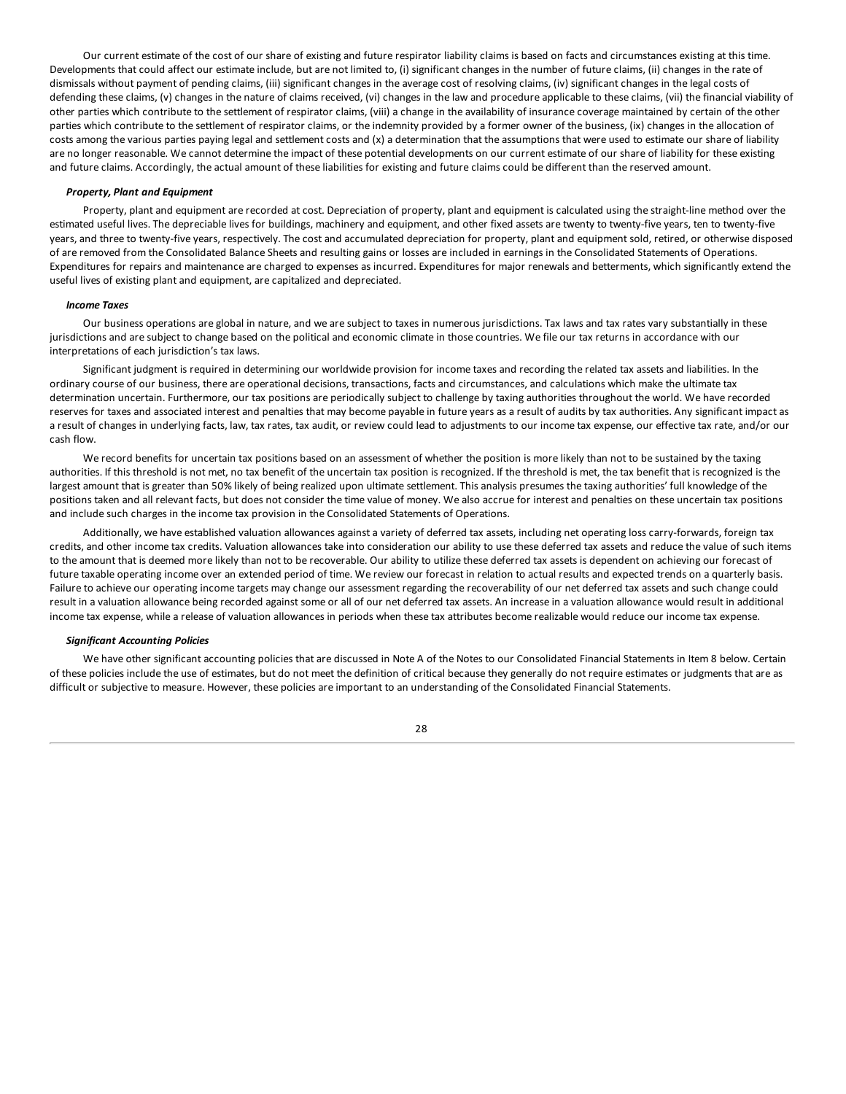Our current estimate of the cost of our share of existing and future respirator liability claims is based on facts and circumstances existing at this time. Developments that could affect our estimate include, but are not limited to, (i) significant changes in the number of future claims, (ii) changes in the rate of dismissals without payment of pending claims, (iii) significant changes in the average cost of resolving claims, (iv) significant changes in the legal costs of defending these claims, (v) changes in the nature of claims received, (vi) changes in the law and procedure applicable to these claims, (vii) the financial viability of other parties which contribute to the settlement of respirator claims, (viii) a change in the availability of insurance coverage maintained by certain of the other parties which contribute to the settlement of respirator claims, or the indemnity provided by a former owner of the business, (ix) changes in the allocation of costs among the various parties paying legal and settlement costs and (x) a determination that the assumptions that were used to estimate our share of liability are no longer reasonable. We cannot determine the impact of these potential developments on our current estimate of our share of liability for these existing and future claims. Accordingly, the actual amount of these liabilities for existing and future claims could be different than the reserved amount.

#### *Property, Plant and Equipment*

Property, plant and equipment are recorded at cost. Depreciation of property, plant and equipment is calculated using the straight-line method over the estimated useful lives. The depreciable lives for buildings, machinery and equipment, and other fixed assets are twenty to twenty-five years, ten to twenty-five years, and three to twenty-five years, respectively. The cost and accumulated depreciation for property, plant and equipment sold, retired, or otherwise disposed of are removed from the Consolidated Balance Sheets and resulting gains or losses are included in earnings in the Consolidated Statements of Operations. Expenditures for repairs and maintenance are charged to expenses as incurred. Expenditures for major renewals and betterments, which significantly extend the useful lives of existing plant and equipment, are capitalized and depreciated.

#### *Income Taxes*

Our business operations are global in nature, and we are subject to taxes in numerous jurisdictions. Tax laws and tax rates vary substantially in these jurisdictions and are subject to change based on the political and economic climate in those countries. We file our tax returns in accordance with our interpretations of each jurisdiction's tax laws.

Significant judgment is required in determining our worldwide provision for income taxes and recording the related tax assets and liabilities. In the ordinary course of our business, there are operational decisions, transactions, facts and circumstances, and calculations which make the ultimate tax determination uncertain. Furthermore, our tax positions are periodically subject to challenge by taxing authorities throughout the world. We have recorded reserves for taxes and associated interest and penalties that may become payable in future years as a result of audits by tax authorities. Any significant impact as a result of changes in underlying facts, law, tax rates, tax audit, or review could lead to adjustments to our income tax expense, our effective tax rate, and/or our cash flow.

We record benefits for uncertain tax positions based on an assessment of whether the position is more likely than not to be sustained by the taxing authorities. If this threshold is not met, no tax benefit of the uncertain tax position is recognized. If the threshold is met, the tax benefit that is recognized is the largest amount that is greater than 50% likely of being realized upon ultimate settlement. This analysis presumes the taxing authorities' full knowledge of the positions taken and all relevant facts, but does not consider the time value of money. We also accrue for interest and penalties on these uncertain tax positions and include such charges in the income tax provision in the Consolidated Statements of Operations.

Additionally, we have established valuation allowances against a variety of deferred tax assets, including net operating loss carry-forwards, foreign tax credits, and other income tax credits. Valuation allowances take into consideration our ability to use these deferred tax assets and reduce the value of such items to the amount that is deemed more likely than not to be recoverable. Our ability to utilize these deferred tax assets is dependent on achieving our forecast of future taxable operating income over an extended period of time. We review our forecast in relation to actual results and expected trends on a quarterly basis. Failure to achieve our operating income targets may change our assessment regarding the recoverability of our net deferred tax assets and such change could result in a valuation allowance being recorded against some or all of our net deferred tax assets. An increase in a valuation allowance would result in additional income tax expense, while a release of valuation allowances in periods when these tax attributes become realizable would reduce our income tax expense.

#### *Significant Accounting Policies*

We have other significant accounting policies that are discussed in Note A of the Notes to our Consolidated Financial Statements in Item 8 below. Certain of these policies include the use of estimates, but do not meet the definition of critical because they generally do not require estimates or judgments that are as difficult or subjective to measure. However, these policies are important to an understanding of the Consolidated Financial Statements.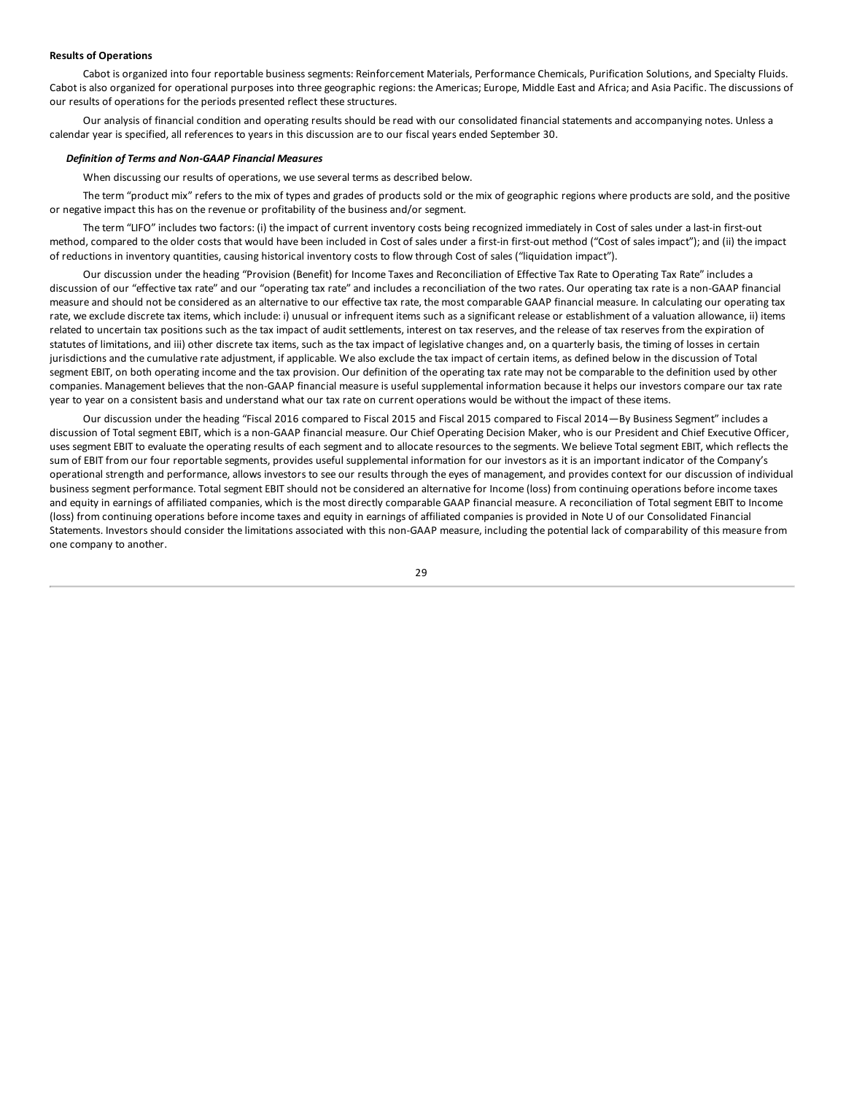### **Results of Operations**

Cabot is organized into four reportable business segments: Reinforcement Materials, Performance Chemicals, Purification Solutions, and Specialty Fluids. Cabot is also organized for operational purposes into three geographic regions: the Americas; Europe, Middle East and Africa; and Asia Pacific. The discussions of our results of operations for the periods presented reflect these structures.

Our analysis of financial condition and operating results should be read with our consolidated financial statements and accompanying notes. Unless a calendar year is specified, all references to years in this discussion are to our fiscal years ended September 30.

# *Definition of Terms and Non-GAAP Financial Measures*

When discussing our results of operations, we use several terms as described below.

The term "product mix" refers to the mix of types and grades of products sold or the mix of geographic regions where products are sold, and the positive or negative impact this has on the revenue or profitability of the business and/or segment.

The term "LIFO" includes two factors: (i) the impact of current inventory costs being recognized immediately in Cost of sales under a last-in first-out method, compared to the older costs that would have been included in Cost of sales under a first-in first-out method ("Cost of sales impact"); and (ii) the impact of reductions in inventory quantities, causing historical inventory costs to flow through Cost of sales ("liquidation impact").

Our discussion under the heading "Provision (Benefit) for Income Taxes and Reconciliation of Effective Tax Rate to Operating Tax Rate" includes a discussion of our "effective tax rate" and our "operating tax rate" and includes a reconciliation of the two rates. Our operating tax rate is a non-GAAP financial measure and should not be considered as an alternative to our effective tax rate, the most comparable GAAP financial measure. In calculating our operating tax rate, we exclude discrete tax items, which include: i) unusual or infrequent items such as a significant release or establishment of a valuation allowance, ii) items related to uncertain tax positions such as the tax impact of audit settlements, interest on tax reserves, and the release of tax reserves from the expiration of statutes of limitations, and iii) other discrete tax items, such as the tax impact of legislative changes and, on a quarterly basis, the timing of losses in certain jurisdictions and the cumulative rate adjustment, if applicable. We also exclude the tax impact of certain items, as defined below in the discussion of Total segment EBIT, on both operating income and the tax provision. Our definition of the operating tax rate may not be comparable to the definition used by other companies. Management believes that the non-GAAP financial measure is useful supplemental information because it helps our investors compare our tax rate year to year on a consistent basis and understand what our tax rate on current operations would be without the impact of these items.

Our discussion under the heading "Fiscal 2016 compared to Fiscal 2015 and Fiscal 2015 compared to Fiscal 2014—By Business Segment" includes a discussion of Total segment EBIT, which is a non-GAAP financial measure. Our Chief Operating Decision Maker, who is our President and Chief Executive Officer, uses segment EBIT to evaluate the operating results of each segment and to allocate resources to the segments. We believe Total segment EBIT, which reflects the sum of EBIT from our four reportable segments, provides useful supplemental information for our investors as it is an important indicator of the Company's operational strength and performance, allows investors to see our results through the eyes of management, and provides context for our discussion of individual business segment performance. Total segment EBIT should not be considered an alternative for Income (loss) from continuing operations before income taxes and equity in earnings of affiliated companies, which is the most directly comparable GAAP financial measure. A reconciliation of Total segment EBIT to Income (loss) from continuing operations before income taxes and equity in earnings of affiliated companies is provided in Note U of our Consolidated Financial Statements. Investors should consider the limitations associated with this non-GAAP measure, including the potential lack of comparability of this measure from one company to another.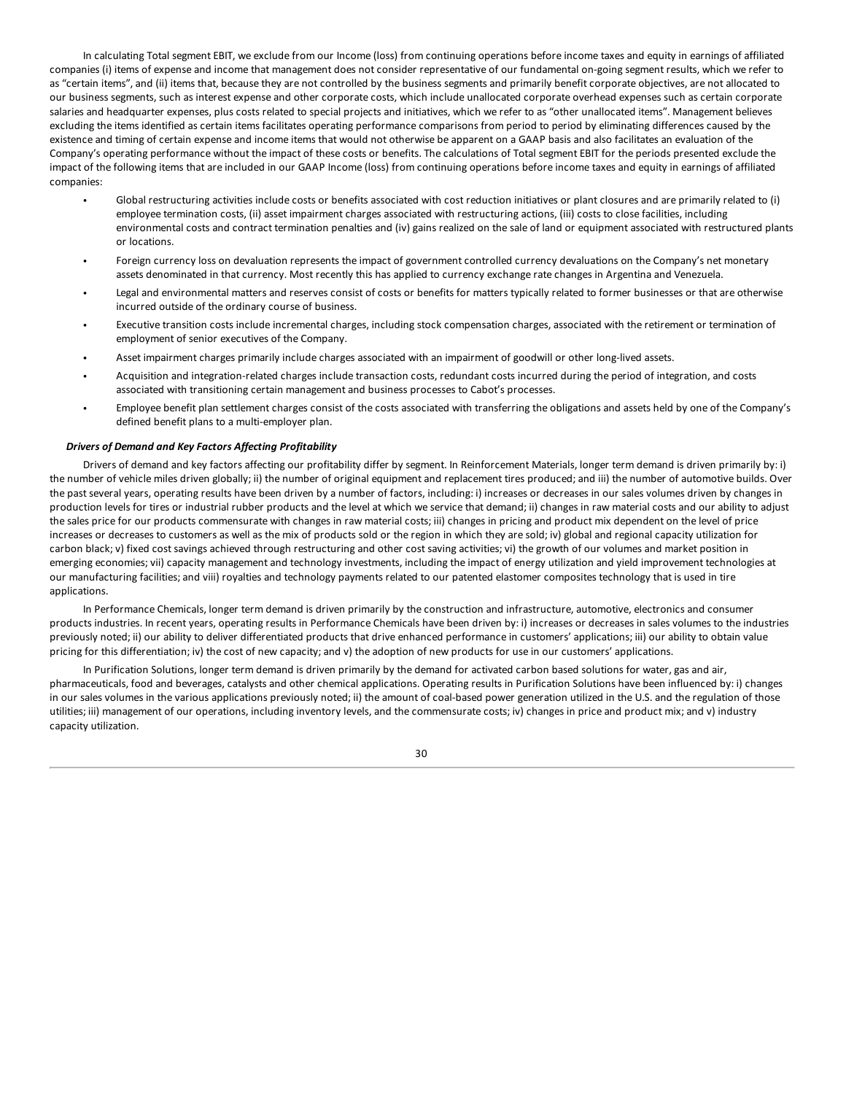In calculating Total segment EBIT, we exclude from our Income (loss) from continuing operations before income taxes and equity in earnings of affiliated companies (i) items of expense and income that management does not consider representative of our fundamental on-going segment results, which we refer to as "certain items", and (ii) items that, because they are not controlled by the business segments and primarily benefit corporate objectives, are not allocated to our business segments, such as interest expense and other corporate costs, which include unallocated corporate overhead expenses such as certain corporate salaries and headquarter expenses, plus costs related to special projects and initiatives, which we refer to as "other unallocated items". Management believes excluding the items identified as certain items facilitates operating performance comparisons from period to period by eliminating differences caused by the existence and timing of certain expense and income items that would not otherwise be apparent on a GAAP basis and also facilitates an evaluation of the Company's operating performance without the impact of these costs or benefits. The calculations of Total segment EBIT for the periods presented exclude the impact of the following items that are included in our GAAP Income (loss) from continuing operations before income taxes and equity in earnings of affiliated companies:

- Global restructuring activities include costs or benefits associated with cost reduction initiatives or plant closures and are primarily related to (i) employee termination costs, (ii) asset impairment charges associated with restructuring actions, (iii) costs to close facilities, including environmental costs and contract termination penalties and (iv) gains realized on the sale of land or equipment associated with restructured plants or locations.
- Foreign currency loss on devaluation represents the impact of government controlled currency devaluations on the Company's net monetary assets denominated in that currency. Most recently this has applied to currency exchange rate changes in Argentina and Venezuela.
- Legal and environmental matters and reserves consist of costs or benefits for matters typically related to former businesses or that are otherwise incurred outside of the ordinary course of business.
- Executive transition costs include incremental charges, including stock compensation charges, associated with the retirement or termination of employment of senior executives of the Company.
- Asset impairment charges primarily include charges associated with an impairment of goodwill or other long-lived assets.
- Acquisition and integration-related charges include transaction costs, redundant costs incurred during the period of integration, and costs associated with transitioning certain management and business processes to Cabot's processes.
- Employee benefit plan settlement charges consist of the costs associated with transferring the obligations and assets held by one of the Company's defined benefit plans to a multi-employer plan.

# *Drivers of Demand and Key Factors Affecting Profitability*

Drivers of demand and key factors affecting our profitability differ by segment. In Reinforcement Materials, longer term demand is driven primarily by: i) the number of vehicle miles driven globally; ii) the number of original equipment and replacement tires produced; and iii) the number of automotive builds. Over the past several years, operating results have been driven by a number of factors, including: i) increases or decreases in our sales volumes driven by changes in production levels for tires or industrial rubber products and the level at which we service that demand; ii) changes in raw material costs and our ability to adjust the sales price for our products commensurate with changes in raw material costs; iii) changes in pricing and product mix dependent on the level of price increases or decreases to customers as well as the mix of products sold or the region in which they are sold; iv) global and regional capacity utilization for carbon black; v) fixed cost savings achieved through restructuring and other cost saving activities; vi) the growth of our volumes and market position in emerging economies; vii) capacity management and technology investments, including the impact of energy utilization and yield improvement technologies at our manufacturing facilities; and viii) royalties and technology payments related to our patented elastomer composites technology that is used in tire applications.

In Performance Chemicals, longer term demand is driven primarily by the construction and infrastructure, automotive, electronics and consumer products industries. In recent years, operating results in Performance Chemicals have been driven by: i) increases or decreases in sales volumes to the industries previously noted; ii) our ability to deliver differentiated products that drive enhanced performance in customers' applications; iii) our ability to obtain value pricing for this differentiation; iv) the cost of new capacity; and v) the adoption of new products for use in our customers' applications.

In Purification Solutions, longer term demand is driven primarily by the demand for activated carbon based solutions for water, gas and air, pharmaceuticals, food and beverages, catalysts and other chemical applications. Operating results in Purification Solutions have been influenced by: i) changes in our sales volumes in the various applications previously noted; ii) the amount of coal-based power generation utilized in the U.S. and the regulation of those utilities; iii) management of our operations, including inventory levels, and the commensurate costs; iv) changes in price and product mix; and v) industry capacity utilization.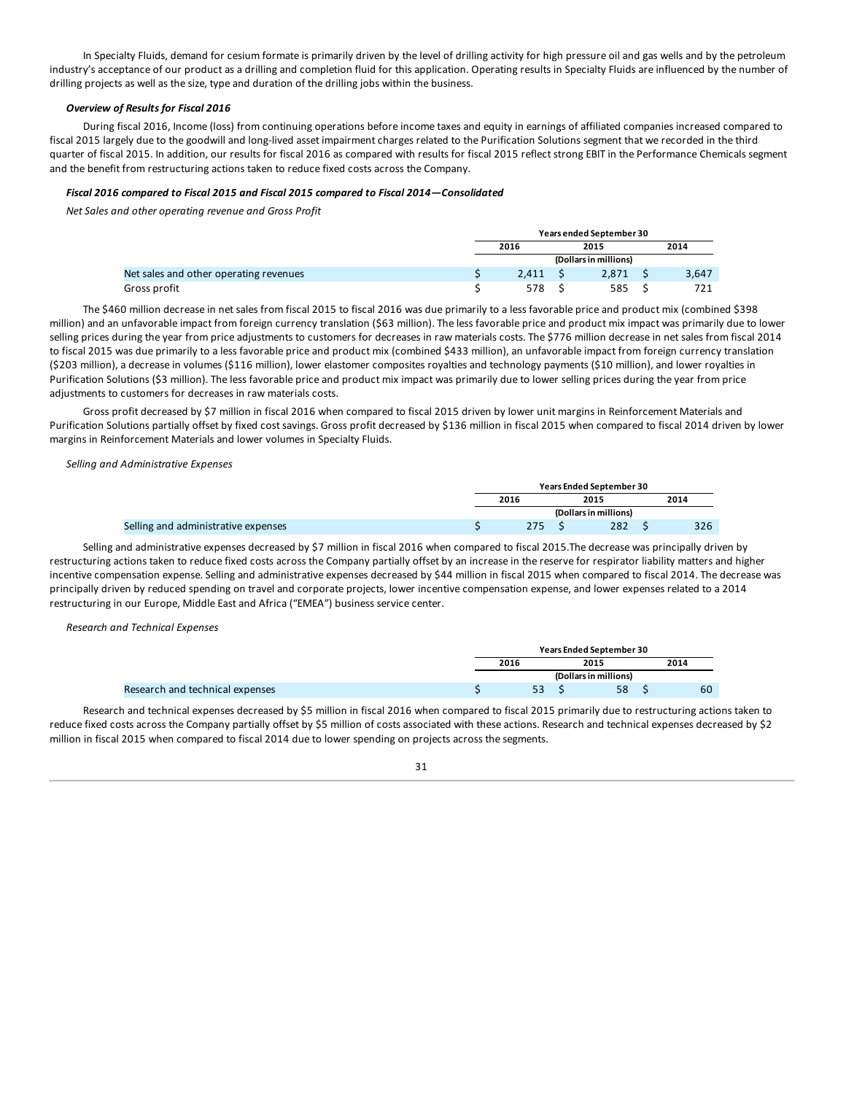In Specialty Fluids, demand for cesium formate is primarily driven by the level of drilling activity for high pressure oil and gas wells and by the petroleum industry's acceptance of our product as a drilling and completion fluid for this application. Operating results in Specialty Fluids are influenced by the number of drilling projects as well as the size, type and duration of the drilling jobs within the business.

# *Overview of Results for Fiscal 2016*

During fiscal 2016, Income (loss) from continuing operations before income taxes and equity in earnings of affiliated companies increased compared to fiscal 2015 largely due to the goodwill and long-lived asset impairment charges related to the Purification Solutions segment that we recorded in the third quarter of fiscal 2015. In addition, our results for fiscal 2016 as compared with results for fiscal 2015 reflect strong EBIT in the Performance Chemicals segment and the benefit from restructuring actions taken to reduce fixed costs across the Company.

## *Fiscal 2016 compared to Fiscal 2015 and Fiscal 2015 compared to Fiscal 2014—Consolidated*

*Net Sales and other operating revenue and Gross Profit*

|                                        | <b>Years ended September 30</b> |       |  |       |  |       |  |
|----------------------------------------|---------------------------------|-------|--|-------|--|-------|--|
|                                        |                                 | 2016  |  | 2015  |  | 2014  |  |
|                                        | (Dollars in millions)           |       |  |       |  |       |  |
| Net sales and other operating revenues |                                 | 2.411 |  | 2.871 |  | 3,647 |  |
| Gross profit                           |                                 | 578   |  | 585   |  |       |  |

The \$460 million decrease in net sales from fiscal 2015 to fiscal 2016 was due primarily to a less favorable price and product mix (combined \$398 million) and an unfavorable impact from foreign currency translation (\$63 million). The less favorable price and product mix impact was primarily due to lower selling prices during the year from price adjustments to customers for decreases in raw materials costs. The \$776 million decrease in net sales from fiscal 2014 to fiscal 2015 was due primarily to a less favorable price and product mix (combined \$433 million), an unfavorable impact from foreign currency translation (\$203 million), a decrease in volumes (\$116 million), lower elastomer composites royalties and technology payments (\$10 million), and lower royalties in Purification Solutions (\$3 million). The less favorable price and product mix impact was primarily due to lower selling prices during the year from price adjustments to customers for decreases in raw materials costs.

Gross profit decreased by \$7 million in fiscal 2016 when compared to fiscal 2015 driven by lower unit margins in Reinforcement Materials and Purification Solutions partially offset by fixed cost savings. Gross profit decreased by \$136 million in fiscal 2015 when compared to fiscal 2014 driven by lower margins in Reinforcement Materials and lower volumes in Specialty Fluids.

#### *Selling and Administrative Expenses*

|                                     | <b>Years Ended September 30</b> |  |                       |  |      |  |
|-------------------------------------|---------------------------------|--|-----------------------|--|------|--|
|                                     | 2016                            |  | 2015                  |  | 2014 |  |
|                                     |                                 |  | (Dollars in millions) |  |      |  |
| Selling and administrative expenses | 275                             |  | 282                   |  | 326  |  |

Selling and administrative expenses decreased by \$7 million in fiscal 2016 when compared to fiscal 2015.The decrease was principally driven by restructuring actions taken to reduce fixed costs across the Company partially offset by an increase in the reserve for respirator liability matters and higher incentive compensation expense. Selling and administrative expenses decreased by \$44 million in fiscal 2015 when compared to fiscal 2014. The decrease was principally driven by reduced spending on travel and corporate projects, lower incentive compensation expense, and lower expenses related to a 2014 restructuring in our Europe, Middle East and Africa ("EMEA") business service center.

#### *Research and Technical Expenses*

|                                 |      |    | <b>Years Ended September 30</b> |      |  |
|---------------------------------|------|----|---------------------------------|------|--|
|                                 | 2016 |    | 2015                            | 2014 |  |
|                                 |      |    | (Dollars in millions)           |      |  |
| Research and technical expenses |      | 53 | 58                              | 6C   |  |

Research and technical expenses decreased by \$5 million in fiscal 2016 when compared to fiscal 2015 primarily due to restructuring actions taken to reduce fixed costs across the Company partially offset by \$5 million of costs associated with these actions. Research and technical expenses decreased by \$2 million in fiscal 2015 when compared to fiscal 2014 due to lower spending on projects across the segments.

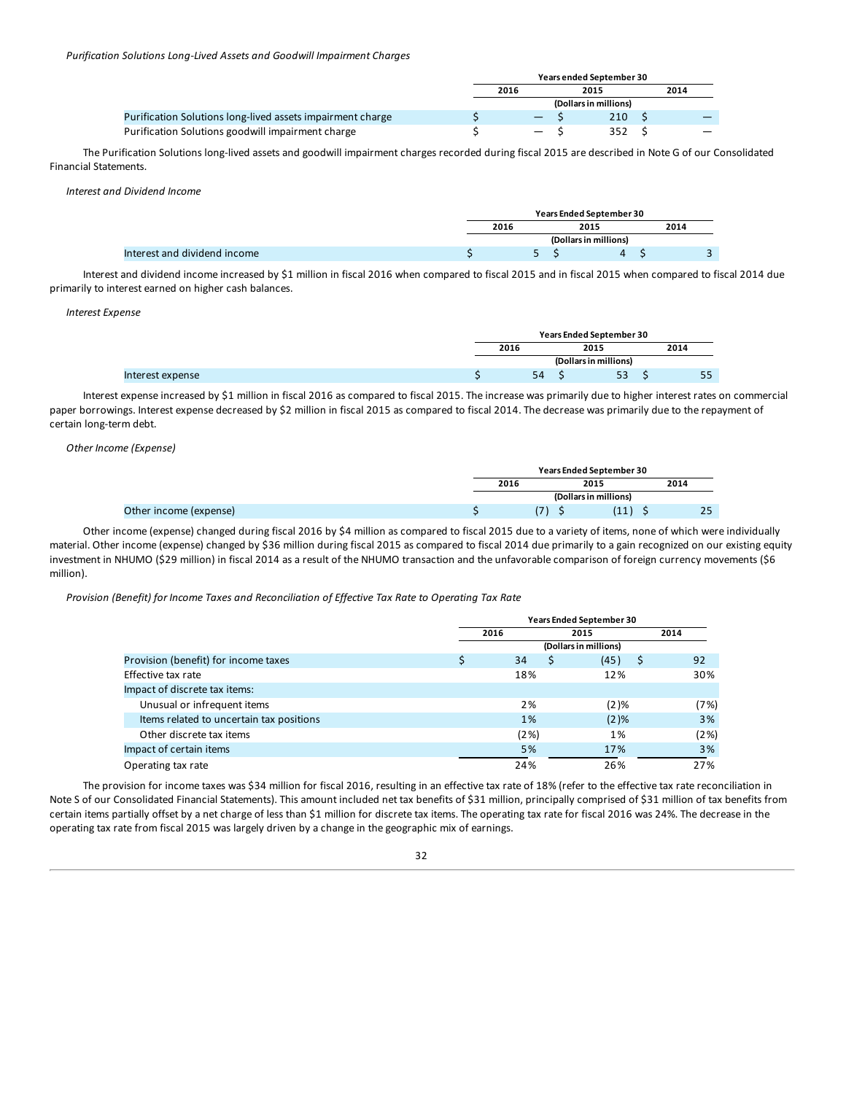|                                                            |                                |  | Years ended September 30 |  |      |  |  |
|------------------------------------------------------------|--------------------------------|--|--------------------------|--|------|--|--|
|                                                            | 2016                           |  | 2015                     |  | 2014 |  |  |
|                                                            | (Dollars in millions)          |  |                          |  |      |  |  |
| Purification Solutions long-lived assets impairment charge |                                |  | 210                      |  |      |  |  |
| Purification Solutions goodwill impairment charge          | $\qquad \qquad \longleftarrow$ |  | 352                      |  |      |  |  |

The Purification Solutions long-lived assets and goodwill impairment charges recorded during fiscal 2015 are described in Note G of our Consolidated Financial Statements.

*Interest and Dividend Income*

|  |      | <b>Years Ended September 30</b> |      |  |
|--|------|---------------------------------|------|--|
|  | 2016 | 2015                            | 2014 |  |
|  |      | (Dollars in millions)           |      |  |
|  |      |                                 |      |  |

Interest and dividend income increased by \$1 million in fiscal 2016 when compared to fiscal 2015 and in fiscal 2015 when compared to fiscal 2014 due primarily to interest earned on higher cash balances.

# *Interest Expense*

|      |    | <b>Years Ended September 30</b> |      |
|------|----|---------------------------------|------|
| 2016 |    | 2015                            | 2014 |
|      |    | (Dollars in millions)           |      |
|      | 54 | 53                              | 55   |

Interest expense increased by \$1 million in fiscal 2016 as compared to fiscal 2015. The increase was primarily due to higher interest rates on commercial paper borrowings. Interest expense decreased by \$2 million in fiscal 2015 as compared to fiscal 2014. The decrease was primarily due to the repayment of certain long-term debt.

# *Other Income (Expense)*

|  |                       | <b>Years Ended September 30</b> |      |
|--|-----------------------|---------------------------------|------|
|  | 2016                  | 2015                            | 2014 |
|  | (Dollars in millions) |                                 |      |
|  | 71                    |                                 | 25   |

Other income (expense) changed during fiscal 2016 by \$4 million as compared to fiscal 2015 due to a variety of items, none of which were individually material. Other income (expense) changed by \$36 million during fiscal 2015 as compared to fiscal 2014 due primarily to a gain recognized on our existing equity investment in NHUMO (\$29 million) in fiscal 2014 as a result of the NHUMO transaction and the unfavorable comparison of foreign currency movements (\$6 million).

# *Provision (Benefit) for Income Taxes and Reconciliation of Effective Tax Rate to Operating Tax Rate*

|                                          | Years Ended September 30 |      |      |                       |      |      |  |
|------------------------------------------|--------------------------|------|------|-----------------------|------|------|--|
|                                          | 2016                     |      | 2015 |                       | 2014 |      |  |
|                                          |                          |      |      | (Dollars in millions) |      |      |  |
| Provision (benefit) for income taxes     | \$                       | 34   | \$   | (45)                  | S    | 92   |  |
| Effective tax rate                       |                          | 18%  |      | 12%                   |      | 30%  |  |
| Impact of discrete tax items:            |                          |      |      |                       |      |      |  |
| Unusual or infrequent items              |                          | 2%   |      | (2)%                  |      | (7%) |  |
| Items related to uncertain tax positions |                          | 1%   |      | (2)%                  |      | 3%   |  |
| Other discrete tax items                 |                          | (2%) |      | 1%                    |      | (2%) |  |
| Impact of certain items                  |                          | 5%   |      | 17%                   |      | 3%   |  |
| Operating tax rate                       |                          | 24%  |      | 26%                   |      | 27%  |  |

The provision for income taxes was \$34 million for fiscal 2016, resulting in an effective tax rate of 18% (refer to the effective tax rate reconciliation in Note S of our Consolidated Financial Statements). This amount included net tax benefits of \$31 million, principally comprised of \$31 million of tax benefits from certain items partially offset by a net charge of less than \$1 million for discrete tax items. The operating tax rate for fiscal 2016 was 24%. The decrease in the operating tax rate from fiscal 2015 was largely driven by a change in the geographic mix of earnings.

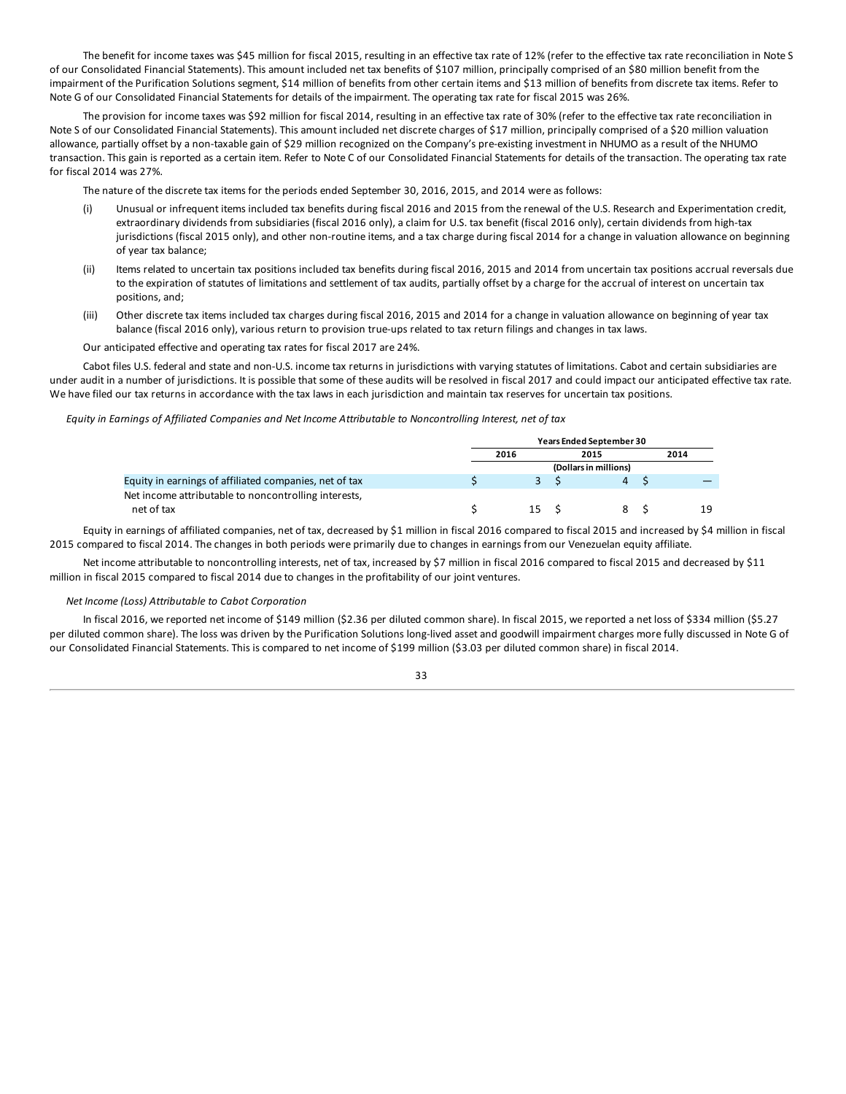The benefit for income taxes was \$45 million for fiscal 2015, resulting in an effective tax rate of 12% (refer to the effective tax rate reconciliation in Note S of our Consolidated Financial Statements). This amount included net tax benefits of \$107 million, principally comprised of an \$80 million benefit from the impairment of the Purification Solutions segment, \$14 million of benefits from other certain items and \$13 million of benefits from discrete tax items. Refer to Note G of our Consolidated Financial Statements for details of the impairment. The operating tax rate for fiscal 2015 was 26%.

The provision for income taxes was \$92 million for fiscal 2014, resulting in an effective tax rate of 30% (refer to the effective tax rate reconciliation in Note S of our Consolidated Financial Statements). This amount included net discrete charges of \$17 million, principally comprised of a \$20 million valuation allowance, partially offset by a non-taxable gain of \$29 million recognized on the Company's pre-existing investment in NHUMO as a result of the NHUMO transaction. This gain is reported as a certain item. Refer to Note C of our Consolidated Financial Statements for details of the transaction. The operating tax rate for fiscal 2014 was 27%.

The nature of the discrete tax items for the periods ended September 30, 2016, 2015, and 2014 were as follows:

- (i) Unusual or infrequent items included tax benefits during fiscal 2016 and 2015 from the renewal of the U.S. Research and Experimentation credit, extraordinary dividends from subsidiaries (fiscal 2016 only), a claim for U.S. tax benefit (fiscal 2016 only), certain dividends from high-tax jurisdictions (fiscal 2015 only), and other non-routine items, and a tax charge during fiscal 2014 for a change in valuation allowance on beginning of year tax balance;
- (ii) Items related to uncertain tax positions included tax benefits during fiscal 2016, 2015 and 2014 from uncertain tax positions accrual reversals due to the expiration of statutes of limitations and settlement of tax audits, partially offset by a charge for the accrual of interest on uncertain tax positions, and;
- (iii) Other discrete tax items included tax charges during fiscal 2016, 2015 and 2014 for a change in valuation allowance on beginning of year tax balance (fiscal 2016 only), various return to provision true-ups related to tax return filings and changes in tax laws.

Our anticipated effective and operating tax rates for fiscal 2017 are 24%.

Cabot files U.S. federal and state and non-U.S. income tax returns in jurisdictions with varying statutes of limitations. Cabot and certain subsidiaries are under audit in a number of jurisdictions. It is possible that some of these audits will be resolved in fiscal 2017 and could impact our anticipated effective tax rate. We have filed our tax returns in accordance with the tax laws in each jurisdiction and maintain tax reserves for uncertain tax positions.

*Equity in Earnings of Affiliated Companies and Net Income Attributable to Noncontrolling Interest, net of tax*

|                                                                    | Years Ended September 30 |    |      |                       |  |  |  |  |  |  |  |  |  |  |      |  |
|--------------------------------------------------------------------|--------------------------|----|------|-----------------------|--|--|--|--|--|--|--|--|--|--|------|--|
|                                                                    | 2016                     |    | 2015 |                       |  |  |  |  |  |  |  |  |  |  | 2014 |  |
|                                                                    |                          |    |      | (Dollars in millions) |  |  |  |  |  |  |  |  |  |  |      |  |
| Equity in earnings of affiliated companies, net of tax             |                          |    |      | $\mathbf{A}$          |  |  |  |  |  |  |  |  |  |  |      |  |
| Net income attributable to noncontrolling interests.<br>net of tax |                          |    |      |                       |  |  |  |  |  |  |  |  |  |  |      |  |
|                                                                    |                          | 15 |      |                       |  |  |  |  |  |  |  |  |  |  |      |  |

Equity in earnings of affiliated companies, net of tax, decreased by \$1 million in fiscal 2016 compared to fiscal 2015 and increased by \$4 million in fiscal 2015 compared to fiscal 2014. The changes in both periods were primarily due to changes in earnings from our Venezuelan equity affiliate.

Net income attributable to noncontrolling interests, net of tax, increased by \$7 million in fiscal 2016 compared to fiscal 2015 and decreased by \$11 million in fiscal 2015 compared to fiscal 2014 due to changes in the profitability of our joint ventures.

#### *Net Income (Loss) Attributable to Cabot Corporation*

In fiscal 2016, we reported net income of \$149 million (\$2.36 per diluted common share). In fiscal 2015, we reported a net loss of \$334 million (\$5.27 per diluted common share). The loss was driven by the Purification Solutions long-lived asset and goodwill impairment charges more fully discussed in Note G of our Consolidated Financial Statements. This is compared to net income of \$199 million (\$3.03 per diluted common share) in fiscal 2014.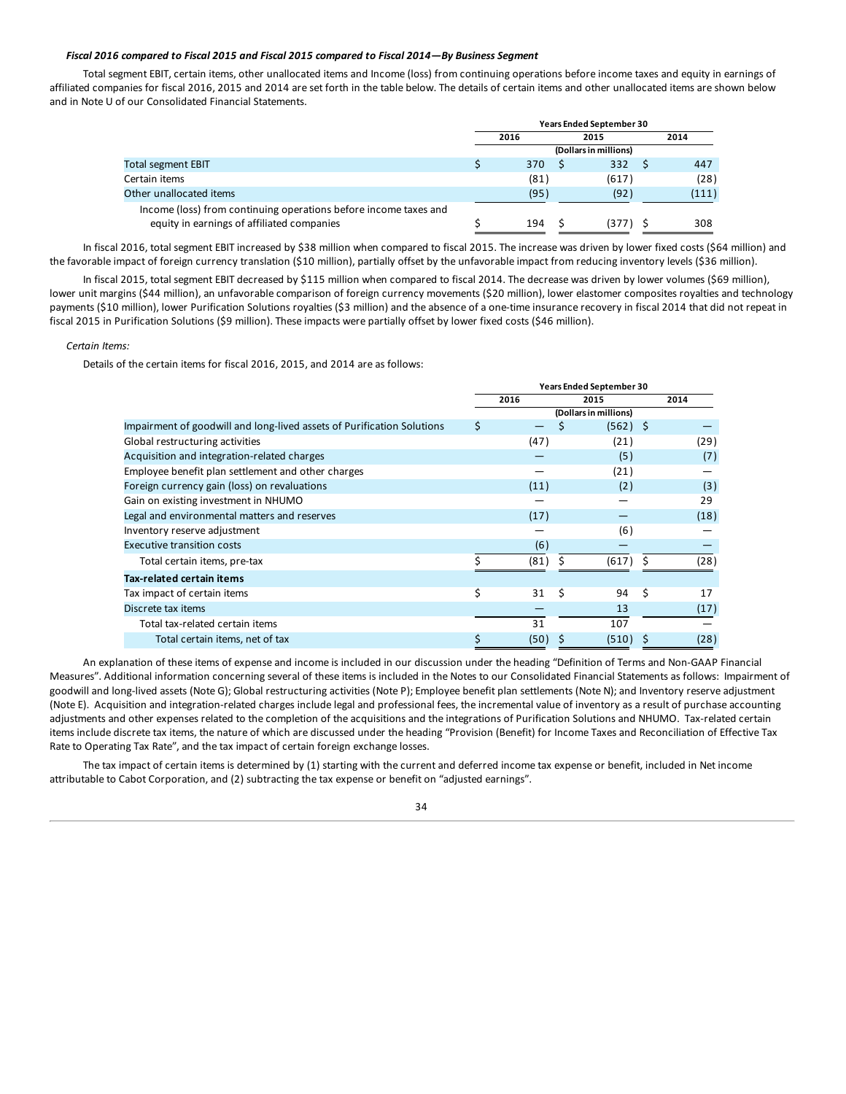# *Fiscal 2016 compared to Fiscal 2015 and Fiscal 2015 compared to Fiscal 2014—By Business Segment*

Total segment EBIT, certain items, other unallocated items and Income (loss) from continuing operations before income taxes and equity in earnings of affiliated companies for fiscal 2016, 2015 and 2014 are set forth in the table below. The details of certain items and other unallocated items are shown below and in Note U of our Consolidated Financial Statements.

| Years Ended September 30 |      |      |       |  |          |  |  |
|--------------------------|------|------|-------|--|----------|--|--|
|                          |      | 2015 |       |  | 2014     |  |  |
| (Dollars in millions)    |      |      |       |  |          |  |  |
|                          | 370  |      | 332   |  | 447      |  |  |
|                          | (81) |      | (617) |  | (28)     |  |  |
|                          | (95) |      | (92)  |  | (111)    |  |  |
|                          |      |      |       |  |          |  |  |
|                          | 194  |      |       |  | 308      |  |  |
|                          |      | 2016 |       |  | (377) \$ |  |  |

In fiscal 2016, total segment EBIT increased by \$38 million when compared to fiscal 2015. The increase was driven by lower fixed costs (\$64 million) and the favorable impact of foreign currency translation (\$10 million), partially offset by the unfavorable impact from reducing inventory levels (\$36 million).

In fiscal 2015, total segment EBIT decreased by \$115 million when compared to fiscal 2014. The decrease was driven by lower volumes (\$69 million), lower unit margins (\$44 million), an unfavorable comparison of foreign currency movements (\$20 million), lower elastomer composites royalties and technology payments (\$10 million), lower Purification Solutions royalties (\$3 million) and the absence of a one-time insurance recovery in fiscal 2014 that did not repeat in fiscal 2015 in Purification Solutions (\$9 million). These impacts were partially offset by lower fixed costs (\$46 million).

#### *Certain Items:*

Details of the certain items for fiscal 2016, 2015, and 2014 are as follows:

|                                                                        | <b>Years Ended September 30</b> |      |   |                       |    |      |
|------------------------------------------------------------------------|---------------------------------|------|---|-----------------------|----|------|
|                                                                        |                                 | 2016 |   | 2015                  |    | 2014 |
|                                                                        |                                 |      |   | (Dollars in millions) |    |      |
| Impairment of goodwill and long-lived assets of Purification Solutions | \$                              |      |   | $(562)$ \$            |    |      |
| Global restructuring activities                                        |                                 | (47) |   | (21)                  |    | (29) |
| Acquisition and integration-related charges                            |                                 |      |   | (5)                   |    | (7)  |
| Employee benefit plan settlement and other charges                     |                                 |      |   | (21)                  |    |      |
| Foreign currency gain (loss) on revaluations                           |                                 | (11) |   | (2)                   |    | (3)  |
| Gain on existing investment in NHUMO                                   |                                 |      |   |                       |    | 29   |
| Legal and environmental matters and reserves                           |                                 | (17) |   |                       |    | (18) |
| Inventory reserve adjustment                                           |                                 |      |   | (6)                   |    |      |
| <b>Executive transition costs</b>                                      |                                 | (6)  |   |                       |    |      |
| Total certain items, pre-tax                                           |                                 | (81) |   | (617)                 | S. | (28) |
| Tax-related certain items                                              |                                 |      |   |                       |    |      |
| Tax impact of certain items                                            | \$                              | 31   | Ś | 94                    | Ś  | 17   |
| Discrete tax items                                                     |                                 |      |   | 13                    |    | (17) |
| Total tax-related certain items                                        |                                 | 31   |   | 107                   |    |      |
| Total certain items, net of tax                                        | \$                              | (50) |   | (510)                 |    | (28) |
|                                                                        |                                 |      |   |                       |    |      |

An explanation of these items of expense and income is included in our discussion under the heading "Definition of Terms and Non-GAAP Financial Measures". Additional information concerning several of these items is included in the Notes to our Consolidated Financial Statements as follows: Impairment of goodwill and long-lived assets (Note G); Global restructuring activities (Note P); Employee benefit plan settlements (Note N); and Inventory reserve adjustment (Note E). Acquisition and integration-related charges include legal and professional fees, the incremental value of inventory as a result of purchase accounting adjustments and other expenses related to the completion of the acquisitions and the integrations of Purification Solutions and NHUMO. Tax-related certain items include discrete tax items, the nature of which are discussed under the heading "Provision (Benefit) for Income Taxes and Reconciliation of Effective Tax Rate to Operating Tax Rate", and the tax impact of certain foreign exchange losses.

The tax impact of certain items is determined by (1) starting with the current and deferred income tax expense or benefit, included in Net income attributable to Cabot Corporation, and (2) subtracting the tax expense or benefit on "adjusted earnings".

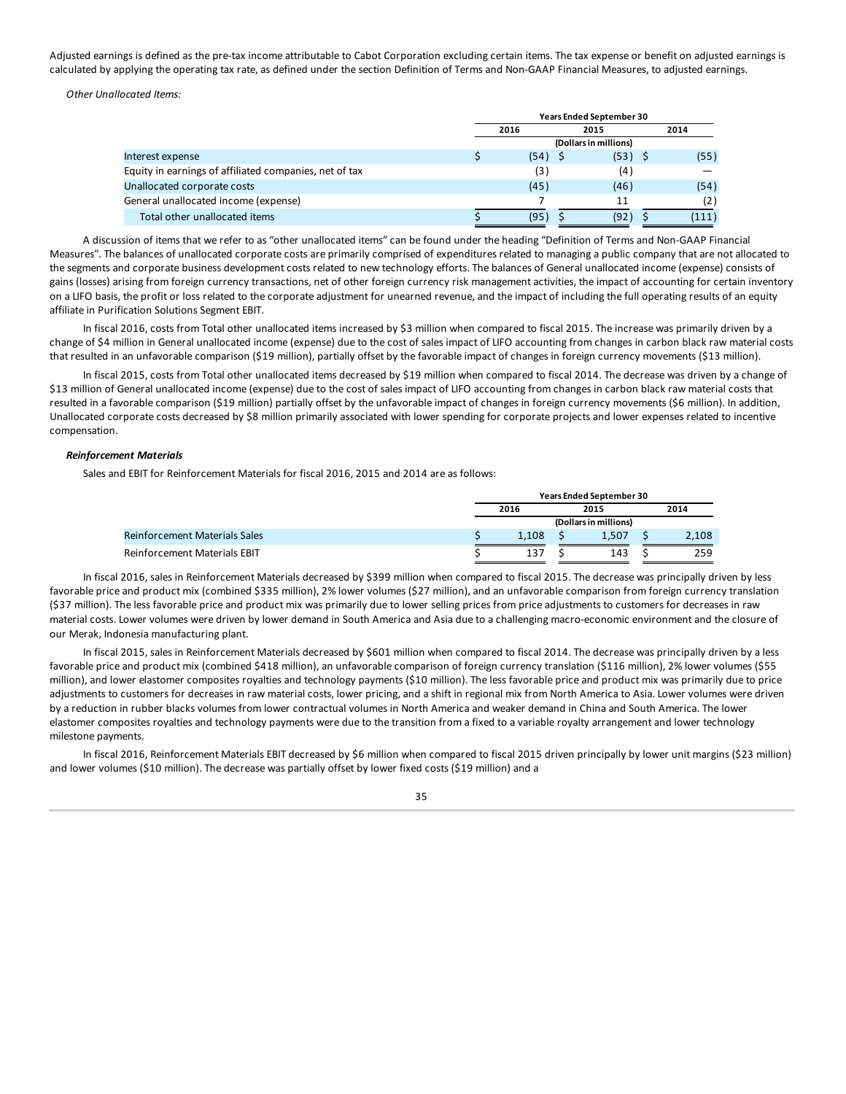Adjusted earnings is defined as the pre-tax income attributable to Cabot Corporation excluding certain items. The tax expense or benefit on adjusted earnings is calculated by applying the operating tax rate, as defined under the section Definition of Terms and Non-GAAP Financial Measures, to adjusted earnings.

*Other Unallocated Items:*

|                                                        | <b>Years Ended September 30</b> |  |                       |  |       |  |  |
|--------------------------------------------------------|---------------------------------|--|-----------------------|--|-------|--|--|
|                                                        | 2016                            |  | 2015                  |  | 2014  |  |  |
|                                                        |                                 |  | (Dollars in millions) |  |       |  |  |
| Interest expense                                       | $(54)$ \$                       |  | $(53)$ \$             |  | (55)  |  |  |
| Equity in earnings of affiliated companies, net of tax | (3)                             |  | (4)                   |  |       |  |  |
| Unallocated corporate costs                            | (45)                            |  | (46)                  |  | (54)  |  |  |
| General unallocated income (expense)                   |                                 |  | 11                    |  | (2)   |  |  |
| Total other unallocated items                          | (95)                            |  | (92)                  |  | (111) |  |  |

A discussion of items that we refer to as "other unallocated items" can be found under the heading "Definition of Terms and Non-GAAP Financial Measures". The balances of unallocated corporate costs are primarily comprised of expenditures related to managing a public company that are not allocated to the segments and corporate business development costs related to new technology efforts. The balances of General unallocated income (expense) consists of gains (losses) arising from foreign currency transactions, net of other foreign currency risk management activities, the impact of accounting for certain inventory on a LIFO basis, the profit or loss related to the corporate adjustment for unearned revenue, and the impact of including the full operating results of an equity affiliate in Purification Solutions Segment EBIT.

In fiscal 2016, costs from Total other unallocated items increased by \$3 million when compared to fiscal 2015. The increase was primarily driven by a change of \$4 million in General unallocated income (expense) due to the cost of sales impact of LIFO accounting from changes in carbon black raw material costs that resulted in an unfavorable comparison (\$19 million), partially offset by the favorable impact of changes in foreign currency movements (\$13 million).

In fiscal 2015, costs from Total other unallocated items decreased by \$19 million when compared to fiscal 2014. The decrease was driven by a change of \$13 million of General unallocated income (expense) due to the cost of sales impact of LIFO accounting from changes in carbon black raw material costs that resulted in a favorable comparison (\$19 million) partially offset by the unfavorable impact of changes in foreign currency movements (\$6 million). In addition, Unallocated corporate costs decreased by \$8 million primarily associated with lower spending for corporate projects and lower expenses related to incentive compensation.

# *Reinforcement Materials*

Sales and EBIT for Reinforcement Materials for fiscal 2016, 2015 and 2014 are as follows:

|                                      | <b>Years Ended September 30</b> |  |       |  |       |  |  |
|--------------------------------------|---------------------------------|--|-------|--|-------|--|--|
|                                      | 2016<br>2015                    |  |       |  | 2014  |  |  |
|                                      | (Dollars in millions)           |  |       |  |       |  |  |
| <b>Reinforcement Materials Sales</b> | 1.108                           |  | 1.507 |  | 2.108 |  |  |
| <b>Reinforcement Materials EBIT</b>  | 137                             |  | 143   |  | 259   |  |  |

In fiscal 2016, sales in Reinforcement Materials decreased by \$399 million when compared to fiscal 2015. The decrease was principally driven by less favorable price and product mix (combined \$335 million), 2% lower volumes (\$27 million), and an unfavorable comparison from foreign currency translation (\$37 million). The less favorable price and product mix was primarily due to lower selling prices from price adjustments to customers for decreases in raw material costs. Lower volumes were driven by lower demand in South America and Asia due to a challenging macro-economic environment and the closure of our Merak, Indonesia manufacturing plant.

In fiscal 2015, sales in Reinforcement Materials decreased by \$601 million when compared to fiscal 2014. The decrease was principally driven by a less favorable price and product mix (combined \$418 million), an unfavorable comparison of foreign currency translation (\$116 million), 2% lower volumes (\$55 million), and lower elastomer composites royalties and technology payments (\$10 million). The less favorable price and product mix was primarily due to price adjustments to customers for decreases in raw material costs, lower pricing, and a shift in regional mix from North America to Asia. Lower volumes were driven by a reduction in rubber blacks volumes from lower contractual volumes in North America and weaker demand in China and South America. The lower elastomer composites royalties and technology payments were due to the transition from a fixed to a variable royalty arrangement and lower technology milestone payments.

In fiscal 2016, Reinforcement Materials EBIT decreased by \$6 million when compared to fiscal 2015 driven principally by lower unit margins (\$23 million) and lower volumes (\$10 million). The decrease was partially offset by lower fixed costs (\$19 million) and a

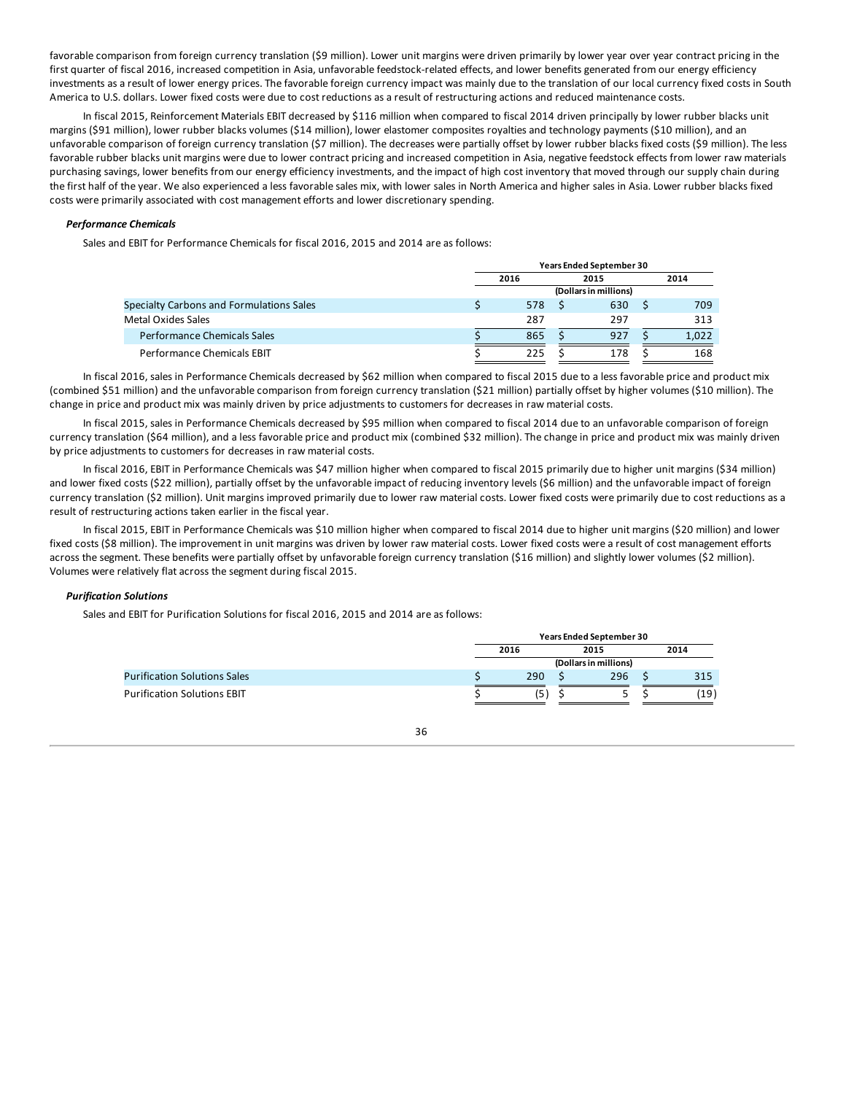favorable comparison from foreign currency translation (\$9 million). Lower unit margins were driven primarily by lower year over year contract pricing in the first quarter of fiscal 2016, increased competition in Asia, unfavorable feedstock-related effects, and lower benefits generated from our energy efficiency investments as a result of lower energy prices. The favorable foreign currency impact was mainly due to the translation of our local currency fixed costs in South America to U.S. dollars. Lower fixed costs were due to cost reductions as a result of restructuring actions and reduced maintenance costs.

In fiscal 2015, Reinforcement Materials EBIT decreased by \$116 million when compared to fiscal 2014 driven principally by lower rubber blacks unit margins (\$91 million), lower rubber blacks volumes (\$14 million), lower elastomer composites royalties and technology payments (\$10 million), and an unfavorable comparison of foreign currency translation (\$7 million). The decreases were partially offset by lower rubber blacks fixed costs (\$9 million). The less favorable rubber blacks unit margins were due to lower contract pricing and increased competition in Asia, negative feedstock effects from lower raw materials purchasing savings, lower benefits from our energy efficiency investments, and the impact of high cost inventory that moved through our supply chain during the first half of the year. We also experienced a less favorable sales mix, with lower sales in North America and higher sales in Asia. Lower rubber blacks fixed costs were primarily associated with cost management efforts and lower discretionary spending.

### *Performance Chemicals*

Sales and EBIT for Performance Chemicals for fiscal 2016, 2015 and 2014 are as follows:

|                                          |      | <b>Years Ended September 30</b> |      |                       |  |       |  |  |
|------------------------------------------|------|---------------------------------|------|-----------------------|--|-------|--|--|
|                                          | 2016 |                                 | 2015 |                       |  | 2014  |  |  |
|                                          |      |                                 |      | (Dollars in millions) |  |       |  |  |
| Specialty Carbons and Formulations Sales |      | 578                             |      | 630                   |  | 709   |  |  |
| Metal Oxides Sales                       |      | 287                             |      | 297                   |  | 313   |  |  |
| Performance Chemicals Sales              |      | 865                             |      | 927                   |  | 1.022 |  |  |
| Performance Chemicals EBIT               |      | 225                             |      | 178                   |  | 168   |  |  |

In fiscal 2016, sales in Performance Chemicals decreased by \$62 million when compared to fiscal 2015 due to a less favorable price and product mix (combined \$51 million) and the unfavorable comparison from foreign currency translation (\$21 million) partially offset by higher volumes (\$10 million). The change in price and product mix was mainly driven by price adjustments to customers for decreases in raw material costs.

In fiscal 2015, sales in Performance Chemicals decreased by \$95 million when compared to fiscal 2014 due to an unfavorable comparison of foreign currency translation (\$64 million), and a less favorable price and product mix (combined \$32 million). The change in price and product mix was mainly driven by price adjustments to customers for decreases in raw material costs.

In fiscal 2016, EBIT in Performance Chemicals was \$47 million higher when compared to fiscal 2015 primarily due to higher unit margins (\$34 million) and lower fixed costs (\$22 million), partially offset by the unfavorable impact of reducing inventory levels (\$6 million) and the unfavorable impact of foreign currency translation (\$2 million). Unit margins improved primarily due to lower raw material costs. Lower fixed costs were primarily due to cost reductions as a result of restructuring actions taken earlier in the fiscal year.

In fiscal 2015, EBIT in Performance Chemicals was \$10 million higher when compared to fiscal 2014 due to higher unit margins (\$20 million) and lower fixed costs (\$8 million). The improvement in unit margins was driven by lower raw material costs. Lower fixed costs were a result of cost management efforts across the segment. These benefits were partially offset by unfavorable foreign currency translation (\$16 million) and slightly lower volumes (\$2 million). Volumes were relatively flat across the segment during fiscal 2015.

# *Purification Solutions*

Sales and EBIT for Purification Solutions for fiscal 2016, 2015 and 2014 are as follows:

|                                     | <b>Years Ended September 30</b> |  |      |  |      |  |  |
|-------------------------------------|---------------------------------|--|------|--|------|--|--|
|                                     | 2016                            |  | 2015 |  | 2014 |  |  |
|                                     |                                 |  |      |  |      |  |  |
| <b>Purification Solutions Sales</b> | 290                             |  | 296  |  | 315  |  |  |
| <b>Purification Solutions EBIT</b>  | 5                               |  |      |  | 19)  |  |  |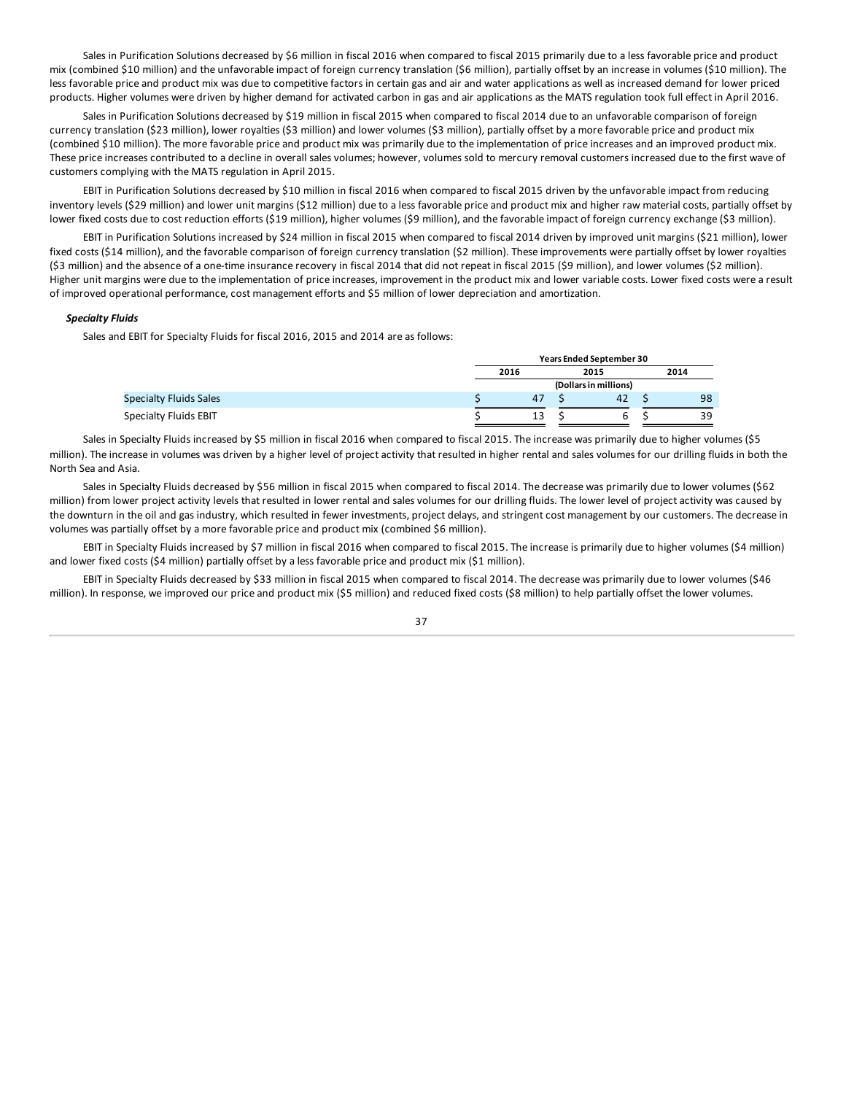Sales in Purification Solutions decreased by \$6 million in fiscal 2016 when compared to fiscal 2015 primarily due to a less favorable price and product mix (combined \$10 million) and the unfavorable impact of foreign currency translation (\$6 million), partially offset by an increase in volumes (\$10 million). The less favorable price and product mix was due to competitive factors in certain gas and air and water applications as well as increased demand for lower priced products. Higher volumes were driven by higher demand for activated carbon in gas and air applications as the MATS regulation took full effect in April 2016.

Sales in Purification Solutions decreased by \$19 million in fiscal 2015 when compared to fiscal 2014 due to an unfavorable comparison of foreign currency translation (\$23 million), lower royalties (\$3 million) and lower volumes (\$3 million), partially offset by a more favorable price and product mix (combined \$10 million). The more favorable price and product mix was primarily due to the implementation of price increases and an improved product mix. These price increases contributed to a decline in overall sales volumes; however, volumes sold to mercury removal customers increased due to the first wave of customers complying with the MATS regulation in April 2015.

EBIT in Purification Solutions decreased by \$10 million in fiscal 2016 when compared to fiscal 2015 driven by the unfavorable impact from reducing inventory levels (\$29 million) and lower unit margins (\$12 million) due to a less favorable price and product mix and higher raw material costs, partially offset by lower fixed costs due to cost reduction efforts (\$19 million), higher volumes (\$9 million), and the favorable impact of foreign currency exchange (\$3 million).

EBIT in Purification Solutions increased by \$24 million in fiscal 2015 when compared to fiscal 2014 driven by improved unit margins (\$21 million), lower fixed costs (\$14 million), and the favorable comparison of foreign currency translation (\$2 million). These improvements were partially offset by lower royalties (\$3 million) and the absence of a one-time insurance recovery in fiscal 2014 that did not repeat in fiscal 2015 (\$9 million), and lower volumes (\$2 million). Higher unit margins were due to the implementation of price increases, improvement in the product mix and lower variable costs. Lower fixed costs were a result of improved operational performance, cost management efforts and \$5 million of lower depreciation and amortization.

### *Specialty Fluids*

Sales and EBIT for Specialty Fluids for fiscal 2016, 2015 and 2014 are as follows:

|                               |      | <b>Years Ended September 30</b> |      |    |  |  |  |  |  |  |
|-------------------------------|------|---------------------------------|------|----|--|--|--|--|--|--|
|                               | 2016 |                                 | 2014 |    |  |  |  |  |  |  |
|                               |      | (Dollars in millions)           |      |    |  |  |  |  |  |  |
| <b>Specialty Fluids Sales</b> | 47   | 42                              |      | 98 |  |  |  |  |  |  |
| Specialty Fluids EBIT         | 13   |                                 |      | 39 |  |  |  |  |  |  |

Sales in Specialty Fluids increased by \$5 million in fiscal 2016 when compared to fiscal 2015. The increase was primarily due to higher volumes (\$5 million). The increase in volumes was driven by a higher level of project activity that resulted in higher rental and sales volumes for our drilling fluids in both the North Sea and Asia.

Sales in Specialty Fluids decreased by \$56 million in fiscal 2015 when compared to fiscal 2014. The decrease was primarily due to lower volumes (\$62 million) from lower project activity levels that resulted in lower rental and sales volumes for our drilling fluids. The lower level of project activity was caused by the downturn in the oil and gas industry, which resulted in fewer investments, project delays, and stringent cost management by our customers. The decrease in volumes was partially offset by a more favorable price and product mix (combined \$6 million).

EBIT in Specialty Fluids increased by \$7 million in fiscal 2016 when compared to fiscal 2015. The increase is primarily due to higher volumes (\$4 million) and lower fixed costs (\$4 million) partially offset by a less favorable price and product mix (\$1 million).

EBIT in Specialty Fluids decreased by \$33 million in fiscal 2015 when compared to fiscal 2014. The decrease was primarily due to lower volumes (\$46 million). In response, we improved our price and product mix (\$5 million) and reduced fixed costs (\$8 million) to help partially offset the lower volumes.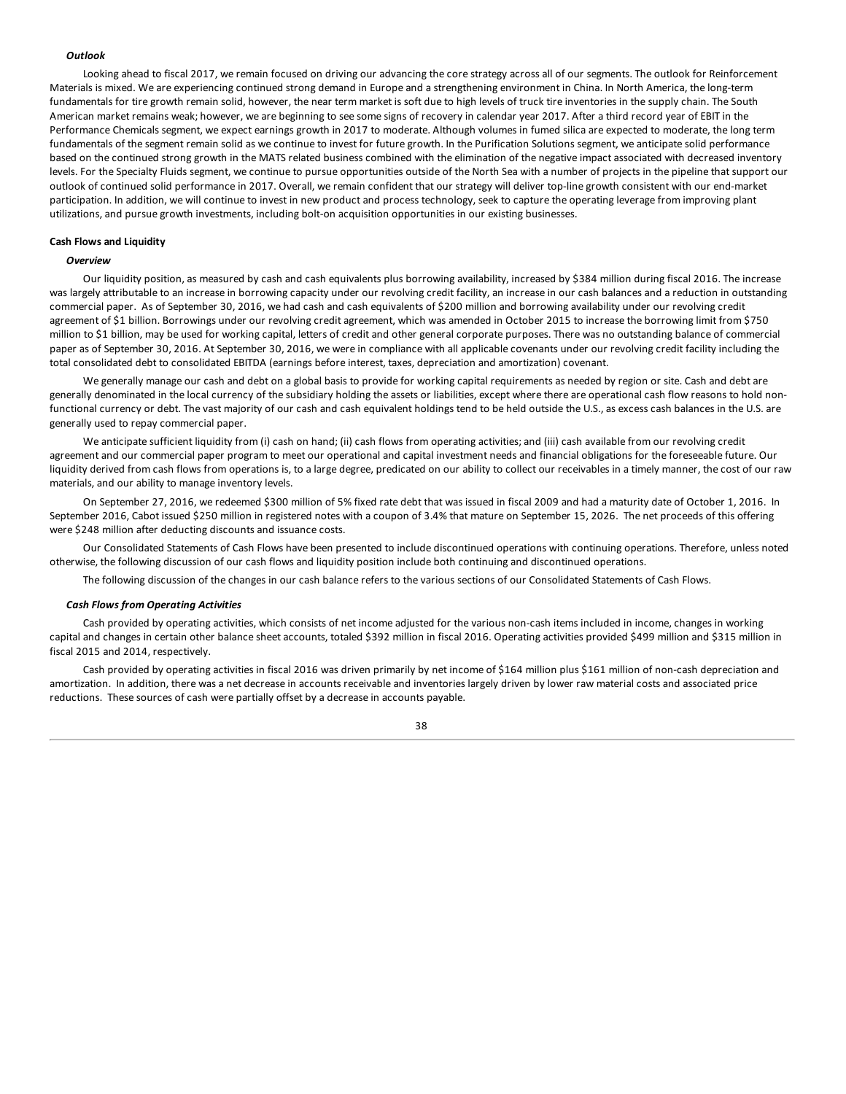## *Outlook*

Looking ahead to fiscal 2017, we remain focused on driving our advancing the core strategy across all of our segments. The outlook for Reinforcement Materials is mixed. We are experiencing continued strong demand in Europe and a strengthening environment in China. In North America, the long-term fundamentals for tire growth remain solid, however, the near term market is soft due to high levels of truck tire inventories in the supply chain. The South American market remains weak; however, we are beginning to see some signs of recovery in calendar year 2017. After a third record year of EBIT in the Performance Chemicals segment, we expect earnings growth in 2017 to moderate. Although volumes in fumed silica are expected to moderate, the long term fundamentals of the segment remain solid as we continue to invest for future growth. In the Purification Solutions segment, we anticipate solid performance based on the continued strong growth in the MATS related business combined with the elimination of the negative impact associated with decreased inventory levels. For the Specialty Fluids segment, we continue to pursue opportunities outside of the North Sea with a number of projects in the pipeline that support our outlook of continued solid performance in 2017. Overall, we remain confident that our strategy will deliver top-line growth consistent with our end-market participation. In addition, we will continue to invest in new product and process technology, seek to capture the operating leverage from improving plant utilizations, and pursue growth investments, including bolt-on acquisition opportunities in our existing businesses.

### **Cash Flows and Liquidity**

### *Overview*

Our liquidity position, as measured by cash and cash equivalents plus borrowing availability, increased by \$384 million during fiscal 2016. The increase was largely attributable to an increase in borrowing capacity under our revolving credit facility, an increase in our cash balances and a reduction in outstanding commercial paper. As of September 30, 2016, we had cash and cash equivalents of \$200 million and borrowing availability under our revolving credit agreement of \$1 billion. Borrowings under our revolving credit agreement, which was amended in October 2015 to increase the borrowing limit from \$750 million to \$1 billion, may be used for working capital, letters of credit and other general corporate purposes. There was no outstanding balance of commercial paper as of September 30, 2016. At September 30, 2016, we were in compliance with all applicable covenants under our revolving credit facility including the total consolidated debt to consolidated EBITDA (earnings before interest, taxes, depreciation and amortization) covenant.

We generally manage our cash and debt on a global basis to provide for working capital requirements as needed by region or site. Cash and debt are generally denominated in the local currency of the subsidiary holding the assets or liabilities, except where there are operational cash flow reasons to hold nonfunctional currency or debt. The vast majority of our cash and cash equivalent holdings tend to be held outside the U.S., as excess cash balances in the U.S. are generally used to repay commercial paper.

We anticipate sufficient liquidity from (i) cash on hand; (ii) cash flows from operating activities; and (iii) cash available from our revolving credit agreement and our commercial paper program to meet our operational and capital investment needs and financial obligations for the foreseeable future. Our liquidity derived from cash flows from operations is, to a large degree, predicated on our ability to collect our receivables in a timely manner, the cost of our raw materials, and our ability to manage inventory levels.

On September 27, 2016, we redeemed \$300 million of 5% fixed rate debt that was issued in fiscal 2009 and had a maturity date of October 1, 2016. In September 2016, Cabot issued \$250 million in registered notes with a coupon of 3.4% that mature on September 15, 2026. The net proceeds of this offering were \$248 million after deducting discounts and issuance costs.

Our Consolidated Statements of Cash Flows have been presented to include discontinued operations with continuing operations. Therefore, unless noted otherwise, the following discussion of our cash flows and liquidity position include both continuing and discontinued operations.

The following discussion of the changes in our cash balance refers to the various sections of our Consolidated Statements of Cash Flows.

### *Cash Flows from Operating Activities*

Cash provided by operating activities, which consists of net income adjusted for the various non-cash items included in income, changes in working capital and changes in certain other balance sheet accounts, totaled \$392 million in fiscal 2016. Operating activities provided \$499 million and \$315 million in fiscal 2015 and 2014, respectively.

Cash provided by operating activities in fiscal 2016 was driven primarily by net income of \$164 million plus \$161 million of non-cash depreciation and amortization. In addition, there was a net decrease in accounts receivable and inventories largely driven by lower raw material costs and associated price reductions. These sources of cash were partially offset by a decrease in accounts payable.

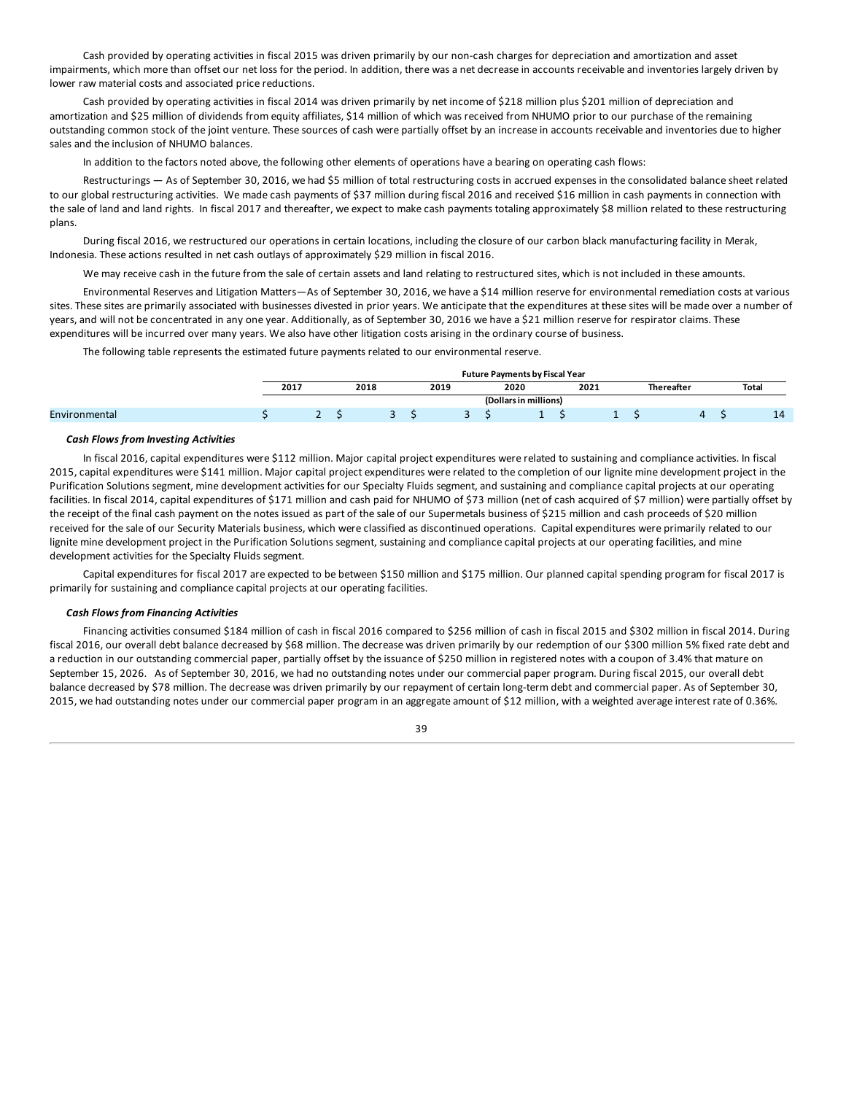Cash provided by operating activities in fiscal 2015 was driven primarily by our non-cash charges for depreciation and amortization and asset impairments, which more than offset our net loss for the period. In addition, there was a net decrease in accounts receivable and inventories largely driven by lower raw material costs and associated price reductions.

Cash provided by operating activities in fiscal 2014 was driven primarily by net income of \$218 million plus \$201 million of depreciation and amortization and \$25 million of dividends from equity affiliates, \$14 million of which was received from NHUMO prior to our purchase of the remaining outstanding common stock of the joint venture. These sources of cash were partially offset by an increase in accounts receivable and inventories due to higher sales and the inclusion of NHUMO balances.

In addition to the factors noted above, the following other elements of operations have a bearing on operating cash flows:

Restructurings — As of September 30, 2016, we had \$5 million of total restructuring costs in accrued expenses in the consolidated balance sheet related to our global restructuring activities. We made cash payments of \$37 million during fiscal 2016 and received \$16 million in cash payments in connection with the sale of land and land rights. In fiscal 2017 and thereafter, we expect to make cash payments totaling approximately \$8 million related to these restructuring plans.

During fiscal 2016, we restructured our operations in certain locations, including the closure of our carbon black manufacturing facility in Merak, Indonesia. These actions resulted in net cash outlays of approximately \$29 million in fiscal 2016.

We may receive cash in the future from the sale of certain assets and land relating to restructured sites, which is not included in these amounts.

Environmental Reserves and Litigation Matters—As of September 30, 2016, we have a \$14 million reserve for environmental remediation costs at various sites. These sites are primarily associated with businesses divested in prior years. We anticipate that the expenditures at these sites will be made over a number of years, and will not be concentrated in any one year. Additionally, as of September 30, 2016 we have a \$21 million reserve for respirator claims. These expenditures will be incurred over many years. We also have other litigation costs arising in the ordinary course of business.

The following table represents the estimated future payments related to our environmental reserve.

|               |      |      |  |      | <b>Future Payments by Fiscal Year</b> |  |      |  |            |  |       |    |
|---------------|------|------|--|------|---------------------------------------|--|------|--|------------|--|-------|----|
|               | 2017 | 2018 |  | 2019 | 2020                                  |  | 2021 |  | Thereafter |  | Total |    |
|               |      |      |  |      | (Dollars in millions)                 |  |      |  |            |  |       |    |
| Environmental |      |      |  |      |                                       |  |      |  |            |  |       | 14 |

#### *Cash Flows from Investing Activities*

In fiscal 2016, capital expenditures were \$112 million. Major capital project expenditures were related to sustaining and compliance activities. In fiscal 2015, capital expenditures were \$141 million. Major capital project expenditures were related to the completion of our lignite mine development project in the Purification Solutions segment, mine development activities for our Specialty Fluids segment, and sustaining and compliance capital projects at our operating facilities. In fiscal 2014, capital expenditures of \$171 million and cash paid for NHUMO of \$73 million (net of cash acquired of \$7 million) were partially offset by the receipt of the final cash payment on the notes issued as part of the sale of our Supermetals business of \$215 million and cash proceeds of \$20 million received for the sale of our Security Materials business, which were classified as discontinued operations. Capital expenditures were primarily related to our lignite mine development project in the Purification Solutions segment, sustaining and compliance capital projects at our operating facilities, and mine development activities for the Specialty Fluids segment.

Capital expenditures for fiscal 2017 are expected to be between \$150 million and \$175 million. Our planned capital spending program for fiscal 2017 is primarily for sustaining and compliance capital projects at our operating facilities.

### *Cash Flows from Financing Activities*

Financing activities consumed \$184 million of cash in fiscal 2016 compared to \$256 million of cash in fiscal 2015 and \$302 million in fiscal 2014. During fiscal 2016, our overall debt balance decreased by \$68 million. The decrease was driven primarily by our redemption of our \$300 million 5% fixed rate debt and a reduction in our outstanding commercial paper, partially offset by the issuance of \$250 million in registered notes with a coupon of 3.4% that mature on September 15, 2026. As of September 30, 2016, we had no outstanding notes under our commercial paper program. During fiscal 2015, our overall debt balance decreased by \$78 million. The decrease was driven primarily by our repayment of certain long-term debt and commercial paper. As of September 30, 2015, we had outstanding notes under our commercial paper program in an aggregate amount of \$12 million, with a weighted average interest rate of 0.36%.

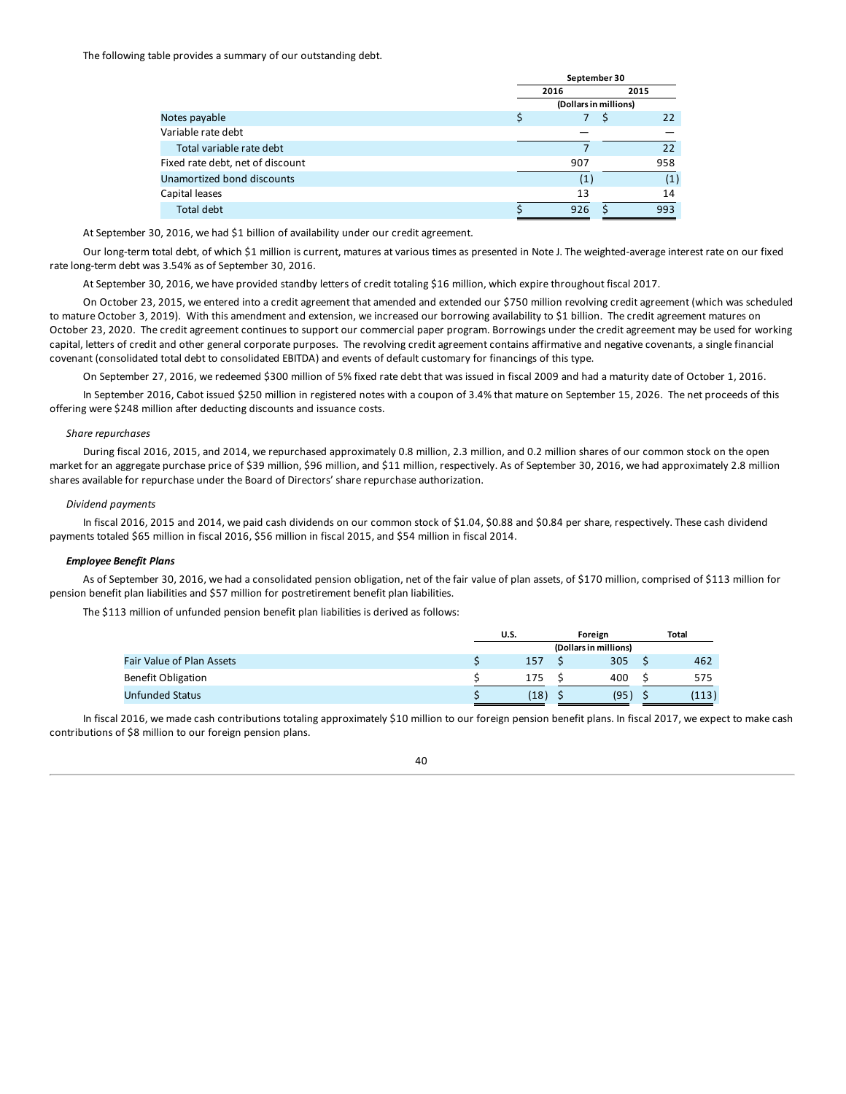The following table provides a summary of our outstanding debt.

|                                  | September 30          |     |  |     |  |  |  |  |
|----------------------------------|-----------------------|-----|--|-----|--|--|--|--|
|                                  | 2016<br>2015          |     |  |     |  |  |  |  |
|                                  | (Dollars in millions) |     |  |     |  |  |  |  |
| Notes payable                    |                       |     |  | 22  |  |  |  |  |
| Variable rate debt               |                       |     |  |     |  |  |  |  |
| Total variable rate debt         |                       |     |  | 22  |  |  |  |  |
| Fixed rate debt, net of discount |                       | 907 |  | 958 |  |  |  |  |
| Unamortized bond discounts       |                       | (1) |  | (1) |  |  |  |  |
| Capital leases                   |                       | 13  |  | 14  |  |  |  |  |
| <b>Total debt</b>                |                       | 926 |  | 993 |  |  |  |  |

At September 30, 2016, we had \$1 billion of availability under our credit agreement.

Our long-term total debt, of which \$1 million is current, matures at various times as presented in Note J. The weighted-average interest rate on our fixed rate long-term debt was 3.54% as of September 30, 2016.

At September 30, 2016, we have provided standby letters of credit totaling \$16 million, which expire throughout fiscal 2017.

On October 23, 2015, we entered into a credit agreement that amended and extended our \$750 million revolving credit agreement (which was scheduled to mature October 3, 2019). With this amendment and extension, we increased our borrowing availability to \$1 billion. The credit agreement matures on October 23, 2020. The credit agreement continues to support our commercial paper program. Borrowings under the credit agreement may be used for working capital, letters of credit and other general corporate purposes. The revolving credit agreement contains affirmative and negative covenants, a single financial covenant (consolidated total debt to consolidated EBITDA) and events of default customary for financings of this type.

On September 27, 2016, we redeemed \$300 million of 5% fixed rate debt that was issued in fiscal 2009 and had a maturity date of October 1, 2016.

In September 2016, Cabot issued \$250 million in registered notes with a coupon of 3.4% that mature on September 15, 2026. The net proceeds of this offering were \$248 million after deducting discounts and issuance costs.

### *Share repurchases*

During fiscal 2016, 2015, and 2014, we repurchased approximately 0.8 million, 2.3 million, and 0.2 million shares of our common stock on the open market for an aggregate purchase price of \$39 million, \$96 million, and \$11 million, respectively. As of September 30, 2016, we had approximately 2.8 million shares available for repurchase under the Board of Directors' share repurchase authorization.

# *Dividend payments*

In fiscal 2016, 2015 and 2014, we paid cash dividends on our common stock of \$1.04, \$0.88 and \$0.84 per share, respectively. These cash dividend payments totaled \$65 million in fiscal 2016, \$56 million in fiscal 2015, and \$54 million in fiscal 2014.

# *Employee Benefit Plans*

As of September 30, 2016, we had a consolidated pension obligation, net of the fair value of plan assets, of \$170 million, comprised of \$113 million for pension benefit plan liabilities and \$57 million for postretirement benefit plan liabilities.

The \$113 million of unfunded pension benefit plan liabilities is derived as follows:

|                           | <b>U.S.</b> | Foreign               | Total |
|---------------------------|-------------|-----------------------|-------|
|                           |             | (Dollars in millions) |       |
| Fair Value of Plan Assets | 157         | 305                   | 462   |
| <b>Benefit Obligation</b> | 175         | 400                   | 575   |
| <b>Unfunded Status</b>    | (18)        | (95)                  | (113) |

In fiscal 2016, we made cash contributions totaling approximately \$10 million to our foreign pension benefit plans. In fiscal 2017, we expect to make cash contributions of \$8 million to our foreign pension plans.

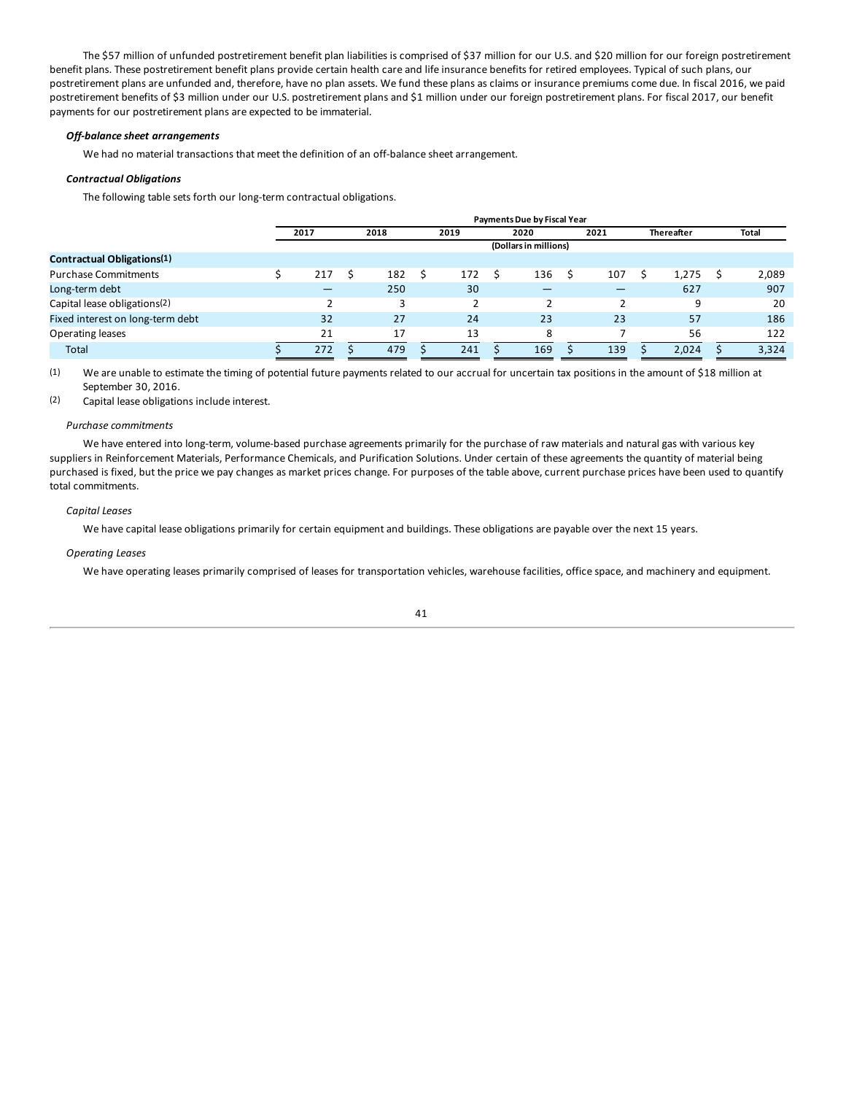The \$57 million of unfunded postretirement benefit plan liabilities is comprised of \$37 million for our U.S. and \$20 million for our foreign postretirement benefit plans. These postretirement benefit plans provide certain health care and life insurance benefits for retired employees. Typical of such plans, our postretirement plans are unfunded and, therefore, have no plan assets. We fund these plans as claims or insurance premiums come due. In fiscal 2016, we paid postretirement benefits of \$3 million under our U.S. postretirement plans and \$1 million under our foreign postretirement plans. For fiscal 2017, our benefit payments for our postretirement plans are expected to be immaterial.

# *Off-balance sheet arrangements*

We had no material transactions that meet the definition of an off-balance sheet arrangement.

# *Contractual Obligations*

The following table sets forth our long-term contractual obligations.

|                                  | <b>Payments Due by Fiscal Year</b> |  |      |  |      |  |                       |  |      |                   |  |       |
|----------------------------------|------------------------------------|--|------|--|------|--|-----------------------|--|------|-------------------|--|-------|
|                                  | 2017                               |  | 2018 |  | 2019 |  | 2020                  |  | 2021 | <b>Thereafter</b> |  | Total |
|                                  |                                    |  |      |  |      |  | (Dollars in millions) |  |      |                   |  |       |
| Contractual Obligations(1)       |                                    |  |      |  |      |  |                       |  |      |                   |  |       |
| <b>Purchase Commitments</b>      | 217                                |  | 182  |  | 172  |  | 136                   |  | 107  | 1.275             |  | 2,089 |
| Long-term debt                   |                                    |  | 250  |  | 30   |  |                       |  |      | 627               |  | 907   |
| Capital lease obligations(2)     |                                    |  | 3    |  |      |  |                       |  |      |                   |  | 20    |
| Fixed interest on long-term debt | 32                                 |  | 27   |  | 24   |  | 23                    |  | 23   | 57                |  | 186   |
| Operating leases                 | 21                                 |  | 17   |  | 13   |  | 8                     |  |      | 56                |  | 122   |
| <b>Total</b>                     | 272                                |  | 479  |  | 241  |  | 169                   |  | 139  | 2.024             |  | 3,324 |

(1) We are unable to estimate the timing of potential future payments related to our accrual for uncertain tax positions in the amount of \$18 million at September 30, 2016.

(2) Capital lease obligations include interest.

### *Purchase commitments*

We have entered into long-term, volume-based purchase agreements primarily for the purchase of raw materials and natural gas with various key suppliers in Reinforcement Materials, Performance Chemicals, and Purification Solutions. Under certain of these agreements the quantity of material being purchased is fixed, but the price we pay changes as market prices change. For purposes of the table above, current purchase prices have been used to quantify total commitments.

## *Capital Leases*

We have capital lease obligations primarily for certain equipment and buildings. These obligations are payable over the next 15 years.

### *Operating Leases*

We have operating leases primarily comprised of leases for transportation vehicles, warehouse facilities, office space, and machinery and equipment.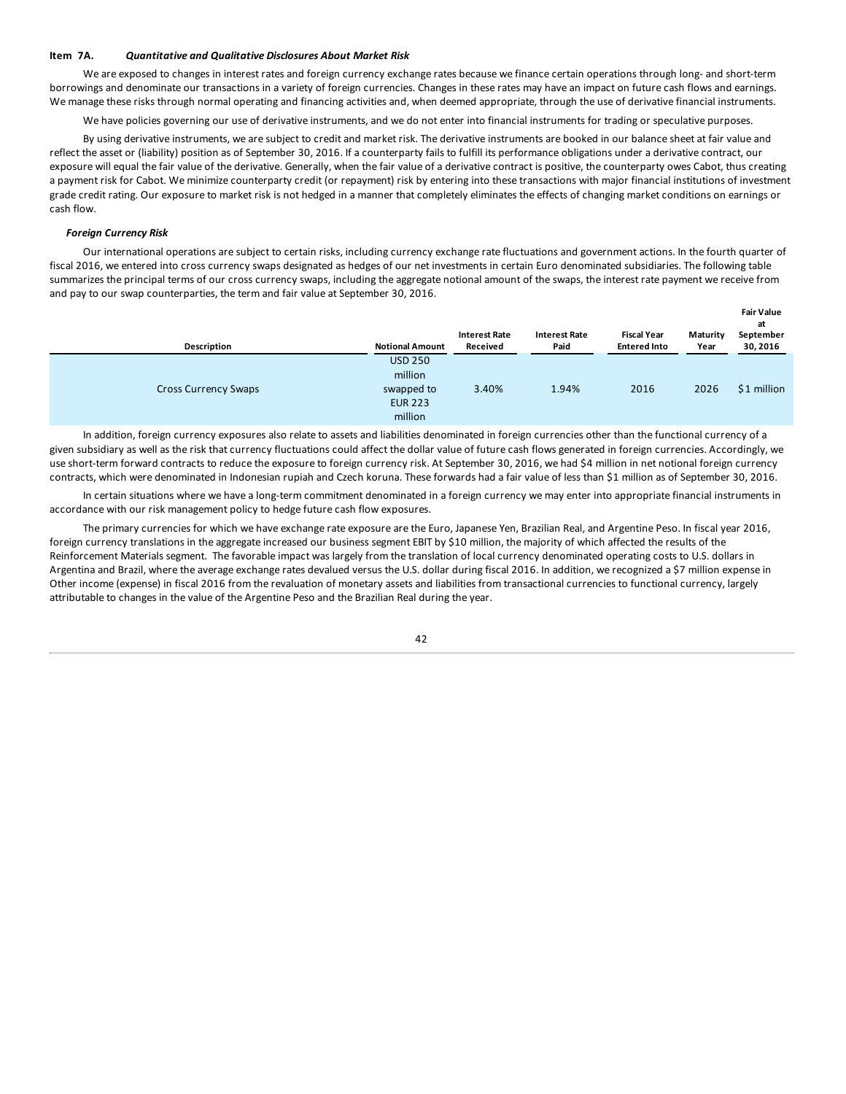# **Item 7A.** *Quantitative and Qualitative Disclosures About Market Risk*

We are exposed to changes in interest rates and foreign currency exchange rates because we finance certain operations through long- and short-term borrowings and denominate our transactions in a variety of foreign currencies. Changes in these rates may have an impact on future cash flows and earnings. We manage these risks through normal operating and financing activities and, when deemed appropriate, through the use of derivative financial instruments.

We have policies governing our use of derivative instruments, and we do not enter into financial instruments for trading or speculative purposes.

By using derivative instruments, we are subject to credit and market risk. The derivative instruments are booked in our balance sheet at fair value and reflect the asset or (liability) position as of September 30, 2016. If a counterparty fails to fulfill its performance obligations under a derivative contract, our exposure will equal the fair value of the derivative. Generally, when the fair value of a derivative contract is positive, the counterparty owes Cabot, thus creating a payment risk for Cabot. We minimize counterparty credit (or repayment) risk by entering into these transactions with major financial institutions of investment grade credit rating. Our exposure to market risk is not hedged in a manner that completely eliminates the effects of changing market conditions on earnings or cash flow.

## *Foreign Currency Risk*

Our international operations are subject to certain risks, including currency exchange rate fluctuations and government actions. In the fourth quarter of fiscal 2016, we entered into cross currency swaps designated as hedges of our net investments in certain Euro denominated subsidiaries. The following table summarizes the principal terms of our cross currency swaps, including the aggregate notional amount of the swaps, the interest rate payment we receive from and pay to our swap counterparties, the term and fair value at September 30, 2016.

**Fair Value**

| Description                 | <b>Notional Amount</b>                                               | <b>Interest Rate</b><br>Received | <b>Interest Rate</b><br>Paid | <b>Fiscal Year</b><br><b>Entered Into</b> | Maturity<br>Year | at<br>September<br>30, 2016 |
|-----------------------------|----------------------------------------------------------------------|----------------------------------|------------------------------|-------------------------------------------|------------------|-----------------------------|
| <b>Cross Currency Swaps</b> | <b>USD 250</b><br>million<br>swapped to<br><b>EUR 223</b><br>million | 3.40%                            | 1.94%                        | 2016                                      | 2026             | $$1$ million                |

In addition, foreign currency exposures also relate to assets and liabilities denominated in foreign currencies other than the functional currency of a given subsidiary as well as the risk that currency fluctuations could affect the dollar value of future cash flows generated in foreign currencies. Accordingly, we use short-term forward contracts to reduce the exposure to foreign currency risk. At September 30, 2016, we had \$4 million in net notional foreign currency contracts, which were denominated in Indonesian rupiah and Czech koruna. These forwards had a fair value of less than \$1 million as of September 30, 2016.

In certain situations where we have a long-term commitment denominated in a foreign currency we may enter into appropriate financial instruments in accordance with our risk management policy to hedge future cash flow exposures.

The primary currencies for which we have exchange rate exposure are the Euro, Japanese Yen, Brazilian Real, and Argentine Peso. In fiscal year 2016, foreign currency translations in the aggregate increased our business segment EBIT by \$10 million, the majority of which affected the results of the Reinforcement Materials segment. The favorable impact was largely from the translation of local currency denominated operating costs to U.S. dollars in Argentina and Brazil, where the average exchange rates devalued versus the U.S. dollar during fiscal 2016. In addition, we recognized a \$7 million expense in Other income (expense) in fiscal 2016 from the revaluation of monetary assets and liabilities from transactional currencies to functional currency, largely attributable to changes in the value of the Argentine Peso and the Brazilian Real during the year.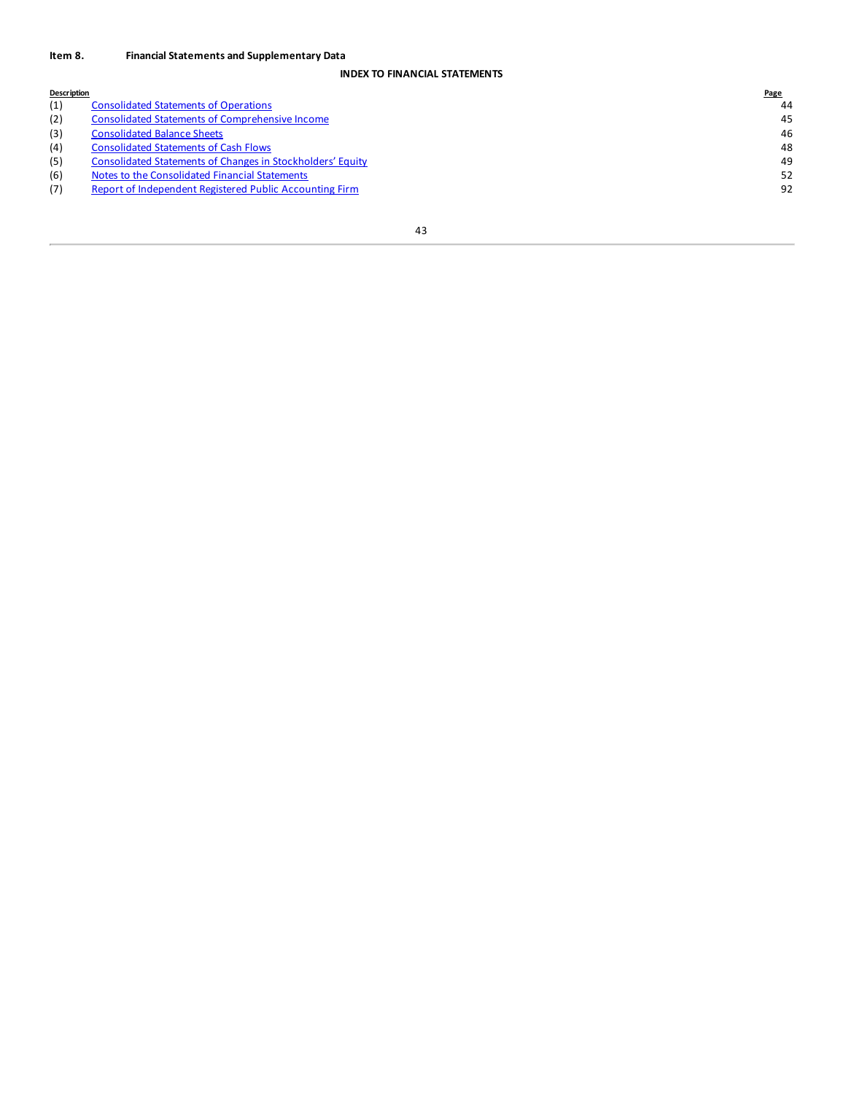# **INDEX TO FINANCIAL STATEMENTS**

| <b>Description</b> |                                                                | Page |
|--------------------|----------------------------------------------------------------|------|
| (1)                | <b>Consolidated Statements of Operations</b>                   | 44   |
| (2)                | <b>Consolidated Statements of Comprehensive Income</b>         | 45   |
| (3)                | <b>Consolidated Balance Sheets</b>                             | 46   |
| (4)                | <b>Consolidated Statements of Cash Flows</b>                   | 48   |
| (5)                | Consolidated Statements of Changes in Stockholders' Equity     | 49   |
| (6)                | Notes to the Consolidated Financial Statements                 | 52   |
| (7)                | <b>Report of Independent Registered Public Accounting Firm</b> | 92   |
|                    |                                                                |      |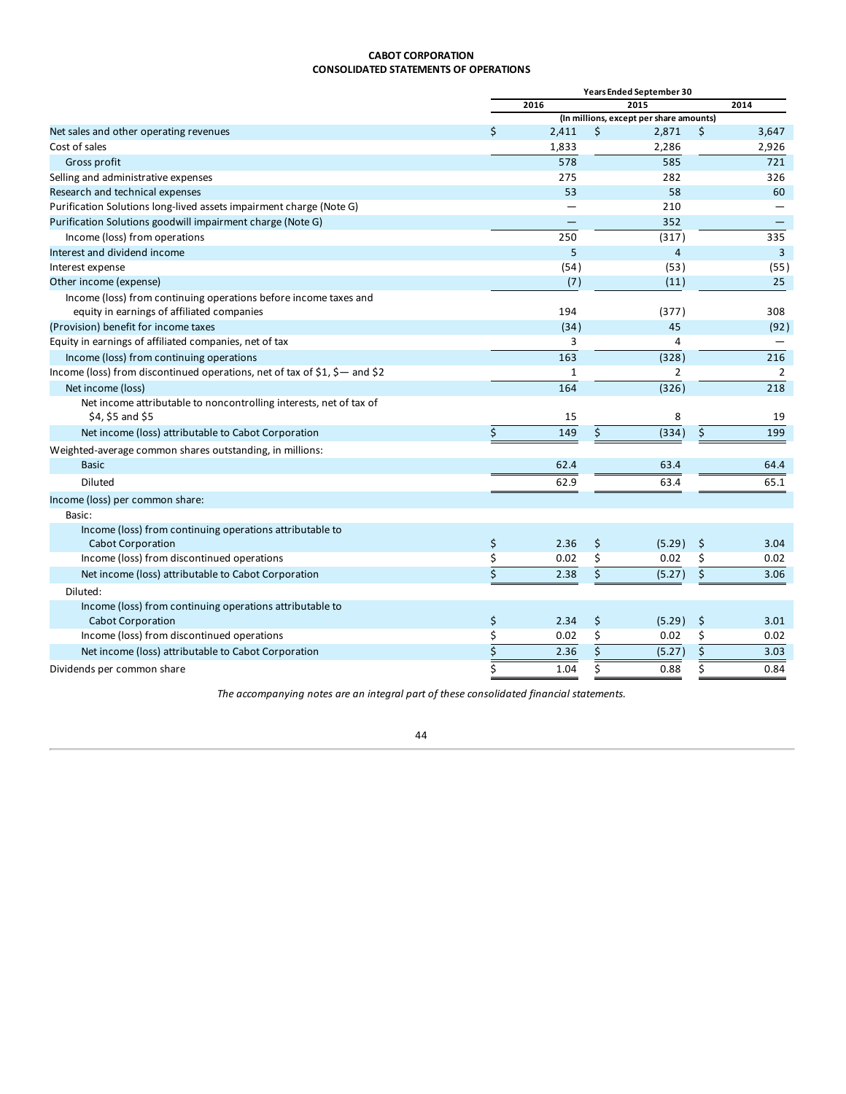# **CABOT CORPORATION CONSOLIDATED STATEMENTS OF OPERATIONS**

<span id="page-43-0"></span>

| 2014<br>2016<br>2015<br>(In millions, except per share amounts)<br>\$<br>Net sales and other operating revenues<br>\$<br>2,411<br>2,871<br>\$<br>3,647<br>Cost of sales<br>1,833<br>2,286<br>2,926<br>578<br>585<br>721<br>Gross profit<br>275<br>282<br>326<br>Selling and administrative expenses<br>53<br>58<br>60<br>Research and technical expenses<br>Purification Solutions long-lived assets impairment charge (Note G)<br>210<br>Purification Solutions goodwill impairment charge (Note G)<br>352<br>-<br>Income (loss) from operations<br>250<br>(317)<br>335<br>Interest and dividend income<br>5<br>$\overline{4}$<br>3<br>(54)<br>(53)<br>(55)<br>Interest expense<br>Other income (expense)<br>(7)<br>(11)<br>25<br>Income (loss) from continuing operations before income taxes and<br>194<br>308<br>(377)<br>equity in earnings of affiliated companies<br>(Provision) benefit for income taxes<br>(34)<br>45<br>(92)<br>Equity in earnings of affiliated companies, net of tax<br>3<br>4<br>163<br>(328)<br>216<br>Income (loss) from continuing operations<br>Income (loss) from discontinued operations, net of tax of $$1, $-$ and $$2$<br>2<br>2<br>1<br>218<br>164<br>(326)<br>Net income (loss)<br>Net income attributable to noncontrolling interests, net of tax of<br>\$4, \$5 and \$5<br>15<br>8<br>19<br>\$<br>\$<br>\$<br>(334)<br>199<br>Net income (loss) attributable to Cabot Corporation<br>149<br>Weighted-average common shares outstanding, in millions:<br>62.4<br>63.4<br>64.4<br><b>Basic</b><br><b>Diluted</b><br>63.4<br>65.1<br>62.9<br>Income (loss) per common share:<br>Basic:<br>Income (loss) from continuing operations attributable to<br>\$<br><b>Cabot Corporation</b><br>2.36<br>\$<br>(5.29)<br>\$<br>3.04<br>\$<br>\$<br>\$<br>Income (loss) from discontinued operations<br>0.02<br>0.02<br>0.02<br>$\overline{\xi}$<br>$\overline{\xi}$<br>$\overline{\xi}$<br>2.38<br>(5.27)<br>3.06<br>Net income (loss) attributable to Cabot Corporation<br>Diluted:<br>Income (loss) from continuing operations attributable to<br>\$<br><b>Cabot Corporation</b><br>\$<br>(5.29)<br>\$<br>3.01<br>2.34<br>\$<br>\$<br>\$<br>Income (loss) from discontinued operations<br>0.02<br>0.02<br>0.02<br>\$<br>\$<br>\$<br>Net income (loss) attributable to Cabot Corporation<br>2.36<br>(5.27)<br>3.03 |                            | Years Ended September 30 |            |    |      |
|---------------------------------------------------------------------------------------------------------------------------------------------------------------------------------------------------------------------------------------------------------------------------------------------------------------------------------------------------------------------------------------------------------------------------------------------------------------------------------------------------------------------------------------------------------------------------------------------------------------------------------------------------------------------------------------------------------------------------------------------------------------------------------------------------------------------------------------------------------------------------------------------------------------------------------------------------------------------------------------------------------------------------------------------------------------------------------------------------------------------------------------------------------------------------------------------------------------------------------------------------------------------------------------------------------------------------------------------------------------------------------------------------------------------------------------------------------------------------------------------------------------------------------------------------------------------------------------------------------------------------------------------------------------------------------------------------------------------------------------------------------------------------------------------------------------------------------------------------------------------------------------------------------------------------------------------------------------------------------------------------------------------------------------------------------------------------------------------------------------------------------------------------------------------------------------------------------------------------------------------------------------------------------------------------------------------------------------------------|----------------------------|--------------------------|------------|----|------|
|                                                                                                                                                                                                                                                                                                                                                                                                                                                                                                                                                                                                                                                                                                                                                                                                                                                                                                                                                                                                                                                                                                                                                                                                                                                                                                                                                                                                                                                                                                                                                                                                                                                                                                                                                                                                                                                                                                                                                                                                                                                                                                                                                                                                                                                                                                                                                   |                            |                          |            |    |      |
|                                                                                                                                                                                                                                                                                                                                                                                                                                                                                                                                                                                                                                                                                                                                                                                                                                                                                                                                                                                                                                                                                                                                                                                                                                                                                                                                                                                                                                                                                                                                                                                                                                                                                                                                                                                                                                                                                                                                                                                                                                                                                                                                                                                                                                                                                                                                                   |                            |                          |            |    |      |
|                                                                                                                                                                                                                                                                                                                                                                                                                                                                                                                                                                                                                                                                                                                                                                                                                                                                                                                                                                                                                                                                                                                                                                                                                                                                                                                                                                                                                                                                                                                                                                                                                                                                                                                                                                                                                                                                                                                                                                                                                                                                                                                                                                                                                                                                                                                                                   |                            |                          |            |    |      |
|                                                                                                                                                                                                                                                                                                                                                                                                                                                                                                                                                                                                                                                                                                                                                                                                                                                                                                                                                                                                                                                                                                                                                                                                                                                                                                                                                                                                                                                                                                                                                                                                                                                                                                                                                                                                                                                                                                                                                                                                                                                                                                                                                                                                                                                                                                                                                   |                            |                          |            |    |      |
|                                                                                                                                                                                                                                                                                                                                                                                                                                                                                                                                                                                                                                                                                                                                                                                                                                                                                                                                                                                                                                                                                                                                                                                                                                                                                                                                                                                                                                                                                                                                                                                                                                                                                                                                                                                                                                                                                                                                                                                                                                                                                                                                                                                                                                                                                                                                                   |                            |                          |            |    |      |
|                                                                                                                                                                                                                                                                                                                                                                                                                                                                                                                                                                                                                                                                                                                                                                                                                                                                                                                                                                                                                                                                                                                                                                                                                                                                                                                                                                                                                                                                                                                                                                                                                                                                                                                                                                                                                                                                                                                                                                                                                                                                                                                                                                                                                                                                                                                                                   |                            |                          |            |    |      |
|                                                                                                                                                                                                                                                                                                                                                                                                                                                                                                                                                                                                                                                                                                                                                                                                                                                                                                                                                                                                                                                                                                                                                                                                                                                                                                                                                                                                                                                                                                                                                                                                                                                                                                                                                                                                                                                                                                                                                                                                                                                                                                                                                                                                                                                                                                                                                   |                            |                          |            |    |      |
|                                                                                                                                                                                                                                                                                                                                                                                                                                                                                                                                                                                                                                                                                                                                                                                                                                                                                                                                                                                                                                                                                                                                                                                                                                                                                                                                                                                                                                                                                                                                                                                                                                                                                                                                                                                                                                                                                                                                                                                                                                                                                                                                                                                                                                                                                                                                                   |                            |                          |            |    |      |
|                                                                                                                                                                                                                                                                                                                                                                                                                                                                                                                                                                                                                                                                                                                                                                                                                                                                                                                                                                                                                                                                                                                                                                                                                                                                                                                                                                                                                                                                                                                                                                                                                                                                                                                                                                                                                                                                                                                                                                                                                                                                                                                                                                                                                                                                                                                                                   |                            |                          |            |    |      |
|                                                                                                                                                                                                                                                                                                                                                                                                                                                                                                                                                                                                                                                                                                                                                                                                                                                                                                                                                                                                                                                                                                                                                                                                                                                                                                                                                                                                                                                                                                                                                                                                                                                                                                                                                                                                                                                                                                                                                                                                                                                                                                                                                                                                                                                                                                                                                   |                            |                          |            |    |      |
|                                                                                                                                                                                                                                                                                                                                                                                                                                                                                                                                                                                                                                                                                                                                                                                                                                                                                                                                                                                                                                                                                                                                                                                                                                                                                                                                                                                                                                                                                                                                                                                                                                                                                                                                                                                                                                                                                                                                                                                                                                                                                                                                                                                                                                                                                                                                                   |                            |                          |            |    |      |
|                                                                                                                                                                                                                                                                                                                                                                                                                                                                                                                                                                                                                                                                                                                                                                                                                                                                                                                                                                                                                                                                                                                                                                                                                                                                                                                                                                                                                                                                                                                                                                                                                                                                                                                                                                                                                                                                                                                                                                                                                                                                                                                                                                                                                                                                                                                                                   |                            |                          |            |    |      |
|                                                                                                                                                                                                                                                                                                                                                                                                                                                                                                                                                                                                                                                                                                                                                                                                                                                                                                                                                                                                                                                                                                                                                                                                                                                                                                                                                                                                                                                                                                                                                                                                                                                                                                                                                                                                                                                                                                                                                                                                                                                                                                                                                                                                                                                                                                                                                   |                            |                          |            |    |      |
|                                                                                                                                                                                                                                                                                                                                                                                                                                                                                                                                                                                                                                                                                                                                                                                                                                                                                                                                                                                                                                                                                                                                                                                                                                                                                                                                                                                                                                                                                                                                                                                                                                                                                                                                                                                                                                                                                                                                                                                                                                                                                                                                                                                                                                                                                                                                                   |                            |                          |            |    |      |
|                                                                                                                                                                                                                                                                                                                                                                                                                                                                                                                                                                                                                                                                                                                                                                                                                                                                                                                                                                                                                                                                                                                                                                                                                                                                                                                                                                                                                                                                                                                                                                                                                                                                                                                                                                                                                                                                                                                                                                                                                                                                                                                                                                                                                                                                                                                                                   |                            |                          |            |    |      |
|                                                                                                                                                                                                                                                                                                                                                                                                                                                                                                                                                                                                                                                                                                                                                                                                                                                                                                                                                                                                                                                                                                                                                                                                                                                                                                                                                                                                                                                                                                                                                                                                                                                                                                                                                                                                                                                                                                                                                                                                                                                                                                                                                                                                                                                                                                                                                   |                            |                          |            |    |      |
|                                                                                                                                                                                                                                                                                                                                                                                                                                                                                                                                                                                                                                                                                                                                                                                                                                                                                                                                                                                                                                                                                                                                                                                                                                                                                                                                                                                                                                                                                                                                                                                                                                                                                                                                                                                                                                                                                                                                                                                                                                                                                                                                                                                                                                                                                                                                                   |                            |                          |            |    |      |
|                                                                                                                                                                                                                                                                                                                                                                                                                                                                                                                                                                                                                                                                                                                                                                                                                                                                                                                                                                                                                                                                                                                                                                                                                                                                                                                                                                                                                                                                                                                                                                                                                                                                                                                                                                                                                                                                                                                                                                                                                                                                                                                                                                                                                                                                                                                                                   |                            |                          |            |    |      |
|                                                                                                                                                                                                                                                                                                                                                                                                                                                                                                                                                                                                                                                                                                                                                                                                                                                                                                                                                                                                                                                                                                                                                                                                                                                                                                                                                                                                                                                                                                                                                                                                                                                                                                                                                                                                                                                                                                                                                                                                                                                                                                                                                                                                                                                                                                                                                   |                            |                          |            |    |      |
|                                                                                                                                                                                                                                                                                                                                                                                                                                                                                                                                                                                                                                                                                                                                                                                                                                                                                                                                                                                                                                                                                                                                                                                                                                                                                                                                                                                                                                                                                                                                                                                                                                                                                                                                                                                                                                                                                                                                                                                                                                                                                                                                                                                                                                                                                                                                                   |                            |                          |            |    |      |
|                                                                                                                                                                                                                                                                                                                                                                                                                                                                                                                                                                                                                                                                                                                                                                                                                                                                                                                                                                                                                                                                                                                                                                                                                                                                                                                                                                                                                                                                                                                                                                                                                                                                                                                                                                                                                                                                                                                                                                                                                                                                                                                                                                                                                                                                                                                                                   |                            |                          |            |    |      |
|                                                                                                                                                                                                                                                                                                                                                                                                                                                                                                                                                                                                                                                                                                                                                                                                                                                                                                                                                                                                                                                                                                                                                                                                                                                                                                                                                                                                                                                                                                                                                                                                                                                                                                                                                                                                                                                                                                                                                                                                                                                                                                                                                                                                                                                                                                                                                   |                            |                          |            |    |      |
|                                                                                                                                                                                                                                                                                                                                                                                                                                                                                                                                                                                                                                                                                                                                                                                                                                                                                                                                                                                                                                                                                                                                                                                                                                                                                                                                                                                                                                                                                                                                                                                                                                                                                                                                                                                                                                                                                                                                                                                                                                                                                                                                                                                                                                                                                                                                                   |                            |                          |            |    |      |
|                                                                                                                                                                                                                                                                                                                                                                                                                                                                                                                                                                                                                                                                                                                                                                                                                                                                                                                                                                                                                                                                                                                                                                                                                                                                                                                                                                                                                                                                                                                                                                                                                                                                                                                                                                                                                                                                                                                                                                                                                                                                                                                                                                                                                                                                                                                                                   |                            |                          |            |    |      |
|                                                                                                                                                                                                                                                                                                                                                                                                                                                                                                                                                                                                                                                                                                                                                                                                                                                                                                                                                                                                                                                                                                                                                                                                                                                                                                                                                                                                                                                                                                                                                                                                                                                                                                                                                                                                                                                                                                                                                                                                                                                                                                                                                                                                                                                                                                                                                   |                            |                          |            |    |      |
|                                                                                                                                                                                                                                                                                                                                                                                                                                                                                                                                                                                                                                                                                                                                                                                                                                                                                                                                                                                                                                                                                                                                                                                                                                                                                                                                                                                                                                                                                                                                                                                                                                                                                                                                                                                                                                                                                                                                                                                                                                                                                                                                                                                                                                                                                                                                                   |                            |                          |            |    |      |
|                                                                                                                                                                                                                                                                                                                                                                                                                                                                                                                                                                                                                                                                                                                                                                                                                                                                                                                                                                                                                                                                                                                                                                                                                                                                                                                                                                                                                                                                                                                                                                                                                                                                                                                                                                                                                                                                                                                                                                                                                                                                                                                                                                                                                                                                                                                                                   |                            |                          |            |    |      |
|                                                                                                                                                                                                                                                                                                                                                                                                                                                                                                                                                                                                                                                                                                                                                                                                                                                                                                                                                                                                                                                                                                                                                                                                                                                                                                                                                                                                                                                                                                                                                                                                                                                                                                                                                                                                                                                                                                                                                                                                                                                                                                                                                                                                                                                                                                                                                   |                            |                          |            |    |      |
|                                                                                                                                                                                                                                                                                                                                                                                                                                                                                                                                                                                                                                                                                                                                                                                                                                                                                                                                                                                                                                                                                                                                                                                                                                                                                                                                                                                                                                                                                                                                                                                                                                                                                                                                                                                                                                                                                                                                                                                                                                                                                                                                                                                                                                                                                                                                                   |                            |                          |            |    |      |
|                                                                                                                                                                                                                                                                                                                                                                                                                                                                                                                                                                                                                                                                                                                                                                                                                                                                                                                                                                                                                                                                                                                                                                                                                                                                                                                                                                                                                                                                                                                                                                                                                                                                                                                                                                                                                                                                                                                                                                                                                                                                                                                                                                                                                                                                                                                                                   |                            |                          |            |    |      |
|                                                                                                                                                                                                                                                                                                                                                                                                                                                                                                                                                                                                                                                                                                                                                                                                                                                                                                                                                                                                                                                                                                                                                                                                                                                                                                                                                                                                                                                                                                                                                                                                                                                                                                                                                                                                                                                                                                                                                                                                                                                                                                                                                                                                                                                                                                                                                   |                            |                          |            |    |      |
|                                                                                                                                                                                                                                                                                                                                                                                                                                                                                                                                                                                                                                                                                                                                                                                                                                                                                                                                                                                                                                                                                                                                                                                                                                                                                                                                                                                                                                                                                                                                                                                                                                                                                                                                                                                                                                                                                                                                                                                                                                                                                                                                                                                                                                                                                                                                                   |                            |                          |            |    |      |
|                                                                                                                                                                                                                                                                                                                                                                                                                                                                                                                                                                                                                                                                                                                                                                                                                                                                                                                                                                                                                                                                                                                                                                                                                                                                                                                                                                                                                                                                                                                                                                                                                                                                                                                                                                                                                                                                                                                                                                                                                                                                                                                                                                                                                                                                                                                                                   |                            |                          |            |    |      |
|                                                                                                                                                                                                                                                                                                                                                                                                                                                                                                                                                                                                                                                                                                                                                                                                                                                                                                                                                                                                                                                                                                                                                                                                                                                                                                                                                                                                                                                                                                                                                                                                                                                                                                                                                                                                                                                                                                                                                                                                                                                                                                                                                                                                                                                                                                                                                   |                            |                          |            |    |      |
|                                                                                                                                                                                                                                                                                                                                                                                                                                                                                                                                                                                                                                                                                                                                                                                                                                                                                                                                                                                                                                                                                                                                                                                                                                                                                                                                                                                                                                                                                                                                                                                                                                                                                                                                                                                                                                                                                                                                                                                                                                                                                                                                                                                                                                                                                                                                                   |                            |                          |            |    |      |
|                                                                                                                                                                                                                                                                                                                                                                                                                                                                                                                                                                                                                                                                                                                                                                                                                                                                                                                                                                                                                                                                                                                                                                                                                                                                                                                                                                                                                                                                                                                                                                                                                                                                                                                                                                                                                                                                                                                                                                                                                                                                                                                                                                                                                                                                                                                                                   |                            |                          |            |    |      |
|                                                                                                                                                                                                                                                                                                                                                                                                                                                                                                                                                                                                                                                                                                                                                                                                                                                                                                                                                                                                                                                                                                                                                                                                                                                                                                                                                                                                                                                                                                                                                                                                                                                                                                                                                                                                                                                                                                                                                                                                                                                                                                                                                                                                                                                                                                                                                   |                            |                          |            |    |      |
|                                                                                                                                                                                                                                                                                                                                                                                                                                                                                                                                                                                                                                                                                                                                                                                                                                                                                                                                                                                                                                                                                                                                                                                                                                                                                                                                                                                                                                                                                                                                                                                                                                                                                                                                                                                                                                                                                                                                                                                                                                                                                                                                                                                                                                                                                                                                                   | Dividends per common share | \$<br>1.04               | \$<br>0.88 | \$ | 0.84 |

*The accompanying notes are an integral part of these consolidated financial statements.*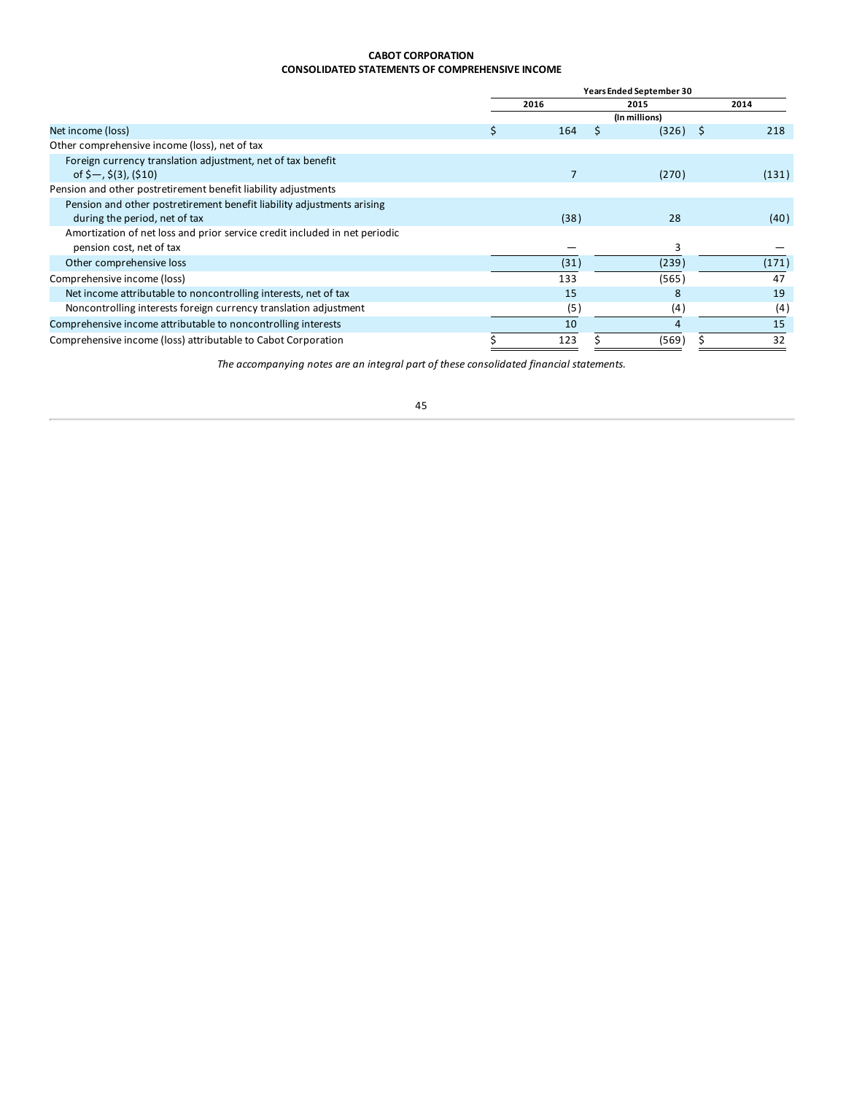# **CABOT CORPORATION CONSOLIDATED STATEMENTS OF COMPREHENSIVE INCOME**

<span id="page-44-0"></span>

|                                                                            | Years Ended September 30 |      |               |            |  |  |  |
|----------------------------------------------------------------------------|--------------------------|------|---------------|------------|--|--|--|
|                                                                            |                          | 2016 | 2015          | 2014       |  |  |  |
|                                                                            |                          |      | (In millions) |            |  |  |  |
| Net income (loss)                                                          | S                        | 164  | (326)         | 218<br>- S |  |  |  |
| Other comprehensive income (loss), net of tax                              |                          |      |               |            |  |  |  |
| Foreign currency translation adjustment, net of tax benefit                |                          |      |               |            |  |  |  |
| of $\zeta$ - $\zeta$ (3), ( $\zeta$ 10)                                    |                          |      | (270)         | (131)      |  |  |  |
| Pension and other postretirement benefit liability adjustments             |                          |      |               |            |  |  |  |
| Pension and other postretirement benefit liability adjustments arising     |                          |      |               |            |  |  |  |
| during the period, net of tax                                              |                          | (38) | 28            | (40)       |  |  |  |
| Amortization of net loss and prior service credit included in net periodic |                          |      |               |            |  |  |  |
| pension cost, net of tax                                                   |                          |      | 3             |            |  |  |  |
| Other comprehensive loss                                                   |                          | (31) | (239)         | (171)      |  |  |  |
| Comprehensive income (loss)                                                |                          | 133  | (565)         | 47         |  |  |  |
| Net income attributable to noncontrolling interests, net of tax            |                          | 15   | 8             | 19         |  |  |  |
| Noncontrolling interests foreign currency translation adjustment           |                          | (5)  | (4)           | (4)        |  |  |  |
| Comprehensive income attributable to noncontrolling interests              |                          | 10   |               | 15         |  |  |  |
| Comprehensive income (loss) attributable to Cabot Corporation              |                          | 123  | (569)         | 32         |  |  |  |

*The accompanying notes are an integral part of these consolidated financial statements.*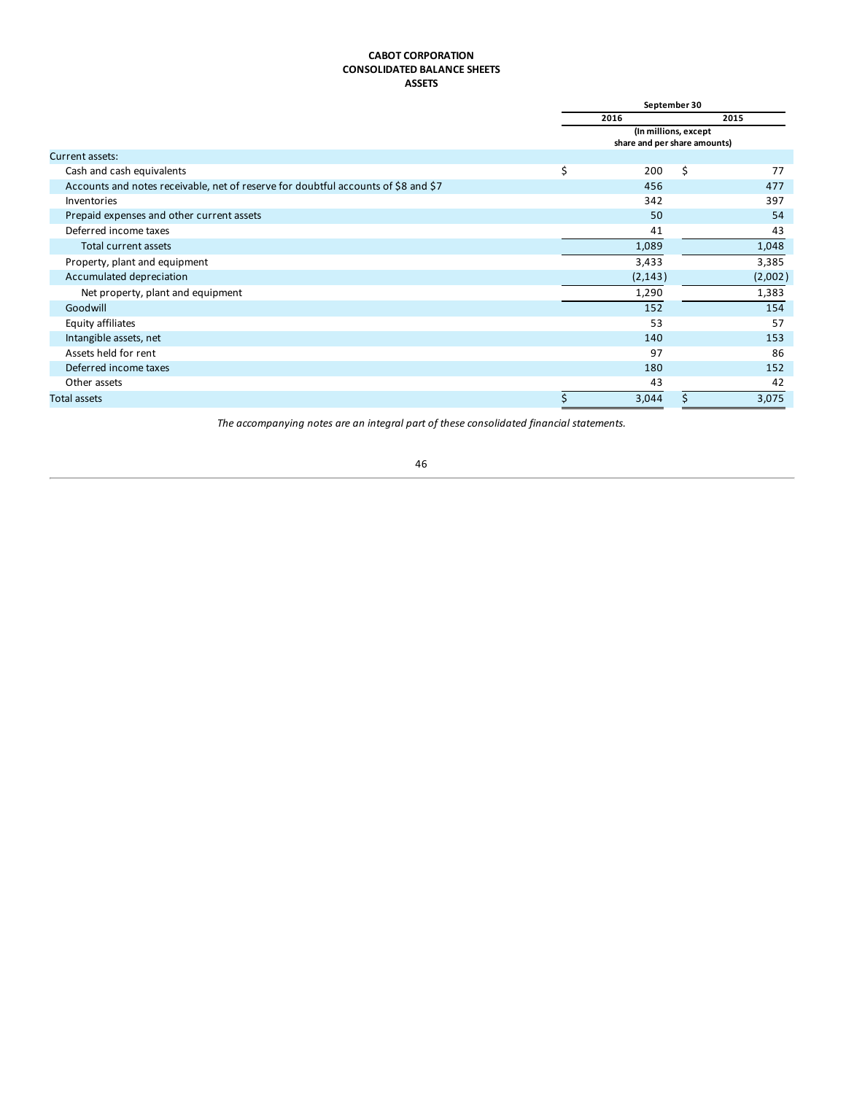# **CABOT CORPORATION CONSOLIDATED BALANCE SHEETS ASSETS**

<span id="page-45-0"></span>

|                                                                                    | September 30                                         |    |         |  |  |  |
|------------------------------------------------------------------------------------|------------------------------------------------------|----|---------|--|--|--|
|                                                                                    | 2016                                                 |    | 2015    |  |  |  |
|                                                                                    | (In millions, except<br>share and per share amounts) |    |         |  |  |  |
| Current assets:                                                                    |                                                      |    |         |  |  |  |
| Cash and cash equivalents                                                          | \$<br>200                                            | \$ | 77      |  |  |  |
| Accounts and notes receivable, net of reserve for doubtful accounts of \$8 and \$7 | 456                                                  |    | 477     |  |  |  |
| Inventories                                                                        | 342                                                  |    | 397     |  |  |  |
| Prepaid expenses and other current assets                                          | 50                                                   |    | 54      |  |  |  |
| Deferred income taxes                                                              | 41                                                   |    | 43      |  |  |  |
| Total current assets                                                               | 1,089                                                |    | 1,048   |  |  |  |
| Property, plant and equipment                                                      | 3,433                                                |    | 3,385   |  |  |  |
| Accumulated depreciation                                                           | (2, 143)                                             |    | (2,002) |  |  |  |
| Net property, plant and equipment                                                  | 1,290                                                |    | 1,383   |  |  |  |
| Goodwill                                                                           | 152                                                  |    | 154     |  |  |  |
| Equity affiliates                                                                  | 53                                                   |    | 57      |  |  |  |
| Intangible assets, net                                                             | 140                                                  |    | 153     |  |  |  |
| Assets held for rent                                                               | 97                                                   |    | 86      |  |  |  |
| Deferred income taxes                                                              | 180                                                  |    | 152     |  |  |  |
| Other assets                                                                       | 43                                                   |    | 42      |  |  |  |
| <b>Total assets</b>                                                                | 3,044                                                | Ś  | 3,075   |  |  |  |

*The accompanying notes are an integral part of these consolidated financial statements.*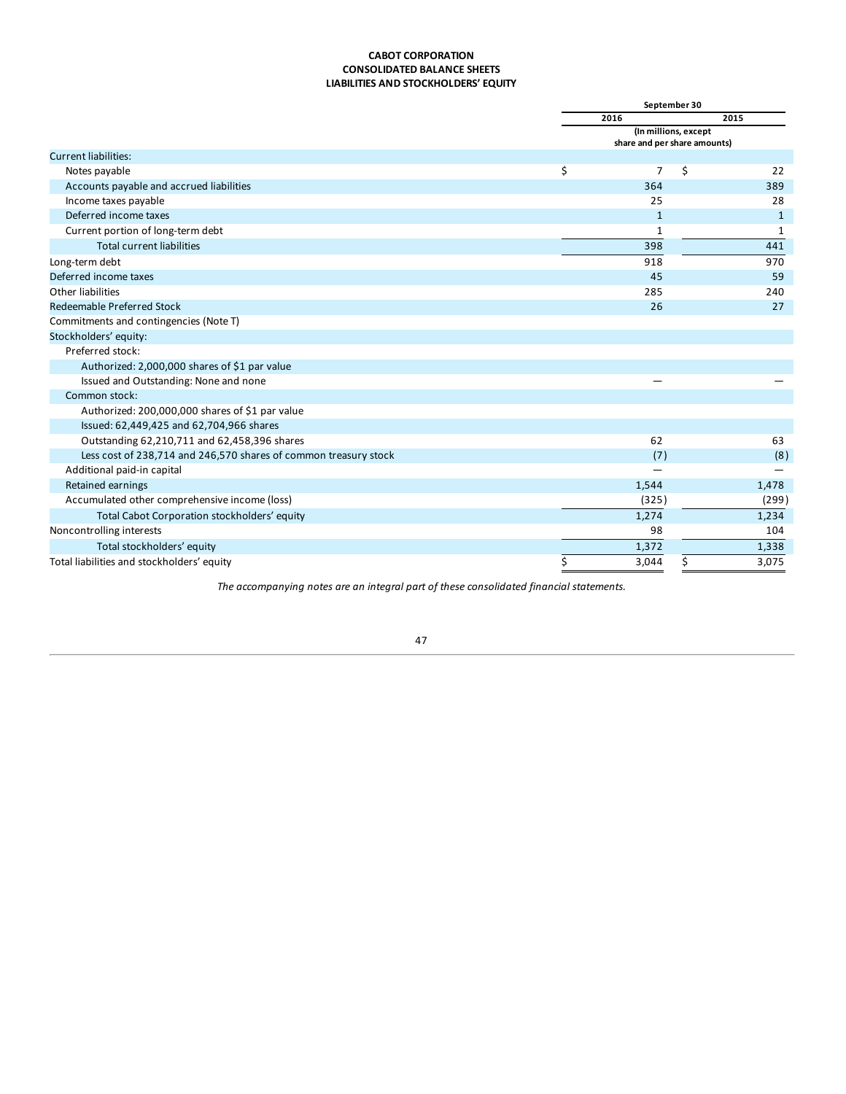# **CABOT CORPORATION CONSOLIDATED BALANCE SHEETS LIABILITIES AND STOCKHOLDERS' EQUITY**

|                                                                  | September 30                                         |    |              |  |  |
|------------------------------------------------------------------|------------------------------------------------------|----|--------------|--|--|
|                                                                  | 2016                                                 |    | 2015         |  |  |
|                                                                  | (In millions, except<br>share and per share amounts) |    |              |  |  |
| <b>Current liabilities:</b>                                      |                                                      |    |              |  |  |
| Notes payable                                                    | \$<br>$\overline{7}$                                 | \$ | 22           |  |  |
| Accounts payable and accrued liabilities                         | 364                                                  |    | 389          |  |  |
| Income taxes payable                                             | 25                                                   |    | 28           |  |  |
| Deferred income taxes                                            | $\mathbf{1}$                                         |    | $\mathbf{1}$ |  |  |
| Current portion of long-term debt                                | 1                                                    |    | $\mathbf{1}$ |  |  |
| <b>Total current liabilities</b>                                 | 398                                                  |    | 441          |  |  |
| Long-term debt                                                   | 918                                                  |    | 970          |  |  |
| Deferred income taxes                                            | 45                                                   |    | 59           |  |  |
| Other liabilities                                                | 285                                                  |    | 240          |  |  |
| Redeemable Preferred Stock                                       | 26                                                   |    | 27           |  |  |
| Commitments and contingencies (Note T)                           |                                                      |    |              |  |  |
| Stockholders' equity:                                            |                                                      |    |              |  |  |
| Preferred stock:                                                 |                                                      |    |              |  |  |
| Authorized: 2,000,000 shares of \$1 par value                    |                                                      |    |              |  |  |
| Issued and Outstanding: None and none                            |                                                      |    |              |  |  |
| Common stock:                                                    |                                                      |    |              |  |  |
| Authorized: 200,000,000 shares of \$1 par value                  |                                                      |    |              |  |  |
| Issued: 62,449,425 and 62,704,966 shares                         |                                                      |    |              |  |  |
| Outstanding 62,210,711 and 62,458,396 shares                     | 62                                                   |    | 63           |  |  |
| Less cost of 238,714 and 246,570 shares of common treasury stock | (7)                                                  |    | (8)          |  |  |
| Additional paid-in capital                                       |                                                      |    |              |  |  |
| Retained earnings                                                | 1,544                                                |    | 1,478        |  |  |
| Accumulated other comprehensive income (loss)                    | (325)                                                |    | (299)        |  |  |
| Total Cabot Corporation stockholders' equity                     | 1,274                                                |    | 1,234        |  |  |
| Noncontrolling interests                                         | 98                                                   |    | 104          |  |  |
| Total stockholders' equity                                       | 1,372                                                |    | 1,338        |  |  |
| Total liabilities and stockholders' equity                       | \$<br>3,044                                          | \$ | 3,075        |  |  |

*The accompanying notes are an integral part of these consolidated financial statements.*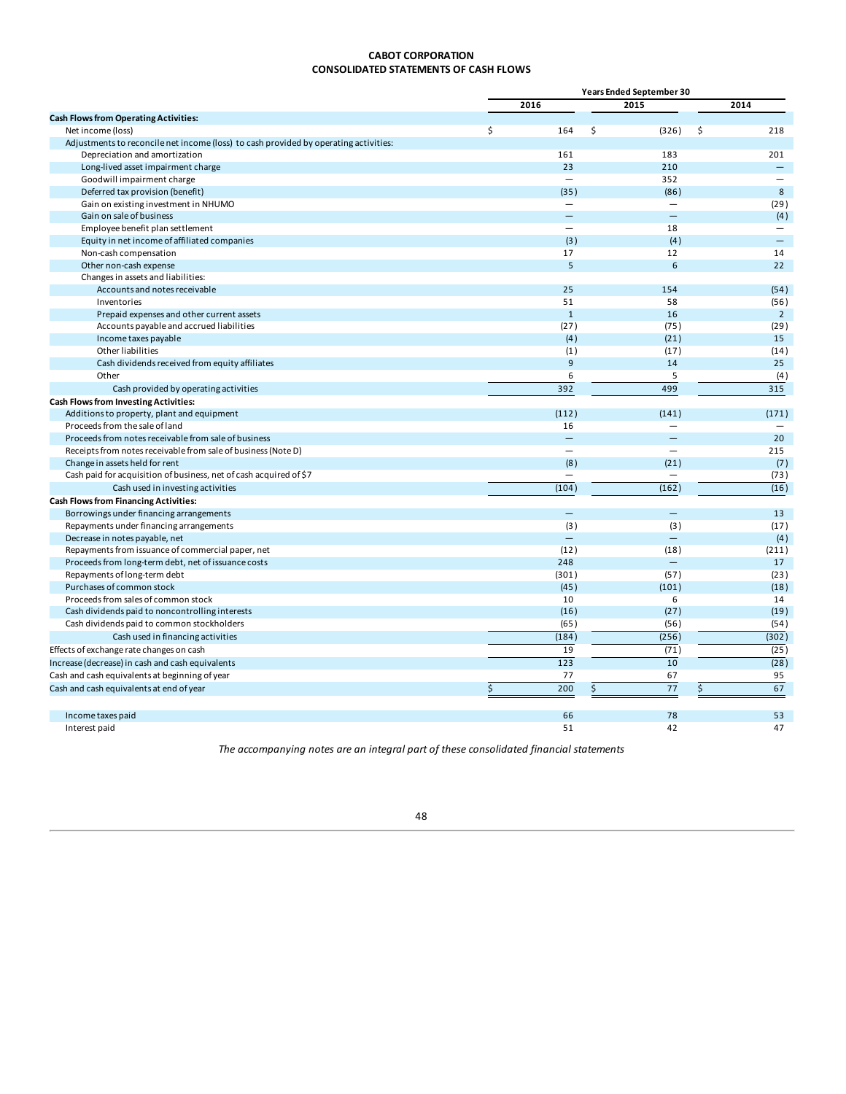# **CABOT CORPORATION CONSOLIDATED STATEMENTS OF CASH FLOWS**

<span id="page-47-0"></span>

|                                                                                      | Years Ended September 30 |                          |                          |                  |                   |  |  |  |
|--------------------------------------------------------------------------------------|--------------------------|--------------------------|--------------------------|------------------|-------------------|--|--|--|
|                                                                                      | 2016                     |                          | 2015                     |                  | 2014              |  |  |  |
| <b>Cash Flows from Operating Activities:</b>                                         |                          |                          |                          |                  |                   |  |  |  |
| Net income (loss)                                                                    | \$                       | 164                      | \$<br>(326)              | \$               | 218               |  |  |  |
| Adjustments to reconcile net income (loss) to cash provided by operating activities: |                          |                          |                          |                  |                   |  |  |  |
| Depreciation and amortization                                                        |                          | 161                      | 183                      |                  | 201               |  |  |  |
| Long-lived asset impairment charge                                                   |                          | 23                       | 210                      |                  | $\qquad \qquad -$ |  |  |  |
| Goodwill impairment charge                                                           |                          | $\overline{\phantom{0}}$ | 352                      |                  | $\equiv$          |  |  |  |
| Deferred tax provision (benefit)                                                     |                          | (35)                     | (86)                     |                  | 8                 |  |  |  |
| Gain on existing investment in NHUMO                                                 |                          | $\overline{\phantom{m}}$ | $\overline{\phantom{0}}$ |                  | (29)              |  |  |  |
| Gain on sale of business                                                             |                          | $=$                      | $\overline{\phantom{m}}$ |                  | (4)               |  |  |  |
| Employee benefit plan settlement                                                     |                          | $\equiv$                 | 18                       |                  |                   |  |  |  |
| Equity in net income of affiliated companies                                         |                          | (3)                      | (4)                      |                  | $\qquad \qquad -$ |  |  |  |
| Non-cash compensation                                                                |                          | 17                       | 12                       |                  | 14                |  |  |  |
| Other non-cash expense                                                               |                          | 5                        | 6                        |                  | 22                |  |  |  |
| Changes in assets and liabilities:                                                   |                          |                          |                          |                  |                   |  |  |  |
| Accounts and notes receivable                                                        |                          | 25                       | 154                      |                  | (54)              |  |  |  |
| Inventories                                                                          |                          | 51                       | 58                       |                  | (56)              |  |  |  |
| Prepaid expenses and other current assets                                            |                          | $\overline{1}$           | 16                       |                  | $\overline{2}$    |  |  |  |
| Accounts payable and accrued liabilities                                             |                          | (27)                     | (75)                     |                  | (29)              |  |  |  |
| Income taxes payable                                                                 |                          | (4)                      | (21)                     |                  | 15                |  |  |  |
| Other liabilities                                                                    |                          | (1)                      | (17)                     |                  | (14)              |  |  |  |
| Cash dividends received from equity affiliates                                       |                          | 9                        | 14                       |                  | 25                |  |  |  |
| Other                                                                                |                          | 6                        | 5                        |                  | (4)               |  |  |  |
| Cash provided by operating activities                                                |                          | 392                      | 499                      |                  | 315               |  |  |  |
| <b>Cash Flows from Investing Activities:</b>                                         |                          |                          |                          |                  |                   |  |  |  |
| Additions to property, plant and equipment                                           |                          | (112)                    | (141)                    |                  | (171)             |  |  |  |
| Proceeds from the sale of land                                                       |                          | 16                       |                          |                  |                   |  |  |  |
| Proceeds from notes receivable from sale of business                                 |                          | $\equiv$                 | $\equiv$                 |                  | 20                |  |  |  |
| Receipts from notes receivable from sale of business (Note D)                        |                          | —                        |                          |                  | 215               |  |  |  |
| Change in assets held for rent                                                       |                          | (8)                      | (21)                     |                  | (7)               |  |  |  |
| Cash paid for acquisition of business, net of cash acquired of \$7                   |                          | —                        |                          |                  | (73)              |  |  |  |
| Cash used in investing activities                                                    |                          | (104)                    | (162)                    |                  | (16)              |  |  |  |
| <b>Cash Flows from Financing Activities:</b>                                         |                          |                          |                          |                  |                   |  |  |  |
| Borrowings under financing arrangements                                              |                          | $\overline{\phantom{0}}$ | $\overline{\phantom{m}}$ |                  | 13                |  |  |  |
| Repayments under financing arrangements                                              |                          | (3)                      | (3)                      |                  | (17)              |  |  |  |
| Decrease in notes payable, net                                                       |                          | $-$                      | $\equiv$                 |                  | (4)               |  |  |  |
| Repayments from issuance of commercial paper, net                                    |                          | (12)                     | (18)                     |                  | (211)             |  |  |  |
| Proceeds from long-term debt, net of issuance costs                                  |                          | 248                      |                          |                  | 17                |  |  |  |
| Repayments of long-term debt                                                         |                          | (301)                    | (57)                     |                  | (23)              |  |  |  |
| Purchases of common stock                                                            |                          | (45)                     | (101)                    |                  | (18)              |  |  |  |
| Proceeds from sales of common stock                                                  |                          | 10                       | 6                        |                  | 14                |  |  |  |
| Cash dividends paid to noncontrolling interests                                      |                          | (16)                     | (27)                     |                  | (19)              |  |  |  |
| Cash dividends paid to common stockholders                                           |                          | (65)                     | (56)                     |                  | (54)              |  |  |  |
| Cash used in financing activities                                                    |                          | (184)                    | (256)                    |                  | (302)             |  |  |  |
| Effects of exchange rate changes on cash                                             |                          | 19                       | (71)                     |                  | (25)              |  |  |  |
| Increase (decrease) in cash and cash equivalents                                     |                          | 123                      | 10                       |                  | (28)              |  |  |  |
| Cash and cash equivalents at beginning of year                                       |                          | 77                       | 67                       |                  | 95                |  |  |  |
| Cash and cash equivalents at end of year                                             | $\overline{\xi}$         | 200                      | 77<br>\$                 | $\overline{\xi}$ | 67                |  |  |  |
|                                                                                      |                          |                          |                          |                  |                   |  |  |  |
| Income taxes paid                                                                    |                          | 66                       | 78                       |                  | 53                |  |  |  |
| Interest paid                                                                        |                          | 51                       | 42                       |                  | 47                |  |  |  |
|                                                                                      |                          |                          |                          |                  |                   |  |  |  |

*The accompanying notes are an integral part of these consolidated financial statements*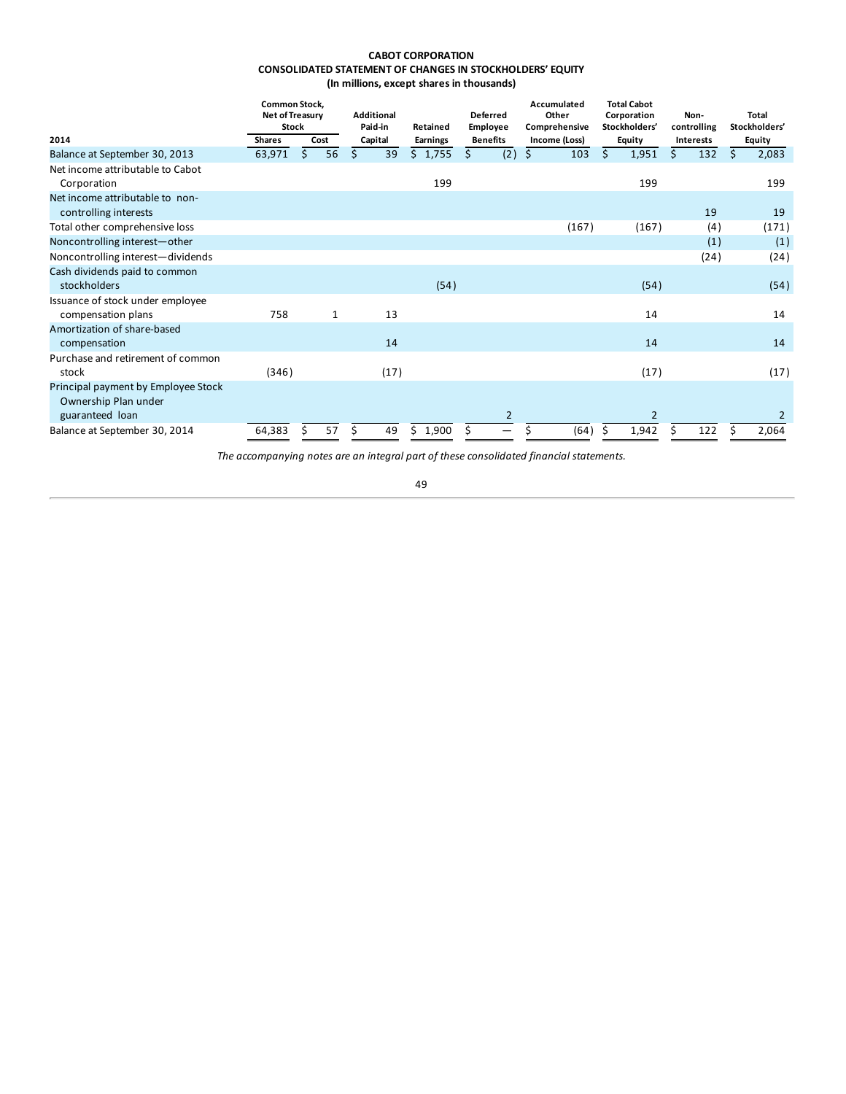# **CABOT CORPORATION CONSOLIDATED STATEMENT OF CHANGES IN STOCKHOLDERS' EQUITY (In millions, except shares in thousands)**

<span id="page-48-0"></span>

|                                     | <b>Common Stock.</b><br><b>Net of Treasury</b><br><b>Stock</b> |   |      |    | Additional<br>Paid-in | Retained        |    | <b>Deferred</b><br><b>Employee</b> | Accumulated<br>Other<br>Comprehensive |       |    | <b>Total Cabot</b><br>Corporation<br>Stockholders' |    | Non-<br>controlling |    | Total<br>Stockholders' |
|-------------------------------------|----------------------------------------------------------------|---|------|----|-----------------------|-----------------|----|------------------------------------|---------------------------------------|-------|----|----------------------------------------------------|----|---------------------|----|------------------------|
| 2014                                | <b>Shares</b>                                                  |   | Cost |    | Capital               | <b>Earnings</b> |    | <b>Benefits</b>                    | Income (Loss)                         |       |    | <b>Equity</b>                                      |    | <b>Interests</b>    |    | <b>Equity</b>          |
| Balance at September 30, 2013       | 63,971                                                         | Ś | 56   | Ŝ. | 39                    | \$1,755         | \$ | (2)                                | \$                                    | 103   | \$ | 1,951                                              | Ŝ. | 132                 | Ŝ. | 2,083                  |
| Net income attributable to Cabot    |                                                                |   |      |    |                       |                 |    |                                    |                                       |       |    |                                                    |    |                     |    |                        |
| Corporation                         |                                                                |   |      |    |                       | 199             |    |                                    |                                       |       |    | 199                                                |    |                     |    | 199                    |
| Net income attributable to non-     |                                                                |   |      |    |                       |                 |    |                                    |                                       |       |    |                                                    |    |                     |    |                        |
| controlling interests               |                                                                |   |      |    |                       |                 |    |                                    |                                       |       |    |                                                    |    | 19                  |    | 19                     |
| Total other comprehensive loss      |                                                                |   |      |    |                       |                 |    |                                    |                                       | (167) |    | (167)                                              |    | (4)                 |    | (171)                  |
| Noncontrolling interest-other       |                                                                |   |      |    |                       |                 |    |                                    |                                       |       |    |                                                    |    | (1)                 |    | (1)                    |
| Noncontrolling interest-dividends   |                                                                |   |      |    |                       |                 |    |                                    |                                       |       |    |                                                    |    | (24)                |    | (24)                   |
| Cash dividends paid to common       |                                                                |   |      |    |                       |                 |    |                                    |                                       |       |    |                                                    |    |                     |    |                        |
| stockholders                        |                                                                |   |      |    |                       | (54)            |    |                                    |                                       |       |    | (54)                                               |    |                     |    | (54)                   |
| Issuance of stock under employee    |                                                                |   |      |    |                       |                 |    |                                    |                                       |       |    |                                                    |    |                     |    |                        |
| compensation plans                  | 758                                                            |   | 1    |    | 13                    |                 |    |                                    |                                       |       |    | 14                                                 |    |                     |    | 14                     |
| Amortization of share-based         |                                                                |   |      |    |                       |                 |    |                                    |                                       |       |    |                                                    |    |                     |    |                        |
| compensation                        |                                                                |   |      |    | 14                    |                 |    |                                    |                                       |       |    | 14                                                 |    |                     |    | 14                     |
| Purchase and retirement of common   |                                                                |   |      |    |                       |                 |    |                                    |                                       |       |    |                                                    |    |                     |    |                        |
| stock                               | (346)                                                          |   |      |    | (17)                  |                 |    |                                    |                                       |       |    | (17)                                               |    |                     |    | (17)                   |
| Principal payment by Employee Stock |                                                                |   |      |    |                       |                 |    |                                    |                                       |       |    |                                                    |    |                     |    |                        |
| Ownership Plan under                |                                                                |   |      |    |                       |                 |    |                                    |                                       |       |    |                                                    |    |                     |    |                        |
| guaranteed loan                     |                                                                |   |      |    |                       |                 |    | $\overline{2}$                     |                                       |       |    | $\overline{2}$                                     |    |                     |    | 2                      |
| Balance at September 30, 2014       | 64,383                                                         | Ś | 57   | Ś  | 49                    | 1,900<br>Ś.     | Ś  | —                                  |                                       | (64)  | Ś. | 1,942                                              |    | 122                 | Ś  | 2,064                  |

*The accompanying notes are an integral part of these consolidated financial statements.*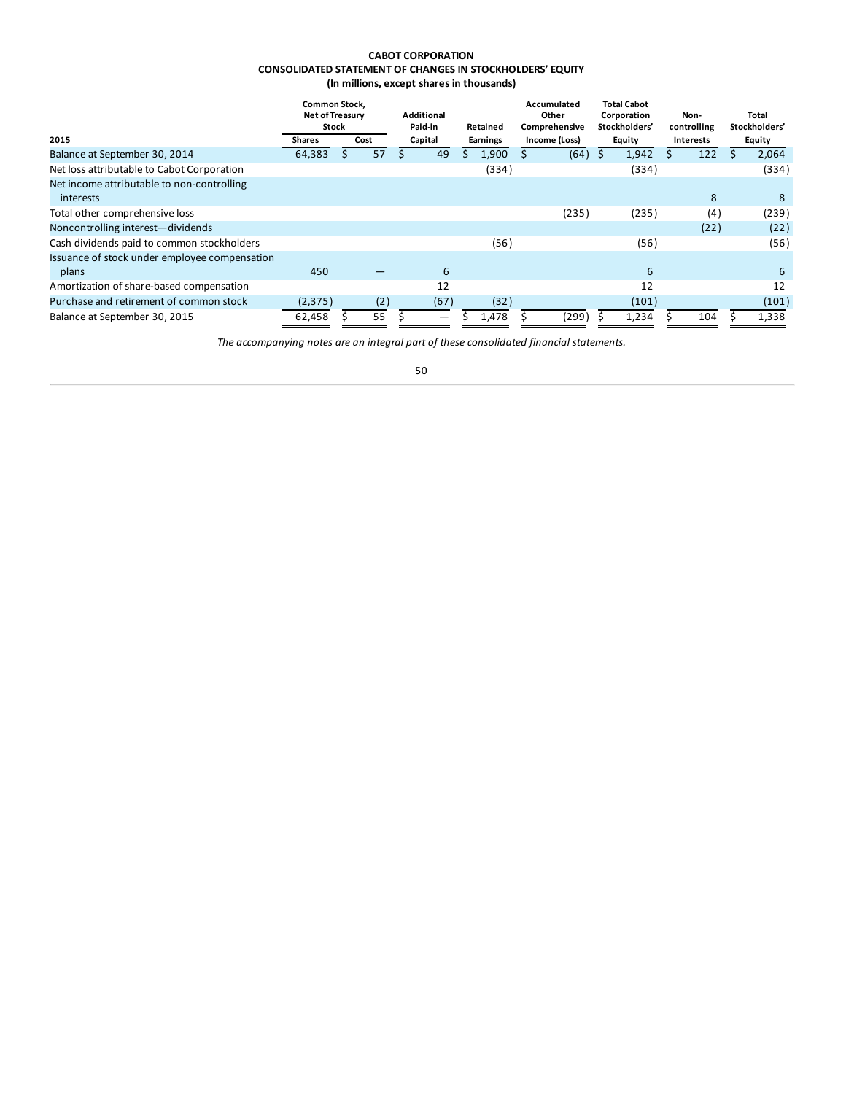# **CABOT CORPORATION CONSOLIDATED STATEMENT OF CHANGES IN STOCKHOLDERS' EQUITY (In millions, except shares in thousands)**

|                                               | Common Stock.<br><b>Net of Treasury</b><br>Stock |      | <b>Additional</b><br>Paid-in |                          | Retained |          | Accumulated<br>Other<br>Comprehensive |               | <b>Total Cabot</b><br>Corporation<br>Stockholders' |               | Non-<br>controlling |           |    | Total<br>Stockholders' |
|-----------------------------------------------|--------------------------------------------------|------|------------------------------|--------------------------|----------|----------|---------------------------------------|---------------|----------------------------------------------------|---------------|---------------------|-----------|----|------------------------|
| 2015                                          | <b>Shares</b>                                    | Cost | Capital                      |                          |          | Earnings |                                       | Income (Loss) |                                                    | <b>Equity</b> |                     | Interests |    | <b>Equity</b>          |
| Balance at September 30, 2014                 | 64,383                                           | 57   |                              | 49                       |          | 1,900    |                                       | (64)          | \$                                                 | 1,942         |                     | 122       | Š. | 2,064                  |
| Net loss attributable to Cabot Corporation    |                                                  |      |                              |                          |          | (334)    |                                       |               |                                                    | (334)         |                     |           |    | (334)                  |
| Net income attributable to non-controlling    |                                                  |      |                              |                          |          |          |                                       |               |                                                    |               |                     |           |    |                        |
| interests                                     |                                                  |      |                              |                          |          |          |                                       |               |                                                    |               |                     | 8         |    | 8                      |
| Total other comprehensive loss                |                                                  |      |                              |                          |          |          |                                       | (235)         |                                                    | (235)         |                     | (4)       |    | (239)                  |
| Noncontrolling interest-dividends             |                                                  |      |                              |                          |          |          |                                       |               |                                                    |               |                     | (22)      |    | (22)                   |
| Cash dividends paid to common stockholders    |                                                  |      |                              |                          |          | (56)     |                                       |               |                                                    | (56)          |                     |           |    | (56)                   |
| Issuance of stock under employee compensation |                                                  |      |                              |                          |          |          |                                       |               |                                                    |               |                     |           |    |                        |
| plans                                         | 450                                              |      |                              | 6                        |          |          |                                       |               |                                                    | 6             |                     |           |    | 6                      |
| Amortization of share-based compensation      |                                                  |      |                              | 12                       |          |          |                                       |               |                                                    | 12            |                     |           |    | 12                     |
| Purchase and retirement of common stock       | (2,375)                                          | (2)  |                              | (67)                     |          | (32)     |                                       |               |                                                    | (101)         |                     |           |    | (101)                  |
| Balance at September 30, 2015                 | 62,458                                           | 55   |                              | $\overline{\phantom{m}}$ |          | 1,478    |                                       | (299)         |                                                    | 1,234         |                     | 104       |    | 1,338                  |

*The accompanying notes are an integral part of these consolidated financial statements.*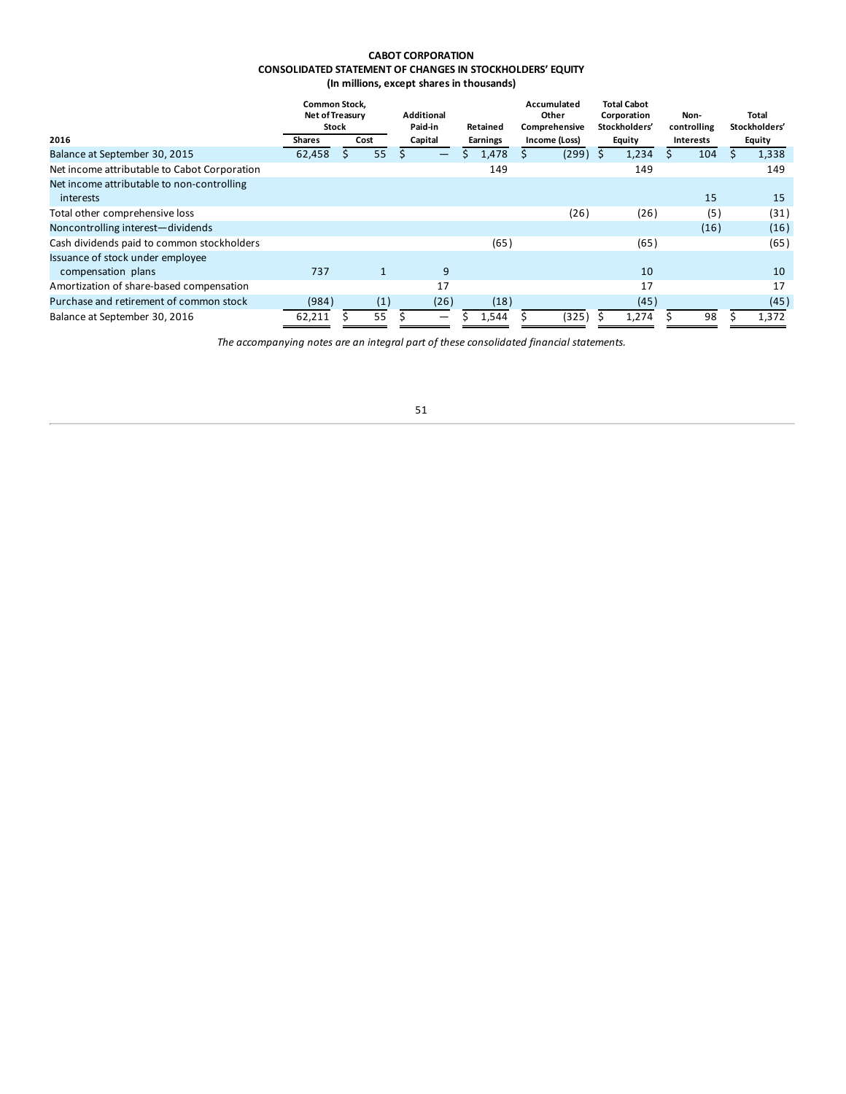# **CABOT CORPORATION CONSOLIDATED STATEMENT OF CHANGES IN STOCKHOLDERS' EQUITY (In millions, except shares in thousands)**

|                                              | <b>Common Stock.</b><br><b>Net of Treasury</b> | Stock |      | Additional<br>Paid-in |    | Retained |    | Accumulated<br>Other<br>Comprehensive |     | <b>Total Cabot</b><br>Corporation<br>Stockholders' | Non-<br>controlling |    | Total<br>Stockholders' |
|----------------------------------------------|------------------------------------------------|-------|------|-----------------------|----|----------|----|---------------------------------------|-----|----------------------------------------------------|---------------------|----|------------------------|
| 2016                                         | <b>Shares</b>                                  |       | Cost | Capital               |    | Earnings |    | Income (Loss)                         |     | <b>Equity</b>                                      | <b>Interests</b>    |    | <b>Equity</b>          |
| Balance at September 30, 2015                | 62,458                                         |       | 55   |                       | Ś. | 1,478    | Ś. | (299)                                 | -\$ | 1,234                                              | 104                 | Ś. | 1,338                  |
| Net income attributable to Cabot Corporation |                                                |       |      |                       |    | 149      |    |                                       |     | 149                                                |                     |    | 149                    |
| Net income attributable to non-controlling   |                                                |       |      |                       |    |          |    |                                       |     |                                                    |                     |    |                        |
| interests                                    |                                                |       |      |                       |    |          |    |                                       |     |                                                    | 15                  |    | 15                     |
| Total other comprehensive loss               |                                                |       |      |                       |    |          |    | (26)                                  |     | (26)                                               | (5)                 |    | (31)                   |
| Noncontrolling interest-dividends            |                                                |       |      |                       |    |          |    |                                       |     |                                                    | (16)                |    | (16)                   |
| Cash dividends paid to common stockholders   |                                                |       |      |                       |    | (65)     |    |                                       |     | (65)                                               |                     |    | (65)                   |
| Issuance of stock under employee             |                                                |       |      |                       |    |          |    |                                       |     |                                                    |                     |    |                        |
| compensation plans                           | 737                                            |       |      | 9                     |    |          |    |                                       |     | 10                                                 |                     |    | 10                     |
| Amortization of share-based compensation     |                                                |       |      | 17                    |    |          |    |                                       |     | 17                                                 |                     |    | 17                     |
| Purchase and retirement of common stock      | (984)                                          |       | (1)  | (26)                  |    | (18)     |    |                                       |     | (45)                                               |                     |    | (45)                   |
| Balance at September 30, 2016                | 62,211                                         |       | 55   | -                     |    | 1,544    |    | (325)                                 |     | 1,274                                              | 98                  |    | 1,372                  |

*The accompanying notes are an integral part of these consolidated financial statements.*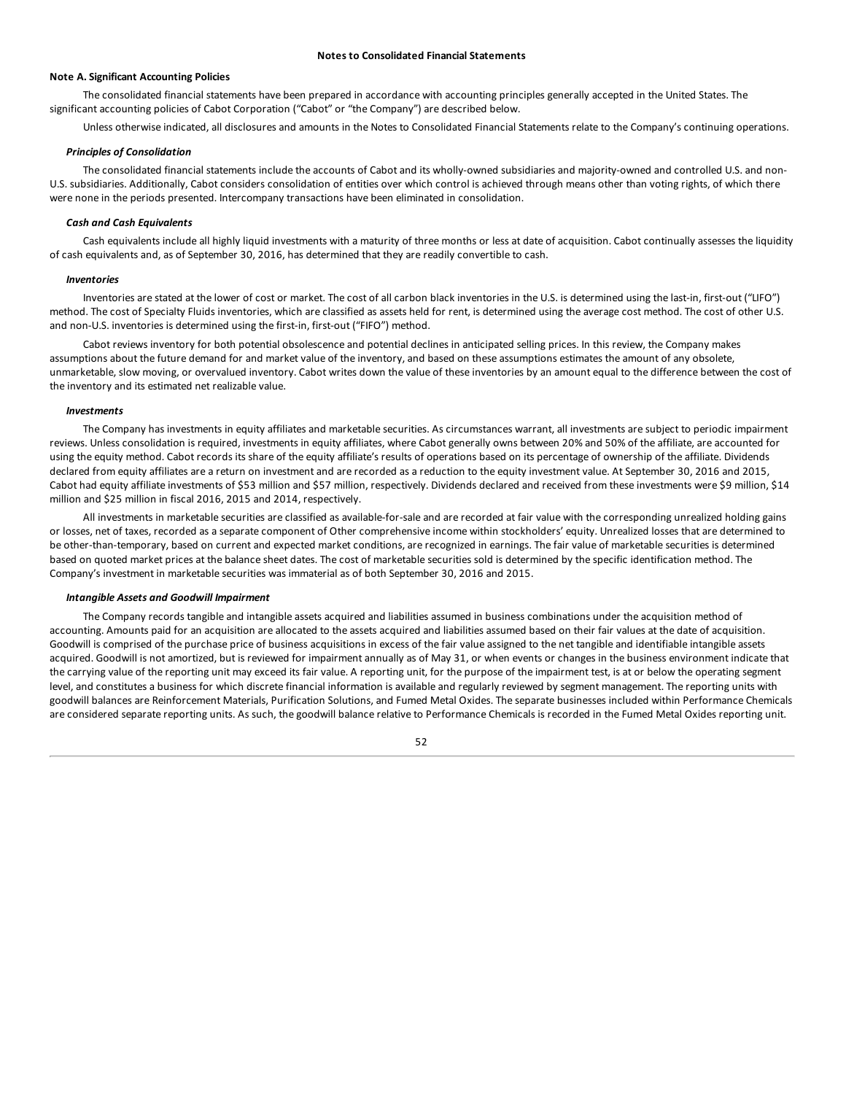### **Notes to Consolidated Financial Statements**

# <span id="page-51-0"></span>**Note A. Significant Accounting Policies**

The consolidated financial statements have been prepared in accordance with accounting principles generally accepted in the United States. The significant accounting policies of Cabot Corporation ("Cabot" or "the Company") are described below.

Unless otherwise indicated, all disclosures and amounts in the Notes to Consolidated Financial Statements relate to the Company's continuing operations.

#### *Principles of Consolidation*

The consolidated financial statements include the accounts of Cabot and its wholly-owned subsidiaries and majority-owned and controlled U.S. and non-U.S. subsidiaries. Additionally, Cabot considers consolidation of entities over which control is achieved through means other than voting rights, of which there were none in the periods presented. Intercompany transactions have been eliminated in consolidation.

#### *Cash and Cash Equivalents*

Cash equivalents include all highly liquid investments with a maturity of three months or less at date of acquisition. Cabot continually assesses the liquidity of cash equivalents and, as of September 30, 2016, has determined that they are readily convertible to cash.

#### *Inventories*

Inventories are stated at the lower of cost or market. The cost of all carbon black inventories in the U.S. is determined using the last-in, first-out ("LIFO") method. The cost of Specialty Fluids inventories, which are classified as assets held for rent, is determined using the average cost method. The cost of other U.S. and non-U.S. inventories is determined using the first-in, first-out ("FIFO") method.

Cabot reviews inventory for both potential obsolescence and potential declines in anticipated selling prices. In this review, the Company makes assumptions about the future demand for and market value of the inventory, and based on these assumptions estimates the amount of any obsolete, unmarketable, slow moving, or overvalued inventory. Cabot writes down the value of these inventories by an amount equal to the difference between the cost of the inventory and its estimated net realizable value.

#### *Investments*

The Company has investments in equity affiliates and marketable securities. As circumstances warrant, all investments are subject to periodic impairment reviews. Unless consolidation is required, investments in equity affiliates, where Cabot generally owns between 20% and 50% of the affiliate, are accounted for using the equity method. Cabot records its share of the equity affiliate's results of operations based on its percentage of ownership of the affiliate. Dividends declared from equity affiliates are a return on investment and are recorded as a reduction to the equity investment value. At September 30, 2016 and 2015, Cabot had equity affiliate investments of \$53 million and \$57 million, respectively. Dividends declared and received from these investments were \$9 million, \$14 million and \$25 million in fiscal 2016, 2015 and 2014, respectively.

All investments in marketable securities are classified as available-for-sale and are recorded at fair value with the corresponding unrealized holding gains or losses, net of taxes, recorded as a separate component of Other comprehensive income within stockholders' equity. Unrealized losses that are determined to be other-than-temporary, based on current and expected market conditions, are recognized in earnings. The fair value of marketable securities is determined based on quoted market prices at the balance sheet dates. The cost of marketable securities sold is determined by the specific identification method. The Company's investment in marketable securities was immaterial as of both September 30, 2016 and 2015.

### *Intangible Assets and Goodwill Impairment*

The Company records tangible and intangible assets acquired and liabilities assumed in business combinations under the acquisition method of accounting. Amounts paid for an acquisition are allocated to the assets acquired and liabilities assumed based on their fair values at the date of acquisition. Goodwill is comprised of the purchase price of business acquisitions in excess of the fair value assigned to the net tangible and identifiable intangible assets acquired. Goodwill is not amortized, but is reviewed for impairment annually as of May 31, or when events or changes in the business environment indicate that the carrying value of the reporting unit may exceed its fair value. A reporting unit, for the purpose of the impairment test, is at or below the operating segment level, and constitutes a business for which discrete financial information is available and regularly reviewed by segment management. The reporting units with goodwill balances are Reinforcement Materials, Purification Solutions, and Fumed Metal Oxides. The separate businesses included within Performance Chemicals are considered separate reporting units. As such, the goodwill balance relative to Performance Chemicals is recorded in the Fumed Metal Oxides reporting unit.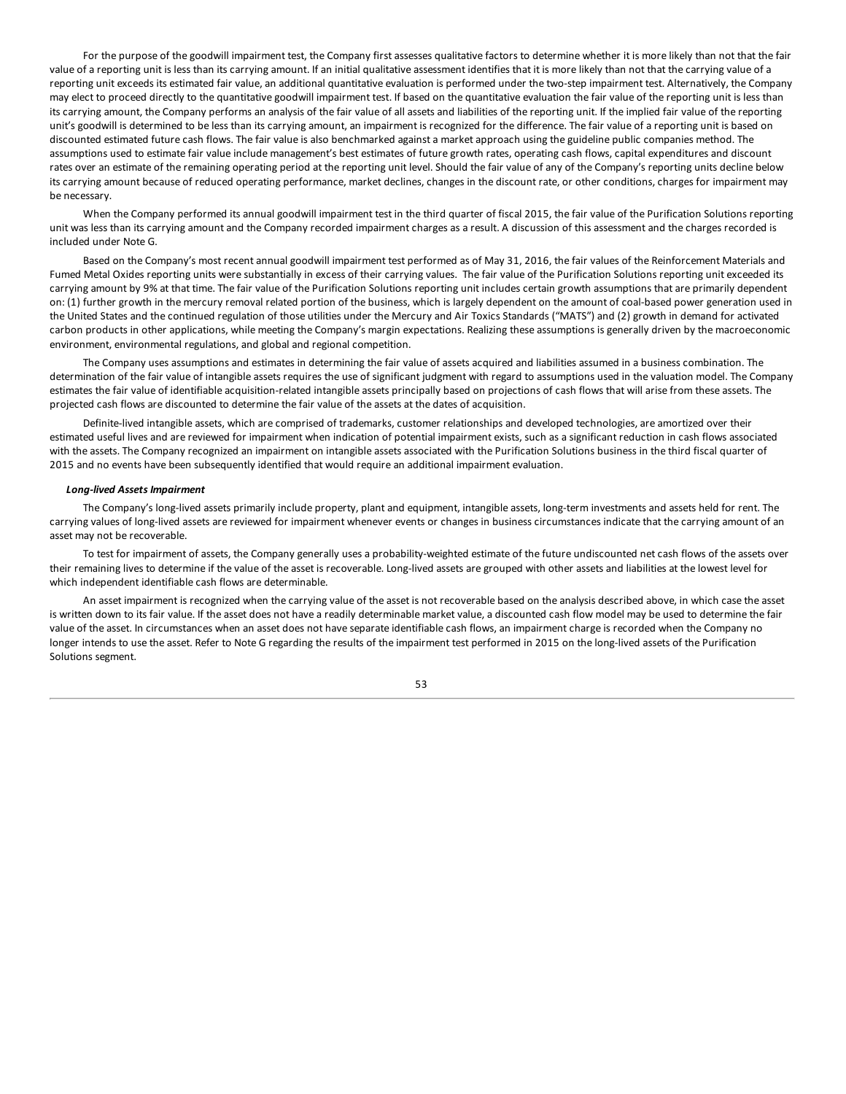For the purpose of the goodwill impairment test, the Company first assesses qualitative factors to determine whether it is more likely than not that the fair value of a reporting unit is less than its carrying amount. If an initial qualitative assessment identifies that it is more likely than not that the carrying value of a reporting unit exceeds its estimated fair value, an additional quantitative evaluation is performed under the two-step impairment test. Alternatively, the Company may elect to proceed directly to the quantitative goodwill impairment test. If based on the quantitative evaluation the fair value of the reporting unit is less than its carrying amount, the Company performs an analysis of the fair value of all assets and liabilities of the reporting unit. If the implied fair value of the reporting unit's goodwill is determined to be less than its carrying amount, an impairment is recognized for the difference. The fair value of a reporting unit is based on discounted estimated future cash flows. The fair value is also benchmarked against a market approach using the guideline public companies method. The assumptions used to estimate fair value include management's best estimates of future growth rates, operating cash flows, capital expenditures and discount rates over an estimate of the remaining operating period at the reporting unit level. Should the fair value of any of the Company's reporting units decline below its carrying amount because of reduced operating performance, market declines, changes in the discount rate, or other conditions, charges for impairment may be necessary.

When the Company performed its annual goodwill impairment test in the third quarter of fiscal 2015, the fair value of the Purification Solutions reporting unit was less than its carrying amount and the Company recorded impairment charges as a result. A discussion of this assessment and the charges recorded is included under Note G.

Based on the Company's most recent annual goodwill impairment test performed as of May 31, 2016, the fair values of the Reinforcement Materials and Fumed Metal Oxides reporting units were substantially in excess of their carrying values. The fair value of the Purification Solutions reporting unit exceeded its carrying amount by 9% at that time. The fair value of the Purification Solutions reporting unit includes certain growth assumptions that are primarily dependent on: (1) further growth in the mercury removal related portion of the business, which is largely dependent on the amount of coal-based power generation used in the United States and the continued regulation of those utilities under the Mercury and Air Toxics Standards ("MATS") and (2) growth in demand for activated carbon products in other applications, while meeting the Company's margin expectations. Realizing these assumptions is generally driven by the macroeconomic environment, environmental regulations, and global and regional competition.

The Company uses assumptions and estimates in determining the fair value of assets acquired and liabilities assumed in a business combination. The determination of the fair value of intangible assets requires the use of significant judgment with regard to assumptions used in the valuation model. The Company estimates the fair value of identifiable acquisition-related intangible assets principally based on projections of cash flows that will arise from these assets. The projected cash flows are discounted to determine the fair value of the assets at the dates of acquisition.

Definite-lived intangible assets, which are comprised of trademarks, customer relationships and developed technologies, are amortized over their estimated useful lives and are reviewed for impairment when indication of potential impairment exists, such as a significant reduction in cash flows associated with the assets. The Company recognized an impairment on intangible assets associated with the Purification Solutions business in the third fiscal quarter of 2015 and no events have been subsequently identified that would require an additional impairment evaluation.

#### *Long-lived Assets Impairment*

The Company's long-lived assets primarily include property, plant and equipment, intangible assets, long-term investments and assets held for rent. The carrying values of long-lived assets are reviewed for impairment whenever events or changes in business circumstances indicate that the carrying amount of an asset may not be recoverable.

To test for impairment of assets, the Company generally uses a probability-weighted estimate of the future undiscounted net cash flows of the assets over their remaining lives to determine if the value of the asset is recoverable. Long-lived assets are grouped with other assets and liabilities at the lowest level for which independent identifiable cash flows are determinable.

An asset impairment is recognized when the carrying value of the asset is not recoverable based on the analysis described above, in which case the asset is written down to its fair value. If the asset does not have a readily determinable market value, a discounted cash flow model may be used to determine the fair value of the asset. In circumstances when an asset does not have separate identifiable cash flows, an impairment charge is recorded when the Company no longer intends to use the asset. Refer to Note G regarding the results of the impairment test performed in 2015 on the long-lived assets of the Purification Solutions segment.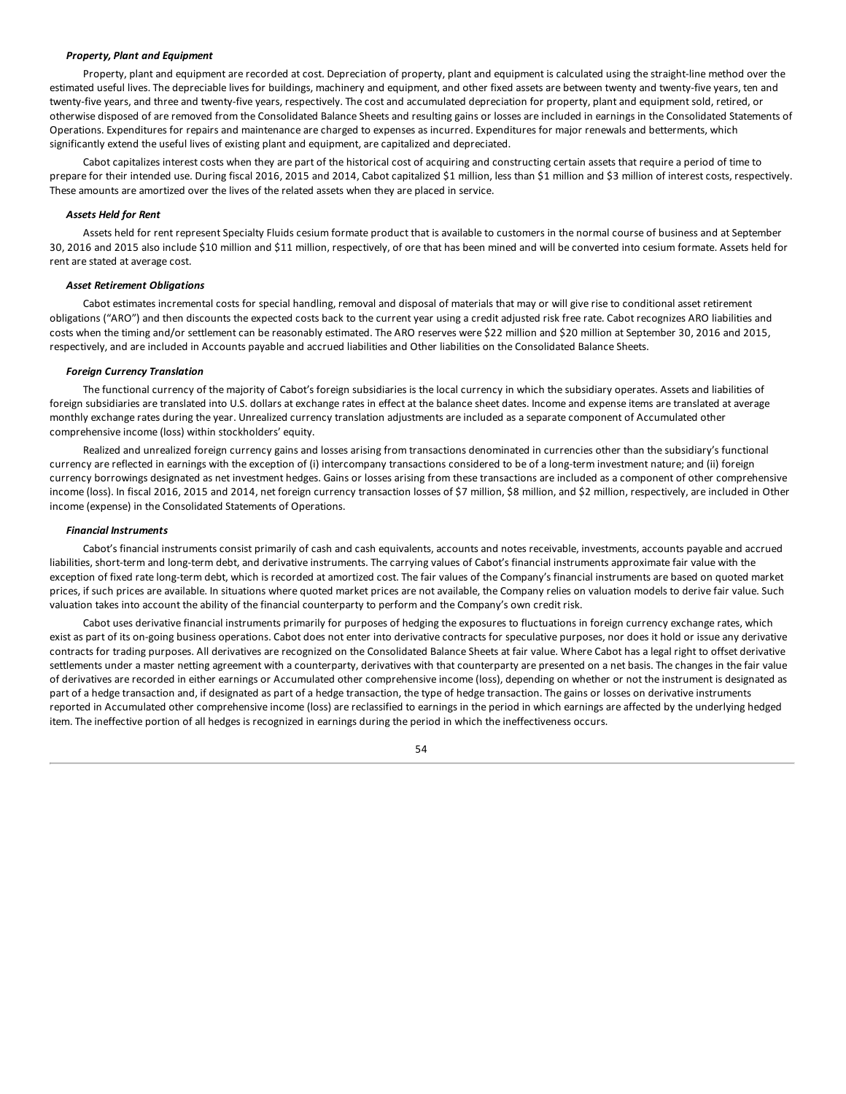### *Property, Plant and Equipment*

Property, plant and equipment are recorded at cost. Depreciation of property, plant and equipment is calculated using the straight-line method over the estimated useful lives. The depreciable lives for buildings, machinery and equipment, and other fixed assets are between twenty and twenty-five years, ten and twenty-five years, and three and twenty-five years, respectively. The cost and accumulated depreciation for property, plant and equipment sold, retired, or otherwise disposed of are removed from the Consolidated Balance Sheets and resulting gains or losses are included in earnings in the Consolidated Statements of Operations. Expenditures for repairs and maintenance are charged to expenses as incurred. Expenditures for major renewals and betterments, which significantly extend the useful lives of existing plant and equipment, are capitalized and depreciated.

Cabot capitalizes interest costs when they are part of the historical cost of acquiring and constructing certain assets that require a period of time to prepare for their intended use. During fiscal 2016, 2015 and 2014, Cabot capitalized \$1 million, less than \$1 million and \$3 million of interest costs, respectively. These amounts are amortized over the lives of the related assets when they are placed in service.

## *Assets Held for Rent*

Assets held for rent represent Specialty Fluids cesium formate product that is available to customers in the normal course of business and at September 30, 2016 and 2015 also include \$10 million and \$11 million, respectively, of ore that has been mined and will be converted into cesium formate. Assets held for rent are stated at average cost.

### *Asset Retirement Obligations*

Cabot estimates incremental costs for special handling, removal and disposal of materials that may or will give rise to conditional asset retirement obligations ("ARO") and then discounts the expected costs back to the current year using a credit adjusted risk free rate. Cabot recognizes ARO liabilities and costs when the timing and/or settlement can be reasonably estimated. The ARO reserves were \$22 million and \$20 million at September 30, 2016 and 2015, respectively, and are included in Accounts payable and accrued liabilities and Other liabilities on the Consolidated Balance Sheets.

#### *Foreign Currency Translation*

The functional currency of the majority of Cabot's foreign subsidiaries is the local currency in which the subsidiary operates. Assets and liabilities of foreign subsidiaries are translated into U.S. dollars at exchange rates in effect at the balance sheet dates. Income and expense items are translated at average monthly exchange rates during the year. Unrealized currency translation adjustments are included as a separate component of Accumulated other comprehensive income (loss) within stockholders' equity.

Realized and unrealized foreign currency gains and losses arising from transactions denominated in currencies other than the subsidiary's functional currency are reflected in earnings with the exception of (i) intercompany transactions considered to be of a long-term investment nature; and (ii) foreign currency borrowings designated as net investment hedges. Gains or losses arising from these transactions are included as a component of other comprehensive income (loss). In fiscal 2016, 2015 and 2014, net foreign currency transaction losses of \$7 million, \$8 million, and \$2 million, respectively, are included in Other income (expense) in the Consolidated Statements of Operations.

#### *Financial Instruments*

Cabot's financial instruments consist primarily of cash and cash equivalents, accounts and notes receivable, investments, accounts payable and accrued liabilities, short-term and long-term debt, and derivative instruments. The carrying values of Cabot's financial instruments approximate fair value with the exception of fixed rate long-term debt, which is recorded at amortized cost. The fair values of the Company's financial instruments are based on quoted market prices, if such prices are available. In situations where quoted market prices are not available, the Company relies on valuation models to derive fair value. Such valuation takes into account the ability of the financial counterparty to perform and the Company's own credit risk.

Cabot uses derivative financial instruments primarily for purposes of hedging the exposures to fluctuations in foreign currency exchange rates, which exist as part of its on-going business operations. Cabot does not enter into derivative contracts for speculative purposes, nor does it hold or issue any derivative contracts for trading purposes. All derivatives are recognized on the Consolidated Balance Sheets at fair value. Where Cabot has a legal right to offset derivative settlements under a master netting agreement with a counterparty, derivatives with that counterparty are presented on a net basis. The changes in the fair value of derivatives are recorded in either earnings or Accumulated other comprehensive income (loss), depending on whether or not the instrument is designated as part of a hedge transaction and, if designated as part of a hedge transaction, the type of hedge transaction. The gains or losses on derivative instruments reported in Accumulated other comprehensive income (loss) are reclassified to earnings in the period in which earnings are affected by the underlying hedged item. The ineffective portion of all hedges is recognized in earnings during the period in which the ineffectiveness occurs.

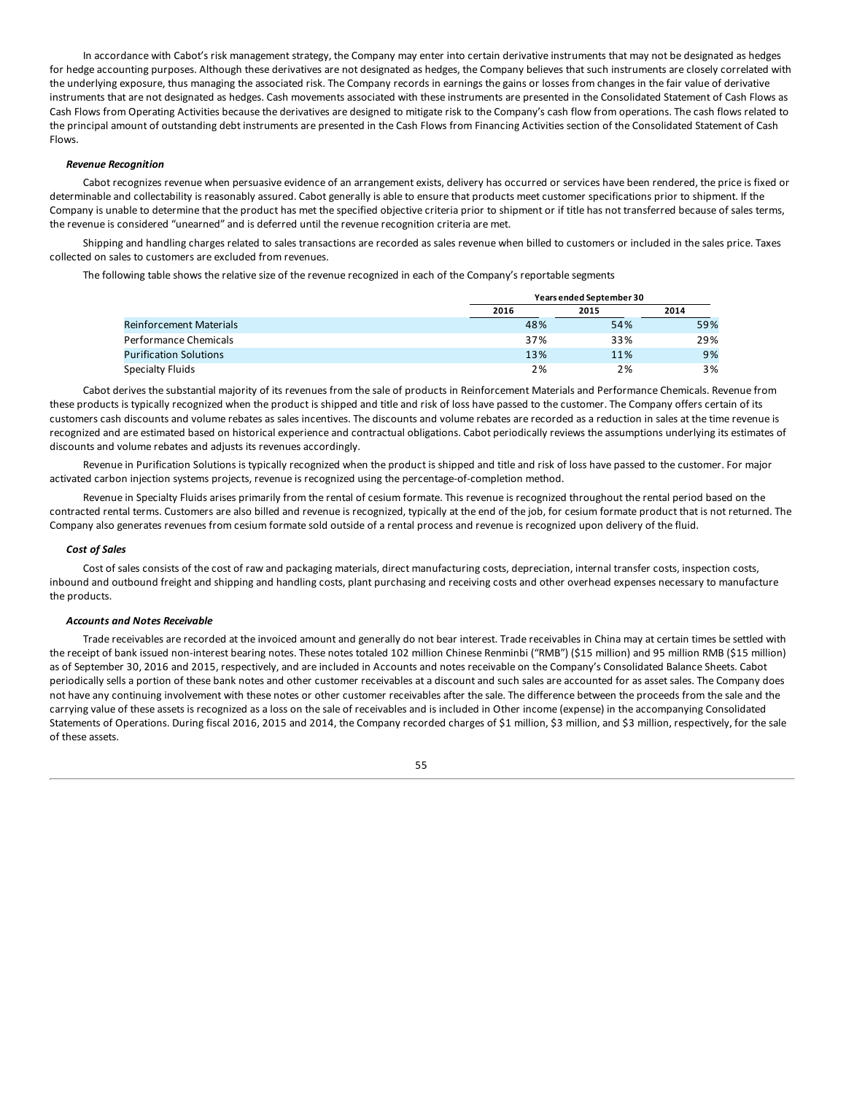In accordance with Cabot's risk management strategy, the Company may enter into certain derivative instruments that may not be designated as hedges for hedge accounting purposes. Although these derivatives are not designated as hedges, the Company believes that such instruments are closely correlated with the underlying exposure, thus managing the associated risk. The Company records in earnings the gains or losses from changes in the fair value of derivative instruments that are not designated as hedges. Cash movements associated with these instruments are presented in the Consolidated Statement of Cash Flows as Cash Flows from Operating Activities because the derivatives are designed to mitigate risk to the Company's cash flow from operations. The cash flows related to the principal amount of outstanding debt instruments are presented in the Cash Flows from Financing Activities section of the Consolidated Statement of Cash Flows.

#### *Revenue Recognition*

Cabot recognizes revenue when persuasive evidence of an arrangement exists, delivery has occurred or services have been rendered, the price is fixed or determinable and collectability is reasonably assured. Cabot generally is able to ensure that products meet customer specifications prior to shipment. If the Company is unable to determine that the product has met the specified objective criteria prior to shipment or if title has not transferred because of sales terms, the revenue is considered "unearned" and is deferred until the revenue recognition criteria are met.

Shipping and handling charges related to sales transactions are recorded as sales revenue when billed to customers or included in the sales price. Taxes collected on sales to customers are excluded from revenues.

The following table shows the relative size of the revenue recognized in each of the Company's reportable segments

|                                |      | Years ended September 30 |      |
|--------------------------------|------|--------------------------|------|
|                                | 2016 | 2015                     | 2014 |
| <b>Reinforcement Materials</b> | 48%  | 54%                      | 59%  |
| Performance Chemicals          | 37%  | 33%                      | 29%  |
| <b>Purification Solutions</b>  | 13%  | 11%                      | 9%   |
| <b>Specialty Fluids</b>        | 2%   | 2%                       | 3%   |

Cabot derives the substantial majority of its revenues from the sale of products in Reinforcement Materials and Performance Chemicals. Revenue from these products is typically recognized when the product is shipped and title and risk of loss have passed to the customer. The Company offers certain of its customers cash discounts and volume rebates as sales incentives. The discounts and volume rebates are recorded as a reduction in sales at the time revenue is recognized and are estimated based on historical experience and contractual obligations. Cabot periodically reviews the assumptions underlying its estimates of discounts and volume rebates and adjusts its revenues accordingly.

Revenue in Purification Solutions is typically recognized when the product is shipped and title and risk of loss have passed to the customer. For major activated carbon injection systems projects, revenue is recognized using the percentage-of-completion method.

Revenue in Specialty Fluids arises primarily from the rental of cesium formate. This revenue is recognized throughout the rental period based on the contracted rental terms. Customers are also billed and revenue is recognized, typically at the end of the job, for cesium formate product that is not returned. The Company also generates revenues from cesium formate sold outside of a rental process and revenue is recognized upon delivery of the fluid.

#### *Cost of Sales*

Cost of sales consists of the cost of raw and packaging materials, direct manufacturing costs, depreciation, internal transfer costs, inspection costs, inbound and outbound freight and shipping and handling costs, plant purchasing and receiving costs and other overhead expenses necessary to manufacture the products.

## *Accounts and Notes Receivable*

Trade receivables are recorded at the invoiced amount and generally do not bear interest. Trade receivables in China may at certain times be settled with the receipt of bank issued non-interest bearing notes. These notes totaled 102 million Chinese Renminbi ("RMB") (\$15 million) and 95 million RMB (\$15 million) as of September 30, 2016 and 2015, respectively, and are included in Accounts and notes receivable on the Company's Consolidated Balance Sheets. Cabot periodically sells a portion of these bank notes and other customer receivables at a discount and such sales are accounted for as asset sales. The Company does not have any continuing involvement with these notes or other customer receivables after the sale. The difference between the proceeds from the sale and the carrying value of these assets is recognized as a loss on the sale of receivables and is included in Other income (expense) in the accompanying Consolidated Statements of Operations. During fiscal 2016, 2015 and 2014, the Company recorded charges of \$1 million, \$3 million, and \$3 million, respectively, for the sale of these assets.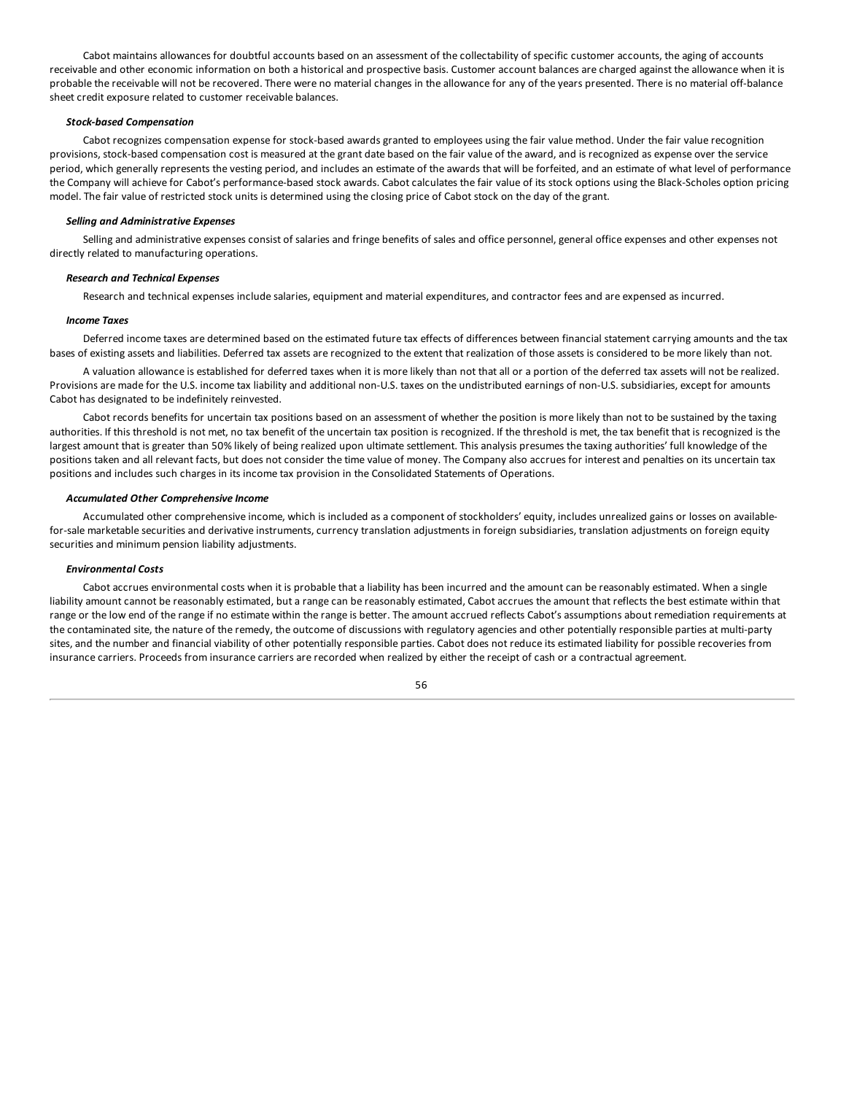Cabot maintains allowances for doubtful accounts based on an assessment of the collectability of specific customer accounts, the aging of accounts receivable and other economic information on both a historical and prospective basis. Customer account balances are charged against the allowance when it is probable the receivable will not be recovered. There were no material changes in the allowance for any of the years presented. There is no material off-balance sheet credit exposure related to customer receivable balances.

#### *Stock-based Compensation*

Cabot recognizes compensation expense for stock-based awards granted to employees using the fair value method. Under the fair value recognition provisions, stock-based compensation cost is measured at the grant date based on the fair value of the award, and is recognized as expense over the service period, which generally represents the vesting period, and includes an estimate of the awards that will be forfeited, and an estimate of what level of performance the Company will achieve for Cabot's performance-based stock awards. Cabot calculates the fair value of its stock options using the Black-Scholes option pricing model. The fair value of restricted stock units is determined using the closing price of Cabot stock on the day of the grant.

#### *Selling and Administrative Expenses*

Selling and administrative expenses consist of salaries and fringe benefits of sales and office personnel, general office expenses and other expenses not directly related to manufacturing operations.

### *Research and Technical Expenses*

Research and technical expenses include salaries, equipment and material expenditures, and contractor fees and are expensed as incurred.

#### *Income Taxes*

Deferred income taxes are determined based on the estimated future tax effects of differences between financial statement carrying amounts and the tax bases of existing assets and liabilities. Deferred tax assets are recognized to the extent that realization of those assets is considered to be more likely than not.

A valuation allowance is established for deferred taxes when it is more likely than not that all or a portion of the deferred tax assets will not be realized. Provisions are made for the U.S. income tax liability and additional non-U.S. taxes on the undistributed earnings of non-U.S. subsidiaries, except for amounts Cabot has designated to be indefinitely reinvested.

Cabot records benefits for uncertain tax positions based on an assessment of whether the position is more likely than not to be sustained by the taxing authorities. If this threshold is not met, no tax benefit of the uncertain tax position is recognized. If the threshold is met, the tax benefit that is recognized is the largest amount that is greater than 50% likely of being realized upon ultimate settlement. This analysis presumes the taxing authorities' full knowledge of the positions taken and all relevant facts, but does not consider the time value of money. The Company also accrues for interest and penalties on its uncertain tax positions and includes such charges in its income tax provision in the Consolidated Statements of Operations.

## *Accumulated Other Comprehensive Income*

Accumulated other comprehensive income, which is included as a component of stockholders' equity, includes unrealized gains or losses on availablefor-sale marketable securities and derivative instruments, currency translation adjustments in foreign subsidiaries, translation adjustments on foreign equity securities and minimum pension liability adjustments.

#### *Environmental Costs*

Cabot accrues environmental costs when it is probable that a liability has been incurred and the amount can be reasonably estimated. When a single liability amount cannot be reasonably estimated, but a range can be reasonably estimated, Cabot accrues the amount that reflects the best estimate within that range or the low end of the range if no estimate within the range is better. The amount accrued reflects Cabot's assumptions about remediation requirements at the contaminated site, the nature of the remedy, the outcome of discussions with regulatory agencies and other potentially responsible parties at multi-party sites, and the number and financial viability of other potentially responsible parties. Cabot does not reduce its estimated liability for possible recoveries from insurance carriers. Proceeds from insurance carriers are recorded when realized by either the receipt of cash or a contractual agreement.

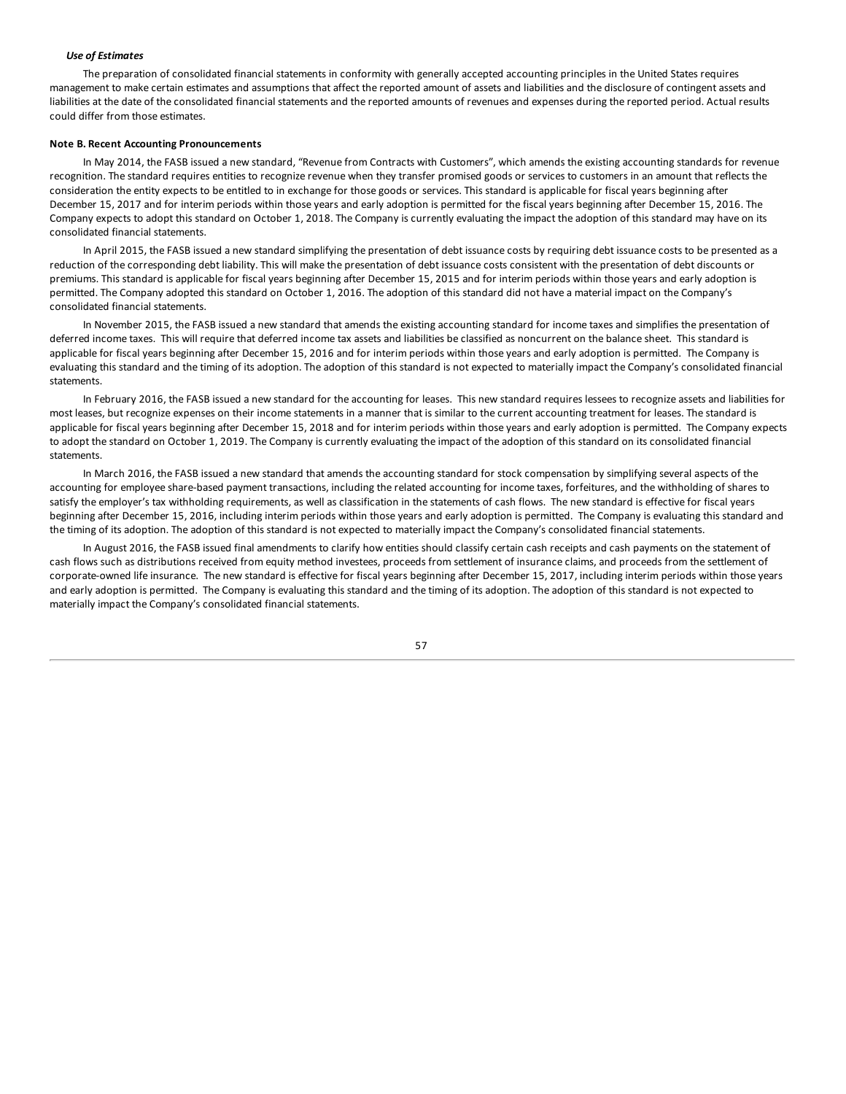## *Use of Estimates*

The preparation of consolidated financial statements in conformity with generally accepted accounting principles in the United States requires management to make certain estimates and assumptions that affect the reported amount of assets and liabilities and the disclosure of contingent assets and liabilities at the date of the consolidated financial statements and the reported amounts of revenues and expenses during the reported period. Actual results could differ from those estimates.

#### **Note B. Recent Accounting Pronouncements**

In May 2014, the FASB issued a new standard, "Revenue from Contracts with Customers", which amends the existing accounting standards for revenue recognition. The standard requires entities to recognize revenue when they transfer promised goods or services to customers in an amount that reflects the consideration the entity expects to be entitled to in exchange for those goods or services. This standard is applicable for fiscal years beginning after December 15, 2017 and for interim periods within those years and early adoption is permitted for the fiscal years beginning after December 15, 2016. The Company expects to adopt this standard on October 1, 2018. The Company is currently evaluating the impact the adoption of this standard may have on its consolidated financial statements.

In April 2015, the FASB issued a new standard simplifying the presentation of debt issuance costs by requiring debt issuance costs to be presented as a reduction of the corresponding debt liability. This will make the presentation of debt issuance costs consistent with the presentation of debt discounts or premiums. This standard is applicable for fiscal years beginning after December 15, 2015 and for interim periods within those years and early adoption is permitted. The Company adopted this standard on October 1, 2016. The adoption of this standard did not have a material impact on the Company's consolidated financial statements.

In November 2015, the FASB issued a new standard that amends the existing accounting standard for income taxes and simplifies the presentation of deferred income taxes. This will require that deferred income tax assets and liabilities be classified as noncurrent on the balance sheet. This standard is applicable for fiscal years beginning after December 15, 2016 and for interim periods within those years and early adoption is permitted. The Company is evaluating this standard and the timing of its adoption. The adoption of this standard is not expected to materially impact the Company's consolidated financial statements.

In February 2016, the FASB issued a new standard for the accounting for leases. This new standard requires lessees to recognize assets and liabilities for most leases, but recognize expenses on their income statements in a manner that is similar to the current accounting treatment for leases. The standard is applicable for fiscal years beginning after December 15, 2018 and for interim periods within those years and early adoption is permitted. The Company expects to adopt the standard on October 1, 2019. The Company is currently evaluating the impact of the adoption of this standard on its consolidated financial statements.

In March 2016, the FASB issued a new standard that amends the accounting standard for stock compensation by simplifying several aspects of the accounting for employee share-based payment transactions, including the related accounting for income taxes, forfeitures, and the withholding of shares to satisfy the employer's tax withholding requirements, as well as classification in the statements of cash flows. The new standard is effective for fiscal years beginning after December 15, 2016, including interim periods within those years and early adoption is permitted. The Company is evaluating this standard and the timing of its adoption. The adoption of this standard is not expected to materially impact the Company's consolidated financial statements.

In August 2016, the FASB issued final amendments to clarify how entities should classify certain cash receipts and cash payments on the statement of cash flows such as distributions received from equity method investees, proceeds from settlement of insurance claims, and proceeds from the settlement of corporate-owned life insurance. The new standard is effective for fiscal years beginning after December 15, 2017, including interim periods within those years and early adoption is permitted. The Company is evaluating this standard and the timing of its adoption. The adoption of this standard is not expected to materially impact the Company's consolidated financial statements.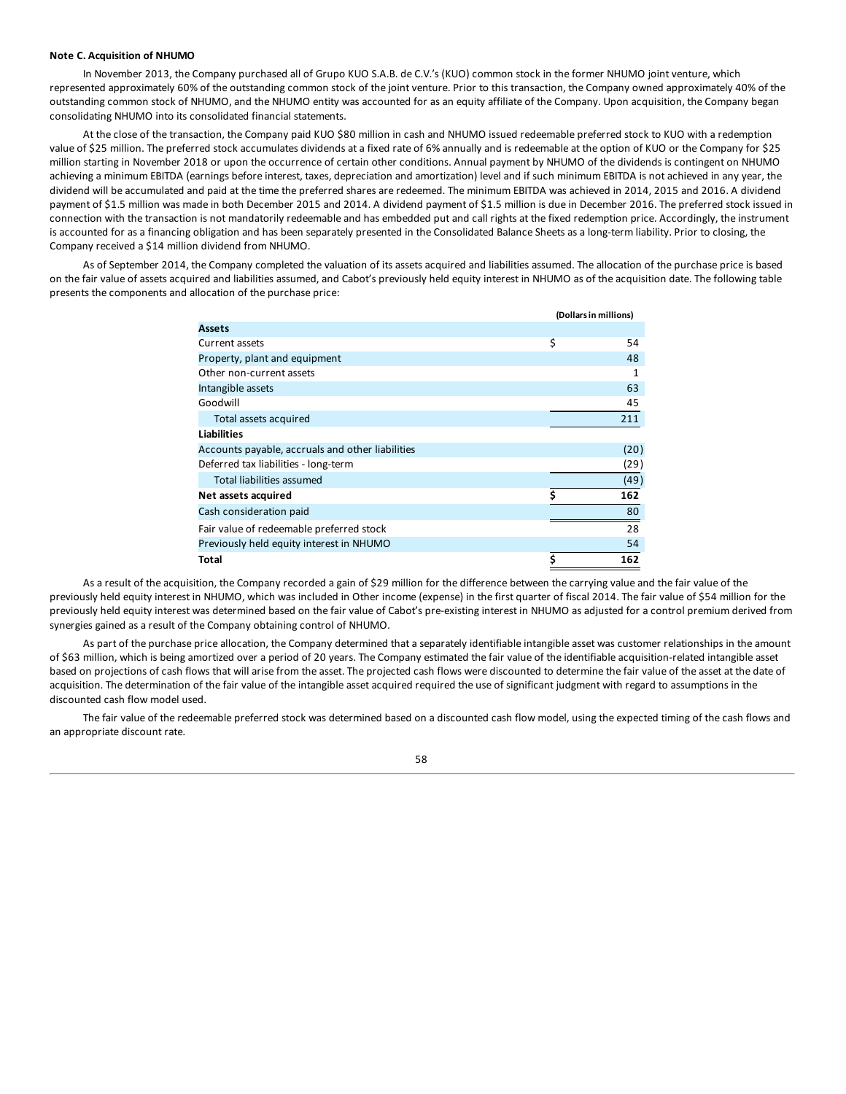### **Note C. Acquisition of NHUMO**

In November 2013, the Company purchased all of Grupo KUO S.A.B. de C.V.'s (KUO) common stock in the former NHUMO joint venture, which represented approximately 60% of the outstanding common stock of the joint venture. Prior to this transaction, the Company owned approximately 40% of the outstanding common stock of NHUMO, and the NHUMO entity was accounted for as an equity affiliate of the Company. Upon acquisition, the Company began consolidating NHUMO into its consolidated financial statements.

At the close of the transaction, the Company paid KUO \$80 million in cash and NHUMO issued redeemable preferred stock to KUO with a redemption value of \$25 million. The preferred stock accumulates dividends at a fixed rate of 6% annually and is redeemable at the option of KUO or the Company for \$25 million starting in November 2018 or upon the occurrence of certain other conditions. Annual payment by NHUMO of the dividends is contingent on NHUMO achieving a minimum EBITDA (earnings before interest, taxes, depreciation and amortization) level and if such minimum EBITDA is not achieved in any year, the dividend will be accumulated and paid at the time the preferred shares are redeemed. The minimum EBITDA was achieved in 2014, 2015 and 2016. A dividend payment of \$1.5 million was made in both December 2015 and 2014. A dividend payment of \$1.5 million is due in December 2016. The preferred stock issued in connection with the transaction is not mandatorily redeemable and has embedded put and call rights at the fixed redemption price. Accordingly, the instrument is accounted for as a financing obligation and has been separately presented in the Consolidated Balance Sheets as a long-term liability. Prior to closing, the Company received a \$14 million dividend from NHUMO.

As of September 2014, the Company completed the valuation of its assets acquired and liabilities assumed. The allocation of the purchase price is based on the fair value of assets acquired and liabilities assumed, and Cabot's previously held equity interest in NHUMO as of the acquisition date. The following table presents the components and allocation of the purchase price:

|                                                  |    | (Dollars in millions) |
|--------------------------------------------------|----|-----------------------|
| <b>Assets</b>                                    |    |                       |
| Current assets                                   | \$ | 54                    |
| Property, plant and equipment                    |    | 48                    |
| Other non-current assets                         |    | 1                     |
| Intangible assets                                |    | 63                    |
| Goodwill                                         |    | 45                    |
| Total assets acquired                            |    | 211                   |
| <b>Liabilities</b>                               |    |                       |
| Accounts payable, accruals and other liabilities |    | (20)                  |
| Deferred tax liabilities - long-term             |    | (29)                  |
| Total liabilities assumed                        |    | (49)                  |
| Net assets acquired                              | Ś  | 162                   |
| Cash consideration paid                          |    | 80                    |
| Fair value of redeemable preferred stock         |    | 28                    |
| Previously held equity interest in NHUMO         |    | 54                    |
| Total                                            | Ś  | 162                   |

As a result of the acquisition, the Company recorded a gain of \$29 million for the difference between the carrying value and the fair value of the previously held equity interest in NHUMO, which was included in Other income (expense) in the first quarter of fiscal 2014. The fair value of \$54 million for the previously held equity interest was determined based on the fair value of Cabot's pre-existing interest in NHUMO as adjusted for a control premium derived from synergies gained as a result of the Company obtaining control of NHUMO.

As part of the purchase price allocation, the Company determined that a separately identifiable intangible asset was customer relationships in the amount of \$63 million, which is being amortized over a period of 20 years. The Company estimated the fair value of the identifiable acquisition-related intangible asset based on projections of cash flows that will arise from the asset. The projected cash flows were discounted to determine the fair value of the asset at the date of acquisition. The determination of the fair value of the intangible asset acquired required the use of significant judgment with regard to assumptions in the discounted cash flow model used.

The fair value of the redeemable preferred stock was determined based on a discounted cash flow model, using the expected timing of the cash flows and an appropriate discount rate.

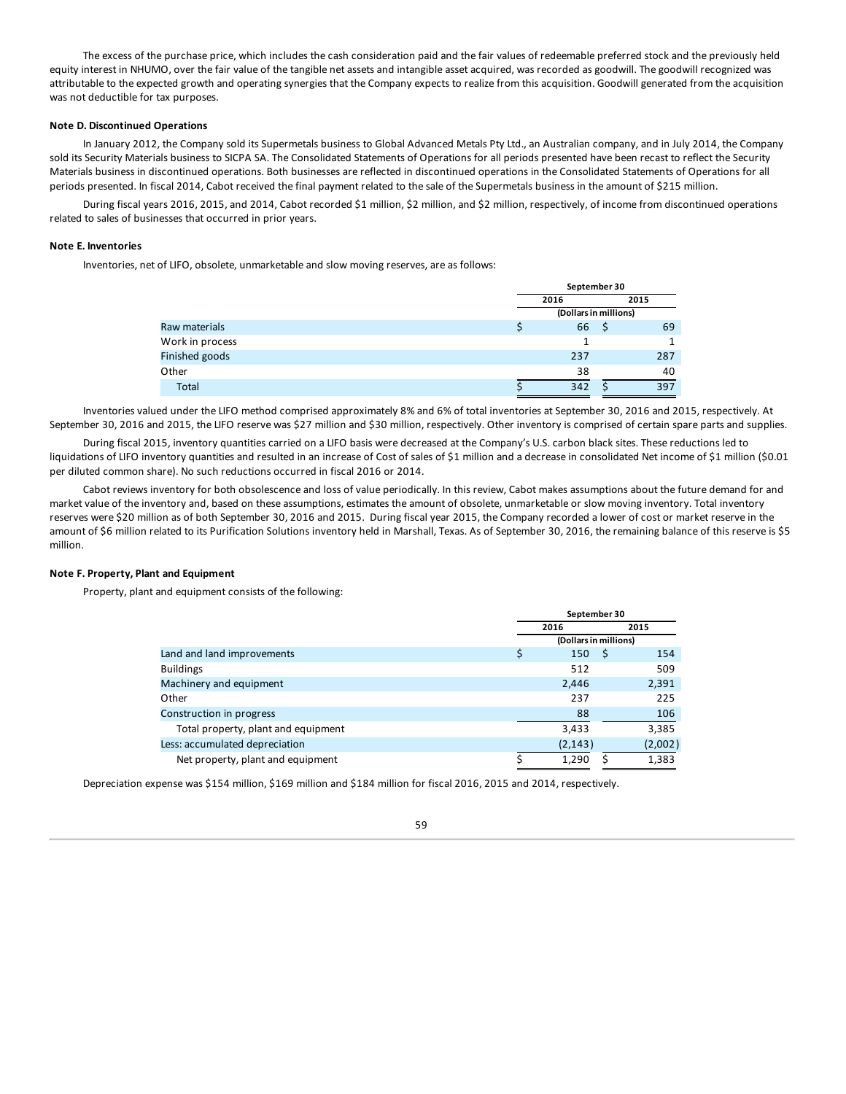The excess of the purchase price, which includes the cash consideration paid and the fair values of redeemable preferred stock and the previously held equity interest in NHUMO, over the fair value of the tangible net assets and intangible asset acquired, was recorded as goodwill. The goodwill recognized was attributable to the expected growth and operating synergies that the Company expects to realize from this acquisition. Goodwill generated from the acquisition was not deductible for tax purposes.

### **Note D. Discontinued Operations**

In January 2012, the Company sold its Supermetals business to Global Advanced Metals Pty Ltd., an Australian company, and in July 2014, the Company sold its Security Materials business to SICPA SA. The Consolidated Statements of Operations for all periods presented have been recast to reflect the Security Materials business in discontinued operations. Both businesses are reflected in discontinued operations in the Consolidated Statements of Operations for all periods presented. In fiscal 2014, Cabot received the final payment related to the sale of the Supermetals business in the amount of \$215 million.

During fiscal years 2016, 2015, and 2014, Cabot recorded \$1 million, \$2 million, and \$2 million, respectively, of income from discontinued operations related to sales of businesses that occurred in prior years.

#### **Note E. Inventories**

Inventories, net of LIFO, obsolete, unmarketable and slow moving reserves, are as follows:

|                 | September 30          |      |
|-----------------|-----------------------|------|
|                 | 2016                  | 2015 |
|                 | (Dollars in millions) |      |
| Raw materials   | 66                    | 69   |
| Work in process |                       |      |
| Finished goods  | 237                   | 287  |
| Other           | 38                    | 40   |
| Total           | 342                   | 397  |

Inventories valued under the LIFO method comprised approximately 8% and 6% of total inventories at September 30, 2016 and 2015, respectively. At September 30, 2016 and 2015, the LIFO reserve was \$27 million and \$30 million, respectively. Other inventory is comprised of certain spare parts and supplies.

During fiscal 2015, inventory quantities carried on a LIFO basis were decreased at the Company's U.S. carbon black sites. These reductions led to liquidations of LIFO inventory quantities and resulted in an increase of Cost of sales of \$1 million and a decrease in consolidated Net income of \$1 million (\$0.01 per diluted common share). No such reductions occurred in fiscal 2016 or 2014.

Cabot reviews inventory for both obsolescence and loss of value periodically. In this review, Cabot makes assumptions about the future demand for and market value of the inventory and, based on these assumptions, estimates the amount of obsolete, unmarketable or slow moving inventory. Total inventory reserves were \$20 million as of both September 30, 2016 and 2015. During fiscal year 2015, the Company recorded a lower of cost or market reserve in the amount of \$6 million related to its Purification Solutions inventory held in Marshall, Texas. As of September 30, 2016, the remaining balance of this reserve is \$5 million.

## **Note F. Property, Plant and Equipment**

Property, plant and equipment consists of the following:

|                                     | September 30          |   |         |
|-------------------------------------|-----------------------|---|---------|
|                                     | 2016                  |   | 2015    |
|                                     | (Dollars in millions) |   |         |
| Land and land improvements          | \$<br>150             | Ŝ | 154     |
| <b>Buildings</b>                    | 512                   |   | 509     |
| Machinery and equipment             | 2,446                 |   | 2,391   |
| Other                               | 237                   |   | 225     |
| Construction in progress            | 88                    |   | 106     |
| Total property, plant and equipment | 3,433                 |   | 3,385   |
| Less: accumulated depreciation      | (2, 143)              |   | (2,002) |
| Net property, plant and equipment   | 1.290                 |   | 1,383   |

Depreciation expense was \$154 million, \$169 million and \$184 million for fiscal 2016, 2015 and 2014, respectively.

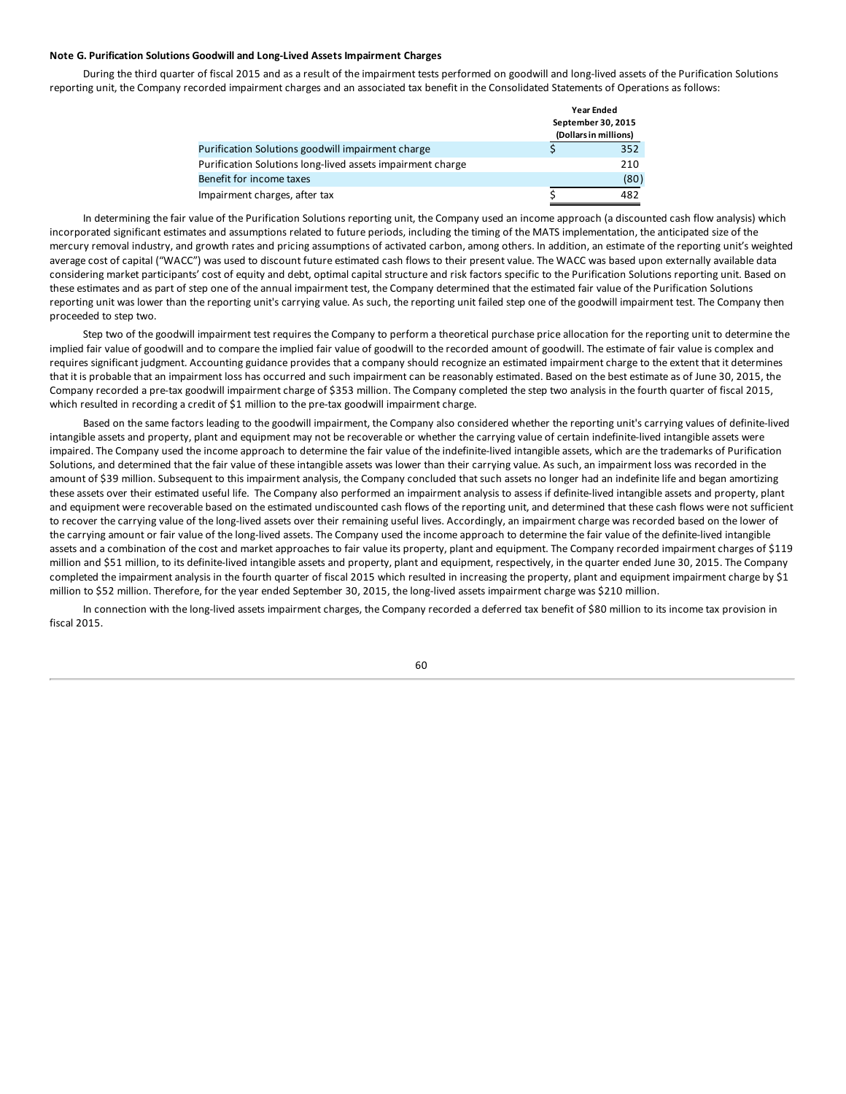## **Note G. Purification Solutions Goodwill and Long-Lived Assets Impairment Charges**

During the third quarter of fiscal 2015 and as a result of the impairment tests performed on goodwill and long-lived assets of the Purification Solutions reporting unit, the Company recorded impairment charges and an associated tax benefit in the Consolidated Statements of Operations as follows:

|                                                            | <b>Year Ended</b><br>September 30, 2015<br>(Dollars in millions) |
|------------------------------------------------------------|------------------------------------------------------------------|
| Purification Solutions goodwill impairment charge          | 352                                                              |
| Purification Solutions long-lived assets impairment charge | 210                                                              |
| Benefit for income taxes                                   | (80)                                                             |
| Impairment charges, after tax                              | 482                                                              |

In determining the fair value of the Purification Solutions reporting unit, the Company used an income approach (a discounted cash flow analysis) which incorporated significant estimates and assumptions related to future periods, including the timing of the MATS implementation, the anticipated size of the mercury removal industry, and growth rates and pricing assumptions of activated carbon, among others. In addition, an estimate of the reporting unit's weighted average cost of capital ("WACC") was used to discount future estimated cash flows to their present value. The WACC was based upon externally available data considering market participants' cost of equity and debt, optimal capital structure and risk factors specific to the Purification Solutions reporting unit. Based on these estimates and as part of step one of the annual impairment test, the Company determined that the estimated fair value of the Purification Solutions reporting unit was lower than the reporting unit's carrying value. As such, the reporting unit failed step one of the goodwill impairment test. The Company then proceeded to step two.

Step two of the goodwill impairment test requires the Company to perform a theoretical purchase price allocation for the reporting unit to determine the implied fair value of goodwill and to compare the implied fair value of goodwill to the recorded amount of goodwill. The estimate of fair value is complex and requires significant judgment. Accounting guidance provides that a company should recognize an estimated impairment charge to the extent that it determines that it is probable that an impairment loss has occurred and such impairment can be reasonably estimated. Based on the best estimate as of June 30, 2015, the Company recorded a pre-tax goodwill impairment charge of \$353 million. The Company completed the step two analysis in the fourth quarter of fiscal 2015, which resulted in recording a credit of \$1 million to the pre-tax goodwill impairment charge.

Based on the same factors leading to the goodwill impairment, the Company also considered whether the reporting unit's carrying values of definite-lived intangible assets and property, plant and equipment may not be recoverable or whether the carrying value of certain indefinite-lived intangible assets were impaired. The Company used the income approach to determine the fair value of the indefinite-lived intangible assets, which are the trademarks of Purification Solutions, and determined that the fair value of these intangible assets was lower than their carrying value. As such, an impairment loss was recorded in the amount of \$39 million. Subsequent to this impairment analysis, the Company concluded that such assets no longer had an indefinite life and began amortizing these assets over their estimated useful life. The Company also performed an impairment analysis to assess if definite-lived intangible assets and property, plant and equipment were recoverable based on the estimated undiscounted cash flows of the reporting unit, and determined that these cash flows were not sufficient to recover the carrying value of the long-lived assets over their remaining useful lives. Accordingly, an impairment charge was recorded based on the lower of the carrying amount or fair value of the long-lived assets. The Company used the income approach to determine the fair value of the definite-lived intangible assets and a combination of the cost and market approaches to fair value its property, plant and equipment. The Company recorded impairment charges of \$119 million and \$51 million, to its definite-lived intangible assets and property, plant and equipment, respectively, in the quarter ended June 30, 2015. The Company completed the impairment analysis in the fourth quarter of fiscal 2015 which resulted in increasing the property, plant and equipment impairment charge by \$1 million to \$52 million. Therefore, for the year ended September 30, 2015, the long-lived assets impairment charge was \$210 million.

In connection with the long-lived assets impairment charges, the Company recorded a deferred tax benefit of \$80 million to its income tax provision in fiscal 2015.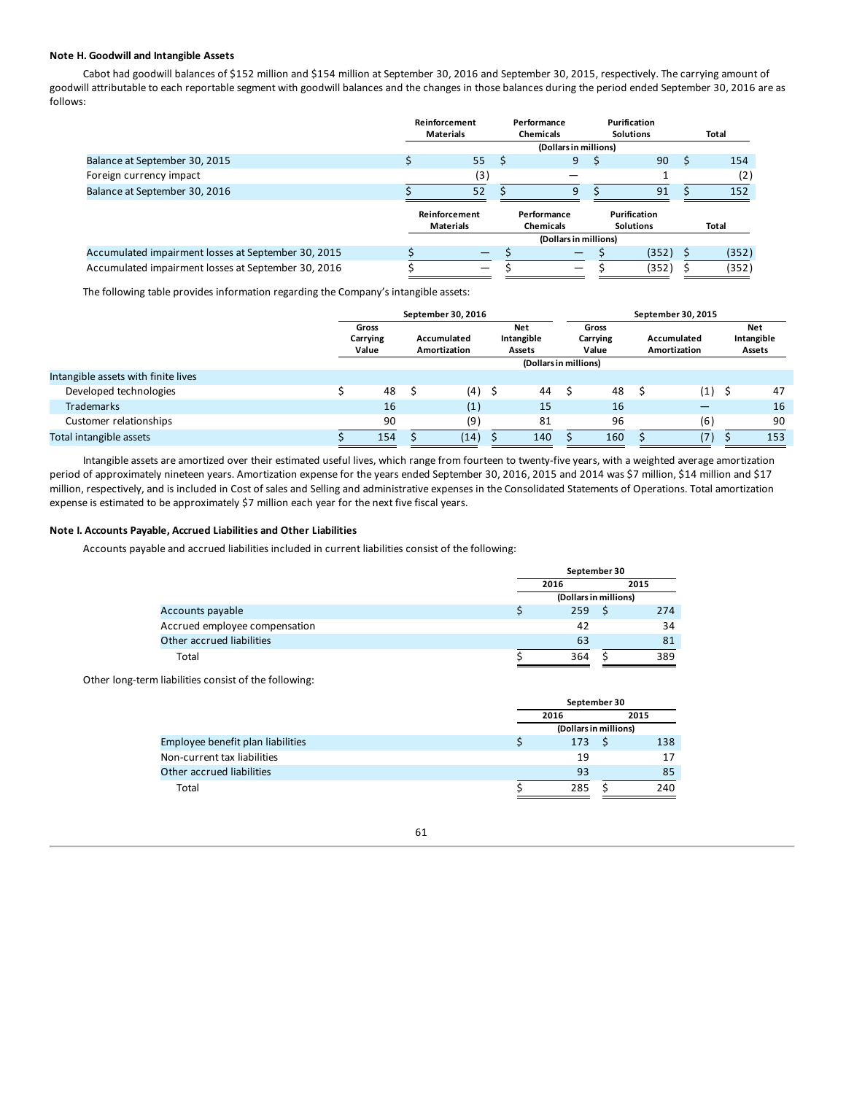# **Note H. Goodwill and Intangible Assets**

Cabot had goodwill balances of \$152 million and \$154 million at September 30, 2016 and September 30, 2015, respectively. The carrying amount of goodwill attributable to each reportable segment with goodwill balances and the changes in those balances during the period ended September 30, 2016 are as follows:

|                                                     | Reinforcement<br><b>Materials</b> | Performance<br>Chemicals        | Purification<br><b>Solutions</b> | Total        |
|-----------------------------------------------------|-----------------------------------|---------------------------------|----------------------------------|--------------|
|                                                     |                                   | (Dollars in millions)           |                                  |              |
| Balance at September 30, 2015                       | 55                                | 9                               | 90                               | 154          |
| Foreign currency impact                             | (3)                               |                                 |                                  | (2)          |
| Balance at September 30, 2016                       | 52                                | 9                               | 91                               | 152          |
|                                                     | Reinforcement<br><b>Materials</b> | Performance<br><b>Chemicals</b> | Purification<br><b>Solutions</b> | <b>Total</b> |
|                                                     |                                   | (Dollars in millions)           |                                  |              |
| Accumulated impairment losses at September 30, 2015 |                                   |                                 | $(352)$ \$                       | (352)        |
| Accumulated impairment losses at September 30, 2016 | —                                 |                                 | (352)                            | (352)        |

The following table provides information regarding the Company's intangible assets:

|                                     |                            | September 30, 2016          |     |                                    |                            | September 30, 2015          |                             |
|-------------------------------------|----------------------------|-----------------------------|-----|------------------------------------|----------------------------|-----------------------------|-----------------------------|
|                                     | Gross<br>Carrying<br>Value | Accumulated<br>Amortization |     | <b>Net</b><br>Intangible<br>Assets | Gross<br>Carrying<br>Value | Accumulated<br>Amortization | Net<br>Intangible<br>Assets |
|                                     |                            |                             |     | (Dollars in millions)              |                            |                             |                             |
| Intangible assets with finite lives |                            |                             |     |                                    |                            |                             |                             |
| Developed technologies              | 48                         | (4)                         | - S | 44                                 | 48                         | (1)                         | 47                          |
| <b>Trademarks</b>                   | 16                         | (1)                         |     | 15                                 | 16                         |                             | 16                          |
| Customer relationships              | 90                         | (9)                         |     | 81                                 | 96                         | (6)                         | 90                          |
| Total intangible assets             | 154                        | (14)                        |     | 140                                | 160                        | (7)                         | 153                         |

Intangible assets are amortized over their estimated useful lives, which range from fourteen to twenty-five years, with a weighted average amortization period of approximately nineteen years. Amortization expense for the years ended September 30, 2016, 2015 and 2014 was \$7 million, \$14 million and \$17 million, respectively, and is included in Cost of sales and Selling and administrative expenses in the Consolidated Statements of Operations. Total amortization expense is estimated to be approximately \$7 million each year for the next five fiscal years.

# **Note I. Accounts Payable, Accrued Liabilities and Other Liabilities**

Accounts payable and accrued liabilities included in current liabilities consist of the following:

|                               | September 30<br>2016<br>2015<br>(Dollars in millions)<br>259<br>42 |  |     |  |  |
|-------------------------------|--------------------------------------------------------------------|--|-----|--|--|
|                               |                                                                    |  |     |  |  |
|                               |                                                                    |  |     |  |  |
| Accounts payable              |                                                                    |  | 274 |  |  |
| Accrued employee compensation |                                                                    |  | 34  |  |  |
| Other accrued liabilities     | 63                                                                 |  | 81  |  |  |
| Total                         | 364                                                                |  | 389 |  |  |

Other long-term liabilities consist of the following:

|                                   |                       | September 30 |      |
|-----------------------------------|-----------------------|--------------|------|
|                                   | 2016                  |              | 2015 |
|                                   | (Dollars in millions) |              |      |
| Employee benefit plan liabilities | 173                   |              | 138  |
| Non-current tax liabilities       | 19                    |              | 17   |
| Other accrued liabilities         | 93                    |              | 85   |
| Total                             | 285                   |              | 240  |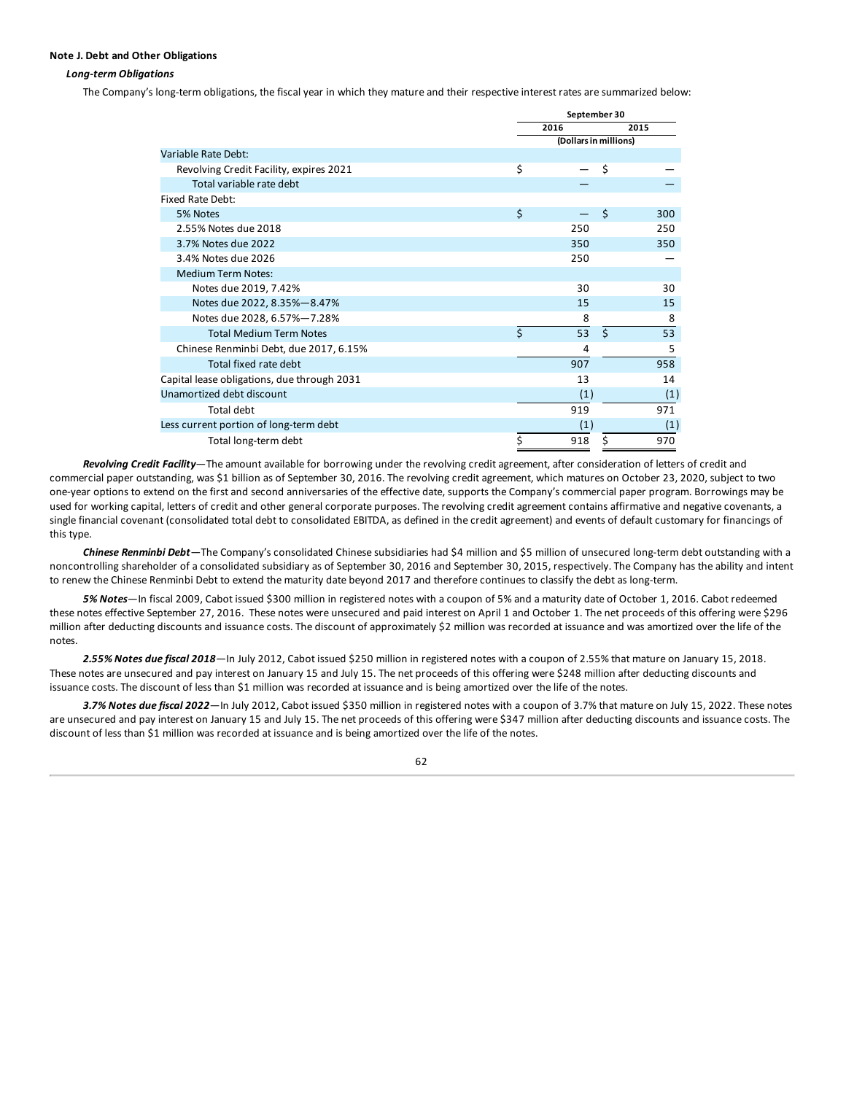### **Note J. Debt and Other Obligations**

# *Long-term Obligations*

The Company's long-term obligations, the fiscal year in which they mature and their respective interest rates are summarized below:

|                                             |    | September 30          |                    |      |
|---------------------------------------------|----|-----------------------|--------------------|------|
|                                             |    | 2016                  |                    | 2015 |
|                                             |    | (Dollars in millions) |                    |      |
| Variable Rate Debt:                         |    |                       |                    |      |
| Revolving Credit Facility, expires 2021     | \$ |                       | \$                 |      |
| Total variable rate debt                    |    |                       |                    |      |
| Fixed Rate Debt:                            |    |                       |                    |      |
| 5% Notes                                    | \$ |                       | \$                 | 300  |
| 2.55% Notes due 2018                        |    | 250                   |                    | 250  |
| 3.7% Notes due 2022                         |    | 350                   |                    | 350  |
| 3.4% Notes due 2026                         |    | 250                   |                    |      |
| <b>Medium Term Notes:</b>                   |    |                       |                    |      |
| Notes due 2019, 7.42%                       |    | 30                    |                    | 30   |
| Notes due 2022, 8.35%-8.47%                 |    | 15                    |                    | 15   |
| Notes due 2028, 6.57%-7.28%                 |    | 8                     |                    | 8    |
| <b>Total Medium Term Notes</b>              | Ś  | 53                    | $\dot{\mathsf{S}}$ | 53   |
| Chinese Renminbi Debt, due 2017, 6.15%      |    | 4                     |                    | 5    |
| Total fixed rate debt                       |    | 907                   |                    | 958  |
| Capital lease obligations, due through 2031 |    | 13                    |                    | 14   |
| Unamortized debt discount                   |    | (1)                   |                    | (1)  |
| <b>Total debt</b>                           |    | 919                   |                    | 971  |
| Less current portion of long-term debt      |    | (1)                   |                    | (1)  |
| Total long-term debt                        | \$ | 918                   | Ś                  | 970  |

*Revolving Credit Facility*—The amount available for borrowing under the revolving credit agreement, after consideration of letters of credit and commercial paper outstanding, was \$1 billion as of September 30, 2016. The revolving credit agreement, which matures on October 23, 2020, subject to two one-year options to extend on the first and second anniversaries of the effective date, supports the Company's commercial paper program. Borrowings may be used for working capital, letters of credit and other general corporate purposes. The revolving credit agreement contains affirmative and negative covenants, a single financial covenant (consolidated total debt to consolidated EBITDA, as defined in the credit agreement) and events of default customary for financings of this type.

*Chinese Renminbi Debt*—The Company's consolidated Chinese subsidiaries had \$4 million and \$5 million of unsecured long-term debt outstanding with a noncontrolling shareholder of a consolidated subsidiary as of September 30, 2016 and September 30, 2015, respectively. The Company has the ability and intent to renew the Chinese Renminbi Debt to extend the maturity date beyond 2017 and therefore continues to classify the debt as long-term.

*5% Notes*—In fiscal 2009, Cabot issued \$300 million in registered notes with a coupon of 5% and a maturity date of October 1, 2016. Cabot redeemed these notes effective September 27, 2016. These notes were unsecured and paid interest on April 1 and October 1. The net proceeds of this offering were \$296 million after deducting discounts and issuance costs. The discount of approximately \$2 million was recorded at issuance and was amortized over the life of the notes.

*2.55% Notes due fiscal 2018*—In July 2012, Cabot issued \$250 million in registered notes with a coupon of 2.55% that mature on January 15, 2018. These notes are unsecured and pay interest on January 15 and July 15. The net proceeds of this offering were \$248 million after deducting discounts and issuance costs. The discount of less than \$1 million was recorded at issuance and is being amortized over the life of the notes.

*3.7% Notes due fiscal 2022*—In July 2012, Cabot issued \$350 million in registered notes with a coupon of 3.7% that mature on July 15, 2022. These notes are unsecured and pay interest on January 15 and July 15. The net proceeds of this offering were \$347 million after deducting discounts and issuance costs. The discount of less than \$1 million was recorded at issuance and is being amortized over the life of the notes.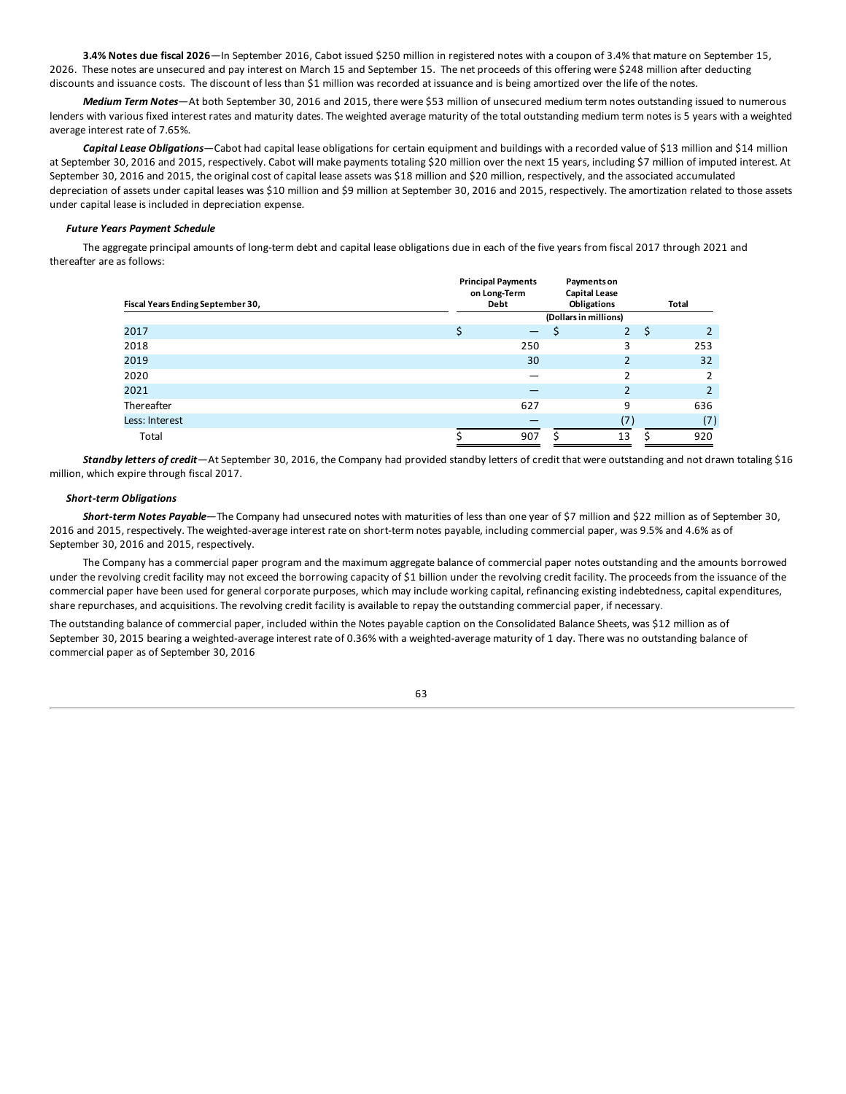**3.4% Notes due fiscal 2026**—In September 2016, Cabot issued \$250 million in registered notes with a coupon of 3.4% that mature on September 15, 2026. These notes are unsecured and pay interest on March 15 and September 15. The net proceeds of this offering were \$248 million after deducting discounts and issuance costs. The discount of less than \$1 million was recorded at issuance and is being amortized over the life of the notes.

*Medium Term Notes*—At both September 30, 2016 and 2015, there were \$53 million of unsecured medium term notes outstanding issued to numerous lenders with various fixed interest rates and maturity dates. The weighted average maturity of the total outstanding medium term notes is 5 years with a weighted average interest rate of 7.65%.

*Capital Lease Obligations*—Cabot had capital lease obligations for certain equipment and buildings with a recorded value of \$13 million and \$14 million at September 30, 2016 and 2015, respectively. Cabot will make payments totaling \$20 million over the next 15 years, including \$7 million of imputed interest. At September 30, 2016 and 2015, the original cost of capital lease assets was \$18 million and \$20 million, respectively, and the associated accumulated depreciation of assets under capital leases was \$10 million and \$9 million at September 30, 2016 and 2015, respectively. The amortization related to those assets under capital lease is included in depreciation expense.

### *Future Years Payment Schedule*

The aggregate principal amounts of long-term debt and capital lease obligations due in each of the five years from fiscal 2017 through 2021 and thereafter are as follows:

| Fiscal Years Ending September 30, |    | <b>Principal Payments</b><br>on Long-Term<br>Debt | Payments on<br><b>Capital Lease</b><br>Obligations |                |     | Total          |
|-----------------------------------|----|---------------------------------------------------|----------------------------------------------------|----------------|-----|----------------|
|                                   |    |                                                   | (Dollars in millions)                              |                |     |                |
| 2017                              | \$ |                                                   |                                                    | $\overline{2}$ | -\$ | $\overline{2}$ |
| 2018                              |    | 250                                               |                                                    | 3              |     | 253            |
| 2019                              |    | 30                                                |                                                    |                |     | 32             |
| 2020                              |    |                                                   |                                                    | 2              |     | 2              |
| 2021                              |    |                                                   |                                                    |                |     | 2              |
| Thereafter                        |    | 627                                               |                                                    | 9              |     | 636            |
| Less: Interest                    |    |                                                   |                                                    | (7)            |     | (7)            |
| Total                             |    | 907                                               |                                                    | 13             |     | 920            |
|                                   |    |                                                   |                                                    |                |     |                |

*Standby letters of credit*—At September 30, 2016, the Company had provided standby letters of credit that were outstanding and not drawn totaling \$16 million, which expire through fiscal 2017.

## *Short-term Obligations*

*Short-term Notes Payable*—The Company had unsecured notes with maturities of less than one year of \$7 million and \$22 million as of September 30, 2016 and 2015, respectively. The weighted-average interest rate on short-term notes payable, including commercial paper, was 9.5% and 4.6% as of September 30, 2016 and 2015, respectively.

The Company has a commercial paper program and the maximum aggregate balance of commercial paper notes outstanding and the amounts borrowed under the revolving credit facility may not exceed the borrowing capacity of \$1 billion under the revolving credit facility. The proceeds from the issuance of the commercial paper have been used for general corporate purposes, which may include working capital, refinancing existing indebtedness, capital expenditures, share repurchases, and acquisitions. The revolving credit facility is available to repay the outstanding commercial paper, if necessary.

The outstanding balance of commercial paper, included within the Notes payable caption on the Consolidated Balance Sheets, was \$12 million as of September 30, 2015 bearing a weighted-average interest rate of 0.36% with a weighted-average maturity of 1 day. There was no outstanding balance of commercial paper as of September 30, 2016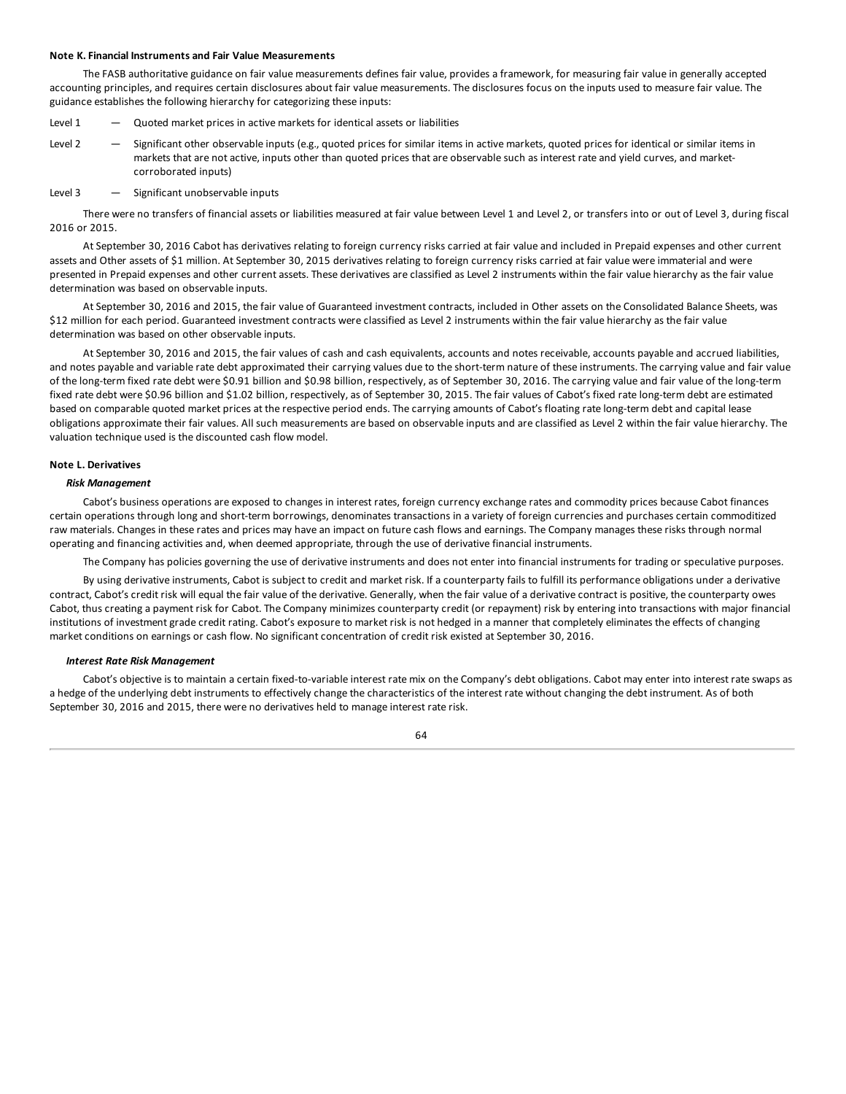## **Note K. Financial Instruments and Fair Value Measurements**

The FASB authoritative guidance on fair value measurements defines fair value, provides a framework, for measuring fair value in generally accepted accounting principles, and requires certain disclosures about fair value measurements. The disclosures focus on the inputs used to measure fair value. The guidance establishes the following hierarchy for categorizing these inputs:

Level 1 - Quoted market prices in active markets for identical assets or liabilities

Level 2 - Significant other observable inputs (e.g., quoted prices for similar items in active markets, quoted prices for identical or similar items in markets that are not active, inputs other than quoted prices that are observable such as interest rate and yield curves, and marketcorroborated inputs)

## Level 3 - Significant unobservable inputs

There were no transfers of financial assets or liabilities measured at fair value between Level 1 and Level 2, or transfers into or out of Level 3, during fiscal 2016 or 2015.

At September 30, 2016 Cabot has derivatives relating to foreign currency risks carried at fair value and included in Prepaid expenses and other current assets and Other assets of \$1 million. At September 30, 2015 derivatives relating to foreign currency risks carried at fair value were immaterial and were presented in Prepaid expenses and other current assets. These derivatives are classified as Level 2 instruments within the fair value hierarchy as the fair value determination was based on observable inputs.

At September 30, 2016 and 2015, the fair value of Guaranteed investment contracts, included in Other assets on the Consolidated Balance Sheets, was \$12 million for each period. Guaranteed investment contracts were classified as Level 2 instruments within the fair value hierarchy as the fair value determination was based on other observable inputs.

At September 30, 2016 and 2015, the fair values of cash and cash equivalents, accounts and notes receivable, accounts payable and accrued liabilities, and notes payable and variable rate debt approximated their carrying values due to the short-term nature of these instruments. The carrying value and fair value of the long-term fixed rate debt were \$0.91 billion and \$0.98 billion, respectively, as of September 30, 2016. The carrying value and fair value of the long-term fixed rate debt were \$0.96 billion and \$1.02 billion, respectively, as of September 30, 2015. The fair values of Cabot's fixed rate long-term debt are estimated based on comparable quoted market prices at the respective period ends. The carrying amounts of Cabot's floating rate long-term debt and capital lease obligations approximate their fair values. All such measurements are based on observable inputs and are classified as Level 2 within the fair value hierarchy. The valuation technique used is the discounted cash flow model.

#### **Note L. Derivatives**

### *Risk Management*

Cabot's business operations are exposed to changes in interest rates, foreign currency exchange rates and commodity prices because Cabot finances certain operations through long and short-term borrowings, denominates transactions in a variety of foreign currencies and purchases certain commoditized raw materials. Changes in these rates and prices may have an impact on future cash flows and earnings. The Company manages these risks through normal operating and financing activities and, when deemed appropriate, through the use of derivative financial instruments.

The Company has policies governing the use of derivative instruments and does not enter into financial instruments for trading or speculative purposes.

By using derivative instruments, Cabot is subject to credit and market risk. If a counterparty fails to fulfill its performance obligations under a derivative contract, Cabot's credit risk will equal the fair value of the derivative. Generally, when the fair value of a derivative contract is positive, the counterparty owes Cabot, thus creating a payment risk for Cabot. The Company minimizes counterparty credit (or repayment) risk by entering into transactions with major financial institutions of investment grade credit rating. Cabot's exposure to market risk is not hedged in a manner that completely eliminates the effects of changing market conditions on earnings or cash flow. No significant concentration of credit risk existed at September 30, 2016.

#### *Interest Rate Risk Management*

Cabot's objective is to maintain a certain fixed-to-variable interest rate mix on the Company's debt obligations. Cabot may enter into interest rate swaps as a hedge of the underlying debt instruments to effectively change the characteristics of the interest rate without changing the debt instrument. As of both September 30, 2016 and 2015, there were no derivatives held to manage interest rate risk.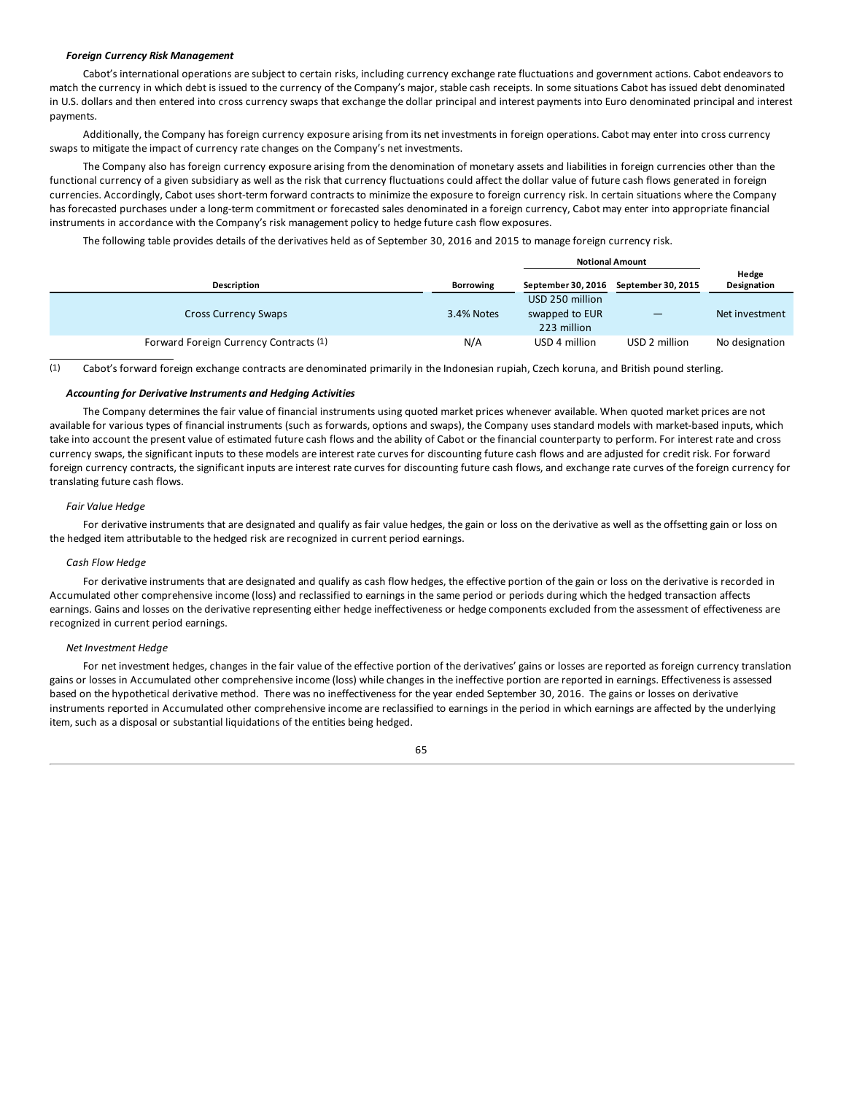## *Foreign Currency Risk Management*

Cabot's international operations are subject to certain risks, including currency exchange rate fluctuations and government actions. Cabot endeavors to match the currency in which debt is issued to the currency of the Company's major, stable cash receipts. In some situations Cabot has issued debt denominated in U.S. dollars and then entered into cross currency swaps that exchange the dollar principal and interest payments into Euro denominated principal and interest payments.

Additionally, the Company has foreign currency exposure arising from its net investments in foreign operations. Cabot may enter into cross currency swaps to mitigate the impact of currency rate changes on the Company's net investments.

The Company also has foreign currency exposure arising from the denomination of monetary assets and liabilities in foreign currencies other than the functional currency of a given subsidiary as well as the risk that currency fluctuations could affect the dollar value of future cash flows generated in foreign currencies. Accordingly, Cabot uses short-term forward contracts to minimize the exposure to foreign currency risk. In certain situations where the Company has forecasted purchases under a long-term commitment or forecasted sales denominated in a foreign currency, Cabot may enter into appropriate financial instruments in accordance with the Company's risk management policy to hedge future cash flow exposures.

The following table provides details of the derivatives held as of September 30, 2016 and 2015 to manage foreign currency risk.

|                                        |                  |                                                  | <b>Notional Amount</b> |                      |
|----------------------------------------|------------------|--------------------------------------------------|------------------------|----------------------|
| <b>Description</b>                     | <b>Borrowing</b> | September 30, 2016                               | September 30, 2015     | Hedge<br>Designation |
| <b>Cross Currency Swaps</b>            | 3.4% Notes       | USD 250 million<br>swapped to EUR<br>223 million |                        | Net investment       |
| Forward Foreign Currency Contracts (1) | N/A              | USD 4 million                                    | USD 2 million          | No designation       |

(1) Cabot's forward foreign exchange contracts are denominated primarily in the Indonesian rupiah, Czech koruna, and British pound sterling.

## *Accounting for Derivative Instruments and Hedging Activities*

The Company determines the fair value of financial instruments using quoted market prices whenever available. When quoted market prices are not available for various types of financial instruments (such as forwards, options and swaps), the Company uses standard models with market-based inputs, which take into account the present value of estimated future cash flows and the ability of Cabot or the financial counterparty to perform. For interest rate and cross currency swaps, the significant inputs to these models are interest rate curves for discounting future cash flows and are adjusted for credit risk. For forward foreign currency contracts, the significant inputs are interest rate curves for discounting future cash flows, and exchange rate curves of the foreign currency for translating future cash flows.

#### *Fair Value Hedge*

For derivative instruments that are designated and qualify as fair value hedges, the gain or loss on the derivative as well as the offsetting gain or loss on the hedged item attributable to the hedged risk are recognized in current period earnings.

# *Cash Flow Hedge*

For derivative instruments that are designated and qualify as cash flow hedges, the effective portion of the gain or loss on the derivative is recorded in Accumulated other comprehensive income (loss) and reclassified to earnings in the same period or periods during which the hedged transaction affects earnings. Gains and losses on the derivative representing either hedge ineffectiveness or hedge components excluded from the assessment of effectiveness are recognized in current period earnings.

### *Net Investment Hedge*

For net investment hedges, changes in the fair value of the effective portion of the derivatives' gains or losses are reported as foreign currency translation gains or losses in Accumulated other comprehensive income (loss) while changes in the ineffective portion are reported in earnings. Effectiveness is assessed based on the hypothetical derivative method. There was no ineffectiveness for the year ended September 30, 2016. The gains or losses on derivative instruments reported in Accumulated other comprehensive income are reclassified to earnings in the period in which earnings are affected by the underlying item, such as a disposal or substantial liquidations of the entities being hedged.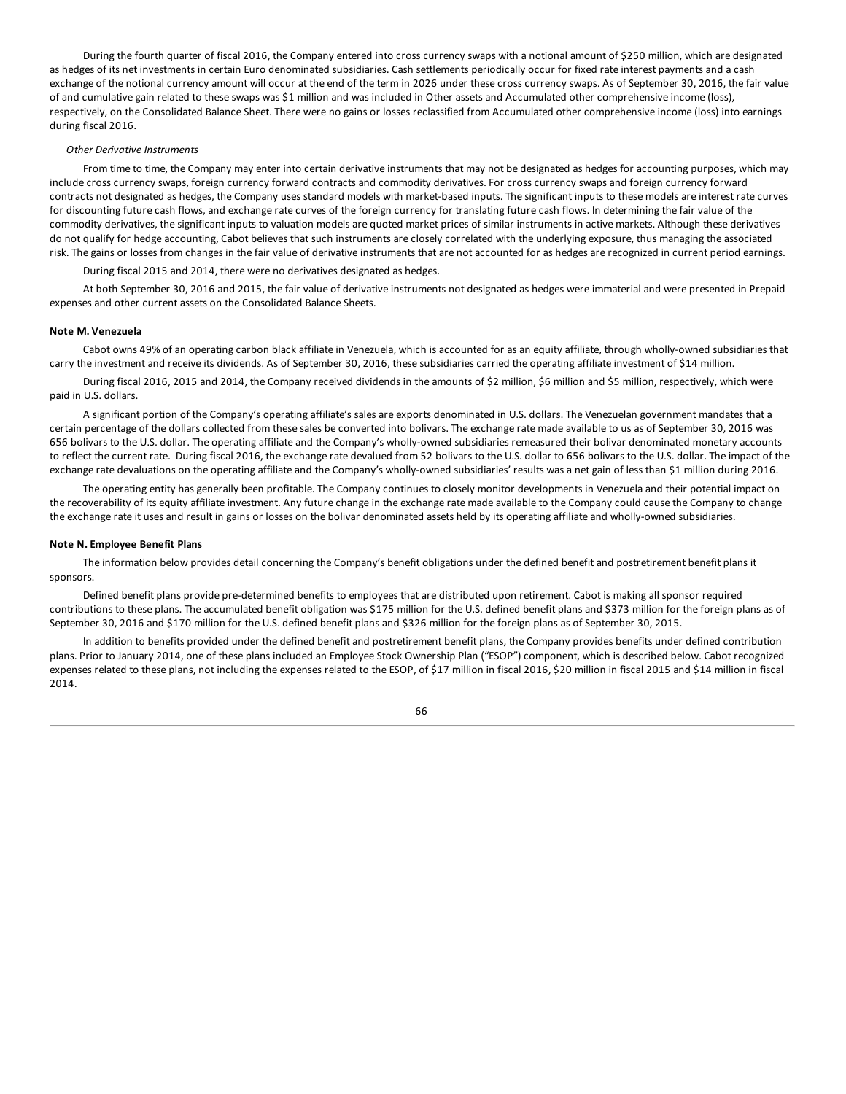During the fourth quarter of fiscal 2016, the Company entered into cross currency swaps with a notional amount of \$250 million, which are designated as hedges of its net investments in certain Euro denominated subsidiaries. Cash settlements periodically occur for fixed rate interest payments and a cash exchange of the notional currency amount will occur at the end of the term in 2026 under these cross currency swaps. As of September 30, 2016, the fair value of and cumulative gain related to these swaps was \$1 million and was included in Other assets and Accumulated other comprehensive income (loss), respectively, on the Consolidated Balance Sheet. There were no gains or losses reclassified from Accumulated other comprehensive income (loss) into earnings during fiscal 2016.

### *Other Derivative Instruments*

From time to time, the Company may enter into certain derivative instruments that may not be designated as hedges for accounting purposes, which may include cross currency swaps, foreign currency forward contracts and commodity derivatives. For cross currency swaps and foreign currency forward contracts not designated as hedges, the Company uses standard models with market-based inputs. The significant inputs to these models are interest rate curves for discounting future cash flows, and exchange rate curves of the foreign currency for translating future cash flows. In determining the fair value of the commodity derivatives, the significant inputs to valuation models are quoted market prices of similar instruments in active markets. Although these derivatives do not qualify for hedge accounting, Cabot believes that such instruments are closely correlated with the underlying exposure, thus managing the associated risk. The gains or losses from changes in the fair value of derivative instruments that are not accounted for as hedges are recognized in current period earnings.

During fiscal 2015 and 2014, there were no derivatives designated as hedges.

At both September 30, 2016 and 2015, the fair value of derivative instruments not designated as hedges were immaterial and were presented in Prepaid expenses and other current assets on the Consolidated Balance Sheets.

#### **Note M. Venezuela**

Cabot owns 49% of an operating carbon black affiliate in Venezuela, which is accounted for as an equity affiliate, through wholly-owned subsidiaries that carry the investment and receive its dividends. As of September 30, 2016, these subsidiaries carried the operating affiliate investment of \$14 million.

During fiscal 2016, 2015 and 2014, the Company received dividends in the amounts of \$2 million, \$6 million and \$5 million, respectively, which were paid in U.S. dollars.

A significant portion of the Company's operating affiliate's sales are exports denominated in U.S. dollars. The Venezuelan government mandates that a certain percentage of the dollars collected from these sales be converted into bolivars. The exchange rate made available to us as of September 30, 2016 was 656 bolivars to the U.S. dollar. The operating affiliate and the Company's wholly-owned subsidiaries remeasured their bolivar denominated monetary accounts to reflect the current rate. During fiscal 2016, the exchange rate devalued from 52 bolivars to the U.S. dollar to 656 bolivars to the U.S. dollar. The impact of the exchange rate devaluations on the operating affiliate and the Company's wholly-owned subsidiaries' results was a net gain of less than \$1 million during 2016.

The operating entity has generally been profitable. The Company continues to closely monitor developments in Venezuela and their potential impact on the recoverability of its equity affiliate investment. Any future change in the exchange rate made available to the Company could cause the Company to change the exchange rate it uses and result in gains or losses on the bolivar denominated assets held by its operating affiliate and wholly-owned subsidiaries.

### **Note N. Employee Benefit Plans**

The information below provides detail concerning the Company's benefit obligations under the defined benefit and postretirement benefit plans it sponsors.

Defined benefit plans provide pre-determined benefits to employees that are distributed upon retirement. Cabot is making all sponsor required contributions to these plans. The accumulated benefit obligation was \$175 million for the U.S. defined benefit plans and \$373 million for the foreign plans as of September 30, 2016 and \$170 million for the U.S. defined benefit plans and \$326 million for the foreign plans as of September 30, 2015.

In addition to benefits provided under the defined benefit and postretirement benefit plans, the Company provides benefits under defined contribution plans. Prior to January 2014, one of these plans included an Employee Stock Ownership Plan ("ESOP") component, which is described below. Cabot recognized expenses related to these plans, not including the expenses related to the ESOP, of \$17 million in fiscal 2016, \$20 million in fiscal 2015 and \$14 million in fiscal 2014.

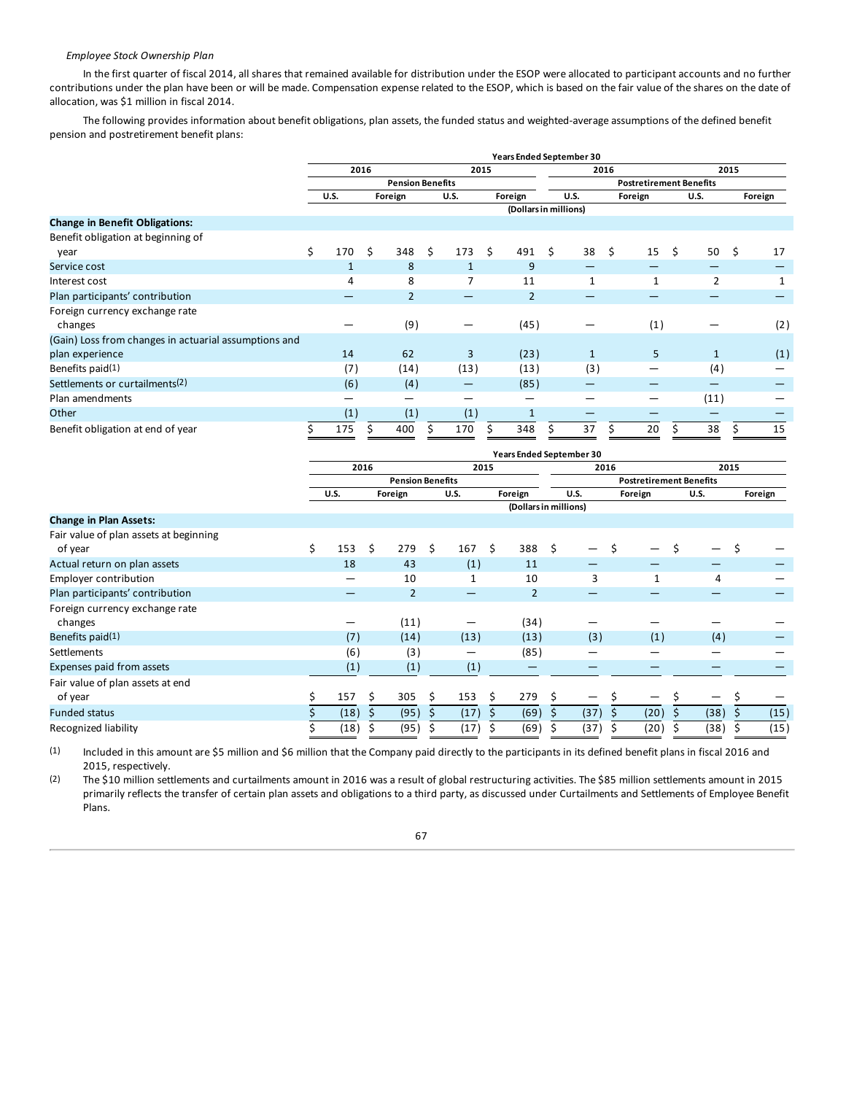## *Employee Stock Ownership Plan*

In the first quarter of fiscal 2014, all shares that remained available for distribution under the ESOP were allocated to participant accounts and no further contributions under the plan have been or will be made. Compensation expense related to the ESOP, which is based on the fair value of the shares on the date of allocation, was \$1 million in fiscal 2014.

The following provides information about benefit obligations, plan assets, the funded status and weighted-average assumptions of the defined benefit pension and postretirement benefit plans:

|                                                       |              |      |                         |    |                |    | Years Ended September 30 |    |              |      |                                |    |              |      |         |
|-------------------------------------------------------|--------------|------|-------------------------|----|----------------|----|--------------------------|----|--------------|------|--------------------------------|----|--------------|------|---------|
|                                                       |              | 2016 |                         |    | 2015           |    |                          |    |              | 2016 |                                |    |              | 2015 |         |
|                                                       |              |      | <b>Pension Benefits</b> |    |                |    |                          |    |              |      | <b>Postretirement Benefits</b> |    |              |      |         |
|                                                       | <b>U.S.</b>  |      | Foreign                 |    | <b>U.S.</b>    |    | Foreign                  |    | <b>U.S.</b>  |      | Foreign                        |    | <b>U.S.</b>  |      | Foreign |
|                                                       |              |      |                         |    |                |    | (Dollars in millions)    |    |              |      |                                |    |              |      |         |
| <b>Change in Benefit Obligations:</b>                 |              |      |                         |    |                |    |                          |    |              |      |                                |    |              |      |         |
| Benefit obligation at beginning of                    |              |      |                         |    |                |    |                          |    |              |      |                                |    |              |      |         |
| year                                                  | \$<br>170    | Ś.   | 348                     | Ś. | 173            | Ŝ. | 491                      | Ŝ. | 38           | -\$  | 15                             | Ŝ. | 50           | Ŝ.   | 17      |
| Service cost                                          | $\mathbf{1}$ |      | 8                       |    | $\mathbf{1}$   |    | 9                        |    |              |      |                                |    |              |      |         |
| Interest cost                                         | 4            |      | 8                       |    | $\overline{7}$ |    | 11                       |    | $\mathbf{1}$ |      | 1                              |    | 2            |      | 1       |
| Plan participants' contribution                       |              |      | $\overline{2}$          |    |                |    | 2                        |    |              |      |                                |    |              |      |         |
| Foreign currency exchange rate                        |              |      |                         |    |                |    |                          |    |              |      |                                |    |              |      |         |
| changes                                               |              |      | (9)                     |    |                |    | (45)                     |    |              |      | (1)                            |    |              |      | (2)     |
| (Gain) Loss from changes in actuarial assumptions and |              |      |                         |    |                |    |                          |    |              |      |                                |    |              |      |         |
| plan experience                                       | 14           |      | 62                      |    | $\overline{3}$ |    | (23)                     |    | 1            |      | 5                              |    | $\mathbf{1}$ |      | (1)     |
| Benefits paid(1)                                      | (7)          |      | (14)                    |    | (13)           |    | (13)                     |    | (3)          |      |                                |    | (4)          |      |         |
| Settlements or curtailments <sup>(2)</sup>            | (6)          |      | (4)                     |    |                |    | (85)                     |    | _            |      |                                |    |              |      |         |
| Plan amendments                                       | —            |      | —                       |    |                |    |                          |    |              |      |                                |    | (11)         |      |         |
| Other                                                 | (1)          |      | (1)                     |    | (1)            |    | 1                        |    |              |      |                                |    |              |      |         |
| Benefit obligation at end of year                     | 175          |      | 400                     | Ś  | 170            |    | 348                      |    | 37           |      | 20                             |    | 38           |      | 15      |
|                                                       |              |      |                         |    |                |    | Years Ended September 30 |    |              |      |                                |    |              |      |         |

|                                        |             | 2016 |                         |          | 2015                     |    |                       |    |             | 2016 |                                |             | 2015 |         |
|----------------------------------------|-------------|------|-------------------------|----------|--------------------------|----|-----------------------|----|-------------|------|--------------------------------|-------------|------|---------|
|                                        |             |      | <b>Pension Benefits</b> |          |                          |    |                       |    |             |      | <b>Postretirement Benefits</b> |             |      |         |
|                                        | <b>U.S.</b> |      | Foreign                 |          | <b>U.S.</b>              |    | Foreign               |    | <b>U.S.</b> |      | Foreign                        | <b>U.S.</b> |      | Foreign |
|                                        |             |      |                         |          |                          |    | (Dollars in millions) |    |             |      |                                |             |      |         |
| <b>Change in Plan Assets:</b>          |             |      |                         |          |                          |    |                       |    |             |      |                                |             |      |         |
| Fair value of plan assets at beginning |             |      |                         |          |                          |    |                       |    |             |      |                                |             |      |         |
| of year                                | \$<br>153   | Ś.   | 279                     | - Ś      | 167                      | Ŝ. | 388                   | S  |             |      |                                |             |      |         |
| Actual return on plan assets           | 18          |      | 43                      |          | (1)                      |    | 11                    |    |             |      |                                |             |      |         |
| Employer contribution                  | –           |      | 10                      |          | 1                        |    | 10                    |    | 3           |      | 1                              | 4           |      |         |
| Plan participants' contribution        | –           |      | 2                       |          | $\overline{\phantom{0}}$ |    | 2                     |    |             |      |                                |             |      |         |
| Foreign currency exchange rate         |             |      |                         |          |                          |    |                       |    |             |      |                                |             |      |         |
| changes                                |             |      | (11)                    |          |                          |    | (34)                  |    |             |      |                                |             |      |         |
| Benefits paid(1)                       | (7)         |      | (14)                    |          | (13)                     |    | (13)                  |    | (3)         |      | (1)                            | (4)         |      |         |
| Settlements                            | (6)         |      | (3)                     |          |                          |    | (85)                  |    |             |      |                                |             |      |         |
| Expenses paid from assets              | (1)         |      | (1)                     |          | (1)                      |    |                       |    |             |      |                                |             |      |         |
| Fair value of plan assets at end       |             |      |                         |          |                          |    |                       |    |             |      |                                |             |      |         |
| of year                                | 157         |      | 305                     | S        | 153                      | Ś  | 279                   | Ś  |             |      |                                |             |      |         |
| <b>Funded status</b>                   | (18)        |      | (95)                    | <b>S</b> | (17)                     |    | (69)                  | \$ | (37)        |      | (20)                           | (38)        |      | (15)    |
| Recognized liability                   | (18)        |      | (95)                    |          | (17)                     |    | (69)                  |    | (37)        |      | (20)                           | (38)        |      | (15)    |

(1) Included in this amount are \$5 million and \$6 million that the Company paid directly to the participants in its defined benefit plans in fiscal 2016 and 2015, respectively.

(2) The \$10 million settlements and curtailments amount in 2016 was a result of global restructuring activities. The \$85 million settlements amount in 2015 primarily reflects the transfer of certain plan assets and obligations to a third party, as discussed under Curtailments and Settlements of Employee Benefit Plans.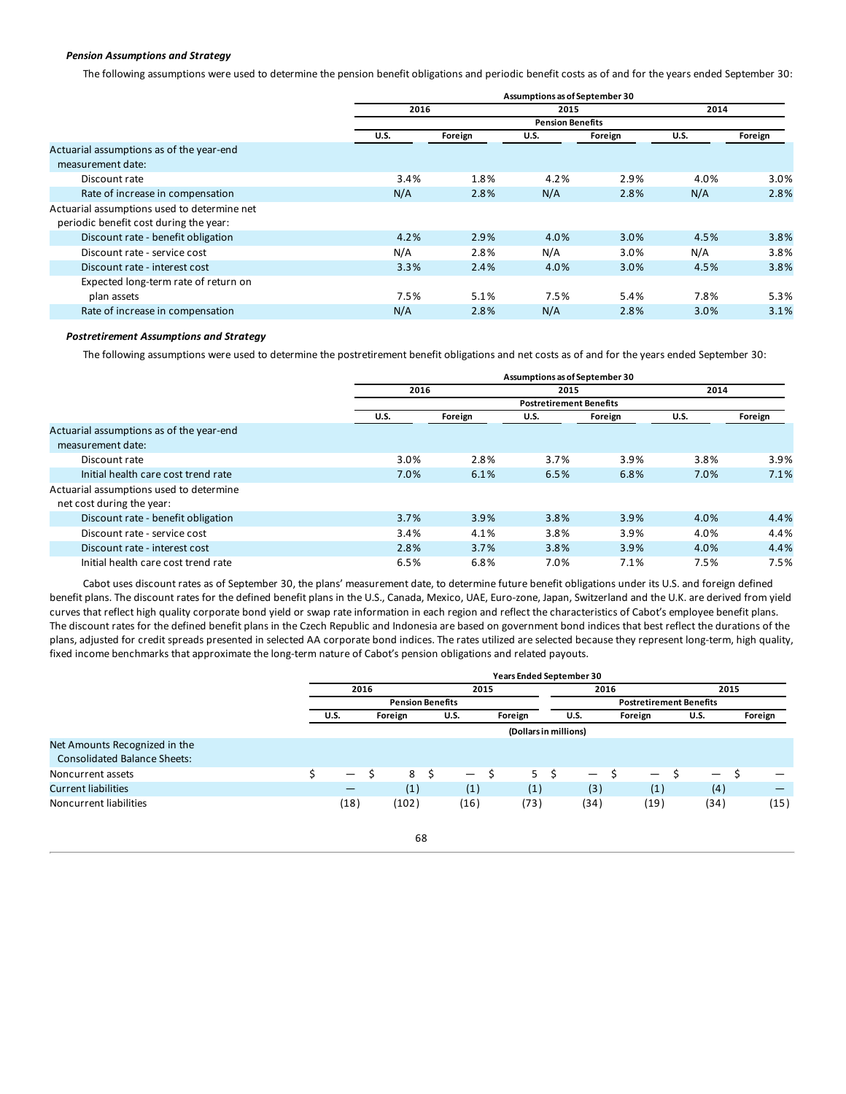# *Pension Assumptions and Strategy*

The following assumptions were used to determine the pension benefit obligations and periodic benefit costs as of and for the years ended September 30:

|                                             |      |         | Assumptions as of September 30 |         |             |         |
|---------------------------------------------|------|---------|--------------------------------|---------|-------------|---------|
|                                             | 2016 |         | 2015                           |         | 2014        |         |
|                                             |      |         | <b>Pension Benefits</b>        |         |             |         |
|                                             | U.S. | Foreign | <b>U.S.</b>                    | Foreign | <b>U.S.</b> | Foreign |
| Actuarial assumptions as of the year-end    |      |         |                                |         |             |         |
| measurement date:                           |      |         |                                |         |             |         |
| Discount rate                               | 3.4% | 1.8%    | 4.2%                           | 2.9%    | 4.0%        | 3.0%    |
| Rate of increase in compensation            | N/A  | 2.8%    | N/A                            | 2.8%    | N/A         | 2.8%    |
| Actuarial assumptions used to determine net |      |         |                                |         |             |         |
| periodic benefit cost during the year:      |      |         |                                |         |             |         |
| Discount rate - benefit obligation          | 4.2% | 2.9%    | 4.0%                           | 3.0%    | 4.5%        | 3.8%    |
| Discount rate - service cost                | N/A  | 2.8%    | N/A                            | 3.0%    | N/A         | 3.8%    |
| Discount rate - interest cost               | 3.3% | 2.4%    | 4.0%                           | 3.0%    | 4.5%        | 3.8%    |
| Expected long-term rate of return on        |      |         |                                |         |             |         |
| plan assets                                 | 7.5% | 5.1%    | 7.5%                           | 5.4%    | 7.8%        | 5.3%    |
| Rate of increase in compensation            | N/A  | 2.8%    | N/A                            | 2.8%    | 3.0%        | 3.1%    |

# *Postretirement Assumptions and Strategy*

The following assumptions were used to determine the postretirement benefit obligations and net costs as of and for the years ended September 30:

|                                          |             |         | Assumptions as of September 30 |         |             |         |
|------------------------------------------|-------------|---------|--------------------------------|---------|-------------|---------|
|                                          | 2016        |         | 2015                           |         | 2014        |         |
|                                          |             |         | <b>Postretirement Benefits</b> |         |             |         |
|                                          | <b>U.S.</b> | Foreign | <b>U.S.</b>                    | Foreign | <b>U.S.</b> | Foreign |
| Actuarial assumptions as of the year-end |             |         |                                |         |             |         |
| measurement date:                        |             |         |                                |         |             |         |
| Discount rate                            | 3.0%        | 2.8%    | 3.7%                           | 3.9%    | 3.8%        | 3.9%    |
| Initial health care cost trend rate      | 7.0%        | 6.1%    | 6.5%                           | 6.8%    | 7.0%        | 7.1%    |
| Actuarial assumptions used to determine  |             |         |                                |         |             |         |
| net cost during the year:                |             |         |                                |         |             |         |
| Discount rate - benefit obligation       | 3.7%        | 3.9%    | 3.8%                           | 3.9%    | 4.0%        | 4.4%    |
| Discount rate - service cost             | 3.4%        | 4.1%    | 3.8%                           | 3.9%    | 4.0%        | 4.4%    |
| Discount rate - interest cost            | 2.8%        | 3.7%    | 3.8%                           | 3.9%    | 4.0%        | 4.4%    |
| Initial health care cost trend rate      | 6.5%        | 6.8%    | 7.0%                           | 7.1%    | 7.5%        | 7.5%    |

Cabot uses discount rates as of September 30, the plans' measurement date, to determine future benefit obligations under its U.S. and foreign defined benefit plans. The discount rates for the defined benefit plans in the U.S., Canada, Mexico, UAE, Euro-zone, Japan, Switzerland and the U.K. are derived from yield curves that reflect high quality corporate bond yield or swap rate information in each region and reflect the characteristics of Cabot's employee benefit plans. The discount rates for the defined benefit plans in the Czech Republic and Indonesia are based on government bond indices that best reflect the durations of the plans, adjusted for credit spreads presented in selected AA corporate bond indices. The rates utilized are selected because they represent long-term, high quality, fixed income benchmarks that approximate the long-term nature of Cabot's pension obligations and related payouts.

|                                                                      |                          |         |                         |                   |         | <b>Years Ended September 30</b> |         |                                |         |
|----------------------------------------------------------------------|--------------------------|---------|-------------------------|-------------------|---------|---------------------------------|---------|--------------------------------|---------|
|                                                                      |                          | 2016    |                         |                   | 2015    |                                 | 2016    |                                | 2015    |
|                                                                      |                          |         | <b>Pension Benefits</b> |                   |         |                                 |         | <b>Postretirement Benefits</b> |         |
|                                                                      | U.S.                     | Foreign |                         | U.S.              | Foreign | U.S.                            | Foreign | <b>U.S.</b>                    | Foreign |
|                                                                      |                          |         |                         |                   |         | (Dollars in millions)           |         |                                |         |
| Net Amounts Recognized in the<br><b>Consolidated Balance Sheets:</b> |                          |         |                         |                   |         |                                 |         |                                |         |
| Noncurrent assets                                                    | $\overline{\phantom{m}}$ |         | 8<br>S                  | $\qquad \qquad -$ | 5       | $\overline{\phantom{0}}$        | —       | $\overline{\phantom{0}}$       | —       |
| <b>Current liabilities</b>                                           | —                        |         | (1)                     | (1)               | (1)     | (3)                             | (1)     | (4)                            |         |
| Noncurrent liabilities                                               | (18)                     |         | (102)                   | (16)              | (73)    | (34)                            | (19)    | (34)                           | (15)    |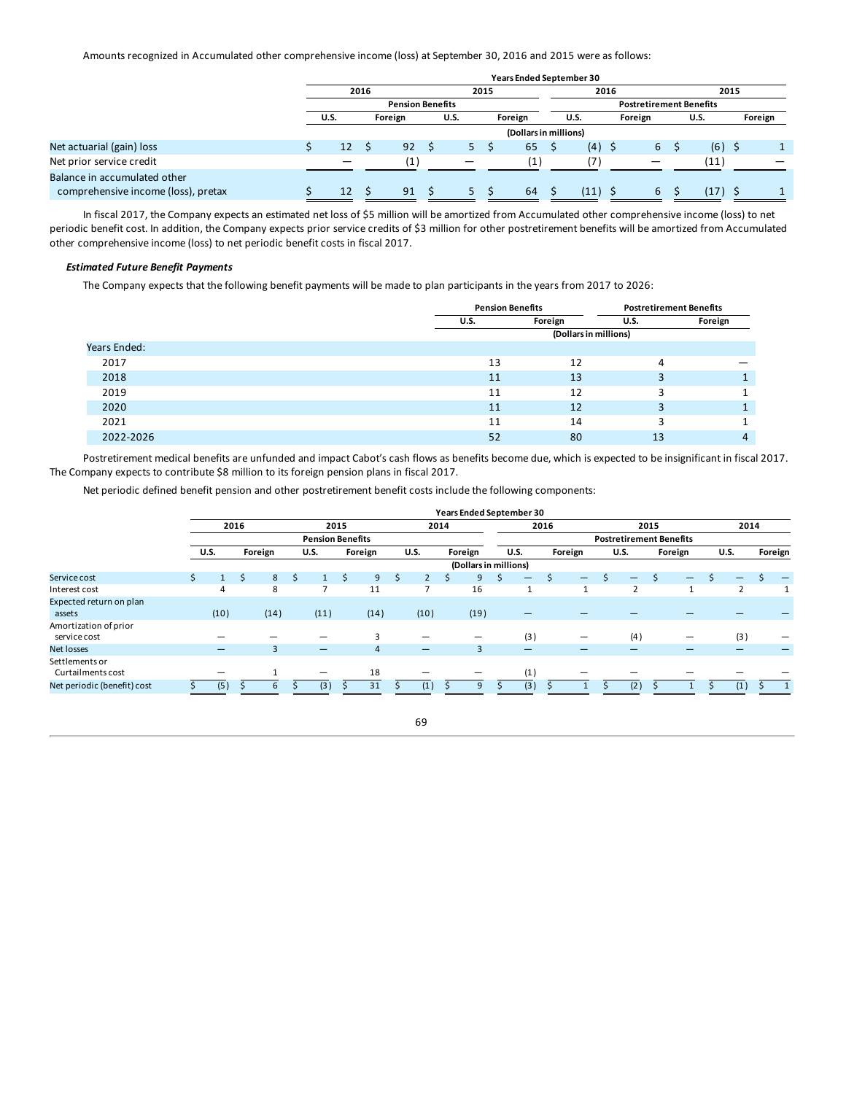Amounts recognized in Accumulated other comprehensive income (loss) at September 30, 2016 and 2015 were as follows:

|                                     |      |      |                         |      |      | <b>Years Ended September 30</b> |             |      |                                |             |      |         |
|-------------------------------------|------|------|-------------------------|------|------|---------------------------------|-------------|------|--------------------------------|-------------|------|---------|
|                                     |      | 2016 |                         |      | 2015 |                                 |             | 2016 |                                |             | 2015 |         |
|                                     |      |      | <b>Pension Benefits</b> |      |      |                                 |             |      | <b>Postretirement Benefits</b> |             |      |         |
|                                     | U.S. |      | Foreign                 | U.S. |      | Foreign                         | <b>U.S.</b> |      | Foreign                        | <b>U.S.</b> |      | Foreign |
|                                     |      |      |                         |      |      | (Dollars in millions)           |             |      |                                |             |      |         |
| Net actuarial (gain) loss           | 12   |      | 92                      | 5.   |      | 65                              | $(4)$ \$    |      | 6                              | (6)         |      |         |
| Net prior service credit            |      |      | (1)                     |      |      | (1)                             | (7, 7)      |      |                                | (11)        |      |         |
| Balance in accumulated other        |      |      |                         |      |      |                                 |             |      |                                |             |      |         |
| comprehensive income (loss), pretax | 12   |      | 91                      |      |      | 64                              | (11)        |      | 6                              |             |      |         |

In fiscal 2017, the Company expects an estimated net loss of \$5 million will be amortized from Accumulated other comprehensive income (loss) to net periodic benefit cost. In addition, the Company expects prior service credits of \$3 million for other postretirement benefits will be amortized from Accumulated other comprehensive income (loss) to net periodic benefit costs in fiscal 2017.

# *Estimated Future Benefit Payments*

The Company expects that the following benefit payments will be made to plan participants in the years from 2017 to 2026:

|              | <b>Pension Benefits</b> |                       | <b>Postretirement Benefits</b> |         |
|--------------|-------------------------|-----------------------|--------------------------------|---------|
|              | <b>U.S.</b>             | Foreign               | <b>U.S.</b>                    | Foreign |
|              |                         | (Dollars in millions) |                                |         |
| Years Ended: |                         |                       |                                |         |
| 2017         | 13                      | 12                    | 4                              |         |
| 2018         | 11                      | 13                    | 3                              |         |
| 2019         | 11                      | 12                    | 3                              |         |
| 2020         | 11                      | 12                    |                                |         |
| 2021         | 11                      | 14                    | 3                              |         |
| 2022-2026    | 52                      | 80                    | 13                             |         |

Postretirement medical benefits are unfunded and impact Cabot's cash flows as benefits become due, which is expected to be insignificant in fiscal 2017. The Company expects to contribute \$8 million to its foreign pension plans in fiscal 2017.

Net periodic defined benefit pension and other postretirement benefit costs include the following components:

|                             |             |      |         |    |                         |      |         |   |             |      |                       | <b>Years Ended September 30</b> |      |         |                                |      |         |             |         |
|-----------------------------|-------------|------|---------|----|-------------------------|------|---------|---|-------------|------|-----------------------|---------------------------------|------|---------|--------------------------------|------|---------|-------------|---------|
|                             |             | 2016 |         |    |                         | 2015 |         |   |             | 2014 |                       |                                 | 2016 |         |                                | 2015 |         | 2014        |         |
|                             |             |      |         |    | <b>Pension Benefits</b> |      |         |   |             |      |                       |                                 |      |         | <b>Postretirement Benefits</b> |      |         |             |         |
|                             | <b>U.S.</b> |      | Foreign |    | <b>U.S.</b>             |      | Foreign |   | <b>U.S.</b> |      | Foreign               | <b>U.S.</b>                     |      | Foreign | <b>U.S.</b>                    |      | Foreign | <b>U.S.</b> | Foreign |
|                             |             |      |         |    |                         |      |         |   |             |      | (Dollars in millions) |                                 |      |         |                                |      |         |             |         |
| Service cost                | \$          | Ŝ    | 8       | Ś. |                         | Š.   | 9       | Ś |             |      | 9                     |                                 |      |         |                                |      |         |             |         |
| Interest cost               | 4           |      | 8       |    |                         |      | 11      |   |             |      | 16                    | $\mathbf{1}$                    |      |         |                                |      |         | 2           |         |
| Expected return on plan     |             |      |         |    |                         |      |         |   |             |      |                       |                                 |      |         |                                |      |         |             |         |
| assets                      | (10)        |      | (14)    |    | (11)                    |      | (14)    |   | (10)        |      | (19)                  |                                 |      |         |                                |      |         |             |         |
| Amortization of prior       |             |      |         |    |                         |      |         |   |             |      |                       |                                 |      |         |                                |      |         |             |         |
| service cost                |             |      |         |    |                         |      | 3       |   |             |      |                       | (3)                             |      |         | (4)                            |      | -       | (3)         |         |
| <b>Net losses</b>           | -           |      | 3       |    | –                       |      | 4       |   | _           |      | 3                     | –                               |      |         |                                |      |         |             |         |
| Settlements or              |             |      |         |    |                         |      |         |   |             |      |                       |                                 |      |         |                                |      |         |             |         |
| Curtailments cost           |             |      |         |    |                         |      | 18      |   |             |      |                       | (1)                             |      |         |                                |      |         |             |         |
| Net periodic (benefit) cost | (5)         |      | 6       |    | (3)                     |      | 31      |   | (1)         |      | 9                     | (3)                             |      |         | (2)                            |      |         | (1)         |         |

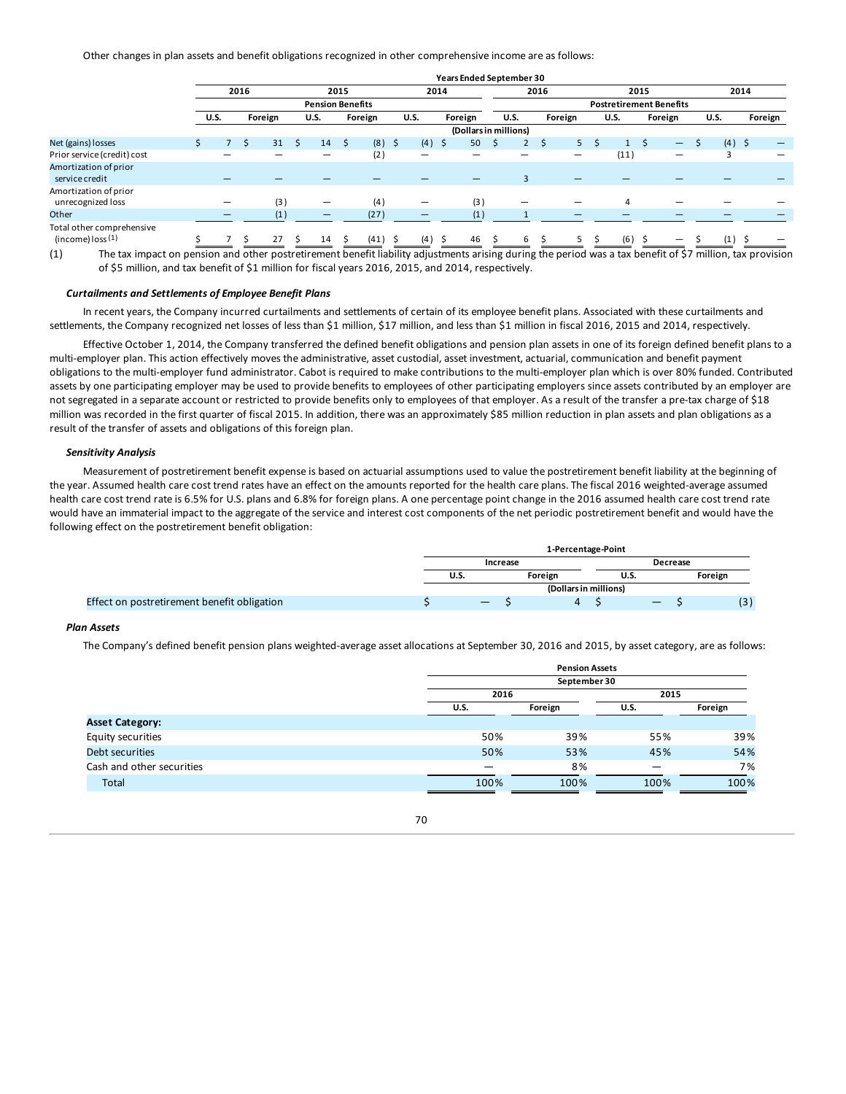Other changes in plan assets and benefit obligations recognized in other comprehensive income are as follows:

|                                                                                                                                                                            |             |      |         |    |                         |      |           |             |      | Years Ended September 30 |   |             |      |         |                                |      |                |             |      |         |  |
|----------------------------------------------------------------------------------------------------------------------------------------------------------------------------|-------------|------|---------|----|-------------------------|------|-----------|-------------|------|--------------------------|---|-------------|------|---------|--------------------------------|------|----------------|-------------|------|---------|--|
|                                                                                                                                                                            |             | 2016 |         |    |                         | 2015 |           |             | 2014 |                          |   |             | 2016 |         |                                | 2015 |                |             | 2014 |         |  |
|                                                                                                                                                                            |             |      |         |    | <b>Pension Benefits</b> |      |           |             |      |                          |   |             |      |         | <b>Postretirement Benefits</b> |      |                |             |      |         |  |
|                                                                                                                                                                            | <b>U.S.</b> |      | Foreign |    | U.S.                    |      | Foreign   | <b>U.S.</b> |      | Foreign                  |   | <b>U.S.</b> |      | Foreign | <b>U.S.</b>                    |      | Foreign        | <b>U.S.</b> |      | Foreign |  |
|                                                                                                                                                                            |             |      |         |    |                         |      |           |             |      | (Dollars in millions)    |   |             |      |         |                                |      |                |             |      |         |  |
| Net (gains) losses                                                                                                                                                         |             |      | 31      | Ŝ. | 14                      |      | $(8)$ \$  | $(4)$ \$    |      | 50                       | S | $2^{\circ}$ | S    | 5       |                                |      | —              |             | (4)  | - \$    |  |
| Prior service (credit) cost                                                                                                                                                |             |      |         |    |                         |      | (2)       | -           |      |                          |   |             |      | —       | (11)                           |      | –              |             | 3    |         |  |
| Amortization of prior<br>service credit                                                                                                                                    |             |      |         |    |                         |      |           |             |      |                          |   | 3           |      |         |                                |      |                |             |      |         |  |
| Amortization of prior<br>unrecognized loss                                                                                                                                 |             |      | (3)     |    |                         |      | (4)       |             |      | (3)                      |   |             |      |         | 4                              |      |                |             |      |         |  |
| Other                                                                                                                                                                      |             |      | (1)     |    |                         |      | (27)      |             |      | (1)                      |   |             |      |         |                                |      |                |             |      |         |  |
| Total other comprehensive<br>(income) $loss(1)$                                                                                                                            |             |      | 27      | -Ŝ | 14                      |      | $(41)$ \$ | (4)         |      | 46                       |   | 6           |      | 5       | (6)                            |      | -              |             | (1)  |         |  |
| $\overline{\phantom{a}}$ . The contract of $\overline{\phantom{a}}$ and $\overline{\phantom{a}}$ . The contract of $\overline{\phantom{a}}$ and $\overline{\phantom{a}}$ . |             |      |         |    |                         |      | $-1$      |             |      |                          |   |             |      |         |                                |      | $\sim$<br>$-1$ | $\cdots$    |      |         |  |

(1) The tax impact on pension and other postretirement benefit liability adjustments arising during the period was a tax benefit of \$7 million, tax provision of \$5 million, and tax benefit of \$1 million for fiscal years 2016, 2015, and 2014, respectively.

## *Curtailments and Settlements of Employee Benefit Plans*

In recent years, the Company incurred curtailments and settlements of certain of its employee benefit plans. Associated with these curtailments and settlements, the Company recognized net losses of less than \$1 million, \$17 million, and less than \$1 million in fiscal 2016, 2015 and 2014, respectively.

Effective October 1, 2014, the Company transferred the defined benefit obligations and pension plan assets in one of its foreign defined benefit plans to a multi-employer plan. This action effectively moves the administrative, asset custodial, asset investment, actuarial, communication and benefit payment obligations to the multi-employer fund administrator. Cabot is required to make contributions to the multi-employer plan which is over 80% funded. Contributed assets by one participating employer may be used to provide benefits to employees of other participating employers since assets contributed by an employer are not segregated in a separate account or restricted to provide benefits only to employees of that employer. As a result of the transfer a pre-tax charge of \$18 million was recorded in the first quarter of fiscal 2015. In addition, there was an approximately \$85 million reduction in plan assets and plan obligations as a result of the transfer of assets and obligations of this foreign plan.

## *Sensitivity Analysis*

Measurement of postretirement benefit expense is based on actuarial assumptions used to value the postretirement benefit liability at the beginning of the year. Assumed health care cost trend rates have an effect on the amounts reported for the health care plans. The fiscal 2016 weighted-average assumed health care cost trend rate is 6.5% for U.S. plans and 6.8% for foreign plans. A one percentage point change in the 2016 assumed health care cost trend rate would have an immaterial impact to the aggregate of the service and interest cost components of the net periodic postretirement benefit and would have the following effect on the postretirement benefit obligation:

|                                             | 1-Percentage-Point       |  |                       |          |                          |  |         |  |
|---------------------------------------------|--------------------------|--|-----------------------|----------|--------------------------|--|---------|--|
|                                             | Increase                 |  |                       | Decrease |                          |  |         |  |
|                                             | U.S.                     |  | Foreign               |          | U.S.                     |  | Foreign |  |
|                                             |                          |  | (Dollars in millions) |          |                          |  |         |  |
| Effect on postretirement benefit obligation | $\overline{\phantom{0}}$ |  |                       |          | $\overline{\phantom{0}}$ |  | (3)     |  |

#### *Plan Assets*

The Company's defined benefit pension plans weighted-average asset allocations at September 30, 2016 and 2015, by asset category, are as follows:

|                           |             | <b>Pension Assets</b><br>September 30 |                          |         |  |  |  |  |
|---------------------------|-------------|---------------------------------------|--------------------------|---------|--|--|--|--|
|                           |             |                                       |                          |         |  |  |  |  |
|                           | 2016        |                                       | 2015                     |         |  |  |  |  |
|                           | <b>U.S.</b> | Foreign                               | <b>U.S.</b>              | Foreign |  |  |  |  |
| <b>Asset Category:</b>    |             |                                       |                          |         |  |  |  |  |
| Equity securities         | 50%         | 39%                                   | 55%                      | 39%     |  |  |  |  |
| Debt securities           | 50%         | 53%                                   | 45%                      | 54%     |  |  |  |  |
| Cash and other securities |             | 8%                                    | $\overline{\phantom{0}}$ | 7%      |  |  |  |  |
| <b>Total</b>              | 100%        | 100%                                  | 100%                     | 100%    |  |  |  |  |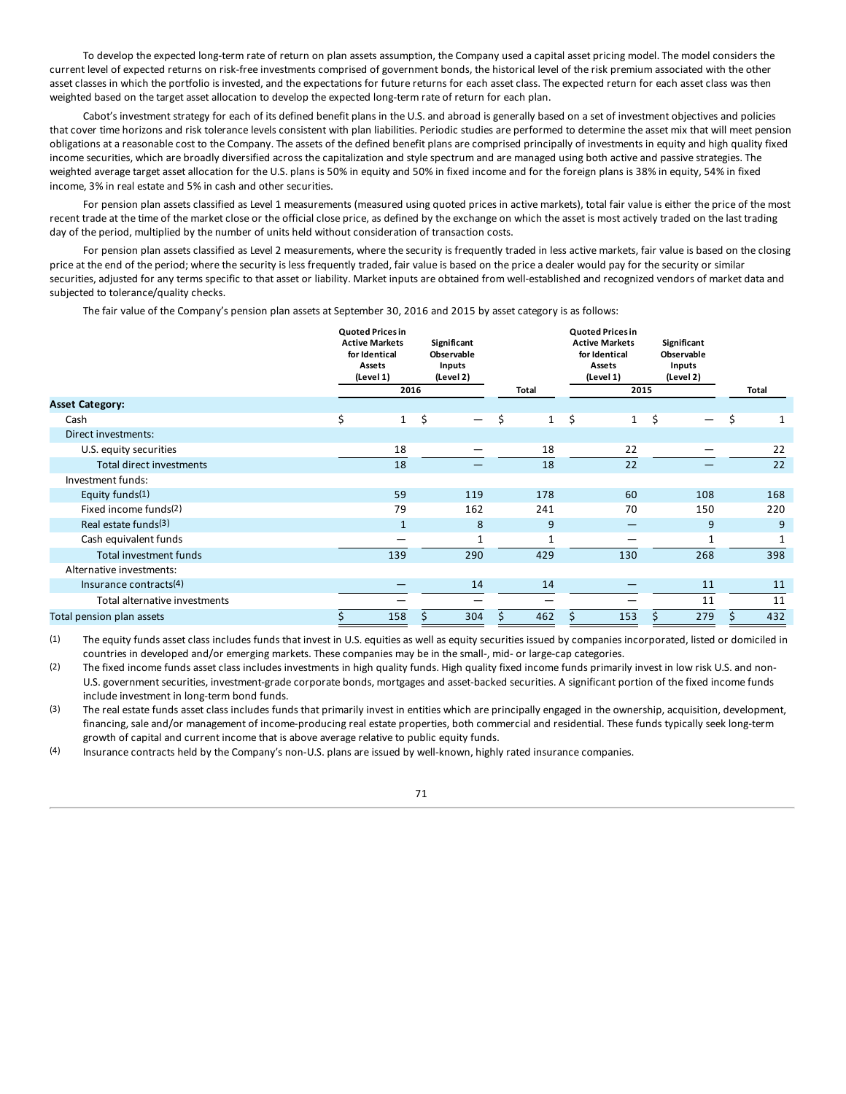To develop the expected long-term rate of return on plan assets assumption, the Company used a capital asset pricing model. The model considers the current level of expected returns on risk-free investments comprised of government bonds, the historical level of the risk premium associated with the other asset classes in which the portfolio is invested, and the expectations for future returns for each asset class. The expected return for each asset class was then weighted based on the target asset allocation to develop the expected long-term rate of return for each plan.

Cabot's investment strategy for each of its defined benefit plans in the U.S. and abroad is generally based on a set of investment objectives and policies that cover time horizons and risk tolerance levels consistent with plan liabilities. Periodic studies are performed to determine the asset mix that will meet pension obligations at a reasonable cost to the Company. The assets of the defined benefit plans are comprised principally of investments in equity and high quality fixed income securities, which are broadly diversified across the capitalization and style spectrum and are managed using both active and passive strategies. The weighted average target asset allocation for the U.S. plans is 50% in equity and 50% in fixed income and for the foreign plans is 38% in equity, 54% in fixed income, 3% in real estate and 5% in cash and other securities.

For pension plan assets classified as Level 1 measurements (measured using quoted prices in active markets), total fair value is either the price of the most recent trade at the time of the market close or the official close price, as defined by the exchange on which the asset is most actively traded on the last trading day of the period, multiplied by the number of units held without consideration of transaction costs.

For pension plan assets classified as Level 2 measurements, where the security is frequently traded in less active markets, fair value is based on the closing price at the end of the period; where the security is less frequently traded, fair value is based on the price a dealer would pay for the security or similar securities, adjusted for any terms specific to that asset or liability. Market inputs are obtained from well-established and recognized vendors of market data and subjected to tolerance/quality checks.

The fair value of the Company's pension plan assets at September 30, 2016 and 2015 by asset category is as follows:

|                               | <b>Quoted Prices in</b><br><b>Active Markets</b><br>for Identical<br>Assets<br>(Level 1) | Significant<br>Observable<br>Inputs<br>(Level 2) |    |              | <b>Quoted Prices in</b><br><b>Active Markets</b><br>for Identical<br>Assets<br>(Level 1) | Significant<br>Observable<br><b>Inputs</b><br>(Level 2) |    |              |
|-------------------------------|------------------------------------------------------------------------------------------|--------------------------------------------------|----|--------------|------------------------------------------------------------------------------------------|---------------------------------------------------------|----|--------------|
|                               | 2016                                                                                     |                                                  |    | Total        | 2015                                                                                     |                                                         |    | <b>Total</b> |
| <b>Asset Category:</b>        |                                                                                          |                                                  |    |              |                                                                                          |                                                         |    |              |
| Cash                          | \$<br>1                                                                                  | \$                                               | \$ | $\mathbf{1}$ | \$<br>$\mathbf{1}$                                                                       | \$                                                      | \$ | 1            |
| Direct investments:           |                                                                                          |                                                  |    |              |                                                                                          |                                                         |    |              |
| U.S. equity securities        | 18                                                                                       |                                                  |    | 18           | 22                                                                                       |                                                         |    | 22           |
| Total direct investments      | 18                                                                                       |                                                  |    | 18           | 22                                                                                       |                                                         |    | 22           |
| Investment funds:             |                                                                                          |                                                  |    |              |                                                                                          |                                                         |    |              |
| Equity funds $(1)$            | 59                                                                                       | 119                                              |    | 178          | 60                                                                                       | 108                                                     |    | 168          |
| Fixed income funds(2)         | 79                                                                                       | 162                                              |    | 241          | 70                                                                                       | 150                                                     |    | 220          |
| Real estate funds $(3)$       | $\mathbf{1}$                                                                             | 8                                                |    | 9            | $\overline{\phantom{0}}$                                                                 | 9                                                       |    | 9            |
| Cash equivalent funds         |                                                                                          |                                                  |    | 1            | -                                                                                        | 1                                                       |    |              |
| Total investment funds        | 139                                                                                      | 290                                              |    | 429          | 130                                                                                      | 268                                                     |    | 398          |
| Alternative investments:      |                                                                                          |                                                  |    |              |                                                                                          |                                                         |    |              |
| Insurance contracts(4)        |                                                                                          | 14                                               |    | 14           |                                                                                          | 11                                                      |    | 11           |
| Total alternative investments |                                                                                          |                                                  |    |              |                                                                                          | 11                                                      |    | 11           |
| Total pension plan assets     | 158                                                                                      | 304                                              | Ś  | 462          | 153                                                                                      | 279                                                     |    | 432          |

(1) The equity funds asset class includes funds that invest in U.S. equities as well as equity securities issued by companies incorporated, listed or domiciled in countries in developed and/or emerging markets. These companies may be in the small-, mid- or large-cap categories.

(2) The fixed income funds asset class includes investments in high quality funds. High quality fixed income funds primarily invest in low risk U.S. and non-U.S. government securities, investment-grade corporate bonds, mortgages and asset-backed securities. A significant portion of the fixed income funds include investment in long-term bond funds.

(3) The real estate funds asset class includes funds that primarily invest in entities which are principally engaged in the ownership, acquisition, development, financing, sale and/or management of income-producing real estate properties, both commercial and residential. These funds typically seek long-term growth of capital and current income that is above average relative to public equity funds.

 $(4)$  Insurance contracts held by the Company's non-U.S. plans are issued by well-known, highly rated insurance companies.

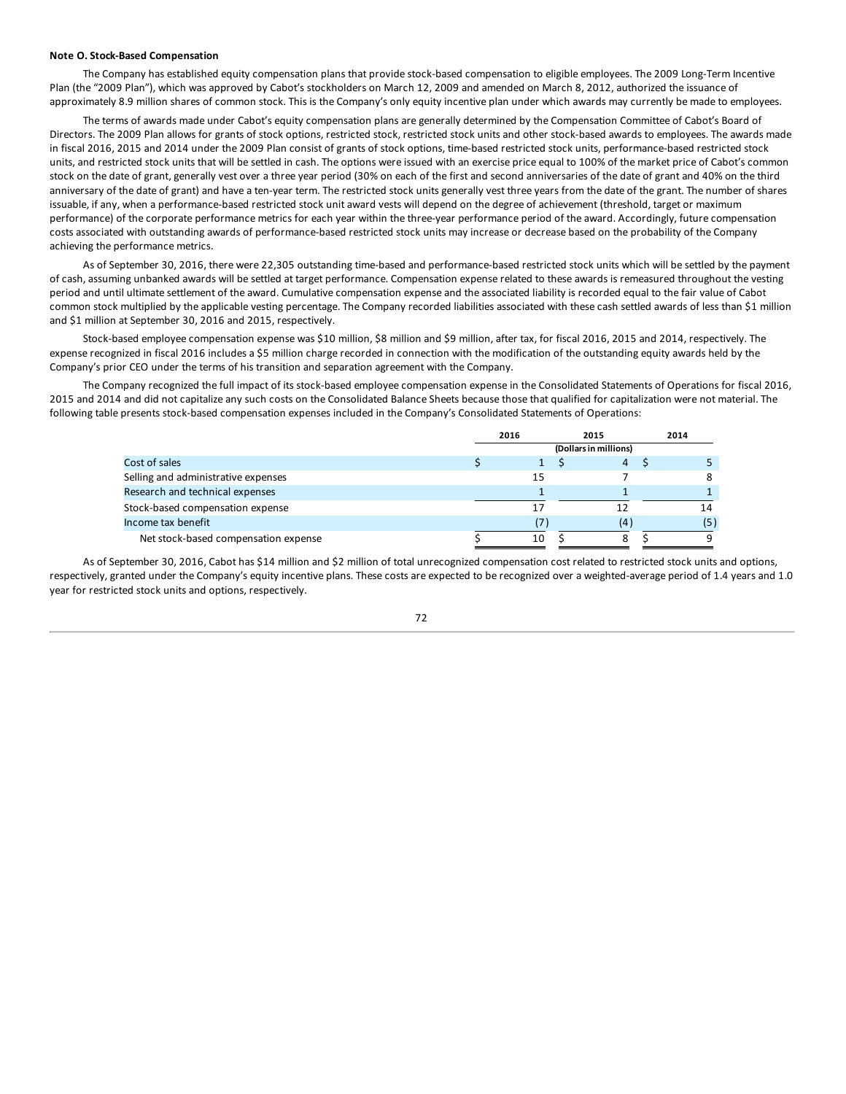## **Note O. Stock-Based Compensation**

The Company has established equity compensation plans that provide stock-based compensation to eligible employees. The 2009 Long-Term Incentive Plan (the "2009 Plan"), which was approved by Cabot's stockholders on March 12, 2009 and amended on March 8, 2012, authorized the issuance of approximately 8.9 million shares of common stock. This is the Company's only equity incentive plan under which awards may currently be made to employees.

The terms of awards made under Cabot's equity compensation plans are generally determined by the Compensation Committee of Cabot's Board of Directors. The 2009 Plan allows for grants of stock options, restricted stock, restricted stock units and other stock-based awards to employees. The awards made in fiscal 2016, 2015 and 2014 under the 2009 Plan consist of grants of stock options, time-based restricted stock units, performance-based restricted stock units, and restricted stock units that will be settled in cash. The options were issued with an exercise price equal to 100% of the market price of Cabot's common stock on the date of grant, generally vest over a three year period (30% on each of the first and second anniversaries of the date of grant and 40% on the third anniversary of the date of grant) and have a ten-year term. The restricted stock units generally vest three years from the date of the grant. The number of shares issuable, if any, when a performance-based restricted stock unit award vests will depend on the degree of achievement (threshold, target or maximum performance) of the corporate performance metrics for each year within the three-year performance period of the award. Accordingly, future compensation costs associated with outstanding awards of performance-based restricted stock units may increase or decrease based on the probability of the Company achieving the performance metrics.

As of September 30, 2016, there were 22,305 outstanding time-based and performance-based restricted stock units which will be settled by the payment of cash, assuming unbanked awards will be settled at target performance. Compensation expense related to these awards is remeasured throughout the vesting period and until ultimate settlement of the award. Cumulative compensation expense and the associated liability is recorded equal to the fair value of Cabot common stock multiplied by the applicable vesting percentage. The Company recorded liabilities associated with these cash settled awards of less than \$1 million and \$1 million at September 30, 2016 and 2015, respectively.

Stock-based employee compensation expense was \$10 million, \$8 million and \$9 million, after tax, for fiscal 2016, 2015 and 2014, respectively. The expense recognized in fiscal 2016 includes a \$5 million charge recorded in connection with the modification of the outstanding equity awards held by the Company's prior CEO under the terms of his transition and separation agreement with the Company.

The Company recognized the full impact of its stock-based employee compensation expense in the Consolidated Statements of Operations for fiscal 2016, 2015 and 2014 and did not capitalize any such costs on the Consolidated Balance Sheets because those that qualified for capitalization were not material. The following table presents stock-based compensation expenses included in the Company's Consolidated Statements of Operations:

|                                      | 2016 | 2015                  | 2014 |
|--------------------------------------|------|-----------------------|------|
|                                      |      | (Dollars in millions) |      |
| Cost of sales                        |      | 4                     |      |
| Selling and administrative expenses  | 15   |                       |      |
| Research and technical expenses      |      |                       |      |
| Stock-based compensation expense     | 17   |                       |      |
| Income tax benefit                   | (7   | (4)                   | (5)  |
| Net stock-based compensation expense | 10   |                       | 9    |

As of September 30, 2016, Cabot has \$14 million and \$2 million of total unrecognized compensation cost related to restricted stock units and options, respectively, granted under the Company's equity incentive plans. These costs are expected to be recognized over a weighted-average period of 1.4 years and 1.0 year for restricted stock units and options, respectively.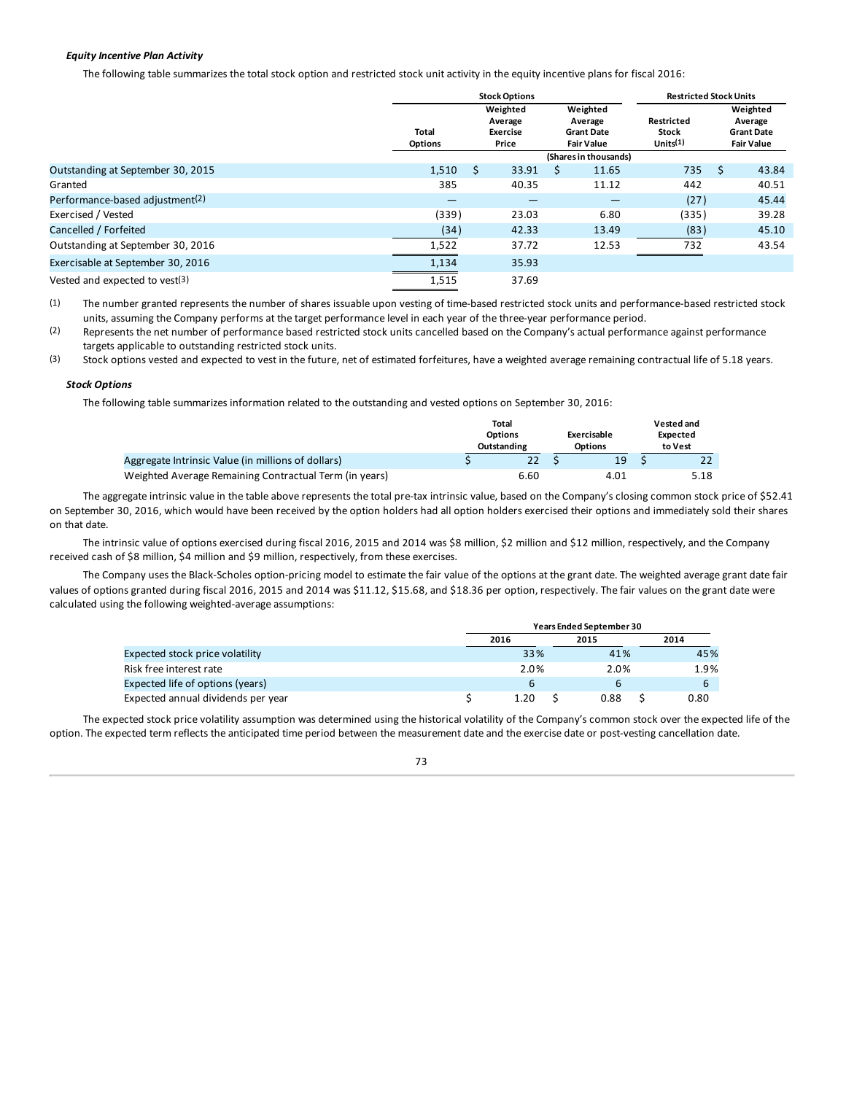# *Equity Incentive Plan Activity*

The following table summarizes the total stock option and restricted stock unit activity in the equity incentive plans for fiscal 2016:

|                                   |                  | <b>Stock Options</b>                     |       |   |                       |                                                               |   | <b>Restricted Stock Units</b>      |  |                                                               |
|-----------------------------------|------------------|------------------------------------------|-------|---|-----------------------|---------------------------------------------------------------|---|------------------------------------|--|---------------------------------------------------------------|
|                                   | Total<br>Options | Weighted<br>Average<br>Exercise<br>Price |       |   |                       | Weighted<br>Average<br><b>Grant Date</b><br><b>Fair Value</b> |   | Restricted<br>Stock<br>Units $(1)$ |  | Weighted<br>Average<br><b>Grant Date</b><br><b>Fair Value</b> |
|                                   |                  |                                          |       |   | (Shares in thousands) |                                                               |   |                                    |  |                                                               |
| Outstanding at September 30, 2015 | 1,510            |                                          | 33.91 | S | 11.65                 | 735                                                           | Ŝ | 43.84                              |  |                                                               |
| Granted                           | 385              |                                          | 40.35 |   | 11.12                 | 442                                                           |   | 40.51                              |  |                                                               |
| Performance-based adjustment(2)   |                  |                                          |       |   |                       | (27)                                                          |   | 45.44                              |  |                                                               |
| Exercised / Vested                | (339)            |                                          | 23.03 |   | 6.80                  | (335)                                                         |   | 39.28                              |  |                                                               |
| Cancelled / Forfeited             | (34)             |                                          | 42.33 |   | 13.49                 | (83)                                                          |   | 45.10                              |  |                                                               |
| Outstanding at September 30, 2016 | 1,522            |                                          | 37.72 |   | 12.53                 | 732                                                           |   | 43.54                              |  |                                                               |
| Exercisable at September 30, 2016 | 1,134            |                                          | 35.93 |   |                       |                                                               |   |                                    |  |                                                               |
| Vested and expected to vest $(3)$ | 1,515            |                                          | 37.69 |   |                       |                                                               |   |                                    |  |                                                               |

(1) The number granted represents the number of shares issuable upon vesting of time-based restricted stock units and performance-based restricted stock units, assuming the Company performs at the target performance level in each year of the three-year performance period.

(2) Represents the net number of performance based restricted stock units cancelled based on the Company's actual performance against performance targets applicable to outstanding restricted stock units.

(3) Stock options vested and expected to vest in the future, net of estimated forfeitures, have a weighted average remaining contractual life of 5.18 years.

# *Stock Options*

The following table summarizes information related to the outstanding and vested options on September 30, 2016:

|                                                        | Total                         |                               |                     | <b>Vested and</b> |
|--------------------------------------------------------|-------------------------------|-------------------------------|---------------------|-------------------|
|                                                        | <b>Options</b><br>Outstanding | Exercisable<br><b>Options</b> | Expected<br>to Vest |                   |
| Aggregate Intrinsic Value (in millions of dollars)     |                               | 19                            |                     |                   |
| Weighted Average Remaining Contractual Term (in years) | 6.60                          | 4.01                          |                     | 5.18              |

The aggregate intrinsic value in the table above represents the total pre-tax intrinsic value, based on the Company's closing common stock price of \$52.41 on September 30, 2016, which would have been received by the option holders had all option holders exercised their options and immediately sold their shares on that date.

The intrinsic value of options exercised during fiscal 2016, 2015 and 2014 was \$8 million, \$2 million and \$12 million, respectively, and the Company received cash of \$8 million, \$4 million and \$9 million, respectively, from these exercises.

The Company uses the Black-Scholes option-pricing model to estimate the fair value of the options at the grant date. The weighted average grant date fair values of options granted during fiscal 2016, 2015 and 2014 was \$11.12, \$15.68, and \$18.36 per option, respectively. The fair values on the grant date were calculated using the following weighted-average assumptions:

|                                        |      | <b>Years Ended September 30</b> |  |      |  |      |  |  |
|----------------------------------------|------|---------------------------------|--|------|--|------|--|--|
|                                        | 2016 |                                 |  | 2015 |  | 2014 |  |  |
| <b>Expected stock price volatility</b> |      | 33%                             |  | 41%  |  | 45%  |  |  |
| Risk free interest rate                |      | 2.0%                            |  | 2.0% |  | 1.9% |  |  |
| Expected life of options (years)       |      |                                 |  |      |  | b    |  |  |
| Expected annual dividends per year     |      | 1.20                            |  | 0.88 |  | 0.80 |  |  |

The expected stock price volatility assumption was determined using the historical volatility of the Company's common stock over the expected life of the option. The expected term reflects the anticipated time period between the measurement date and the exercise date or post-vesting cancellation date.

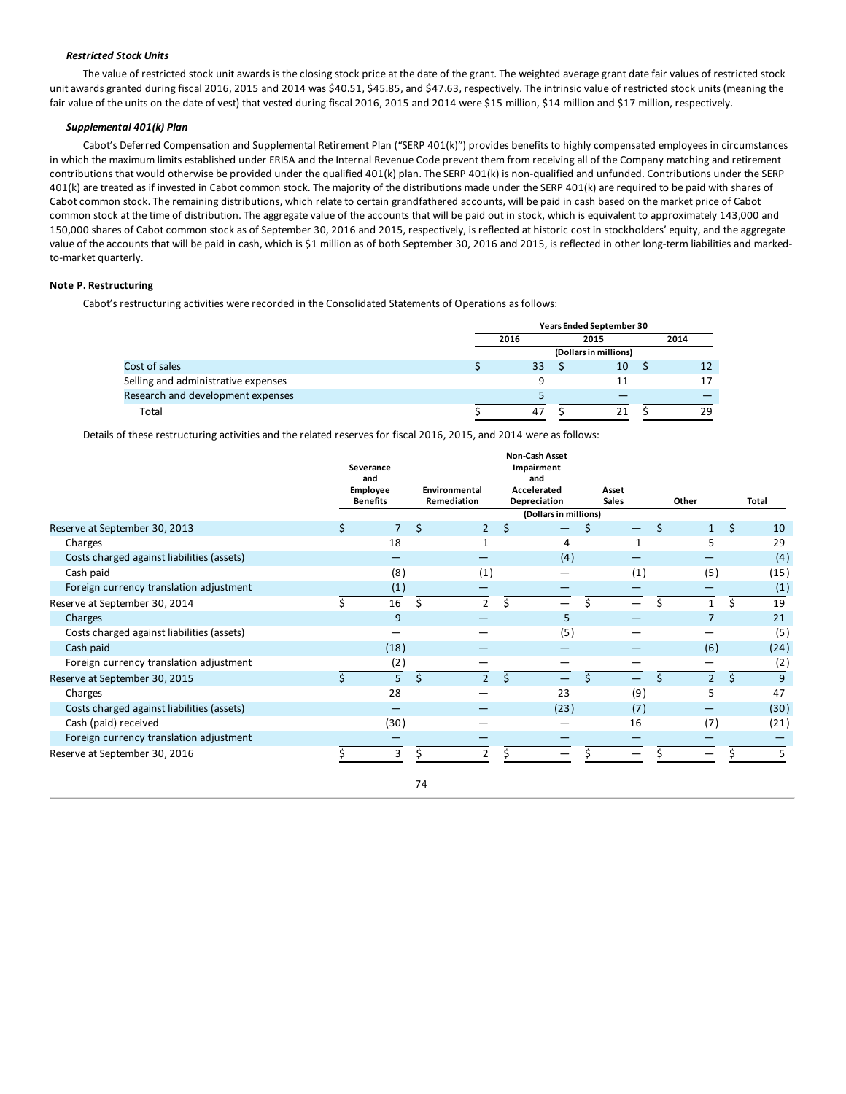# *Restricted Stock Units*

The value of restricted stock unit awards is the closing stock price at the date of the grant. The weighted average grant date fair values of restricted stock unit awards granted during fiscal 2016, 2015 and 2014 was \$40.51, \$45.85, and \$47.63, respectively. The intrinsic value of restricted stock units (meaning the fair value of the units on the date of vest) that vested during fiscal 2016, 2015 and 2014 were \$15 million, \$14 million and \$17 million, respectively.

# *Supplemental 401(k) Plan*

Cabot's Deferred Compensation and Supplemental Retirement Plan ("SERP 401(k)") provides benefits to highly compensated employees in circumstances in which the maximum limits established under ERISA and the Internal Revenue Code prevent them from receiving all of the Company matching and retirement contributions that would otherwise be provided under the qualified 401(k) plan. The SERP 401(k) is non-qualified and unfunded. Contributions under the SERP 401(k) are treated as if invested in Cabot common stock. The majority of the distributions made under the SERP 401(k) are required to be paid with shares of Cabot common stock. The remaining distributions, which relate to certain grandfathered accounts, will be paid in cash based on the market price of Cabot common stock at the time of distribution. The aggregate value of the accounts that will be paid out in stock, which is equivalent to approximately 143,000 and 150,000 shares of Cabot common stock as of September 30, 2016 and 2015, respectively, is reflected at historic cost in stockholders' equity, and the aggregate value of the accounts that will be paid in cash, which is \$1 million as of both September 30, 2016 and 2015, is reflected in other long-term liabilities and markedto-market quarterly.

### **Note P. Restructuring**

Cabot's restructuring activities were recorded in the Consolidated Statements of Operations as follows:

|                                     | Years Ended September 30 |  |                       |  |      |  |  |  |
|-------------------------------------|--------------------------|--|-----------------------|--|------|--|--|--|
|                                     | 2016                     |  | 2015                  |  | 2014 |  |  |  |
|                                     |                          |  | (Dollars in millions) |  |      |  |  |  |
| Cost of sales                       | 33                       |  | 10                    |  | 12   |  |  |  |
| Selling and administrative expenses | 9                        |  |                       |  | 17   |  |  |  |
| Research and development expenses   |                          |  |                       |  |      |  |  |  |
| Total                               | 47                       |  |                       |  | 29   |  |  |  |

Details of these restructuring activities and the related reserves for fiscal 2016, 2015, and 2014 were as follows:

|                                            |    | Severance<br>and<br>Employee<br><b>Benefits</b> |    | Environmental<br>Remediation | <b>Non-Cash Asset</b><br>Impairment<br>and<br>Accelerated<br>Depreciation | Asset<br><b>Sales</b> |                   |    | Other          |                    | <b>Total</b> |
|--------------------------------------------|----|-------------------------------------------------|----|------------------------------|---------------------------------------------------------------------------|-----------------------|-------------------|----|----------------|--------------------|--------------|
| Reserve at September 30, 2013              | Ś  | $\overline{7}$                                  | \$ | $\overline{2}$               | \$<br>(Dollars in millions)                                               |                       |                   | Ś  | $\mathbf{1}$   | S.                 | 10           |
| Charges                                    |    | 18                                              |    |                              | 4                                                                         |                       | 1                 |    | 5              |                    | 29           |
| Costs charged against liabilities (assets) |    |                                                 |    |                              | (4)                                                                       |                       |                   |    |                |                    | (4)          |
| Cash paid                                  |    | (8)                                             |    | (1)                          |                                                                           |                       | (1)               |    | (5)            |                    | (15)         |
| Foreign currency translation adjustment    |    | (1)                                             |    |                              |                                                                           |                       |                   |    |                |                    | (1)          |
| Reserve at September 30, 2014              |    | 16                                              |    | $\overline{2}$               |                                                                           |                       |                   |    |                |                    | 19           |
| Charges                                    |    | 9                                               |    |                              | 5                                                                         |                       |                   |    | 7              |                    | 21           |
| Costs charged against liabilities (assets) |    |                                                 |    |                              | (5)                                                                       |                       |                   |    |                |                    | (5)          |
| Cash paid                                  |    | (18)                                            |    |                              |                                                                           |                       |                   |    | (6)            |                    | (24)         |
| Foreign currency translation adjustment    |    | (2)                                             |    |                              |                                                                           |                       |                   |    |                |                    | (2)          |
| Reserve at September 30, 2015              | Ś. | 5                                               | \$ | $\overline{2}$               | \$                                                                        | Ś.                    | $\qquad \qquad =$ | Ś. | $\overline{2}$ | $\mathsf{\hat{S}}$ | 9            |
| Charges                                    |    | 28                                              |    |                              | 23                                                                        |                       | (9)               |    | 5              |                    | 47           |
| Costs charged against liabilities (assets) |    |                                                 |    |                              | (23)                                                                      |                       | (7)               |    |                |                    | (30)         |
| Cash (paid) received                       |    | (30)                                            |    |                              |                                                                           |                       | 16                |    | (7)            |                    | (21)         |
| Foreign currency translation adjustment    |    |                                                 |    |                              |                                                                           |                       |                   |    |                |                    |              |
| Reserve at September 30, 2016              |    | 3                                               |    | 2                            |                                                                           |                       |                   |    |                |                    |              |
|                                            |    |                                                 | 74 |                              |                                                                           |                       |                   |    |                |                    |              |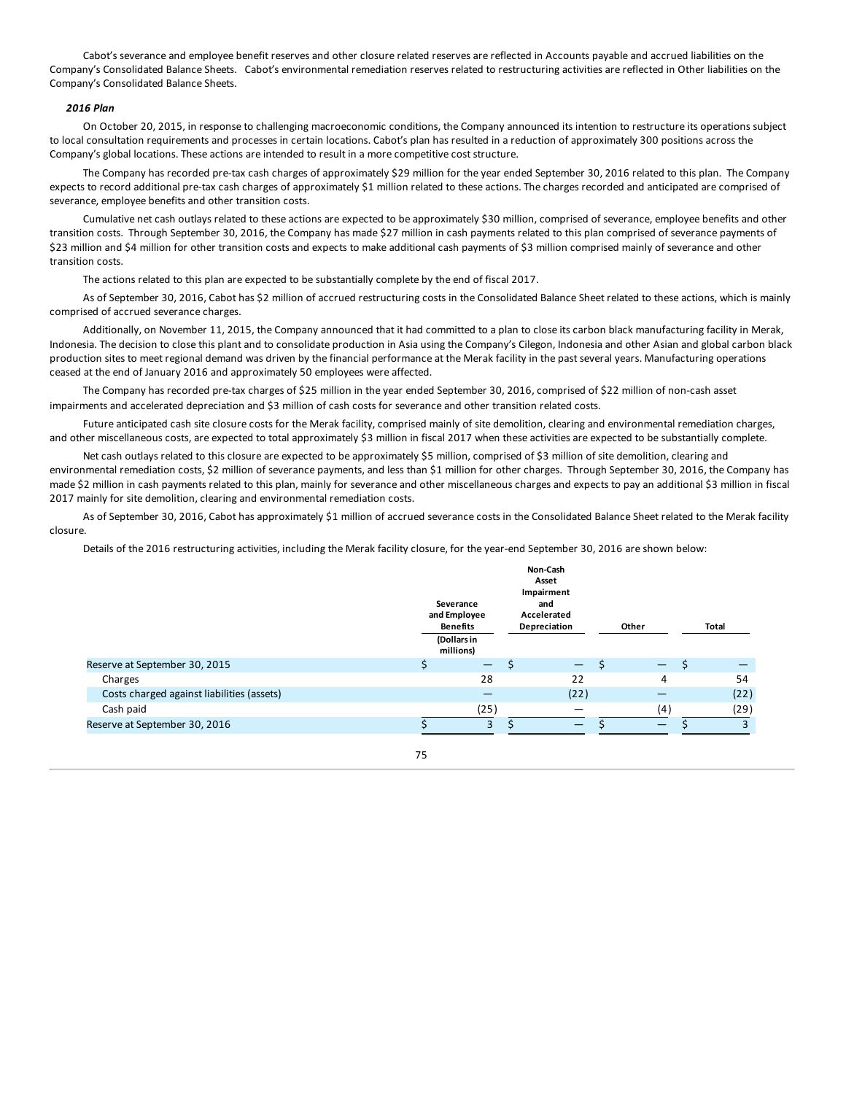Cabot's severance and employee benefit reserves and other closure related reserves are reflected in Accounts payable and accrued liabilities on the Company's Consolidated Balance Sheets. Cabot's environmental remediation reserves related to restructuring activities are reflected in Other liabilities on the Company's Consolidated Balance Sheets.

### *2016 Plan*

On October 20, 2015, in response to challenging macroeconomic conditions, the Company announced its intention to restructure its operations subject to local consultation requirements and processes in certain locations. Cabot's plan has resulted in a reduction of approximately 300 positions across the Company's global locations. These actions are intended to result in a more competitive cost structure.

The Company has recorded pre-tax cash charges of approximately \$29 million for the year ended September 30, 2016 related to this plan. The Company expects to record additional pre-tax cash charges of approximately \$1 million related to these actions. The charges recorded and anticipated are comprised of severance, employee benefits and other transition costs.

Cumulative net cash outlays related to these actions are expected to be approximately \$30 million, comprised of severance, employee benefits and other transition costs. Through September 30, 2016, the Company has made \$27 million in cash payments related to this plan comprised of severance payments of \$23 million and \$4 million for other transition costs and expects to make additional cash payments of \$3 million comprised mainly of severance and other transition costs.

The actions related to this plan are expected to be substantially complete by the end of fiscal 2017.

As of September 30, 2016, Cabot has \$2 million of accrued restructuring costs in the Consolidated Balance Sheet related to these actions, which is mainly comprised of accrued severance charges.

Additionally, on November 11, 2015, the Company announced that it had committed to a plan to close its carbon black manufacturing facility in Merak, Indonesia. The decision to close this plant and to consolidate production in Asia using the Company's Cilegon, Indonesia and other Asian and global carbon black production sites to meet regional demand was driven by the financial performance at the Merak facility in the past several years. Manufacturing operations ceased at the end of January 2016 and approximately 50 employees were affected.

The Company has recorded pre-tax charges of \$25 million in the year ended September 30, 2016, comprised of \$22 million of non-cash asset impairments and accelerated depreciation and \$3 million of cash costs for severance and other transition related costs.

Future anticipated cash site closure costs for the Merak facility, comprised mainly of site demolition, clearing and environmental remediation charges, and other miscellaneous costs, are expected to total approximately \$3 million in fiscal 2017 when these activities are expected to be substantially complete.

Net cash outlays related to this closure are expected to be approximately \$5 million, comprised of \$3 million of site demolition, clearing and environmental remediation costs, \$2 million of severance payments, and less than \$1 million for other charges. Through September 30, 2016, the Company has made \$2 million in cash payments related to this plan, mainly for severance and other miscellaneous charges and expects to pay an additional \$3 million in fiscal 2017 mainly for site demolition, clearing and environmental remediation costs.

As of September 30, 2016, Cabot has approximately \$1 million of accrued severance costs in the Consolidated Balance Sheet related to the Merak facility closure.

Details of the 2016 restructuring activities, including the Merak facility closure, for the year-end September 30, 2016 are shown below:

|                                            | Severance<br>and Employee<br><b>Benefits</b> | Non-Cash<br>Asset<br>Impairment<br>and<br>Accelerated<br>Depreciation | Other | Total |
|--------------------------------------------|----------------------------------------------|-----------------------------------------------------------------------|-------|-------|
|                                            | (Dollars in<br>millions)                     |                                                                       |       |       |
| Reserve at September 30, 2015              | -                                            | $\overline{\phantom{0}}$                                              | -     |       |
| Charges                                    | 28                                           | 22                                                                    | 4     | 54    |
| Costs charged against liabilities (assets) |                                              | (22)                                                                  | _     | (22)  |
| Cash paid                                  | (25)                                         |                                                                       | (4)   | (29)  |
| Reserve at September 30, 2016              | 3                                            | –                                                                     |       | 3     |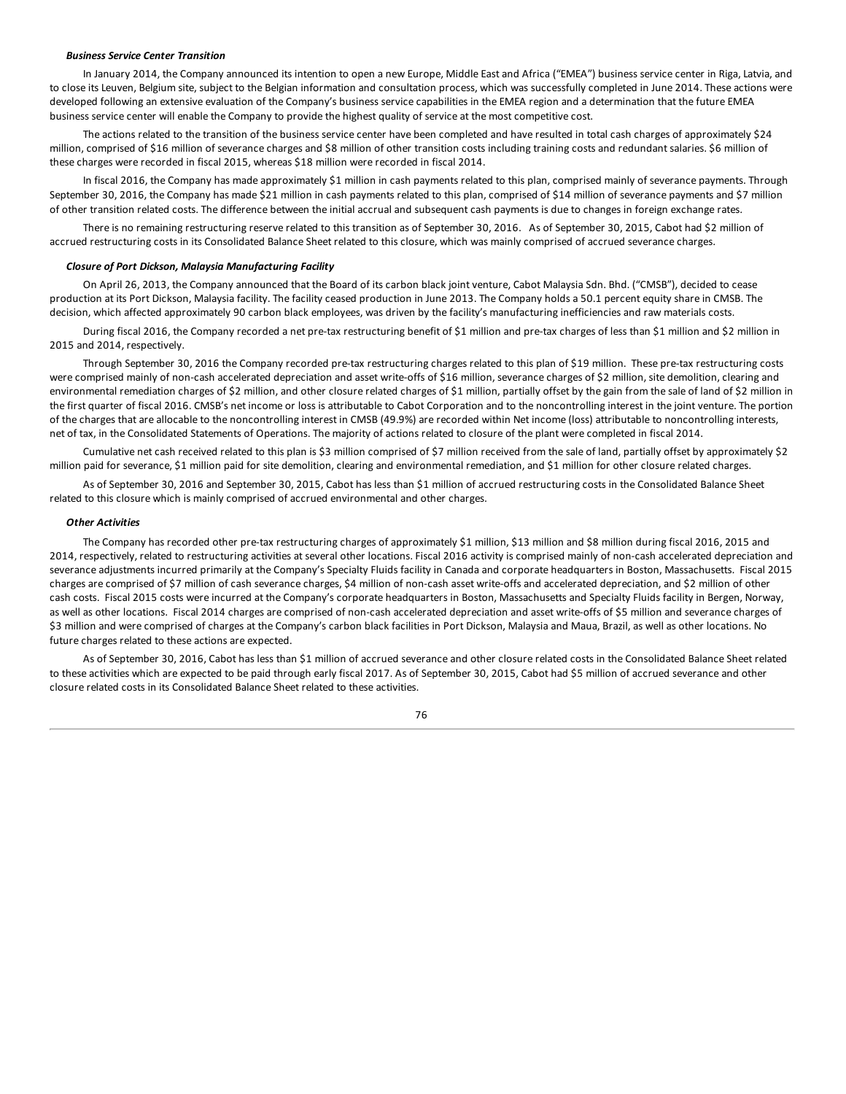# *Business Service Center Transition*

In January 2014, the Company announced its intention to open a new Europe, Middle East and Africa ("EMEA") business service center in Riga, Latvia, and to close its Leuven, Belgium site, subject to the Belgian information and consultation process, which was successfully completed in June 2014. These actions were developed following an extensive evaluation of the Company's business service capabilities in the EMEA region and a determination that the future EMEA business service center will enable the Company to provide the highest quality of service at the most competitive cost.

The actions related to the transition of the business service center have been completed and have resulted in total cash charges of approximately \$24 million, comprised of \$16 million of severance charges and \$8 million of other transition costs including training costs and redundant salaries. \$6 million of these charges were recorded in fiscal 2015, whereas \$18 million were recorded in fiscal 2014.

In fiscal 2016, the Company has made approximately \$1 million in cash payments related to this plan, comprised mainly of severance payments. Through September 30, 2016, the Company has made \$21 million in cash payments related to this plan, comprised of \$14 million of severance payments and \$7 million of other transition related costs. The difference between the initial accrual and subsequent cash payments is due to changes in foreign exchange rates.

There is no remaining restructuring reserve related to this transition as of September 30, 2016. As of September 30, 2015, Cabot had \$2 million of accrued restructuring costs in its Consolidated Balance Sheet related to this closure, which was mainly comprised of accrued severance charges.

### *Closure of Port Dickson, Malaysia Manufacturing Facility*

On April 26, 2013, the Company announced that the Board of its carbon black joint venture, Cabot Malaysia Sdn. Bhd. ("CMSB"), decided to cease production at its Port Dickson, Malaysia facility. The facility ceased production in June 2013. The Company holds a 50.1 percent equity share in CMSB. The decision, which affected approximately 90 carbon black employees, was driven by the facility's manufacturing inefficiencies and raw materials costs.

During fiscal 2016, the Company recorded a net pre-tax restructuring benefit of \$1 million and pre-tax charges of less than \$1 million and \$2 million in 2015 and 2014, respectively.

Through September 30, 2016 the Company recorded pre-tax restructuring charges related to this plan of \$19 million. These pre-tax restructuring costs were comprised mainly of non-cash accelerated depreciation and asset write-offs of \$16 million, severance charges of \$2 million, site demolition, clearing and environmental remediation charges of \$2 million, and other closure related charges of \$1 million, partially offset by the gain from the sale of land of \$2 million in the first quarter of fiscal 2016. CMSB's net income or loss is attributable to Cabot Corporation and to the noncontrolling interest in the joint venture. The portion of the charges that are allocable to the noncontrolling interest in CMSB (49.9%) are recorded within Net income (loss) attributable to noncontrolling interests, net of tax, in the Consolidated Statements of Operations. The majority of actions related to closure of the plant were completed in fiscal 2014.

Cumulative net cash received related to this plan is \$3 million comprised of \$7 million received from the sale of land, partially offset by approximately \$2 million paid for severance, \$1 million paid for site demolition, clearing and environmental remediation, and \$1 million for other closure related charges.

As of September 30, 2016 and September 30, 2015, Cabot has less than \$1 million of accrued restructuring costs in the Consolidated Balance Sheet related to this closure which is mainly comprised of accrued environmental and other charges.

#### *Other Activities*

The Company has recorded other pre-tax restructuring charges of approximately \$1 million, \$13 million and \$8 million during fiscal 2016, 2015 and 2014, respectively, related to restructuring activities at several other locations. Fiscal 2016 activity is comprised mainly of non-cash accelerated depreciation and severance adjustments incurred primarily at the Company's Specialty Fluids facility in Canada and corporate headquarters in Boston, Massachusetts. Fiscal 2015 charges are comprised of \$7 million of cash severance charges, \$4 million of non-cash asset write-offs and accelerated depreciation, and \$2 million of other cash costs. Fiscal 2015 costs were incurred at the Company's corporate headquarters in Boston, Massachusetts and Specialty Fluids facility in Bergen, Norway, as well as other locations. Fiscal 2014 charges are comprised of non-cash accelerated depreciation and asset write-offs of \$5 million and severance charges of \$3 million and were comprised of charges at the Company's carbon black facilities in Port Dickson, Malaysia and Maua, Brazil, as well as other locations. No future charges related to these actions are expected.

As of September 30, 2016, Cabot has less than \$1 million of accrued severance and other closure related costs in the Consolidated Balance Sheet related to these activities which are expected to be paid through early fiscal 2017. As of September 30, 2015, Cabot had \$5 million of accrued severance and other closure related costs in its Consolidated Balance Sheet related to these activities.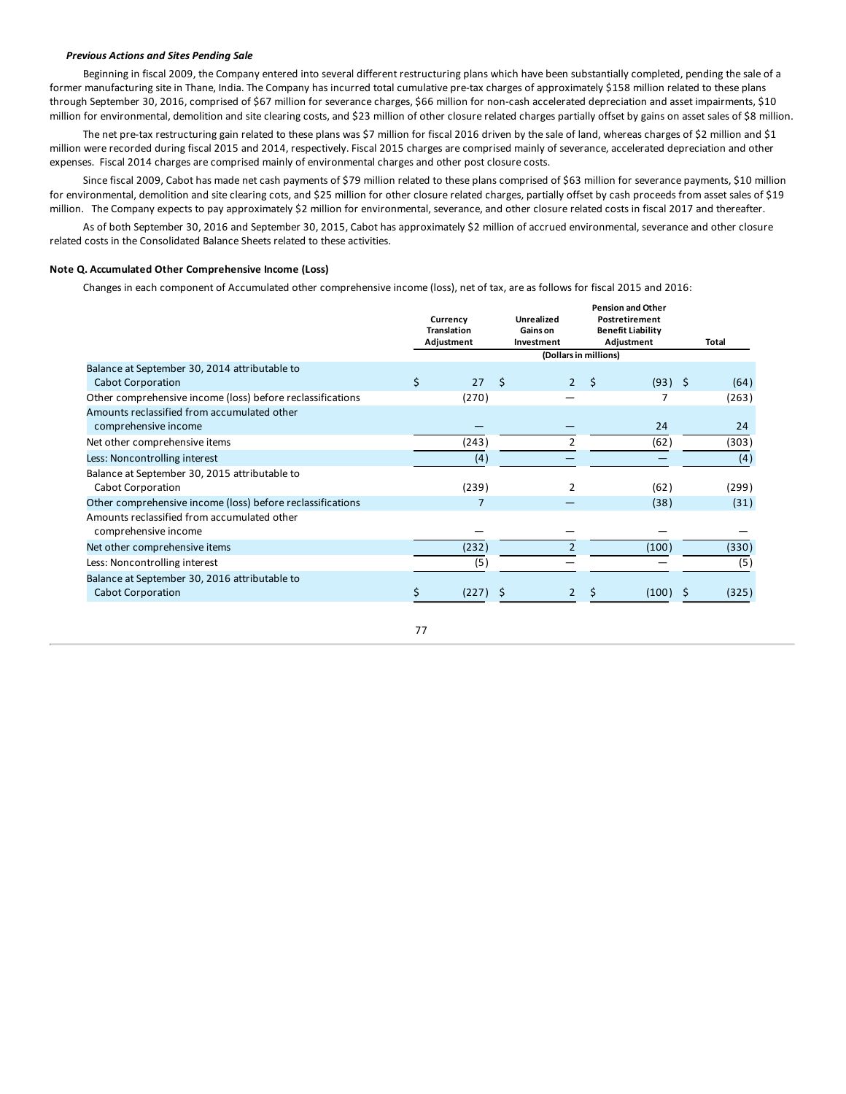### *Previous Actions and Sites Pending Sale*

Beginning in fiscal 2009, the Company entered into several different restructuring plans which have been substantially completed, pending the sale of a former manufacturing site in Thane, India. The Company has incurred total cumulative pre-tax charges of approximately \$158 million related to these plans through September 30, 2016, comprised of \$67 million for severance charges, \$66 million for non-cash accelerated depreciation and asset impairments, \$10 million for environmental, demolition and site clearing costs, and \$23 million of other closure related charges partially offset by gains on asset sales of \$8 million.

The net pre-tax restructuring gain related to these plans was \$7 million for fiscal 2016 driven by the sale of land, whereas charges of \$2 million and \$1 million were recorded during fiscal 2015 and 2014, respectively. Fiscal 2015 charges are comprised mainly of severance, accelerated depreciation and other expenses. Fiscal 2014 charges are comprised mainly of environmental charges and other post closure costs.

Since fiscal 2009, Cabot has made net cash payments of \$79 million related to these plans comprised of \$63 million for severance payments, \$10 million for environmental, demolition and site clearing cots, and \$25 million for other closure related charges, partially offset by cash proceeds from asset sales of \$19 million. The Company expects to pay approximately \$2 million for environmental, severance, and other closure related costs in fiscal 2017 and thereafter.

As of both September 30, 2016 and September 30, 2015, Cabot has approximately \$2 million of accrued environmental, severance and other closure related costs in the Consolidated Balance Sheets related to these activities.

### **Note Q. Accumulated Other Comprehensive Income (Loss)**

Changes in each component of Accumulated other comprehensive income (loss), net of tax, are as follows for fiscal 2015 and 2016:

| (Dollars in millions)<br>Balance at September 30, 2014 attributable to<br>Ś.<br>-Ś<br>-Ś<br>27<br>$\overline{2}$<br>$(93)$ \$<br><b>Cabot Corporation</b><br>Other comprehensive income (loss) before reclassifications<br>(270)<br>Amounts reclassified from accumulated other<br>24<br>comprehensive income<br>(243)<br>(62)<br>2<br>Net other comprehensive items<br>Less: Noncontrolling interest<br>(4) |                                               | Currency<br>Translation<br>Adjustment | <b>Unrealized</b><br>Gains on<br>Investment | <b>Pension and Other</b><br>Postretirement<br><b>Benefit Liability</b><br>Adjustment | <b>Total</b> |
|--------------------------------------------------------------------------------------------------------------------------------------------------------------------------------------------------------------------------------------------------------------------------------------------------------------------------------------------------------------------------------------------------------------|-----------------------------------------------|---------------------------------------|---------------------------------------------|--------------------------------------------------------------------------------------|--------------|
|                                                                                                                                                                                                                                                                                                                                                                                                              |                                               |                                       |                                             |                                                                                      |              |
|                                                                                                                                                                                                                                                                                                                                                                                                              |                                               |                                       |                                             |                                                                                      |              |
|                                                                                                                                                                                                                                                                                                                                                                                                              |                                               |                                       |                                             |                                                                                      | (64)         |
|                                                                                                                                                                                                                                                                                                                                                                                                              |                                               |                                       |                                             |                                                                                      | (263)        |
|                                                                                                                                                                                                                                                                                                                                                                                                              |                                               |                                       |                                             |                                                                                      |              |
|                                                                                                                                                                                                                                                                                                                                                                                                              |                                               |                                       |                                             |                                                                                      | 24           |
|                                                                                                                                                                                                                                                                                                                                                                                                              |                                               |                                       |                                             |                                                                                      | (303)        |
|                                                                                                                                                                                                                                                                                                                                                                                                              |                                               |                                       |                                             |                                                                                      | (4)          |
|                                                                                                                                                                                                                                                                                                                                                                                                              | Balance at September 30, 2015 attributable to |                                       |                                             |                                                                                      |              |
| (239)<br>$\overline{2}$<br>(62)<br><b>Cabot Corporation</b>                                                                                                                                                                                                                                                                                                                                                  |                                               |                                       |                                             |                                                                                      | (299)        |
| Other comprehensive income (loss) before reclassifications<br>7<br>(38)                                                                                                                                                                                                                                                                                                                                      |                                               |                                       |                                             |                                                                                      | (31)         |
| Amounts reclassified from accumulated other                                                                                                                                                                                                                                                                                                                                                                  |                                               |                                       |                                             |                                                                                      |              |
| comprehensive income                                                                                                                                                                                                                                                                                                                                                                                         |                                               |                                       |                                             |                                                                                      |              |
| (232)<br>Net other comprehensive items<br>$\overline{2}$<br>(100)                                                                                                                                                                                                                                                                                                                                            |                                               |                                       |                                             |                                                                                      | (330)        |
| Less: Noncontrolling interest<br>(5)                                                                                                                                                                                                                                                                                                                                                                         |                                               |                                       |                                             |                                                                                      | (5)          |
| Balance at September 30, 2016 attributable to                                                                                                                                                                                                                                                                                                                                                                |                                               |                                       |                                             |                                                                                      |              |
| (227)<br><b>Cabot Corporation</b><br>2<br>(100)                                                                                                                                                                                                                                                                                                                                                              |                                               |                                       |                                             |                                                                                      | (325)        |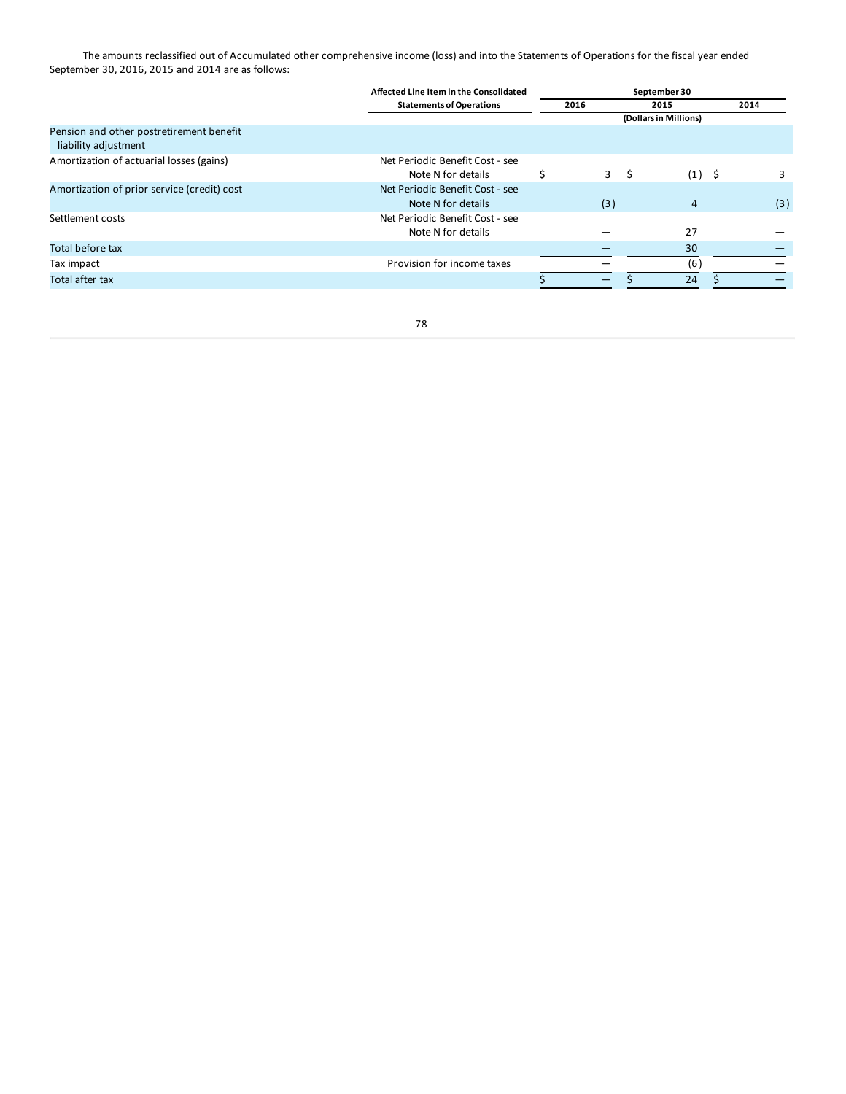The amounts reclassified out of Accumulated other comprehensive income (loss) and into the Statements of Operations for the fiscal year ended September 30, 2016, 2015 and 2014 are as follows:

|                                             | Affected Line Item in the Consolidated | September 30 |      |                       |    |      |  |  |  |
|---------------------------------------------|----------------------------------------|--------------|------|-----------------------|----|------|--|--|--|
|                                             | <b>Statements of Operations</b>        | 2016         | 2015 |                       |    | 2014 |  |  |  |
|                                             |                                        |              |      | (Dollars in Millions) |    |      |  |  |  |
| Pension and other postretirement benefit    |                                        |              |      |                       |    |      |  |  |  |
| liability adjustment                        |                                        |              |      |                       |    |      |  |  |  |
| Amortization of actuarial losses (gains)    | Net Periodic Benefit Cost - see        |              |      |                       |    |      |  |  |  |
|                                             | Note N for details                     | 3            | -S   | (1)                   | -S | 3    |  |  |  |
| Amortization of prior service (credit) cost | Net Periodic Benefit Cost - see        |              |      |                       |    |      |  |  |  |
|                                             | Note N for details                     | (3)          |      | 4                     |    | (3)  |  |  |  |
| Settlement costs                            | Net Periodic Benefit Cost - see        |              |      |                       |    |      |  |  |  |
|                                             | Note N for details                     |              |      | 27                    |    |      |  |  |  |
| Total before tax                            |                                        |              |      | 30                    |    |      |  |  |  |
| Tax impact                                  | Provision for income taxes             |              |      | (6)                   |    |      |  |  |  |
| Total after tax                             |                                        |              |      | 24                    |    |      |  |  |  |
|                                             |                                        |              |      |                       |    |      |  |  |  |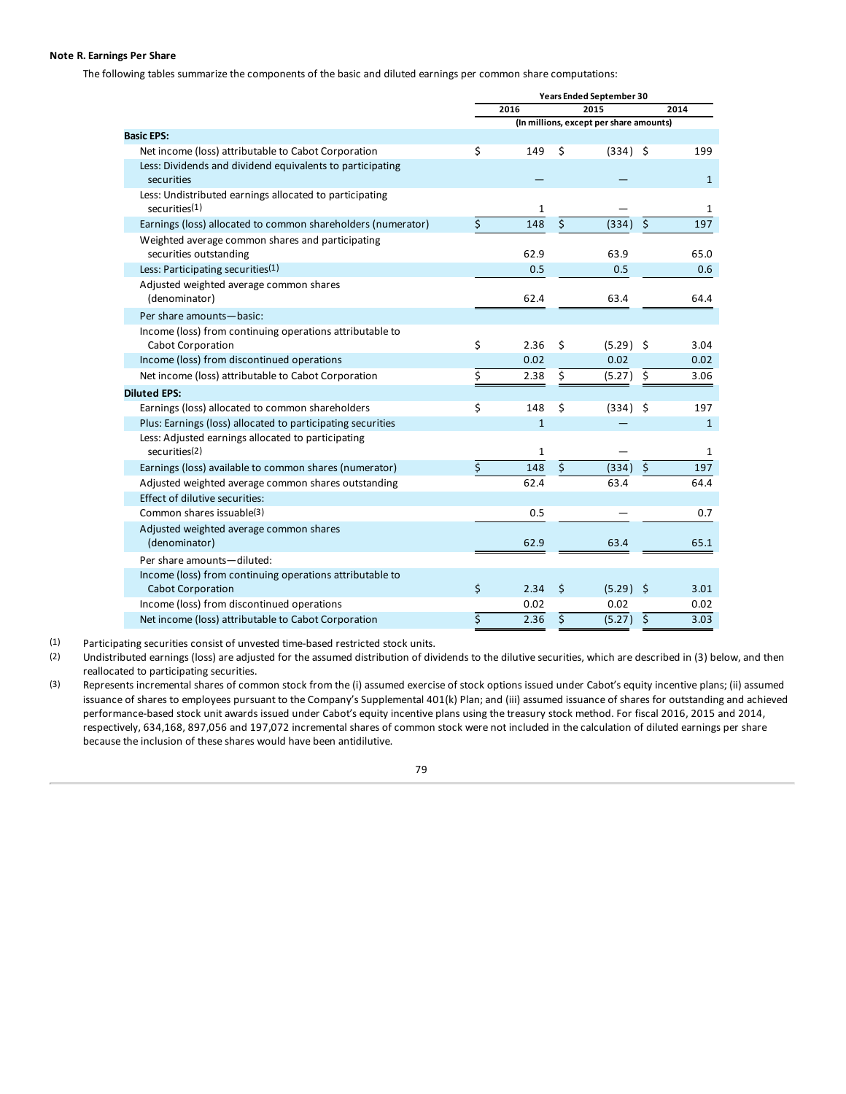# **Note R. Earnings Per Share**

The following tables summarize the components of the basic and diluted earnings per common share computations:

|                                                                                      |    | Years Ended September 30 |    |                                         |         |              |
|--------------------------------------------------------------------------------------|----|--------------------------|----|-----------------------------------------|---------|--------------|
|                                                                                      |    | 2016                     |    | 2015                                    |         | 2014         |
|                                                                                      |    |                          |    | (In millions, except per share amounts) |         |              |
| <b>Basic EPS:</b>                                                                    |    |                          |    |                                         |         |              |
| Net income (loss) attributable to Cabot Corporation                                  | \$ | 149                      | \$ | $(334)$ \$                              |         | 199          |
| Less: Dividends and dividend equivalents to participating<br>securities              |    |                          |    |                                         |         | $\mathbf{1}$ |
| Less: Undistributed earnings allocated to participating<br>securities(1)             |    | 1                        |    |                                         |         | 1            |
| Earnings (loss) allocated to common shareholders (numerator)                         | \$ | 148                      | \$ | (334)                                   | \$      | 197          |
| Weighted average common shares and participating<br>securities outstanding           |    | 62.9                     |    | 63.9                                    |         | 65.0         |
| Less: Participating securities <sup>(1)</sup>                                        |    | 0.5                      |    | 0.5                                     |         | 0.6          |
| Adjusted weighted average common shares<br>(denominator)                             |    | 62.4                     |    | 63.4                                    |         | 64.4         |
| Per share amounts-basic:                                                             |    |                          |    |                                         |         |              |
| Income (loss) from continuing operations attributable to<br><b>Cabot Corporation</b> | \$ | 2.36                     | Ś  | $(5.29)$ \$                             |         | 3.04         |
| Income (loss) from discontinued operations                                           |    | 0.02                     |    | 0.02                                    |         | 0.02         |
| Net income (loss) attributable to Cabot Corporation                                  | \$ | 2.38                     | \$ | (5.27)                                  | \$      | 3.06         |
| <b>Diluted EPS:</b>                                                                  |    |                          |    |                                         |         |              |
| Earnings (loss) allocated to common shareholders                                     | \$ | 148                      | \$ | $(334)$ \$                              |         | 197          |
| Plus: Earnings (loss) allocated to participating securities                          |    | $\mathbf{1}$             |    |                                         |         | $\mathbf{1}$ |
| Less: Adjusted earnings allocated to participating<br>securities(2)                  |    | 1                        |    |                                         |         | 1            |
| Earnings (loss) available to common shares (numerator)                               | \$ | 148                      | \$ | (334)                                   | $\zeta$ | 197          |
| Adjusted weighted average common shares outstanding                                  |    | 62.4                     |    | 63.4                                    |         | 64.4         |
| Effect of dilutive securities:                                                       |    |                          |    |                                         |         |              |
| Common shares issuable(3)                                                            |    | 0.5                      |    |                                         |         | 0.7          |
| Adjusted weighted average common shares<br>(denominator)                             |    | 62.9                     |    | 63.4                                    |         | 65.1         |
| Per share amounts-diluted:                                                           |    |                          |    |                                         |         |              |
| Income (loss) from continuing operations attributable to                             |    |                          |    |                                         |         |              |
| <b>Cabot Corporation</b>                                                             | \$ | 2.34                     | \$ | $(5.29)$ \$                             |         | 3.01         |
| Income (loss) from discontinued operations                                           |    | 0.02                     |    | 0.02                                    |         | 0.02         |
| Net income (loss) attributable to Cabot Corporation                                  | \$ | 2.36                     | \$ | (5.27)                                  | \$      | 3.03         |

(1) Participating securities consist of unvested time-based restricted stock units.<br>(2) Undistributed earnings (loss) are adiusted for the assumed distribution of div

Undistributed earnings (loss) are adjusted for the assumed distribution of dividends to the dilutive securities, which are described in (3) below, and then reallocated to participating securities.

(3) Represents incremental shares of common stock from the (i) assumed exercise of stock options issued under Cabot's equity incentive plans; (ii) assumed issuance of shares to employees pursuant to the Company's Supplemental 401(k) Plan; and (iii) assumed issuance of shares for outstanding and achieved performance-based stock unit awards issued under Cabot's equity incentive plans using the treasury stock method. For fiscal 2016, 2015 and 2014, respectively, 634,168, 897,056 and 197,072 incremental shares of common stock were not included in the calculation of diluted earnings per share because the inclusion of these shares would have been antidilutive.

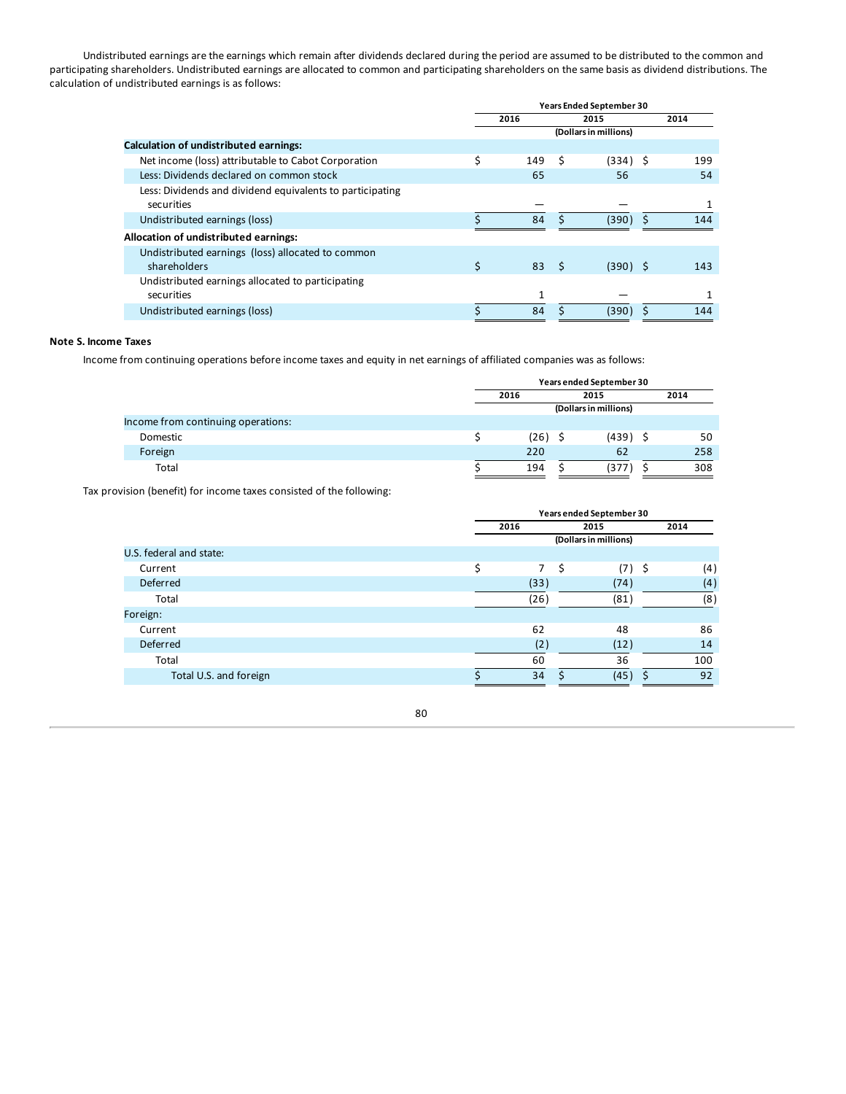Undistributed earnings are the earnings which remain after dividends declared during the period are assumed to be distributed to the common and participating shareholders. Undistributed earnings are allocated to common and participating shareholders on the same basis as dividend distributions. The calculation of undistributed earnings is as follows:

|                                                                         | <b>Years Ended September 30</b> |      |    |                       |    |      |  |
|-------------------------------------------------------------------------|---------------------------------|------|----|-----------------------|----|------|--|
|                                                                         |                                 | 2016 |    | 2015                  |    | 2014 |  |
|                                                                         |                                 |      |    | (Dollars in millions) |    |      |  |
| <b>Calculation of undistributed earnings:</b>                           |                                 |      |    |                       |    |      |  |
| Net income (loss) attributable to Cabot Corporation                     |                                 | 149  | Ś  | $(334)$ \$            |    | 199  |  |
| Less: Dividends declared on common stock                                |                                 | 65   |    | 56                    |    | 54   |  |
| Less: Dividends and dividend equivalents to participating<br>securities |                                 |      |    |                       |    |      |  |
| Undistributed earnings (loss)                                           |                                 | 84   | ς  | (390)                 | Ŝ. | 144  |  |
| Allocation of undistributed earnings:                                   |                                 |      |    |                       |    |      |  |
| Undistributed earnings (loss) allocated to common<br>shareholders       | Ś                               | 83   | .S | $(390)$ \$            |    | 143  |  |
| Undistributed earnings allocated to participating<br>securities         |                                 |      |    |                       |    |      |  |
| Undistributed earnings (loss)                                           |                                 | 84   |    | (390                  |    | 144  |  |

# **Note S. Income Taxes**

Income from continuing operations before income taxes and equity in net earnings of affiliated companies was as follows:

|                                    | Years ended September 30 |      |                       |  |      |  |  |  |  |
|------------------------------------|--------------------------|------|-----------------------|--|------|--|--|--|--|
|                                    | 2016                     | 2015 |                       |  | 2014 |  |  |  |  |
|                                    |                          |      | (Dollars in millions) |  |      |  |  |  |  |
| Income from continuing operations: |                          |      |                       |  |      |  |  |  |  |
| Domestic                           | (26)                     |      | (439) \$              |  | 50   |  |  |  |  |
| Foreign                            | 220                      |      | 62                    |  | 258  |  |  |  |  |
| Total                              | 194                      |      | (377                  |  | 308  |  |  |  |  |

Tax provision (benefit) for income taxes consisted of the following:

|                         | Years ended September 30 |      |                       |      |      |  |  |
|-------------------------|--------------------------|------|-----------------------|------|------|--|--|
|                         | 2016                     | 2015 |                       |      | 2014 |  |  |
|                         |                          |      | (Dollars in millions) |      |      |  |  |
| U.S. federal and state: |                          |      |                       |      |      |  |  |
| Current                 | \$<br>7                  | \$   | (7)                   | - \$ | (4)  |  |  |
| Deferred                | (33)                     |      | (74)                  |      | (4)  |  |  |
| Total                   | (26)                     |      | (81)                  |      | (8)  |  |  |
| Foreign:                |                          |      |                       |      |      |  |  |
| Current                 | 62                       |      | 48                    |      | 86   |  |  |
| Deferred                | (2)                      |      | (12)                  |      | 14   |  |  |
| Total                   | 60                       |      | 36                    |      | 100  |  |  |
| Total U.S. and foreign  | 34                       |      | (45)                  | S    | 92   |  |  |

80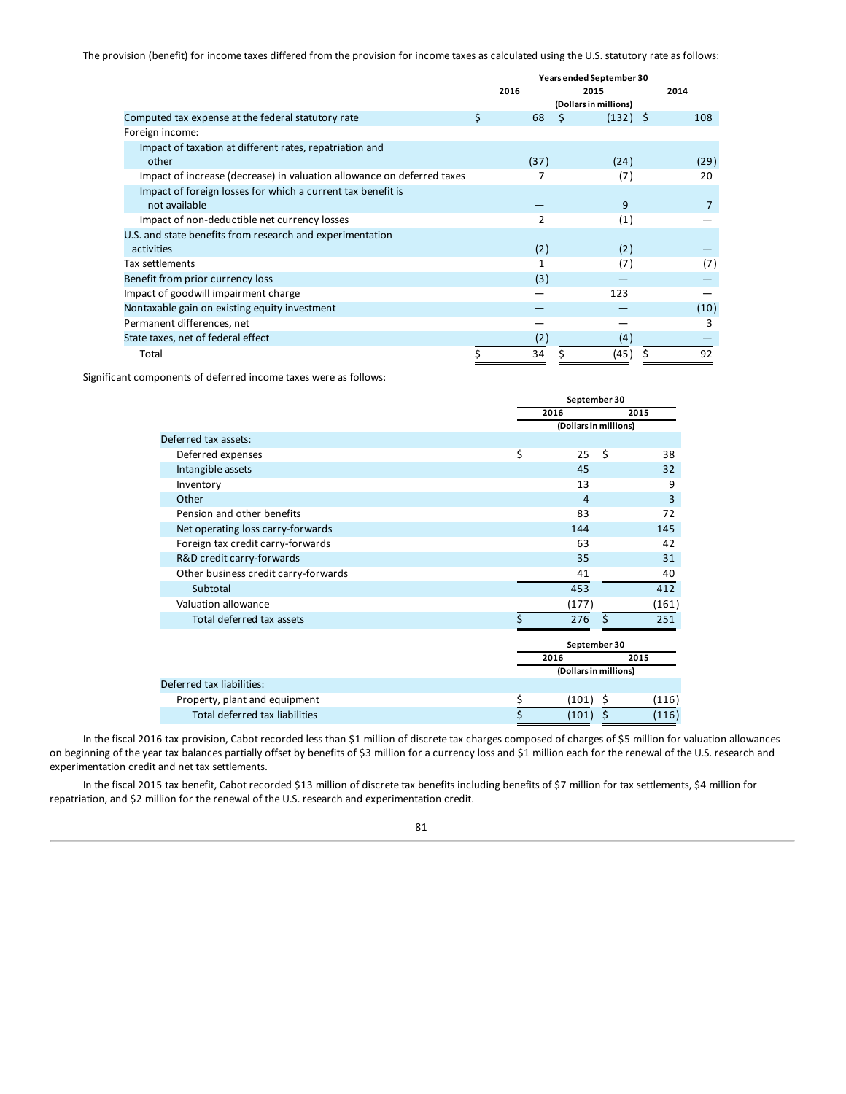The provision (benefit) for income taxes differed from the provision for income taxes as calculated using the U.S. statutory rate as follows:

|                                                                        | Years ended September 30 |               |                       |      |  |  |  |  |  |  |
|------------------------------------------------------------------------|--------------------------|---------------|-----------------------|------|--|--|--|--|--|--|
|                                                                        | 2016                     |               | 2015                  | 2014 |  |  |  |  |  |  |
|                                                                        |                          |               | (Dollars in millions) |      |  |  |  |  |  |  |
| Computed tax expense at the federal statutory rate                     | \$                       | 68<br>S       | $(132)$ \$            | 108  |  |  |  |  |  |  |
| Foreign income:                                                        |                          |               |                       |      |  |  |  |  |  |  |
| Impact of taxation at different rates, repatriation and                |                          |               |                       |      |  |  |  |  |  |  |
| other                                                                  |                          | (37)          | (24)                  | (29) |  |  |  |  |  |  |
| Impact of increase (decrease) in valuation allowance on deferred taxes |                          |               | (7)                   | 20   |  |  |  |  |  |  |
| Impact of foreign losses for which a current tax benefit is            |                          |               |                       |      |  |  |  |  |  |  |
| not available                                                          |                          |               | 9                     | 7    |  |  |  |  |  |  |
| Impact of non-deductible net currency losses                           |                          | $\mathcal{P}$ | (1)                   |      |  |  |  |  |  |  |
| U.S. and state benefits from research and experimentation              |                          |               |                       |      |  |  |  |  |  |  |
| activities                                                             |                          | (2)           | (2)                   |      |  |  |  |  |  |  |
| Tax settlements                                                        |                          | 1             | (7)                   | (7)  |  |  |  |  |  |  |
| Benefit from prior currency loss                                       |                          | (3)           |                       |      |  |  |  |  |  |  |
| Impact of goodwill impairment charge                                   |                          |               | 123                   |      |  |  |  |  |  |  |
| Nontaxable gain on existing equity investment                          |                          |               |                       | (10) |  |  |  |  |  |  |
| Permanent differences, net                                             |                          |               |                       | 3    |  |  |  |  |  |  |
| State taxes, net of federal effect                                     |                          | (2)           | (4)                   |      |  |  |  |  |  |  |
| Total                                                                  | \$                       | 34            | (45)<br>Ś             | 92   |  |  |  |  |  |  |

Significant components of deferred income taxes were as follows:

|                                      | September 30          |    |       |  |  |  |
|--------------------------------------|-----------------------|----|-------|--|--|--|
|                                      | 2016                  |    | 2015  |  |  |  |
|                                      | (Dollars in millions) |    |       |  |  |  |
| Deferred tax assets:                 |                       |    |       |  |  |  |
| Deferred expenses                    | \$<br>25              | \$ | 38    |  |  |  |
| Intangible assets                    | 45                    |    | 32    |  |  |  |
| Inventory                            | 13                    |    | 9     |  |  |  |
| Other                                | 4                     |    | 3     |  |  |  |
| Pension and other benefits           | 83                    |    | 72    |  |  |  |
| Net operating loss carry-forwards    | 144                   |    | 145   |  |  |  |
| Foreign tax credit carry-forwards    | 63                    |    | 42    |  |  |  |
| R&D credit carry-forwards            | 35                    |    | 31    |  |  |  |
| Other business credit carry-forwards | 41                    |    | 40    |  |  |  |
| Subtotal                             | 453                   |    | 412   |  |  |  |
| Valuation allowance                  | (177)                 |    | (161) |  |  |  |
| Total deferred tax assets            | \$<br>276             | \$ | 251   |  |  |  |
|                                      | September 30          |    |       |  |  |  |
|                                      | 2016                  |    | 2015  |  |  |  |
|                                      | (Dollars in millions) |    |       |  |  |  |
| Deferred tax liabilities:            |                       |    |       |  |  |  |
| Property, plant and equipment        | \$<br>$(101)$ \$      |    | (116) |  |  |  |
| Total deferred tax liabilities       | \$<br>(101)           | \$ | (116) |  |  |  |

In the fiscal 2016 tax provision, Cabot recorded less than \$1 million of discrete tax charges composed of charges of \$5 million for valuation allowances on beginning of the year tax balances partially offset by benefits of \$3 million for a currency loss and \$1 million each for the renewal of the U.S. research and experimentation credit and net tax settlements.

In the fiscal 2015 tax benefit, Cabot recorded \$13 million of discrete tax benefits including benefits of \$7 million for tax settlements, \$4 million for repatriation, and \$2 million for the renewal of the U.S. research and experimentation credit.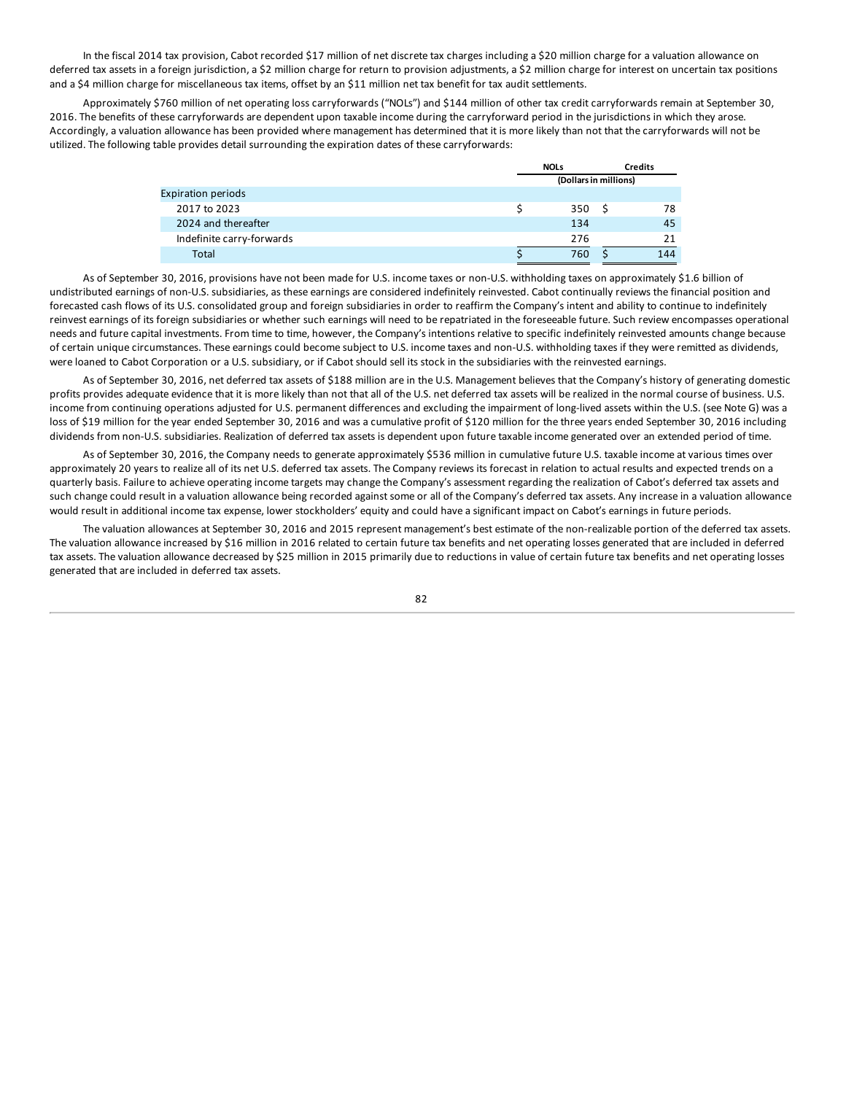In the fiscal 2014 tax provision, Cabot recorded \$17 million of net discrete tax charges including a \$20 million charge for a valuation allowance on deferred tax assets in a foreign jurisdiction, a \$2 million charge for return to provision adjustments, a \$2 million charge for interest on uncertain tax positions and a \$4 million charge for miscellaneous tax items, offset by an \$11 million net tax benefit for tax audit settlements.

Approximately \$760 million of net operating loss carryforwards ("NOLs") and \$144 million of other tax credit carryforwards remain at September 30, 2016. The benefits of these carryforwards are dependent upon taxable income during the carryforward period in the jurisdictions in which they arose. Accordingly, a valuation allowance has been provided where management has determined that it is more likely than not that the carryforwards will not be utilized. The following table provides detail surrounding the expiration dates of these carryforwards:

|                           | <b>NOLS</b>           |     | <b>Credits</b> |  |  |  |
|---------------------------|-----------------------|-----|----------------|--|--|--|
|                           | (Dollars in millions) |     |                |  |  |  |
| <b>Expiration periods</b> |                       |     |                |  |  |  |
| 2017 to 2023              | 350                   | - S | 78             |  |  |  |
| 2024 and thereafter       | 134                   |     | 45             |  |  |  |
| Indefinite carry-forwards | 276                   |     | 21             |  |  |  |
| Total                     | 760                   |     | 144            |  |  |  |

As of September 30, 2016, provisions have not been made for U.S. income taxes or non-U.S. withholding taxes on approximately \$1.6 billion of undistributed earnings of non-U.S. subsidiaries, as these earnings are considered indefinitely reinvested. Cabot continually reviews the financial position and forecasted cash flows of its U.S. consolidated group and foreign subsidiaries in order to reaffirm the Company's intent and ability to continue to indefinitely reinvest earnings of its foreign subsidiaries or whether such earnings will need to be repatriated in the foreseeable future. Such review encompasses operational needs and future capital investments. From time to time, however, the Company's intentions relative to specific indefinitely reinvested amounts change because of certain unique circumstances. These earnings could become subject to U.S. income taxes and non-U.S. withholding taxes if they were remitted as dividends, were loaned to Cabot Corporation or a U.S. subsidiary, or if Cabot should sell its stock in the subsidiaries with the reinvested earnings.

As of September 30, 2016, net deferred tax assets of \$188 million are in the U.S. Management believes that the Company's history of generating domestic profits provides adequate evidence that it is more likely than not that all of the U.S. net deferred tax assets will be realized in the normal course of business. U.S. income from continuing operations adjusted for U.S. permanent differences and excluding the impairment of long-lived assets within the U.S. (see Note G) was a loss of \$19 million for the year ended September 30, 2016 and was a cumulative profit of \$120 million for the three years ended September 30, 2016 including dividends from non-U.S. subsidiaries. Realization of deferred tax assets is dependent upon future taxable income generated over an extended period of time.

As of September 30, 2016, the Company needs to generate approximately \$536 million in cumulative future U.S. taxable income at various times over approximately 20 years to realize all of its net U.S. deferred tax assets. The Company reviews its forecast in relation to actual results and expected trends on a quarterly basis. Failure to achieve operating income targets may change the Company's assessment regarding the realization of Cabot's deferred tax assets and such change could result in a valuation allowance being recorded against some or all of the Company's deferred tax assets. Any increase in a valuation allowance would result in additional income tax expense, lower stockholders' equity and could have a significant impact on Cabot's earnings in future periods.

The valuation allowances at September 30, 2016 and 2015 represent management's best estimate of the non-realizable portion of the deferred tax assets. The valuation allowance increased by \$16 million in 2016 related to certain future tax benefits and net operating losses generated that are included in deferred tax assets. The valuation allowance decreased by \$25 million in 2015 primarily due to reductions in value of certain future tax benefits and net operating losses generated that are included in deferred tax assets.

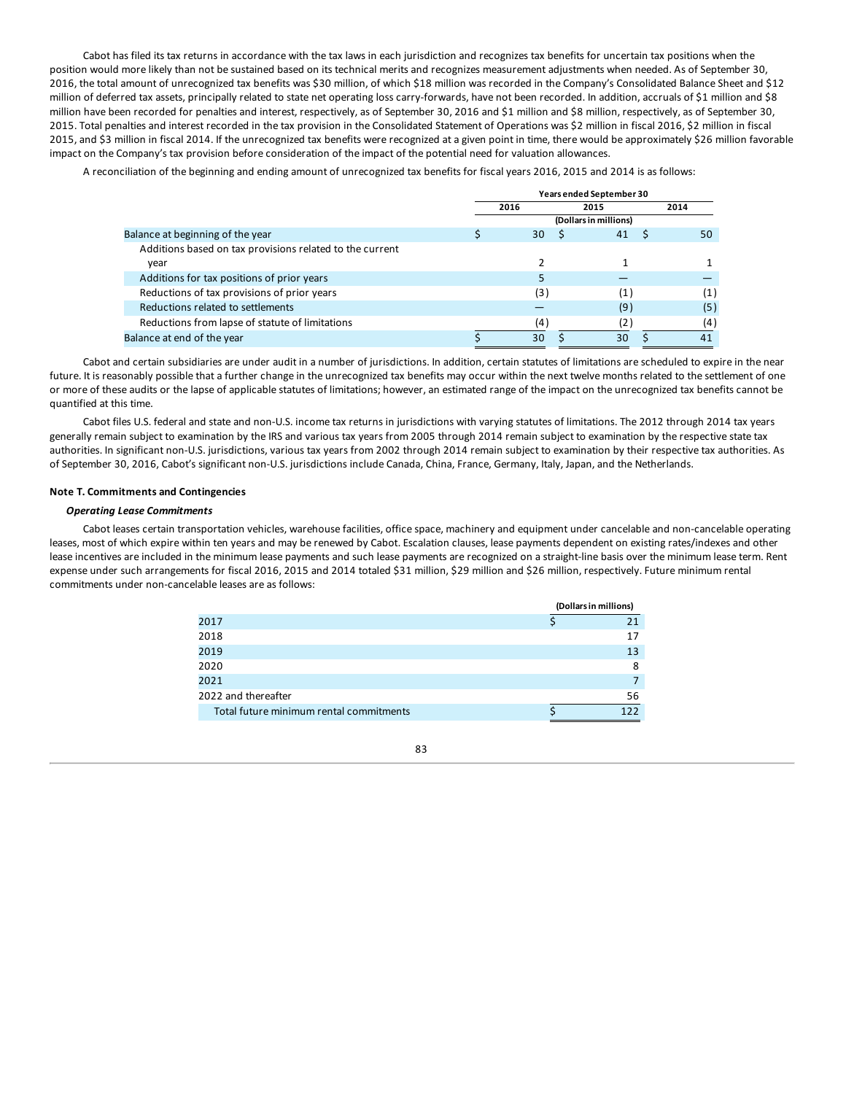Cabot has filed its tax returns in accordance with the tax laws in each jurisdiction and recognizes tax benefits for uncertain tax positions when the position would more likely than not be sustained based on its technical merits and recognizes measurement adjustments when needed. As of September 30, 2016, the total amount of unrecognized tax benefits was \$30 million, of which \$18 million was recorded in the Company's Consolidated Balance Sheet and \$12 million of deferred tax assets, principally related to state net operating loss carry-forwards, have not been recorded. In addition, accruals of \$1 million and \$8 million have been recorded for penalties and interest, respectively, as of September 30, 2016 and \$1 million and \$8 million, respectively, as of September 30, 2015. Total penalties and interest recorded in the tax provision in the Consolidated Statement of Operations was \$2 million in fiscal 2016, \$2 million in fiscal 2015, and \$3 million in fiscal 2014. If the unrecognized tax benefits were recognized at a given point in time, there would be approximately \$26 million favorable impact on the Company's tax provision before consideration of the impact of the potential need for valuation allowances.

A reconciliation of the beginning and ending amount of unrecognized tax benefits for fiscal years 2016, 2015 and 2014 is as follows:

|                                                          | Years ended September 30 |      |                       |      |  |  |  |  |  |  |  |
|----------------------------------------------------------|--------------------------|------|-----------------------|------|--|--|--|--|--|--|--|
|                                                          |                          | 2016 | 2015                  | 2014 |  |  |  |  |  |  |  |
|                                                          |                          |      | (Dollars in millions) |      |  |  |  |  |  |  |  |
| Balance at beginning of the year                         |                          | 30   | 41                    | 50   |  |  |  |  |  |  |  |
| Additions based on tax provisions related to the current |                          |      |                       |      |  |  |  |  |  |  |  |
| year                                                     |                          |      |                       |      |  |  |  |  |  |  |  |
| Additions for tax positions of prior years               |                          | 5    |                       |      |  |  |  |  |  |  |  |
| Reductions of tax provisions of prior years              |                          | (3)  | (1)                   | (1)  |  |  |  |  |  |  |  |
| Reductions related to settlements                        |                          |      | (9)                   | (5)  |  |  |  |  |  |  |  |
| Reductions from lapse of statute of limitations          |                          | (4)  | (2)                   | (4)  |  |  |  |  |  |  |  |
| Balance at end of the year                               |                          | 30   | 30                    | 41   |  |  |  |  |  |  |  |

Cabot and certain subsidiaries are under audit in a number of jurisdictions. In addition, certain statutes of limitations are scheduled to expire in the near future. It is reasonably possible that a further change in the unrecognized tax benefits may occur within the next twelve months related to the settlement of one or more of these audits or the lapse of applicable statutes of limitations; however, an estimated range of the impact on the unrecognized tax benefits cannot be quantified at this time.

Cabot files U.S. federal and state and non-U.S. income tax returns in jurisdictions with varying statutes of limitations. The 2012 through 2014 tax years generally remain subject to examination by the IRS and various tax years from 2005 through 2014 remain subject to examination by the respective state tax authorities. In significant non-U.S. jurisdictions, various tax years from 2002 through 2014 remain subject to examination by their respective tax authorities. As of September 30, 2016, Cabot's significant non-U.S. jurisdictions include Canada, China, France, Germany, Italy, Japan, and the Netherlands.

# **Note T. Commitments and Contingencies**

# *Operating Lease Commitments*

Cabot leases certain transportation vehicles, warehouse facilities, office space, machinery and equipment under cancelable and non-cancelable operating leases, most of which expire within ten years and may be renewed by Cabot. Escalation clauses, lease payments dependent on existing rates/indexes and other lease incentives are included in the minimum lease payments and such lease payments are recognized on a straight-line basis over the minimum lease term. Rent expense under such arrangements for fiscal 2016, 2015 and 2014 totaled \$31 million, \$29 million and \$26 million, respectively. Future minimum rental commitments under non-cancelable leases are as follows:

|                                         | (Dollars in millions) |
|-----------------------------------------|-----------------------|
| 2017                                    |                       |
| 2018                                    | 17                    |
| 2019                                    | 13                    |
| 2020                                    | 8                     |
| 2021                                    |                       |
| 2022 and thereafter                     | 56                    |
| Total future minimum rental commitments |                       |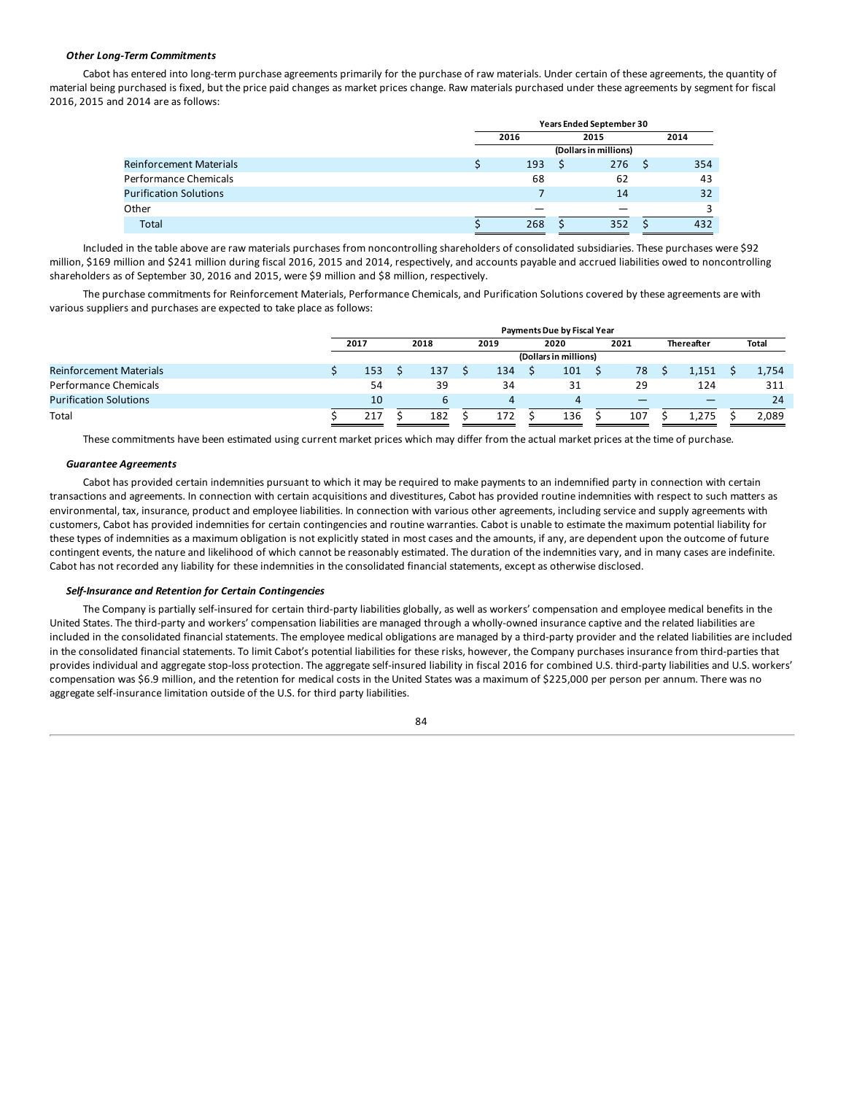# *Other Long-Term Commitments*

Cabot has entered into long-term purchase agreements primarily for the purchase of raw materials. Under certain of these agreements, the quantity of material being purchased is fixed, but the price paid changes as market prices change. Raw materials purchased under these agreements by segment for fiscal 2016, 2015 and 2014 are as follows:

|                                | <b>Years Ended September 30</b> |      |  |      |  |      |  |  |  |  |  |  |  |
|--------------------------------|---------------------------------|------|--|------|--|------|--|--|--|--|--|--|--|
|                                |                                 | 2016 |  | 2015 |  | 2014 |  |  |  |  |  |  |  |
|                                | (Dollars in millions)           |      |  |      |  |      |  |  |  |  |  |  |  |
| <b>Reinforcement Materials</b> |                                 | 193  |  | 276  |  | 354  |  |  |  |  |  |  |  |
| Performance Chemicals          |                                 | 68   |  | 62   |  | 43   |  |  |  |  |  |  |  |
| <b>Purification Solutions</b>  |                                 |      |  | 14   |  | 32   |  |  |  |  |  |  |  |
| Other                          |                                 |      |  |      |  | 3    |  |  |  |  |  |  |  |
| <b>Total</b>                   |                                 | 268  |  | 352  |  | 432  |  |  |  |  |  |  |  |

Included in the table above are raw materials purchases from noncontrolling shareholders of consolidated subsidiaries. These purchases were \$92 million, \$169 million and \$241 million during fiscal 2016, 2015 and 2014, respectively, and accounts payable and accrued liabilities owed to noncontrolling shareholders as of September 30, 2016 and 2015, were \$9 million and \$8 million, respectively.

The purchase commitments for Reinforcement Materials, Performance Chemicals, and Purification Solutions covered by these agreements are with various suppliers and purchases are expected to take place as follows:

|                                | <b>Payments Due by Fiscal Year</b> |     |  |      |      |     |      |     |      |     |                   |      |  |       |
|--------------------------------|------------------------------------|-----|--|------|------|-----|------|-----|------|-----|-------------------|------|--|-------|
|                                | 2017                               |     |  | 2018 | 2019 |     | 2020 |     | 2021 |     | <b>Thereafter</b> |      |  | Total |
|                                | (Dollars in millions)              |     |  |      |      |     |      |     |      |     |                   |      |  |       |
| <b>Reinforcement Materials</b> |                                    | 153 |  | 137  |      | 134 |      | 101 |      | 78  |                   | 151  |  | 1,754 |
| Performance Chemicals          |                                    | 54  |  | 39   |      | 34  |      | 31  |      | 29  |                   | 124  |  | 311   |
| <b>Purification Solutions</b>  |                                    | 10  |  | ь    |      | 4   |      | 4   |      | _   |                   |      |  | 24    |
| Total                          |                                    | 217 |  | 182  |      | 172 |      | 136 |      | 107 |                   | .275 |  | 2,089 |

These commitments have been estimated using current market prices which may differ from the actual market prices at the time of purchase.

### *Guarantee Agreements*

Cabot has provided certain indemnities pursuant to which it may be required to make payments to an indemnified party in connection with certain transactions and agreements. In connection with certain acquisitions and divestitures, Cabot has provided routine indemnities with respect to such matters as environmental, tax, insurance, product and employee liabilities. In connection with various other agreements, including service and supply agreements with customers, Cabot has provided indemnities for certain contingencies and routine warranties. Cabot is unable to estimate the maximum potential liability for these types of indemnities as a maximum obligation is not explicitly stated in most cases and the amounts, if any, are dependent upon the outcome of future contingent events, the nature and likelihood of which cannot be reasonably estimated. The duration of the indemnities vary, and in many cases are indefinite. Cabot has not recorded any liability for these indemnities in the consolidated financial statements, except as otherwise disclosed.

### *Self-Insurance and Retention for Certain Contingencies*

The Company is partially self-insured for certain third-party liabilities globally, as well as workers' compensation and employee medical benefits in the United States. The third-party and workers' compensation liabilities are managed through a wholly-owned insurance captive and the related liabilities are included in the consolidated financial statements. The employee medical obligations are managed by a third-party provider and the related liabilities are included in the consolidated financial statements. To limit Cabot's potential liabilities for these risks, however, the Company purchases insurance from third-parties that provides individual and aggregate stop-loss protection. The aggregate self-insured liability in fiscal 2016 for combined U.S. third-party liabilities and U.S. workers' compensation was \$6.9 million, and the retention for medical costs in the United States was a maximum of \$225,000 per person per annum. There was no aggregate self-insurance limitation outside of the U.S. for third party liabilities.

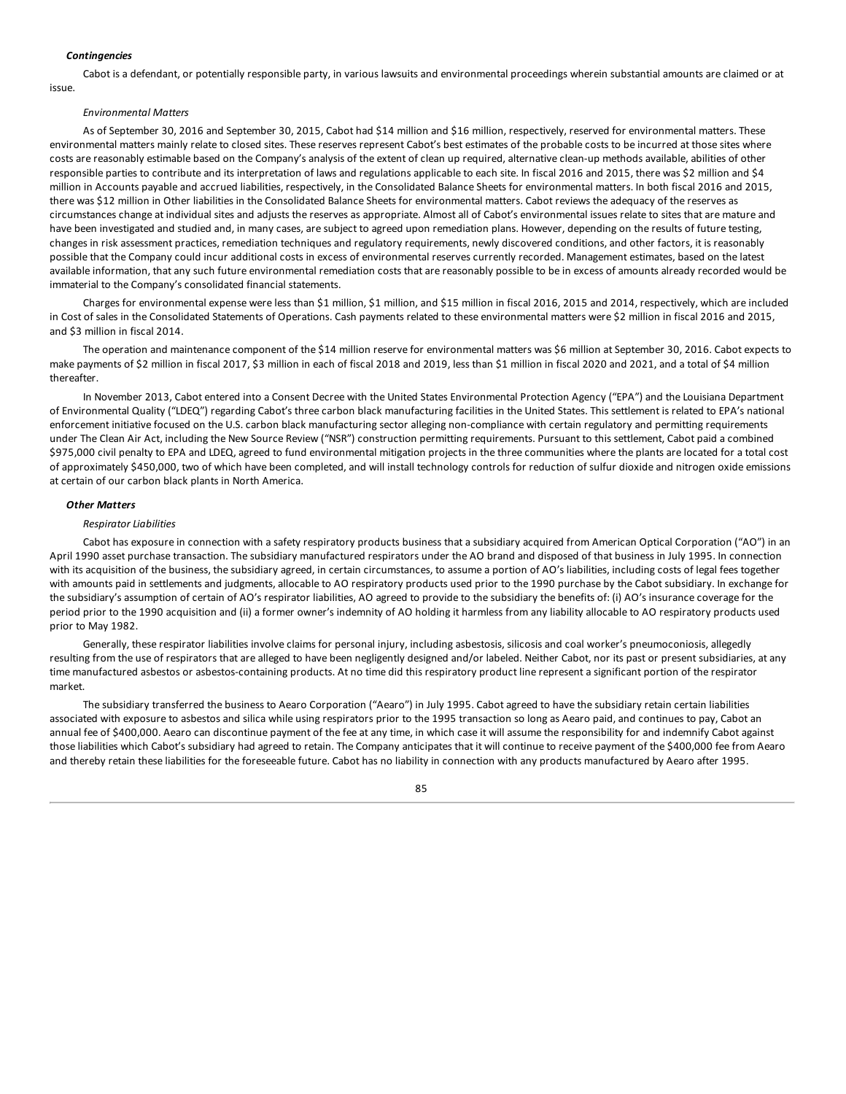### *Contingencies*

Cabot is a defendant, or potentially responsible party, in various lawsuits and environmental proceedings wherein substantial amounts are claimed or at

# issue.

### *Environmental Matters*

As of September 30, 2016 and September 30, 2015, Cabot had \$14 million and \$16 million, respectively, reserved for environmental matters. These environmental matters mainly relate to closed sites. These reserves represent Cabot's best estimates of the probable costs to be incurred at those sites where costs are reasonably estimable based on the Company's analysis of the extent of clean up required, alternative clean-up methods available, abilities of other responsible parties to contribute and its interpretation of laws and regulations applicable to each site. In fiscal 2016 and 2015, there was \$2 million and \$4 million in Accounts payable and accrued liabilities, respectively, in the Consolidated Balance Sheets for environmental matters. In both fiscal 2016 and 2015, there was \$12 million in Other liabilities in the Consolidated Balance Sheets for environmental matters. Cabot reviews the adequacy of the reserves as circumstances change at individual sites and adjusts the reserves as appropriate. Almost all of Cabot's environmental issues relate to sites that are mature and have been investigated and studied and, in many cases, are subject to agreed upon remediation plans. However, depending on the results of future testing, changes in risk assessment practices, remediation techniques and regulatory requirements, newly discovered conditions, and other factors, it is reasonably possible that the Company could incur additional costs in excess of environmental reserves currently recorded. Management estimates, based on the latest available information, that any such future environmental remediation costs that are reasonably possible to be in excess of amounts already recorded would be immaterial to the Company's consolidated financial statements.

Charges for environmental expense were less than \$1 million, \$1 million, and \$15 million in fiscal 2016, 2015 and 2014, respectively, which are included in Cost of sales in the Consolidated Statements of Operations. Cash payments related to these environmental matters were \$2 million in fiscal 2016 and 2015, and \$3 million in fiscal 2014.

The operation and maintenance component of the \$14 million reserve for environmental matters was \$6 million at September 30, 2016. Cabot expects to make payments of \$2 million in fiscal 2017, \$3 million in each of fiscal 2018 and 2019, less than \$1 million in fiscal 2020 and 2021, and a total of \$4 million thereafter.

In November 2013, Cabot entered into a Consent Decree with the United States Environmental Protection Agency ("EPA") and the Louisiana Department of Environmental Quality ("LDEQ") regarding Cabot's three carbon black manufacturing facilities in the United States. This settlement is related to EPA's national enforcement initiative focused on the U.S. carbon black manufacturing sector alleging non-compliance with certain regulatory and permitting requirements under The Clean Air Act, including the New Source Review ("NSR") construction permitting requirements. Pursuant to this settlement, Cabot paid a combined \$975,000 civil penalty to EPA and LDEQ, agreed to fund environmental mitigation projects in the three communities where the plants are located for a total cost of approximately \$450,000, two of which have been completed, and will install technology controls for reduction of sulfur dioxide and nitrogen oxide emissions at certain of our carbon black plants in North America.

### *Other Matters*

### *Respirator Liabilities*

Cabot has exposure in connection with a safety respiratory products business that a subsidiary acquired from American Optical Corporation ("AO") in an April 1990 asset purchase transaction. The subsidiary manufactured respirators under the AO brand and disposed of that business in July 1995. In connection with its acquisition of the business, the subsidiary agreed, in certain circumstances, to assume a portion of AO's liabilities, including costs of legal fees together with amounts paid in settlements and judgments, allocable to AO respiratory products used prior to the 1990 purchase by the Cabot subsidiary. In exchange for the subsidiary's assumption of certain of AO's respirator liabilities, AO agreed to provide to the subsidiary the benefits of: (i) AO's insurance coverage for the period prior to the 1990 acquisition and (ii) a former owner's indemnity of AO holding it harmless from any liability allocable to AO respiratory products used prior to May 1982.

Generally, these respirator liabilities involve claims for personal injury, including asbestosis, silicosis and coal worker's pneumoconiosis, allegedly resulting from the use of respirators that are alleged to have been negligently designed and/or labeled. Neither Cabot, nor its past or present subsidiaries, at any time manufactured asbestos or asbestos-containing products. At no time did this respiratory product line represent a significant portion of the respirator market.

The subsidiary transferred the business to Aearo Corporation ("Aearo") in July 1995. Cabot agreed to have the subsidiary retain certain liabilities associated with exposure to asbestos and silica while using respirators prior to the 1995 transaction so long as Aearo paid, and continues to pay, Cabot an annual fee of \$400,000. Aearo can discontinue payment of the fee at any time, in which case it will assume the responsibility for and indemnify Cabot against those liabilities which Cabot's subsidiary had agreed to retain. The Company anticipates that it will continue to receive payment of the \$400,000 fee from Aearo and thereby retain these liabilities for the foreseeable future. Cabot has no liability in connection with any products manufactured by Aearo after 1995.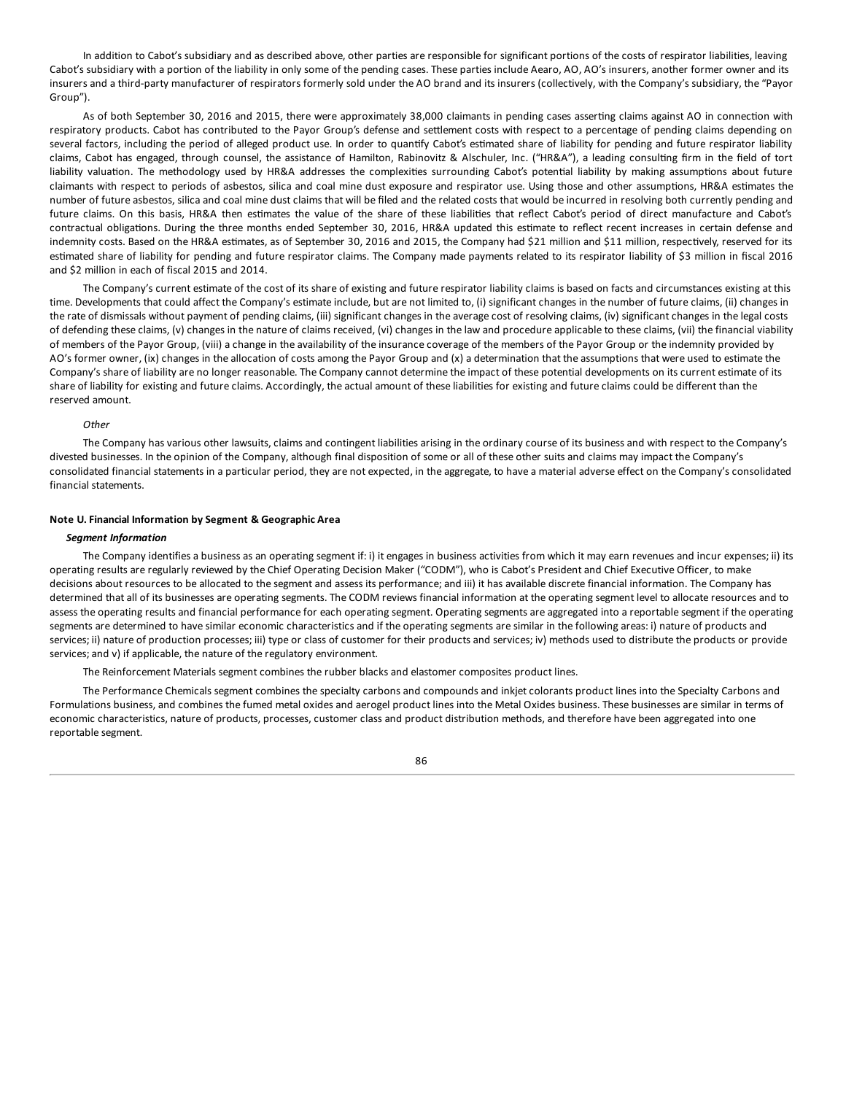In addition to Cabot's subsidiary and as described above, other parties are responsible for significant portions of the costs of respirator liabilities, leaving Cabot's subsidiary with a portion of the liability in only some of the pending cases. These parties include Aearo, AO, AO's insurers, another former owner and its insurers and a third-party manufacturer of respirators formerly sold under the AO brand and its insurers (collectively, with the Company's subsidiary, the "Payor Group").

As of both September 30, 2016 and 2015, there were approximately 38,000 claimants in pending cases asserting claims against AO in connection with respiratory products. Cabot has contributed to the Payor Group's defense and settlement costs with respect to a percentage of pending claims depending on several factors, including the period of alleged product use. In order to quantify Cabot's estimated share of liability for pending and future respirator liability claims, Cabot has engaged, through counsel, the assistance of Hamilton, Rabinovitz & Alschuler, Inc. ("HR&A"), a leading consulting firm in the field of tort liability valuation. The methodology used by HR&A addresses the complexities surrounding Cabot's potential liability by making assumptions about future claimants with respect to periods of asbestos, silica and coal mine dust exposure and respirator use. Using those and other assumptions, HR&A estimates the number of future asbestos, silica and coal mine dust claims that will be filed and the related costs that would be incurred in resolving both currently pending and future claims. On this basis, HR&A then estimates the value of the share of these liabilities that reflect Cabot's period of direct manufacture and Cabot's contractual obligations. During the three months ended September 30, 2016, HR&A updated this estimate to reflect recent increases in certain defense and indemnity costs. Based on the HR&A estimates, as of September 30, 2016 and 2015, the Company had \$21 million and \$11 million, respectively, reserved for its estimated share of liability for pending and future respirator claims. The Company made payments related to its respirator liability of \$3 million in fiscal 2016 and \$2 million in each of fiscal 2015 and 2014.

The Company's current estimate of the cost of its share of existing and future respirator liability claims is based on facts and circumstances existing at this time. Developments that could affect the Company's estimate include, but are not limited to, (i) significant changes in the number of future claims, (ii) changes in the rate of dismissals without payment of pending claims, (iii) significant changes in the average cost of resolving claims, (iv) significant changes in the legal costs of defending these claims, (v) changes in the nature of claims received, (vi) changes in the law and procedure applicable to these claims, (vii) the financial viability of members of the Payor Group, (viii) a change in the availability of the insurance coverage of the members of the Payor Group or the indemnity provided by AO's former owner, (ix) changes in the allocation of costs among the Payor Group and (x) a determination that the assumptions that were used to estimate the Company's share of liability are no longer reasonable. The Company cannot determine the impact of these potential developments on its current estimate of its share of liability for existing and future claims. Accordingly, the actual amount of these liabilities for existing and future claims could be different than the reserved amount.

### *Other*

The Company has various other lawsuits, claims and contingent liabilities arising in the ordinary course of its business and with respect to the Company's divested businesses. In the opinion of the Company, although final disposition of some or all of these other suits and claims may impact the Company's consolidated financial statements in a particular period, they are not expected, in the aggregate, to have a material adverse effect on the Company's consolidated financial statements.

### **Note U. Financial Information by Segment & Geographic Area**

### *Segment Information*

The Company identifies a business as an operating segment if: i) it engages in business activities from which it may earn revenues and incur expenses; ii) its operating results are regularly reviewed by the Chief Operating Decision Maker ("CODM"), who is Cabot's President and Chief Executive Officer, to make decisions about resources to be allocated to the segment and assess its performance; and iii) it has available discrete financial information. The Company has determined that all of its businesses are operating segments. The CODM reviews financial information at the operating segment level to allocate resources and to assess the operating results and financial performance for each operating segment. Operating segments are aggregated into a reportable segment if the operating segments are determined to have similar economic characteristics and if the operating segments are similar in the following areas: i) nature of products and services; ii) nature of production processes; iii) type or class of customer for their products and services; iv) methods used to distribute the products or provide services; and v) if applicable, the nature of the regulatory environment.

The Reinforcement Materials segment combines the rubber blacks and elastomer composites product lines.

The Performance Chemicals segment combines the specialty carbons and compounds and inkjet colorants product lines into the Specialty Carbons and Formulations business, and combines the fumed metal oxides and aerogel product lines into the Metal Oxides business. These businesses are similar in terms of economic characteristics, nature of products, processes, customer class and product distribution methods, and therefore have been aggregated into one reportable segment.

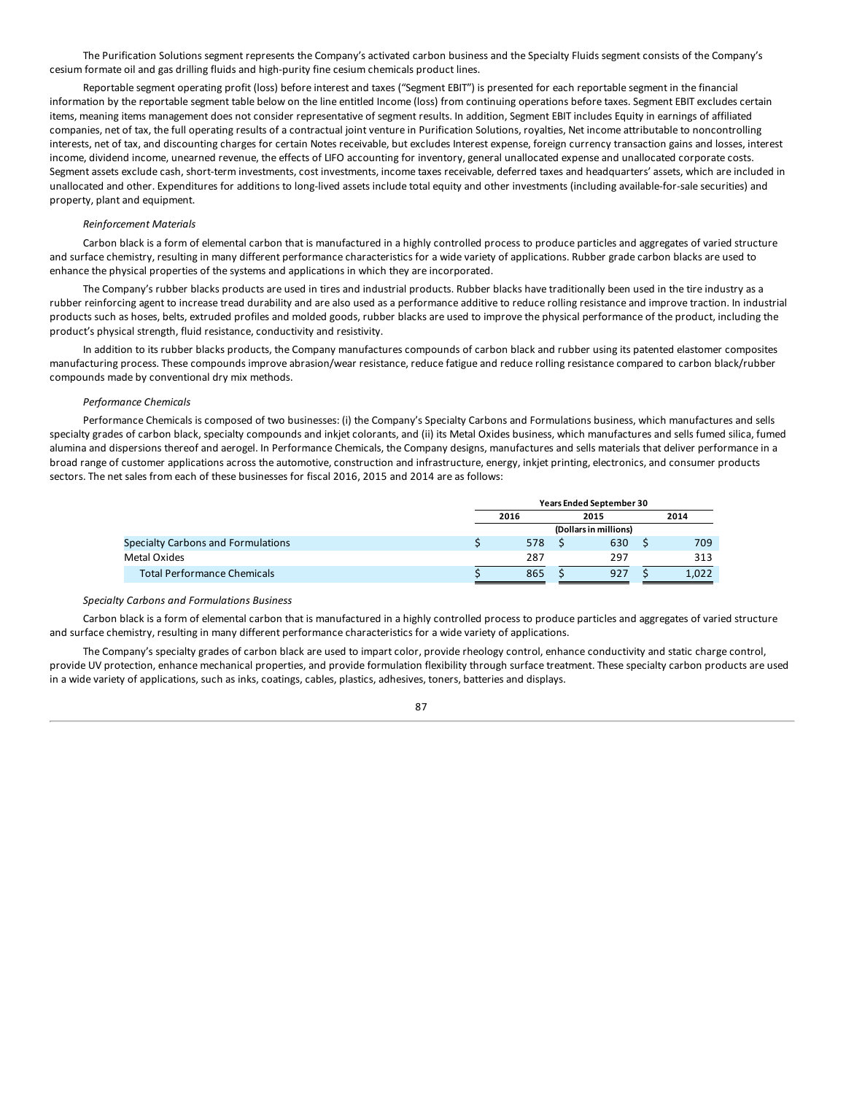The Purification Solutions segment represents the Company's activated carbon business and the Specialty Fluids segment consists of the Company's cesium formate oil and gas drilling fluids and high-purity fine cesium chemicals product lines.

Reportable segment operating profit (loss) before interest and taxes ("Segment EBIT") is presented for each reportable segment in the financial information by the reportable segment table below on the line entitled Income (loss) from continuing operations before taxes. Segment EBIT excludes certain items, meaning items management does not consider representative of segment results. In addition, Segment EBIT includes Equity in earnings of affiliated companies, net of tax, the full operating results of a contractual joint venture in Purification Solutions, royalties, Net income attributable to noncontrolling interests, net of tax, and discounting charges for certain Notes receivable, but excludes Interest expense, foreign currency transaction gains and losses, interest income, dividend income, unearned revenue, the effects of LIFO accounting for inventory, general unallocated expense and unallocated corporate costs. Segment assets exclude cash, short-term investments, cost investments, income taxes receivable, deferred taxes and headquarters' assets, which are included in unallocated and other. Expenditures for additions to long-lived assets include total equity and other investments (including available-for-sale securities) and property, plant and equipment.

### *Reinforcement Materials*

Carbon black is a form of elemental carbon that is manufactured in a highly controlled process to produce particles and aggregates of varied structure and surface chemistry, resulting in many different performance characteristics for a wide variety of applications. Rubber grade carbon blacks are used to enhance the physical properties of the systems and applications in which they are incorporated.

The Company's rubber blacks products are used in tires and industrial products. Rubber blacks have traditionally been used in the tire industry as a rubber reinforcing agent to increase tread durability and are also used as a performance additive to reduce rolling resistance and improve traction. In industrial products such as hoses, belts, extruded profiles and molded goods, rubber blacks are used to improve the physical performance of the product, including the product's physical strength, fluid resistance, conductivity and resistivity.

In addition to its rubber blacks products, the Company manufactures compounds of carbon black and rubber using its patented elastomer composites manufacturing process. These compounds improve abrasion/wear resistance, reduce fatigue and reduce rolling resistance compared to carbon black/rubber compounds made by conventional dry mix methods.

# *Performance Chemicals*

Performance Chemicals is composed of two businesses: (i) the Company's Specialty Carbons and Formulations business, which manufactures and sells specialty grades of carbon black, specialty compounds and inkjet colorants, and (ii) its Metal Oxides business, which manufactures and sells fumed silica, fumed alumina and dispersions thereof and aerogel. In Performance Chemicals, the Company designs, manufactures and sells materials that deliver performance in a broad range of customer applications across the automotive, construction and infrastructure, energy, inkjet printing, electronics, and consumer products sectors. The net sales from each of these businesses for fiscal 2016, 2015 and 2014 are as follows:

|                                    |  | <b>Years Ended September 30</b> |  |      |  |       |  |  |  |  |  |
|------------------------------------|--|---------------------------------|--|------|--|-------|--|--|--|--|--|
|                                    |  | 2016                            |  | 2015 |  | 2014  |  |  |  |  |  |
|                                    |  | (Dollars in millions)           |  |      |  |       |  |  |  |  |  |
| Specialty Carbons and Formulations |  | 578                             |  | 630  |  | 709   |  |  |  |  |  |
| Metal Oxides                       |  | 287                             |  | 297  |  | 313   |  |  |  |  |  |
| <b>Total Performance Chemicals</b> |  | 865                             |  | 927  |  | 1.022 |  |  |  |  |  |

### *Specialty Carbons and Formulations Business*

Carbon black is a form of elemental carbon that is manufactured in a highly controlled process to produce particles and aggregates of varied structure and surface chemistry, resulting in many different performance characteristics for a wide variety of applications.

The Company's specialty grades of carbon black are used to impart color, provide rheology control, enhance conductivity and static charge control, provide UV protection, enhance mechanical properties, and provide formulation flexibility through surface treatment. These specialty carbon products are used in a wide variety of applications, such as inks, coatings, cables, plastics, adhesives, toners, batteries and displays.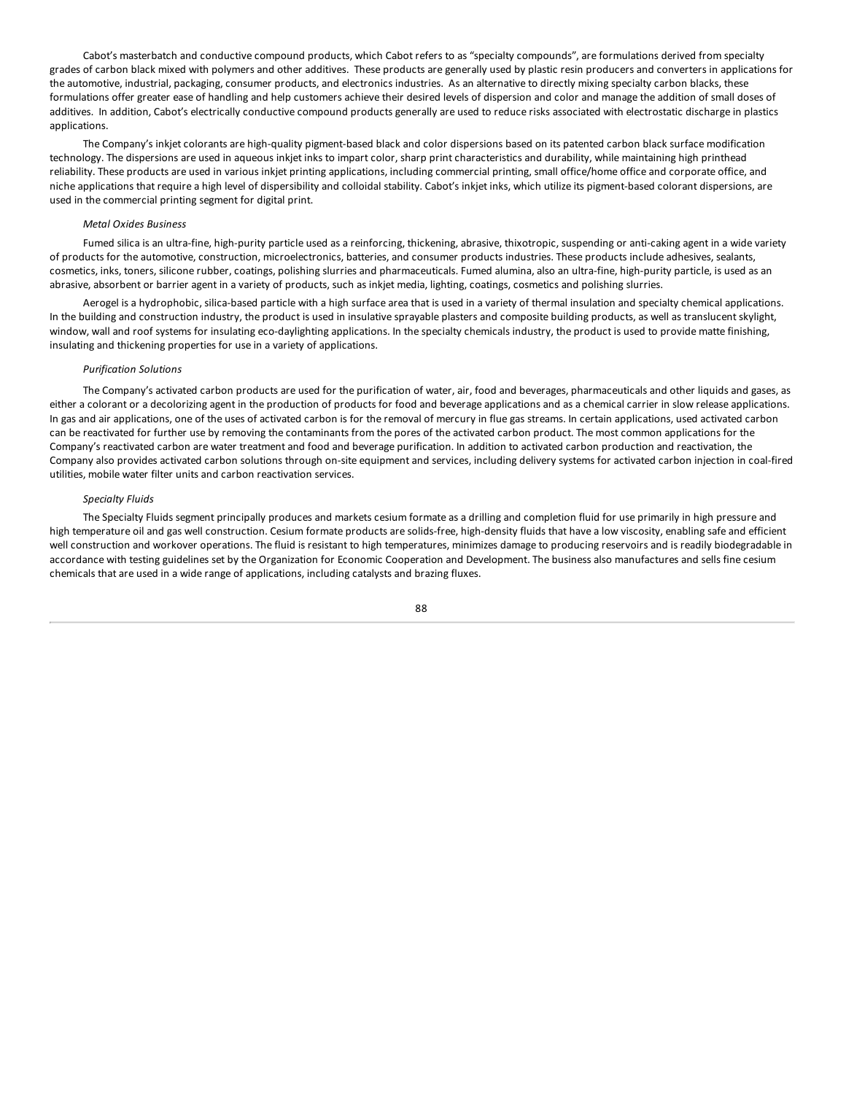Cabot's masterbatch and conductive compound products, which Cabot refers to as "specialty compounds", are formulations derived from specialty grades of carbon black mixed with polymers and other additives. These products are generally used by plastic resin producers and converters in applications for the automotive, industrial, packaging, consumer products, and electronics industries. As an alternative to directly mixing specialty carbon blacks, these formulations offer greater ease of handling and help customers achieve their desired levels of dispersion and color and manage the addition of small doses of additives. In addition, Cabot's electrically conductive compound products generally are used to reduce risks associated with electrostatic discharge in plastics applications.

The Company's inkjet colorants are high-quality pigment-based black and color dispersions based on its patented carbon black surface modification technology. The dispersions are used in aqueous inkjet inks to impart color, sharp print characteristics and durability, while maintaining high printhead reliability. These products are used in various inkjet printing applications, including commercial printing, small office/home office and corporate office, and niche applications that require a high level of dispersibility and colloidal stability. Cabot's inkjet inks, which utilize its pigment-based colorant dispersions, are used in the commercial printing segment for digital print.

### *Metal Oxides Business*

Fumed silica is an ultra-fine, high-purity particle used as a reinforcing, thickening, abrasive, thixotropic, suspending or anti-caking agent in a wide variety of products for the automotive, construction, microelectronics, batteries, and consumer products industries. These products include adhesives, sealants, cosmetics, inks, toners, silicone rubber, coatings, polishing slurries and pharmaceuticals. Fumed alumina, also an ultra-fine, high-purity particle, is used as an abrasive, absorbent or barrier agent in a variety of products, such as inkjet media, lighting, coatings, cosmetics and polishing slurries.

Aerogel is a hydrophobic, silica-based particle with a high surface area that is used in a variety of thermal insulation and specialty chemical applications. In the building and construction industry, the product is used in insulative sprayable plasters and composite building products, as well as translucent skylight, window, wall and roof systems for insulating eco-daylighting applications. In the specialty chemicals industry, the product is used to provide matte finishing, insulating and thickening properties for use in a variety of applications.

### *Purification Solutions*

The Company's activated carbon products are used for the purification of water, air, food and beverages, pharmaceuticals and other liquids and gases, as either a colorant or a decolorizing agent in the production of products for food and beverage applications and as a chemical carrier in slow release applications. In gas and air applications, one of the uses of activated carbon is for the removal of mercury in flue gas streams. In certain applications, used activated carbon can be reactivated for further use by removing the contaminants from the pores of the activated carbon product. The most common applications for the Company's reactivated carbon are water treatment and food and beverage purification. In addition to activated carbon production and reactivation, the Company also provides activated carbon solutions through on-site equipment and services, including delivery systems for activated carbon injection in coal-fired utilities, mobile water filter units and carbon reactivation services.

# *Specialty Fluids*

The Specialty Fluids segment principally produces and markets cesium formate as a drilling and completion fluid for use primarily in high pressure and high temperature oil and gas well construction. Cesium formate products are solids-free, high-density fluids that have a low viscosity, enabling safe and efficient well construction and workover operations. The fluid is resistant to high temperatures, minimizes damage to producing reservoirs and is readily biodegradable in accordance with testing guidelines set by the Organization for Economic Cooperation and Development. The business also manufactures and sells fine cesium chemicals that are used in a wide range of applications, including catalysts and brazing fluxes.

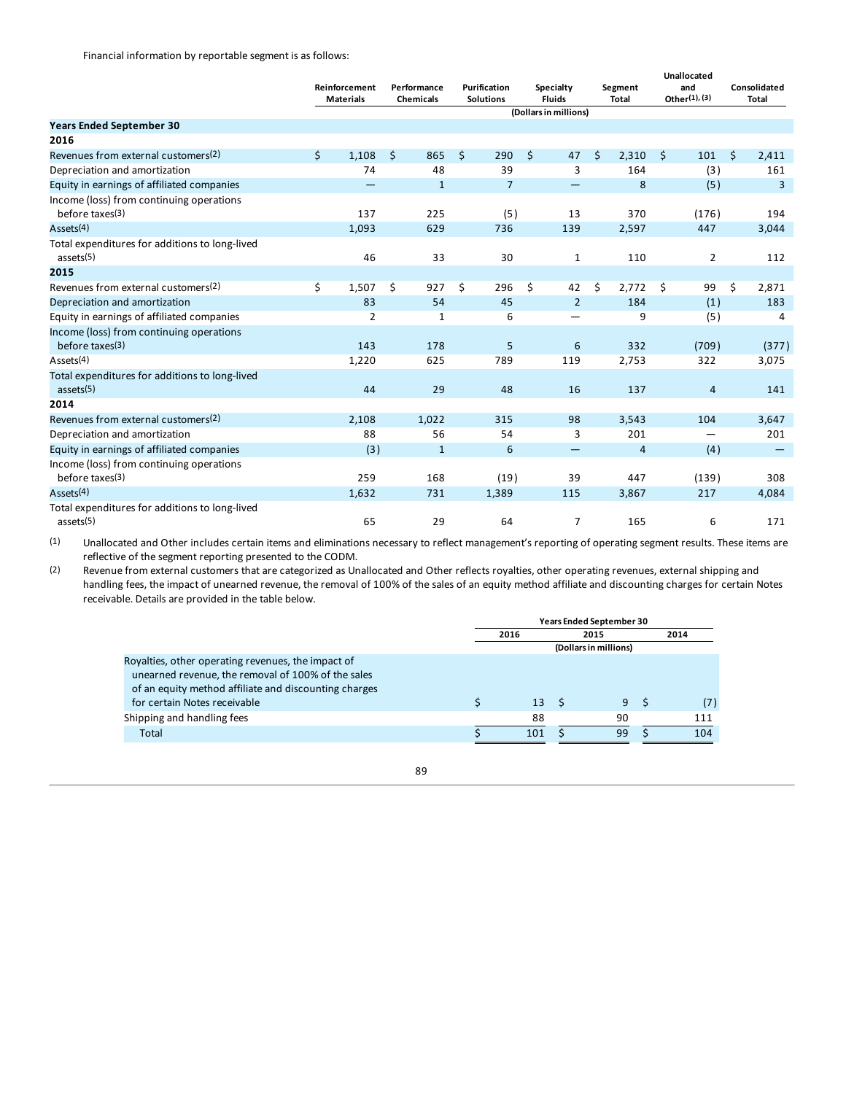|                                                                         |                  |                  |              |                  |           |                                        |              |    | Unallocated   |    |              |
|-------------------------------------------------------------------------|------------------|------------------|--------------|------------------|-----------|----------------------------------------|--------------|----|---------------|----|--------------|
|                                                                         | Reinforcement    | Performance      | Purification |                  | Specialty |                                        | Segment      |    | and           |    | Consolidated |
|                                                                         | <b>Materials</b> | <b>Chemicals</b> |              | <b>Solutions</b> |           | <b>Fluids</b><br>(Dollars in millions) | <b>Total</b> |    | Other(1), (3) |    | <b>Total</b> |
| <b>Years Ended September 30</b>                                         |                  |                  |              |                  |           |                                        |              |    |               |    |              |
| 2016                                                                    |                  |                  |              |                  |           |                                        |              |    |               |    |              |
| Revenues from external customers(2)                                     | \$<br>1,108      | \$<br>865        | \$           | 290              | \$        | 47                                     | \$<br>2,310  | S. | 101           | Ŝ. | 2,411        |
| Depreciation and amortization                                           | 74               | 48               |              | 39               |           | 3                                      | 164          |    | (3)           |    | 161          |
| Equity in earnings of affiliated companies                              |                  | $\mathbf{1}$     |              | $\overline{7}$   |           |                                        | 8            |    | (5)           |    | 3            |
| Income (loss) from continuing operations                                |                  |                  |              |                  |           |                                        |              |    |               |    |              |
| before taxes(3)                                                         | 137              | 225              |              | (5)              |           | 13                                     | 370          |    | (176)         |    | 194          |
| Assets <sup>(4)</sup>                                                   | 1,093            | 629              |              | 736              |           | 139                                    | 2,597        |    | 447           |    | 3,044        |
| Total expenditures for additions to long-lived                          |                  |                  |              |                  |           |                                        |              |    |               |    |              |
| assets <sup>(5)</sup>                                                   | 46               | 33               |              | 30               |           | 1                                      | 110          |    | 2             |    | 112          |
| 2015                                                                    |                  |                  |              |                  |           |                                        |              |    |               |    |              |
| Revenues from external customers(2)                                     | \$<br>1,507      | \$<br>927        | Ś.           | 296              | Ś.        | 42                                     | \$<br>2,772  | Ŝ. | 99            | \$ | 2,871        |
| Depreciation and amortization                                           | 83               | 54               |              | 45               |           | $\overline{2}$                         | 184          |    | (1)           |    | 183          |
| Equity in earnings of affiliated companies                              | $\overline{2}$   | $\mathbf{1}$     |              | 6                |           |                                        | 9            |    | (5)           |    | 4            |
| Income (loss) from continuing operations                                |                  |                  |              |                  |           |                                        |              |    |               |    |              |
| before taxes(3)                                                         | 143              | 178              |              | 5                |           | 6                                      | 332          |    | (709)         |    | (377)        |
| Assets <sup>(4)</sup>                                                   | 1,220            | 625              |              | 789              |           | 119                                    | 2,753        |    | 322           |    | 3,075        |
| Total expenditures for additions to long-lived                          |                  |                  |              |                  |           |                                        |              |    |               |    |              |
| assets(5)                                                               | 44               | 29               |              | 48               |           | 16                                     | 137          |    | 4             |    | 141          |
| 2014                                                                    |                  |                  |              |                  |           |                                        |              |    |               |    |              |
| Revenues from external customers(2)                                     | 2,108            | 1,022            |              | 315              |           | 98                                     | 3,543        |    | 104           |    | 3,647        |
| Depreciation and amortization                                           | 88               | 56               |              | 54               |           | 3                                      | 201          |    | —             |    | 201          |
| Equity in earnings of affiliated companies                              | (3)              | $\mathbf{1}$     |              | 6                |           |                                        | 4            |    | (4)           |    |              |
| Income (loss) from continuing operations                                |                  |                  |              |                  |           |                                        |              |    |               |    |              |
| before taxes(3)                                                         | 259              | 168              |              | (19)             |           | 39                                     | 447          |    | (139)         |    | 308          |
| Assets <sup>(4)</sup>                                                   | 1,632            | 731              |              | 1,389            |           | 115                                    | 3,867        |    | 217           |    | 4,084        |
| Total expenditures for additions to long-lived<br>assets <sup>(5)</sup> | 65               | 29               |              | 64               |           | 7                                      | 165          |    | 6             |    | 171          |

(1) Unallocated and Other includes certain items and eliminations necessary to reflect management's reporting of operating segment results. These items are reflective of the segment reporting presented to the CODM.

(2) Revenue from external customers that are categorized as Unallocated and Other reflects royalties, other operating revenues, external shipping and handling fees, the impact of unearned revenue, the removal of 100% of the sales of an equity method affiliate and discounting charges for certain Notes receivable. Details are provided in the table below.

|                                                       | Years Ended September 30 |                       |     |  |  |  |  |  |  |
|-------------------------------------------------------|--------------------------|-----------------------|-----|--|--|--|--|--|--|
|                                                       | 2016                     | 2014                  |     |  |  |  |  |  |  |
|                                                       |                          | (Dollars in millions) |     |  |  |  |  |  |  |
| Royalties, other operating revenues, the impact of    |                          |                       |     |  |  |  |  |  |  |
| unearned revenue, the removal of 100% of the sales    |                          |                       |     |  |  |  |  |  |  |
| of an equity method affiliate and discounting charges |                          |                       |     |  |  |  |  |  |  |
| for certain Notes receivable                          | 13                       | 9                     | (7) |  |  |  |  |  |  |
| Shipping and handling fees                            | 88                       | 90                    | 111 |  |  |  |  |  |  |
| Total                                                 | 101                      | 99                    | 104 |  |  |  |  |  |  |
|                                                       |                          |                       |     |  |  |  |  |  |  |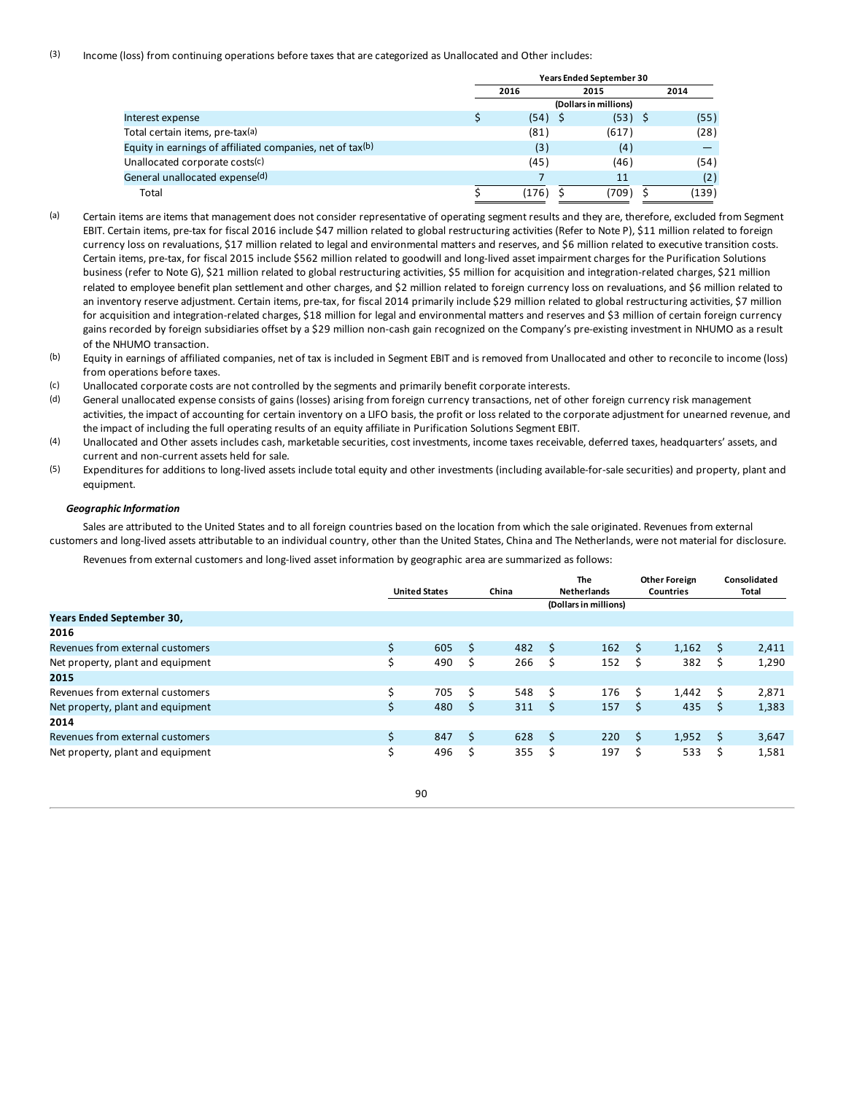|                                                           | Years Ended September 30 |                       |       |           |       |  |  |  |  |  |
|-----------------------------------------------------------|--------------------------|-----------------------|-------|-----------|-------|--|--|--|--|--|
|                                                           |                          | 2015                  |       | 2014      |       |  |  |  |  |  |
|                                                           |                          | (Dollars in millions) |       |           |       |  |  |  |  |  |
| Interest expense                                          |                          | (54)                  |       | $(53)$ \$ | (55)  |  |  |  |  |  |
| Total certain items, pre-tax(a)                           |                          | (81)                  | (617) |           | (28)  |  |  |  |  |  |
| Equity in earnings of affiliated companies, net of tax(b) |                          | (3)                   |       | (4)       |       |  |  |  |  |  |
| Unallocated corporate costs(c)                            |                          | (45)                  | (46)  |           | (54)  |  |  |  |  |  |
| General unallocated expense(d)                            |                          |                       | 11    |           | (2)   |  |  |  |  |  |
| Total                                                     |                          | (176)                 | (709) |           | (139) |  |  |  |  |  |

- (a) Certain items are items that management does not consider representative of operating segment results and they are, therefore, excluded from Segment EBIT. Certain items, pre-tax for fiscal 2016 include \$47 million related to global restructuring activities (Refer to Note P), \$11 million related to foreign currency loss on revaluations, \$17 million related to legal and environmental matters and reserves, and \$6 million related to executive transition costs. Certain items, pre-tax, for fiscal 2015 include \$562 million related to goodwill and long-lived asset impairment charges for the Purification Solutions business (refer to Note G), \$21 million related to global restructuring activities, \$5 million for acquisition and integration-related charges, \$21 million related to employee benefit plan settlement and other charges, and \$2 million related to foreign currency loss on revaluations, and \$6 million related to an inventory reserve adjustment. Certain items, pre-tax, for fiscal 2014 primarily include \$29 million related to global restructuring activities, \$7 million for acquisition and integration-related charges, \$18 million for legal and environmental matters and reserves and \$3 million of certain foreign currency gains recorded by foreign subsidiaries offset by a \$29 million non-cash gain recognized on the Company's pre-existing investment in NHUMO as a result of the NHUMO transaction.
- (b) Equity in earnings of affiliated companies, net of tax is included in Segment EBIT and is removed from Unallocated and other to reconcile to income (loss) from operations before taxes.
- (c) Unallocated corporate costs are not controlled by the segments and primarily benefit corporate interests.
- (d) General unallocated expense consists of gains (losses) arising from foreign currency transactions, net of other foreign currency risk management activities, the impact of accounting for certain inventory on a LIFO basis, the profit or loss related to the corporate adjustment for unearned revenue, and the impact of including the full operating results of an equity affiliate in Purification Solutions Segment EBIT.
- (4) Unallocated and Other assets includes cash, marketable securities, cost investments, income taxes receivable, deferred taxes, headquarters' assets, and current and non-current assets held for sale.
- (5) Expenditures for additions to long-lived assets include total equity and other investments (including available-for-sale securities) and property, plant and equipment.

### *Geographic Information*

Sales are attributed to the United States and to all foreign countries based on the location from which the sale originated. Revenues from external customers and long-lived assets attributable to an individual country, other than the United States, China and The Netherlands, were not material for disclosure.

Revenues from external customers and long-lived asset information by geographic area are summarized as follows:

|                                   | China<br><b>United States</b> |     | The<br><b>Netherlands</b> |     | <b>Other Foreign</b><br><b>Countries</b> |                       |    | Consolidated<br>Total |    |       |
|-----------------------------------|-------------------------------|-----|---------------------------|-----|------------------------------------------|-----------------------|----|-----------------------|----|-------|
|                                   |                               |     |                           |     |                                          | (Dollars in millions) |    |                       |    |       |
| Years Ended September 30,         |                               |     |                           |     |                                          |                       |    |                       |    |       |
| 2016                              |                               |     |                           |     |                                          |                       |    |                       |    |       |
| Revenues from external customers  | \$                            | 605 | S                         | 482 | S                                        | 162                   | S  | 1,162                 | S  | 2,411 |
| Net property, plant and equipment | \$                            | 490 | \$                        | 266 | -S                                       | 152                   | Ś  | 382                   | \$ | 1,290 |
| 2015                              |                               |     |                           |     |                                          |                       |    |                       |    |       |
| Revenues from external customers  | Ś                             | 705 | S                         | 548 | -S                                       | 176                   | Ś  | 1,442                 | S  | 2,871 |
| Net property, plant and equipment | \$                            | 480 | S                         | 311 | S                                        | 157                   | Ś  | 435                   | S  | 1,383 |
| 2014                              |                               |     |                           |     |                                          |                       |    |                       |    |       |
| Revenues from external customers  | \$                            | 847 | Ŝ.                        | 628 | S.                                       | 220                   | Ś  | 1,952                 | Ŝ. | 3,647 |
| Net property, plant and equipment | \$                            | 496 | \$                        | 355 | Ŝ.                                       | 197                   | \$ | 533                   | \$ | 1,581 |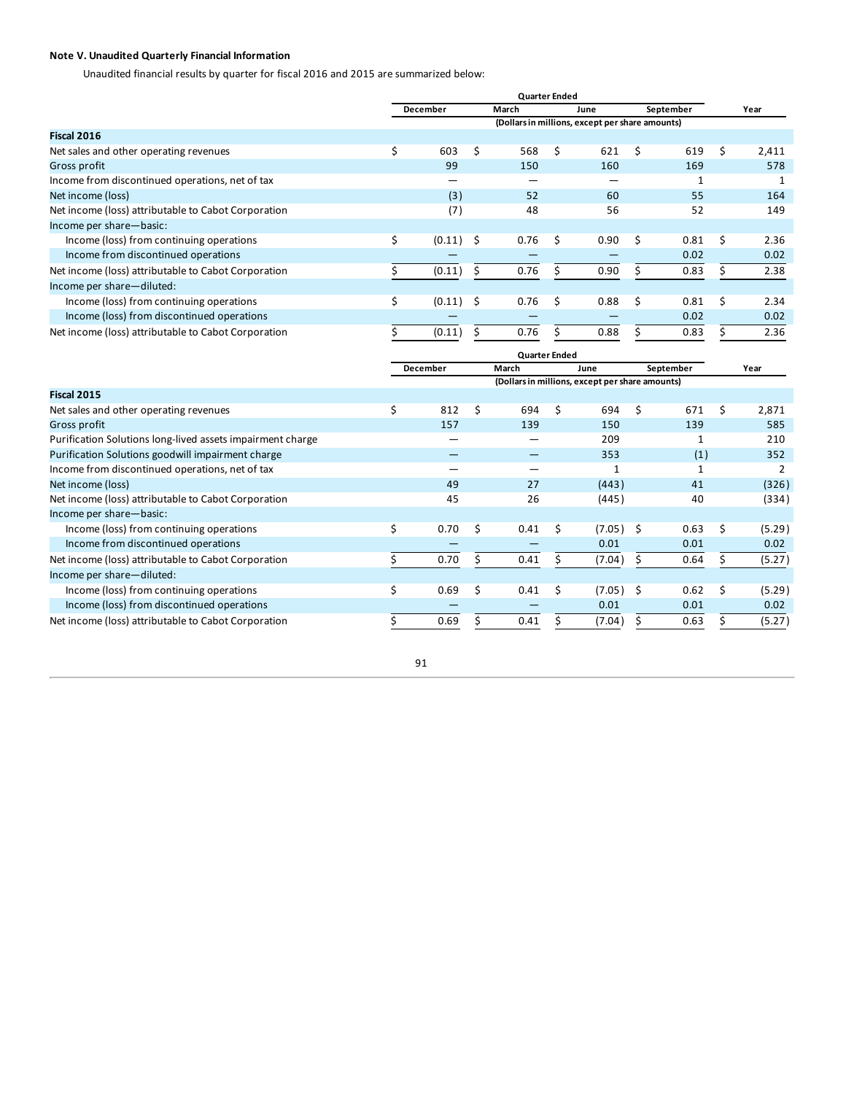# **Note V. Unaudited Quarterly Financial Information**

Unaudited financial results by quarter for fiscal 2016 and 2015 are summarized below:

|                                                     | <b>Quarter Ended</b> |        |       |      |                                                 |      |           |      |    |       |
|-----------------------------------------------------|----------------------|--------|-------|------|-------------------------------------------------|------|-----------|------|----|-------|
|                                                     | December             |        | March |      | June                                            |      | September |      |    | Year  |
|                                                     |                      |        |       |      | (Dollars in millions, except per share amounts) |      |           |      |    |       |
| Fiscal 2016                                         |                      |        |       |      |                                                 |      |           |      |    |       |
| Net sales and other operating revenues              | \$                   | 603    | Ś     | 568  | Ś                                               | 621  | Ś.        | 619  | Ś. | 2,411 |
| Gross profit                                        |                      | 99     |       | 150  |                                                 | 160  |           | 169  |    | 578   |
| Income from discontinued operations, net of tax     |                      | –      |       |      |                                                 |      |           | 1    |    |       |
| Net income (loss)                                   |                      | (3)    |       | 52   |                                                 | 60   |           | 55   |    | 164   |
| Net income (loss) attributable to Cabot Corporation |                      | (7)    |       | 48   |                                                 | 56   |           | 52   |    | 149   |
| Income per share-basic:                             |                      |        |       |      |                                                 |      |           |      |    |       |
| Income (loss) from continuing operations            | Ś.                   | (0.11) | Ś     | 0.76 | Ś                                               | 0.90 | Ś         | 0.81 | Ś  | 2.36  |
| Income from discontinued operations                 |                      |        |       |      |                                                 |      |           | 0.02 |    | 0.02  |
| Net income (loss) attributable to Cabot Corporation |                      | (0.11) |       | 0.76 |                                                 | 0.90 |           | 0.83 |    | 2.38  |
| Income per share-diluted:                           |                      |        |       |      |                                                 |      |           |      |    |       |
| Income (loss) from continuing operations            | Ś.                   | (0.11) | Ś     | 0.76 | Ś                                               | 0.88 |           | 0.81 | Ś. | 2.34  |
| Income (loss) from discontinued operations          |                      |        |       |      |                                                 |      |           | 0.02 |    | 0.02  |
| Net income (loss) attributable to Cabot Corporation |                      | (0.11) |       | 0.76 |                                                 | 0.88 |           | 0.83 |    | 2.36  |

|                                                            |          | <b>Quarter Ended</b> |       |      |      |                                                 |           |      |   |        |
|------------------------------------------------------------|----------|----------------------|-------|------|------|-------------------------------------------------|-----------|------|---|--------|
|                                                            | December |                      | March |      | June |                                                 | September |      |   | Year   |
|                                                            |          |                      |       |      |      | (Dollars in millions, except per share amounts) |           |      |   |        |
| Fiscal 2015                                                |          |                      |       |      |      |                                                 |           |      |   |        |
| Net sales and other operating revenues                     | \$       | 812                  | Ś     | 694  | Ś    | 694                                             | Ś         | 671  | Ś | 2,871  |
| Gross profit                                               |          | 157                  |       | 139  |      | 150                                             |           | 139  |   | 585    |
| Purification Solutions long-lived assets impairment charge |          |                      |       |      |      | 209                                             |           |      |   | 210    |
| Purification Solutions goodwill impairment charge          |          |                      |       |      |      | 353                                             |           | (1)  |   | 352    |
| Income from discontinued operations, net of tax            |          |                      |       |      |      |                                                 |           |      |   | 2      |
| Net income (loss)                                          |          | 49                   |       | 27   |      | (443)                                           |           | 41   |   | (326)  |
| Net income (loss) attributable to Cabot Corporation        | 45       |                      |       | 26   |      | (445)                                           |           | 40   |   | (334)  |
| Income per share-basic:                                    |          |                      |       |      |      |                                                 |           |      |   |        |
| Income (loss) from continuing operations                   | \$       | 0.70                 | Ś     | 0.41 |      | (7.05)                                          | S         | 0.63 | S | (5.29) |
| Income from discontinued operations                        |          |                      |       |      |      | 0.01                                            |           | 0.01 |   | 0.02   |
| Net income (loss) attributable to Cabot Corporation        |          | 0.70                 |       | 0.41 |      | (7.04)                                          | S         | 0.64 |   | (5.27) |
| Income per share-diluted:                                  |          |                      |       |      |      |                                                 |           |      |   |        |
| Income (loss) from continuing operations                   | \$       | 0.69                 | Ś     | 0.41 |      | (7.05)                                          | \$        | 0.62 | Ś | (5.29) |
| Income (loss) from discontinued operations                 |          |                      |       |      |      | 0.01                                            |           | 0.01 |   | 0.02   |
| Net income (loss) attributable to Cabot Corporation        |          | 0.69                 |       | 0.41 |      | (7.04)                                          |           | 0.63 |   | (5.27) |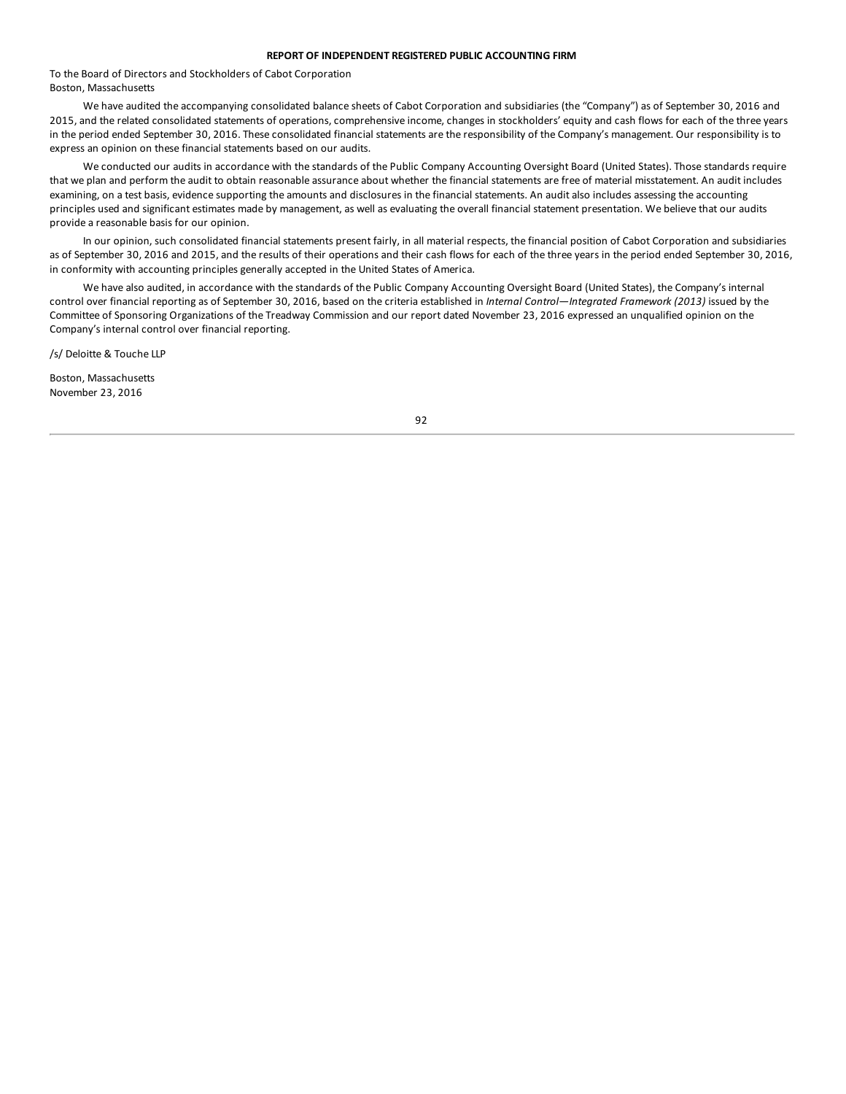# **REPORT OF INDEPENDENT REGISTERED PUBLIC ACCOUNTING FIRM**

To the Board of Directors and Stockholders of Cabot Corporation Boston, Massachusetts

We have audited the accompanying consolidated balance sheets of Cabot Corporation and subsidiaries (the "Company") as of September 30, 2016 and 2015, and the related consolidated statements of operations, comprehensive income, changes in stockholders' equity and cash flows for each of the three years in the period ended September 30, 2016. These consolidated financial statements are the responsibility of the Company's management. Our responsibility is to express an opinion on these financial statements based on our audits.

We conducted our audits in accordance with the standards of the Public Company Accounting Oversight Board (United States). Those standards require that we plan and perform the audit to obtain reasonable assurance about whether the financial statements are free of material misstatement. An audit includes examining, on a test basis, evidence supporting the amounts and disclosures in the financial statements. An audit also includes assessing the accounting principles used and significant estimates made by management, as well as evaluating the overall financial statement presentation. We believe that our audits provide a reasonable basis for our opinion.

In our opinion, such consolidated financial statements present fairly, in all material respects, the financial position of Cabot Corporation and subsidiaries as of September 30, 2016 and 2015, and the results of their operations and their cash flows for each of the three years in the period ended September 30, 2016, in conformity with accounting principles generally accepted in the United States of America.

We have also audited, in accordance with the standards of the Public Company Accounting Oversight Board (United States), the Company's internal control over financial reporting as of September 30, 2016, based on the criteria established in *Internal Control—Integrated Framework (2013)* issued by the Committee of Sponsoring Organizations of the Treadway Commission and our report dated November 23, 2016 expressed an unqualified opinion on the Company's internal control over financial reporting.

/s/ Deloitte & Touche LLP

Boston, Massachusetts November 23, 2016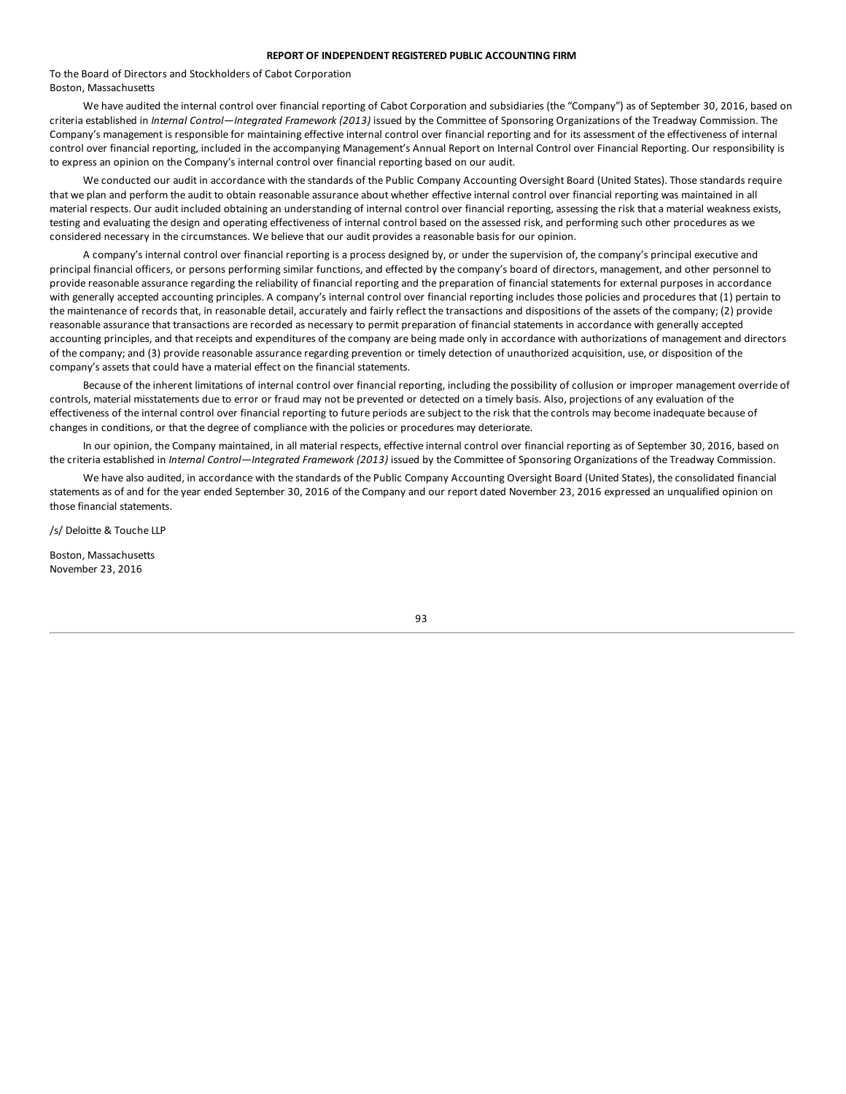### **REPORT OF INDEPENDENT REGISTERED PUBLIC ACCOUNTING FIRM**

To the Board of Directors and Stockholders of Cabot Corporation Boston, Massachusetts

We have audited the internal control over financial reporting of Cabot Corporation and subsidiaries (the "Company") as of September 30, 2016, based on criteria established in *Internal Control—Integrated Framework (2013)* issued by the Committee of Sponsoring Organizations of the Treadway Commission. The Company's management is responsible for maintaining effective internal control over financial reporting and for its assessment of the effectiveness of internal control over financial reporting, included in the accompanying Management's Annual Report on Internal Control over Financial Reporting. Our responsibility is to express an opinion on the Company's internal control over financial reporting based on our audit.

We conducted our audit in accordance with the standards of the Public Company Accounting Oversight Board (United States). Those standards require that we plan and perform the audit to obtain reasonable assurance about whether effective internal control over financial reporting was maintained in all material respects. Our audit included obtaining an understanding of internal control over financial reporting, assessing the risk that a material weakness exists, testing and evaluating the design and operating effectiveness of internal control based on the assessed risk, and performing such other procedures as we considered necessary in the circumstances. We believe that our audit provides a reasonable basis for our opinion.

A company's internal control over financial reporting is a process designed by, or under the supervision of, the company's principal executive and principal financial officers, or persons performing similar functions, and effected by the company's board of directors, management, and other personnel to provide reasonable assurance regarding the reliability of financial reporting and the preparation of financial statements for external purposes in accordance with generally accepted accounting principles. A company's internal control over financial reporting includes those policies and procedures that (1) pertain to the maintenance of records that, in reasonable detail, accurately and fairly reflect the transactions and dispositions of the assets of the company; (2) provide reasonable assurance that transactions are recorded as necessary to permit preparation of financial statements in accordance with generally accepted accounting principles, and that receipts and expenditures of the company are being made only in accordance with authorizations of management and directors of the company; and (3) provide reasonable assurance regarding prevention or timely detection of unauthorized acquisition, use, or disposition of the company's assets that could have a material effect on the financial statements.

Because of the inherent limitations of internal control over financial reporting, including the possibility of collusion or improper management override of controls, material misstatements due to error or fraud may not be prevented or detected on a timely basis. Also, projections of any evaluation of the effectiveness of the internal control over financial reporting to future periods are subject to the risk that the controls may become inadequate because of changes in conditions, or that the degree of compliance with the policies or procedures may deteriorate.

In our opinion, the Company maintained, in all material respects, effective internal control over financial reporting as of September 30, 2016, based on the criteria established in *Internal Control—Integrated Framework (2013)* issued by the Committee of Sponsoring Organizations of the Treadway Commission.

We have also audited, in accordance with the standards of the Public Company Accounting Oversight Board (United States), the consolidated financial statements as of and for the year ended September 30, 2016 of the Company and our report dated November 23, 2016 expressed an unqualified opinion on those financial statements.

/s/ Deloitte & Touche LLP

Boston, Massachusetts November 23, 2016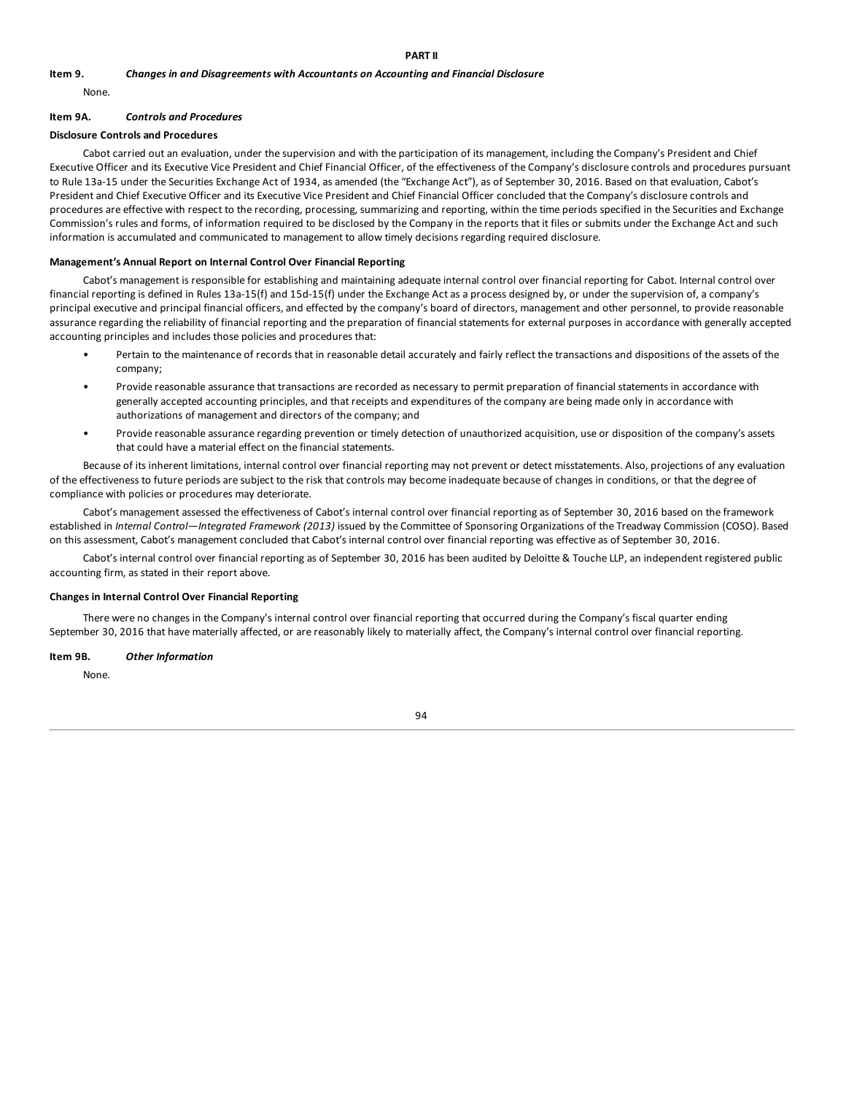# **PART II**

### <span id="page-93-0"></span>**Item 9.** *Changes in and Disagreements with Accountants on Accounting and Financial Disclosure*

None.

### **Item 9A.** *Controls and Procedures*

# **Disclosure Controls and Procedures**

Cabot carried out an evaluation, under the supervision and with the participation of its management, including the Company's President and Chief Executive Officer and its Executive Vice President and Chief Financial Officer, of the effectiveness of the Company's disclosure controls and procedures pursuant to Rule 13a-15 under the Securities Exchange Act of 1934, as amended (the "Exchange Act"), as of September 30, 2016. Based on that evaluation, Cabot's President and Chief Executive Officer and its Executive Vice President and Chief Financial Officer concluded that the Company's disclosure controls and procedures are effective with respect to the recording, processing, summarizing and reporting, within the time periods specified in the Securities and Exchange Commission's rules and forms, of information required to be disclosed by the Company in the reports that it files or submits under the Exchange Act and such information is accumulated and communicated to management to allow timely decisions regarding required disclosure.

### **Management's Annual Report on Internal Control Over Financial Reporting**

Cabot's management is responsible for establishing and maintaining adequate internal control over financial reporting for Cabot. Internal control over financial reporting is defined in Rules 13a-15(f) and 15d-15(f) under the Exchange Act as a process designed by, or under the supervision of, a company's principal executive and principal financial officers, and effected by the company's board of directors, management and other personnel, to provide reasonable assurance regarding the reliability of financial reporting and the preparation of financial statements for external purposes in accordance with generally accepted accounting principles and includes those policies and procedures that:

- Pertain to the maintenance of records that in reasonable detail accurately and fairly reflect the transactions and dispositions of the assets of the company;
- Provide reasonable assurance that transactions are recorded as necessary to permit preparation of financial statements in accordance with generally accepted accounting principles, and that receipts and expenditures of the company are being made only in accordance with authorizations of management and directors of the company; and
- Provide reasonable assurance regarding prevention or timely detection of unauthorized acquisition, use or disposition of the company's assets that could have a material effect on the financial statements.

Because of its inherent limitations, internal control over financial reporting may not prevent or detect misstatements. Also, projections of any evaluation of the effectiveness to future periods are subject to the risk that controls may become inadequate because of changes in conditions, or that the degree of compliance with policies or procedures may deteriorate.

Cabot's management assessed the effectiveness of Cabot's internal control over financial reporting as of September 30, 2016 based on the framework established in *Internal Control—Integrated Framework (2013)* issued by the Committee of Sponsoring Organizations of the Treadway Commission (COSO). Based on this assessment, Cabot's management concluded that Cabot's internal control over financial reporting was effective as of September 30, 2016.

Cabot's internal control over financial reporting as of September 30, 2016 has been audited by Deloitte & Touche LLP, an independent registered public accounting firm, as stated in their report above.

### **Changes in Internal Control Over Financial Reporting**

There were no changes in the Company's internal control over financial reporting that occurred during the Company's fiscal quarter ending September 30, 2016 that have materially affected, or are reasonably likely to materially affect, the Company's internal control over financial reporting.

# **Item 9B.** *Other Information*

None.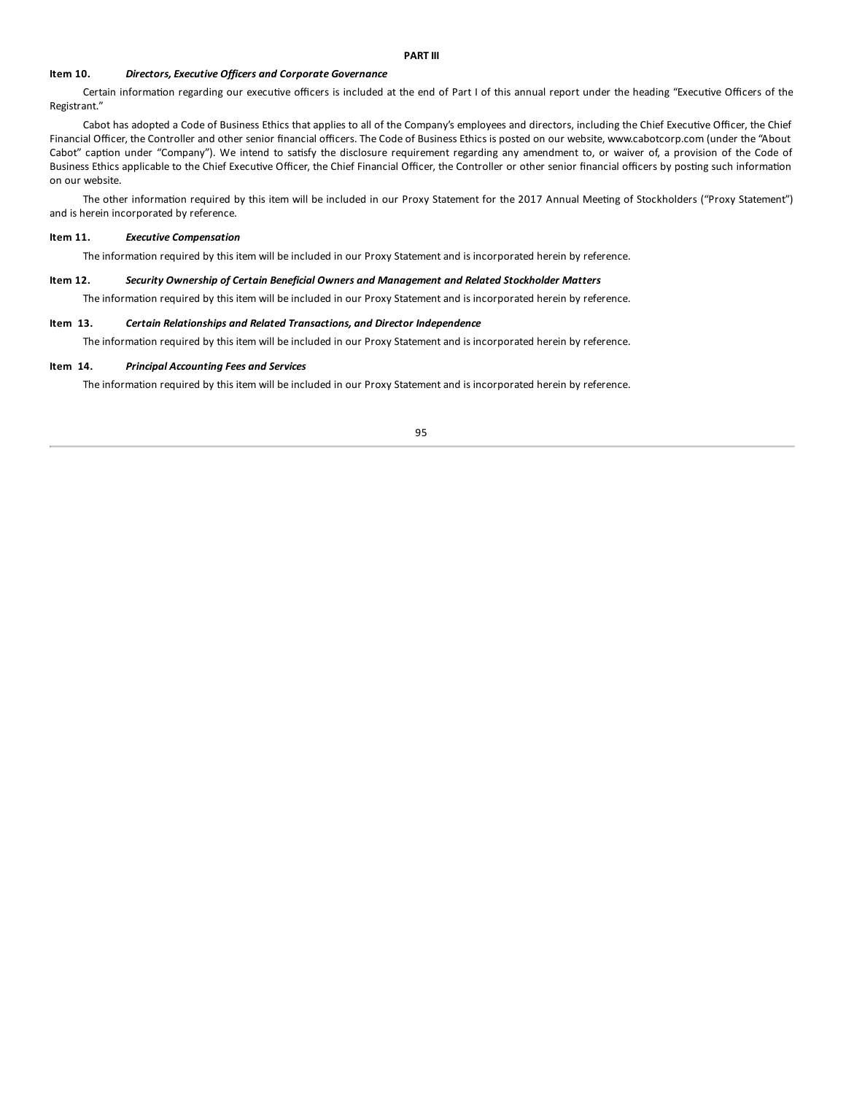# **PART III**

# <span id="page-94-0"></span>**Item 10.** *Directors, Executive Officers and Corporate Governance*

Certain information regarding our executive officers is included at the end of Part I of this annual report under the heading "Executive Officers of the Registrant."

Cabot has adopted a Code of Business Ethics that applies to all of the Company's employees and directors, including the Chief Executive Officer, the Chief Financial Officer, the Controller and other senior financial officers. The Code of Business Ethics is posted on our website, www.cabotcorp.com (under the "About Cabot" caption under "Company"). We intend to satisfy the disclosure requirement regarding any amendment to, or waiver of, a provision of the Code of Business Ethics applicable to the Chief Executive Officer, the Chief Financial Officer, the Controller or other senior financial officers by posting such information on our website.

The other information required by this item will be included in our Proxy Statement for the 2017 Annual Meeting of Stockholders ("Proxy Statement") and is herein incorporated by reference.

## **Item 11.** *Executive Compensation*

The information required by this item will be included in our Proxy Statement and is incorporated herein by reference.

# **Item 12.** *Security Ownership of Certain Beneficial Owners and Management and Related Stockholder Matters*

The information required by this item will be included in our Proxy Statement and is incorporated herein by reference.

### **Item 13.** *Certain Relationships and Related Transactions, and Director Independence*

The information required by this item will be included in our Proxy Statement and is incorporated herein by reference.

# **Item 14.** *Principal Accounting Fees and Services*

The information required by this item will be included in our Proxy Statement and is incorporated herein by reference.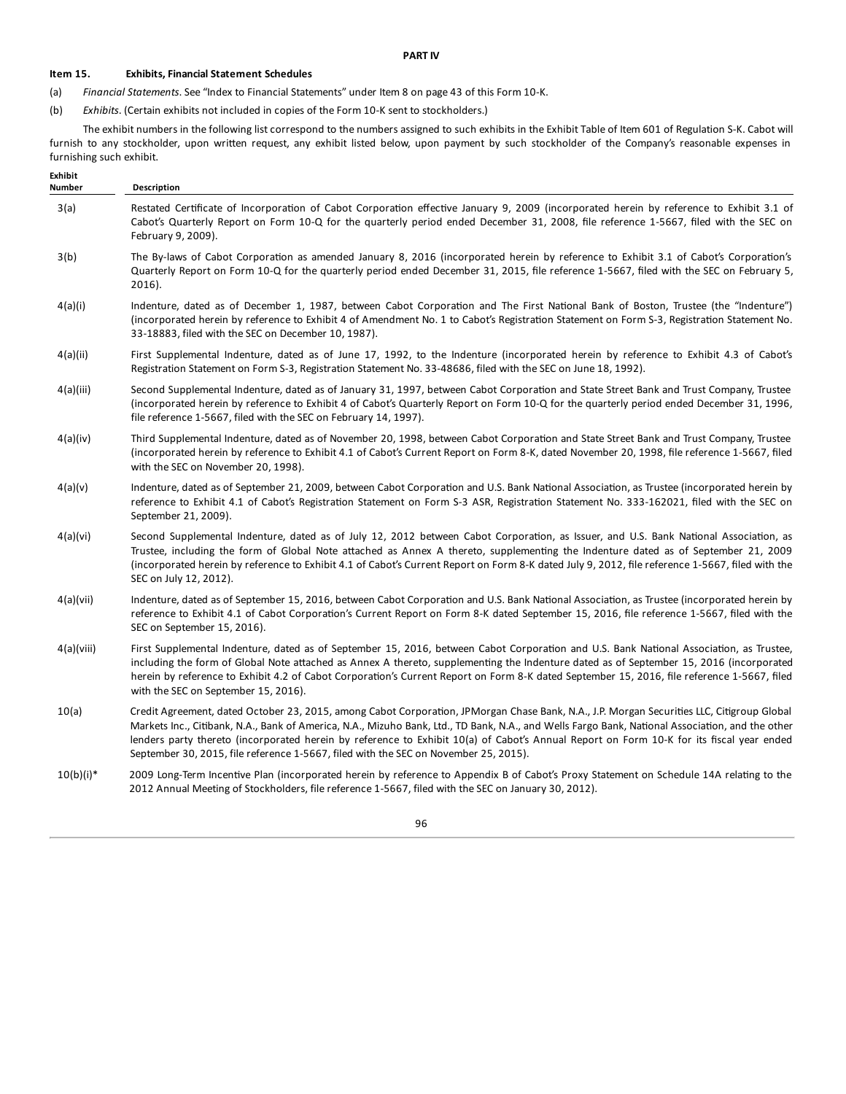# **PART IV**

# <span id="page-95-0"></span>**Item 15. Exhibits, Financial Statement Schedules**

- (a) *Financial Statements*. See "Index to Financial Statements" under Item 8 on page 43 of this Form 10-K.
- (b) *Exhibits*. (Certain exhibits not included in copies of the Form 10-K sent to stockholders.)

The exhibit numbers in the following list correspond to the numbers assigned to such exhibits in the Exhibit Table of Item 601 of Regulation S-K. Cabot will furnish to any stockholder, upon written request, any exhibit listed below, upon payment by such stockholder of the Company's reasonable expenses in furnishing such exhibit.

| <b>Exhibit</b><br>Number | Description                                                                                                                                                                                                                                                                                                                                                                                                                                                                                                                        |
|--------------------------|------------------------------------------------------------------------------------------------------------------------------------------------------------------------------------------------------------------------------------------------------------------------------------------------------------------------------------------------------------------------------------------------------------------------------------------------------------------------------------------------------------------------------------|
| 3(a)                     | Restated Certificate of Incorporation of Cabot Corporation effective January 9, 2009 (incorporated herein by reference to Exhibit 3.1 of<br>Cabot's Quarterly Report on Form 10-Q for the quarterly period ended December 31, 2008, file reference 1-5667, filed with the SEC on<br>February 9, 2009).                                                                                                                                                                                                                             |
| 3(b)                     | The By-laws of Cabot Corporation as amended January 8, 2016 (incorporated herein by reference to Exhibit 3.1 of Cabot's Corporation's<br>Quarterly Report on Form 10-Q for the quarterly period ended December 31, 2015, file reference 1-5667, filed with the SEC on February 5,<br>2016).                                                                                                                                                                                                                                        |
| 4(a)(i)                  | Indenture, dated as of December 1, 1987, between Cabot Corporation and The First National Bank of Boston, Trustee (the "Indenture")<br>(incorporated herein by reference to Exhibit 4 of Amendment No. 1 to Cabot's Registration Statement on Form S-3, Registration Statement No.<br>33-18883, filed with the SEC on December 10, 1987).                                                                                                                                                                                          |
| 4(a)(ii)                 | First Supplemental Indenture, dated as of June 17, 1992, to the Indenture (incorporated herein by reference to Exhibit 4.3 of Cabot's<br>Registration Statement on Form S-3, Registration Statement No. 33-48686, filed with the SEC on June 18, 1992).                                                                                                                                                                                                                                                                            |
| 4(a)(iii)                | Second Supplemental Indenture, dated as of January 31, 1997, between Cabot Corporation and State Street Bank and Trust Company, Trustee<br>(incorporated herein by reference to Exhibit 4 of Cabot's Quarterly Report on Form 10-Q for the quarterly period ended December 31, 1996,<br>file reference 1-5667, filed with the SEC on February 14, 1997).                                                                                                                                                                           |
| 4(a)(iv)                 | Third Supplemental Indenture, dated as of November 20, 1998, between Cabot Corporation and State Street Bank and Trust Company, Trustee<br>(incorporated herein by reference to Exhibit 4.1 of Cabot's Current Report on Form 8-K, dated November 20, 1998, file reference 1-5667, filed<br>with the SEC on November 20, 1998).                                                                                                                                                                                                    |
| 4(a)(v)                  | Indenture, dated as of September 21, 2009, between Cabot Corporation and U.S. Bank National Association, as Trustee (incorporated herein by<br>reference to Exhibit 4.1 of Cabot's Registration Statement on Form S-3 ASR, Registration Statement No. 333-162021, filed with the SEC on<br>September 21, 2009).                                                                                                                                                                                                                    |
| 4(a)(vi)                 | Second Supplemental Indenture, dated as of July 12, 2012 between Cabot Corporation, as Issuer, and U.S. Bank National Association, as<br>Trustee, including the form of Global Note attached as Annex A thereto, supplementing the Indenture dated as of September 21, 2009<br>(incorporated herein by reference to Exhibit 4.1 of Cabot's Current Report on Form 8-K dated July 9, 2012, file reference 1-5667, filed with the<br>SEC on July 12, 2012).                                                                          |
| 4(a)(vii)                | Indenture, dated as of September 15, 2016, between Cabot Corporation and U.S. Bank National Association, as Trustee (incorporated herein by<br>reference to Exhibit 4.1 of Cabot Corporation's Current Report on Form 8-K dated September 15, 2016, file reference 1-5667, filed with the<br>SEC on September 15, 2016).                                                                                                                                                                                                           |
| 4(a)(viii)               | First Supplemental Indenture, dated as of September 15, 2016, between Cabot Corporation and U.S. Bank National Association, as Trustee,<br>including the form of Global Note attached as Annex A thereto, supplementing the Indenture dated as of September 15, 2016 (incorporated<br>herein by reference to Exhibit 4.2 of Cabot Corporation's Current Report on Form 8-K dated September 15, 2016, file reference 1-5667, filed<br>with the SEC on September 15, 2016).                                                          |
| 10(a)                    | Credit Agreement, dated October 23, 2015, among Cabot Corporation, JPMorgan Chase Bank, N.A., J.P. Morgan Securities LLC, Citigroup Global<br>Markets Inc., Citibank, N.A., Bank of America, N.A., Mizuho Bank, Ltd., TD Bank, N.A., and Wells Fargo Bank, National Association, and the other<br>lenders party thereto (incorporated herein by reference to Exhibit 10(a) of Cabot's Annual Report on Form 10-K for its fiscal year ended<br>September 30, 2015, file reference 1-5667, filed with the SEC on November 25, 2015). |
| $10(b)(i)*$              | 2009 Long-Term Incentive Plan (incorporated herein by reference to Appendix B of Cabot's Proxy Statement on Schedule 14A relating to the<br>2012 Annual Meeting of Stockholders, file reference 1-5667, filed with the SEC on January 30, 2012).                                                                                                                                                                                                                                                                                   |

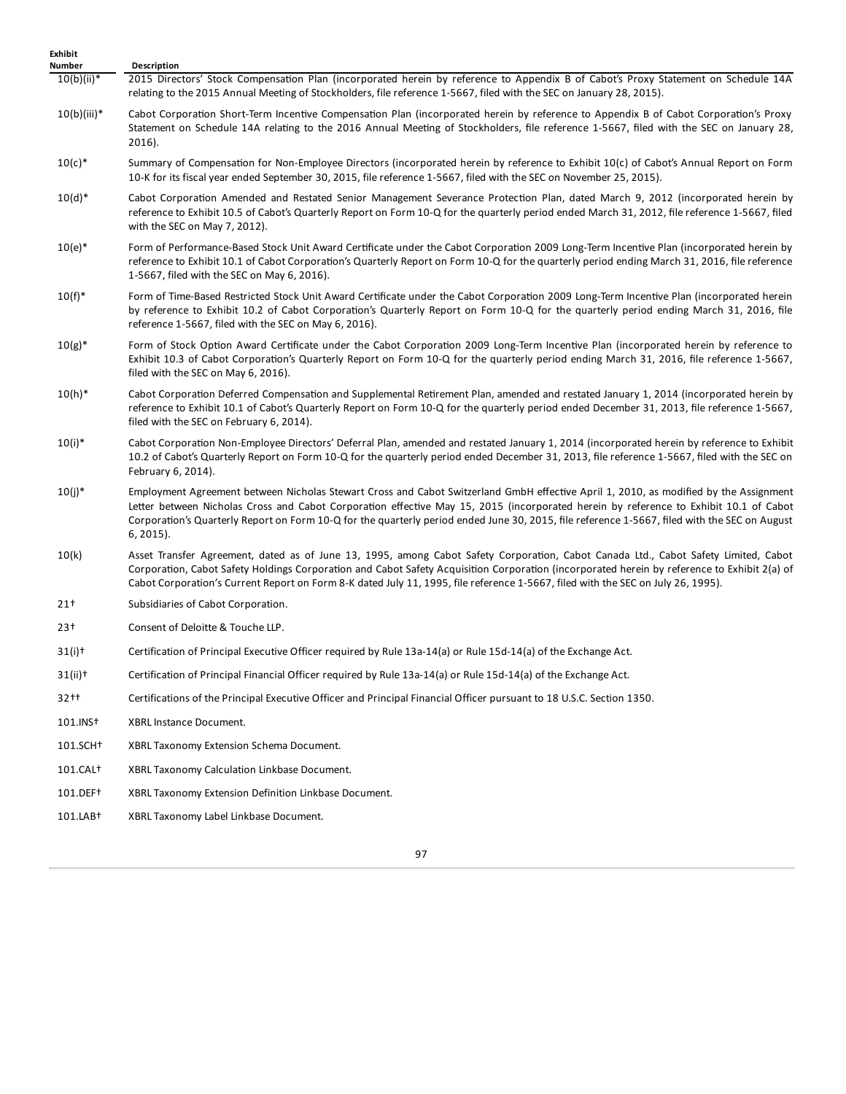| Exhibit<br>Number     | Description                                                                                                                                                                                                                                                                                                                                                                                                                                     |
|-----------------------|-------------------------------------------------------------------------------------------------------------------------------------------------------------------------------------------------------------------------------------------------------------------------------------------------------------------------------------------------------------------------------------------------------------------------------------------------|
| $10(b)(ii)*$          | 2015 Directors' Stock Compensation Plan (incorporated herein by reference to Appendix B of Cabot's Proxy Statement on Schedule 14A<br>relating to the 2015 Annual Meeting of Stockholders, file reference 1-5667, filed with the SEC on January 28, 2015).                                                                                                                                                                                      |
| $10(b)(iii)*$         | Cabot Corporation Short-Term Incentive Compensation Plan (incorporated herein by reference to Appendix B of Cabot Corporation's Proxy<br>Statement on Schedule 14A relating to the 2016 Annual Meeting of Stockholders, file reference 1-5667, filed with the SEC on January 28,<br>2016).                                                                                                                                                      |
| $10(c)$ *             | Summary of Compensation for Non-Employee Directors (incorporated herein by reference to Exhibit 10(c) of Cabot's Annual Report on Form<br>10-K for its fiscal year ended September 30, 2015, file reference 1-5667, filed with the SEC on November 25, 2015).                                                                                                                                                                                   |
| $10(d)^*$             | Cabot Corporation Amended and Restated Senior Management Severance Protection Plan, dated March 9, 2012 (incorporated herein by<br>reference to Exhibit 10.5 of Cabot's Quarterly Report on Form 10-Q for the quarterly period ended March 31, 2012, file reference 1-5667, filed<br>with the SEC on May 7, 2012).                                                                                                                              |
| $10(e)^*$             | Form of Performance-Based Stock Unit Award Certificate under the Cabot Corporation 2009 Long-Term Incentive Plan (incorporated herein by<br>reference to Exhibit 10.1 of Cabot Corporation's Quarterly Report on Form 10-Q for the quarterly period ending March 31, 2016, file reference<br>1-5667, filed with the SEC on May 6, 2016).                                                                                                        |
| $10(f)^*$             | Form of Time-Based Restricted Stock Unit Award Certificate under the Cabot Corporation 2009 Long-Term Incentive Plan (incorporated herein<br>by reference to Exhibit 10.2 of Cabot Corporation's Quarterly Report on Form 10-Q for the quarterly period ending March 31, 2016, file<br>reference 1-5667, filed with the SEC on May 6, 2016).                                                                                                    |
| $10(g)^{*}$           | Form of Stock Option Award Certificate under the Cabot Corporation 2009 Long-Term Incentive Plan (incorporated herein by reference to<br>Exhibit 10.3 of Cabot Corporation's Quarterly Report on Form 10-Q for the quarterly period ending March 31, 2016, file reference 1-5667,<br>filed with the SEC on May 6, 2016).                                                                                                                        |
| $10(h)^*$             | Cabot Corporation Deferred Compensation and Supplemental Retirement Plan, amended and restated January 1, 2014 (incorporated herein by<br>reference to Exhibit 10.1 of Cabot's Quarterly Report on Form 10-Q for the quarterly period ended December 31, 2013, file reference 1-5667,<br>filed with the SEC on February 6, 2014).                                                                                                               |
| $10(i)*$              | Cabot Corporation Non-Employee Directors' Deferral Plan, amended and restated January 1, 2014 (incorporated herein by reference to Exhibit<br>10.2 of Cabot's Quarterly Report on Form 10-Q for the quarterly period ended December 31, 2013, file reference 1-5667, filed with the SEC on<br>February 6, 2014).                                                                                                                                |
| $10(j)^*$             | Employment Agreement between Nicholas Stewart Cross and Cabot Switzerland GmbH effective April 1, 2010, as modified by the Assignment<br>Letter between Nicholas Cross and Cabot Corporation effective May 15, 2015 (incorporated herein by reference to Exhibit 10.1 of Cabot<br>Corporation's Quarterly Report on Form 10-Q for the quarterly period ended June 30, 2015, file reference 1-5667, filed with the SEC on August<br>$6, 2015$ ). |
| 10(k)                 | Asset Transfer Agreement, dated as of June 13, 1995, among Cabot Safety Corporation, Cabot Canada Ltd., Cabot Safety Limited, Cabot<br>Corporation, Cabot Safety Holdings Corporation and Cabot Safety Acquisition Corporation (incorporated herein by reference to Exhibit 2(a) of<br>Cabot Corporation's Current Report on Form 8-K dated July 11, 1995, file reference 1-5667, filed with the SEC on July 26, 1995).                         |
| 21†                   | Subsidiaries of Cabot Corporation.                                                                                                                                                                                                                                                                                                                                                                                                              |
| 23 <sup>†</sup>       | Consent of Deloitte & Touche LLP.                                                                                                                                                                                                                                                                                                                                                                                                               |
| $31(i)$ <sup>+</sup>  | Certification of Principal Executive Officer required by Rule 13a-14(a) or Rule 15d-14(a) of the Exchange Act.                                                                                                                                                                                                                                                                                                                                  |
| $31(ii)$ <sup>+</sup> | Certification of Principal Financial Officer required by Rule 13a-14(a) or Rule 15d-14(a) of the Exchange Act.                                                                                                                                                                                                                                                                                                                                  |
| 32++                  | Certifications of the Principal Executive Officer and Principal Financial Officer pursuant to 18 U.S.C. Section 1350.                                                                                                                                                                                                                                                                                                                           |
| 101.INS+              | XBRL Instance Document.                                                                                                                                                                                                                                                                                                                                                                                                                         |
| 101.SCH <sup>+</sup>  | XBRL Taxonomy Extension Schema Document.                                                                                                                                                                                                                                                                                                                                                                                                        |
| 101.CAL <sup>+</sup>  | XBRL Taxonomy Calculation Linkbase Document.                                                                                                                                                                                                                                                                                                                                                                                                    |
| 101.DEF <sup>+</sup>  | XBRL Taxonomy Extension Definition Linkbase Document.                                                                                                                                                                                                                                                                                                                                                                                           |
| 101.LAB+              | XBRL Taxonomy Label Linkbase Document.                                                                                                                                                                                                                                                                                                                                                                                                          |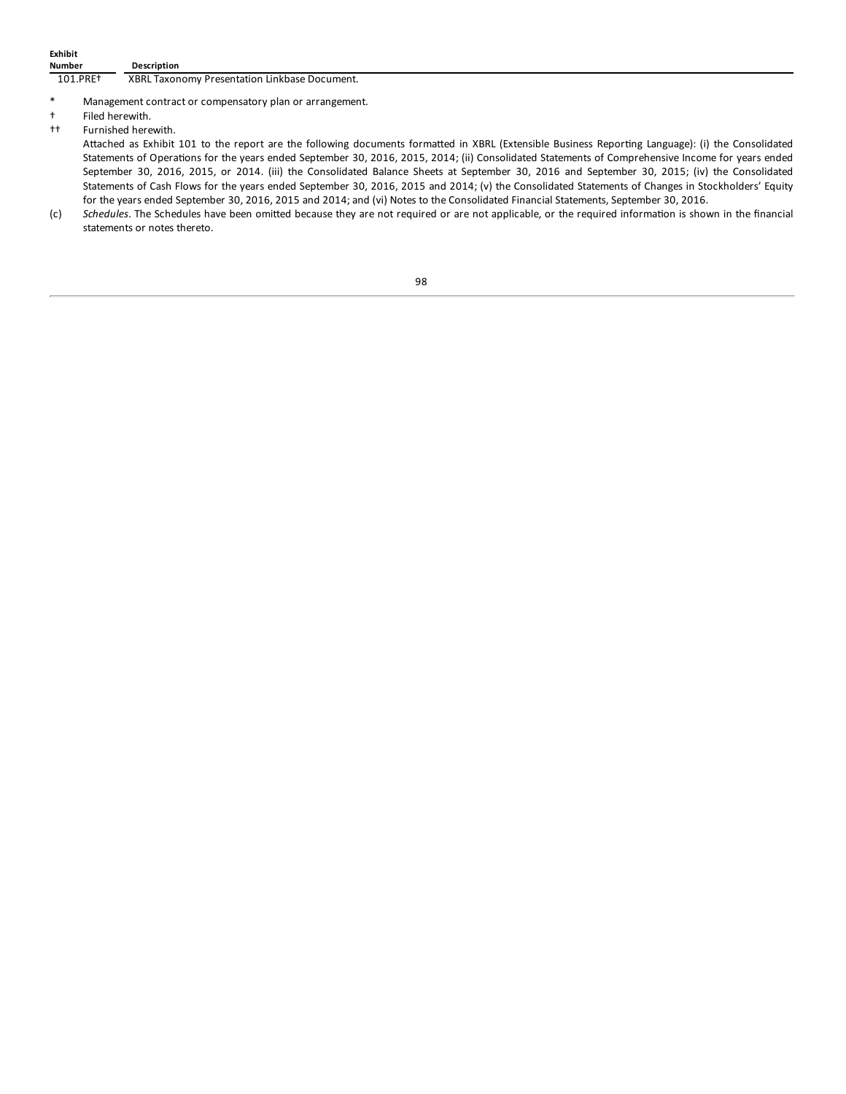| <b>Exhibit</b>       |                                               |
|----------------------|-----------------------------------------------|
| Number               | Description                                   |
| 101.PRE <sup>+</sup> | XBRL Taxonomy Presentation Linkbase Document. |

\* Management contract or compensatory plan or arrangement.

† Filed herewith.

Furnished herewith.

Attached as Exhibit 101 to the report are the following documents formatted in XBRL (Extensible Business Reporting Language): (i) the Consolidated Statements of Operations for the years ended September 30, 2016, 2015, 2014; (ii) Consolidated Statements of Comprehensive Income for years ended September 30, 2016, 2015, or 2014. (iii) the Consolidated Balance Sheets at September 30, 2016 and September 30, 2015; (iv) the Consolidated Statements of Cash Flows for the years ended September 30, 2016, 2015 and 2014; (v) the Consolidated Statements of Changes in Stockholders' Equity for the years ended September 30, 2016, 2015 and 2014; and (vi) Notes to the Consolidated Financial Statements, September 30, 2016.

(c) Schedules. The Schedules have been omitted because they are not required or are not applicable, or the required information is shown in the financial statements or notes thereto.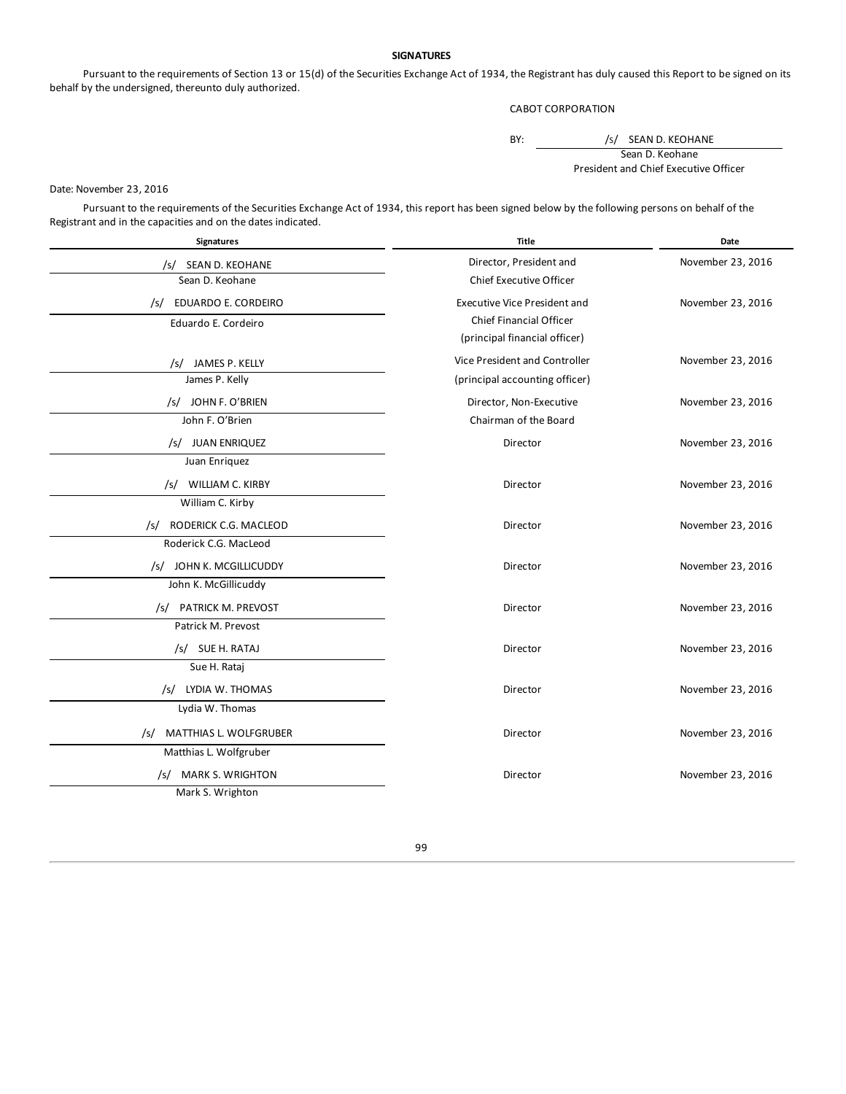# **SIGNATURES**

Pursuant to the requirements of Section 13 or 15(d) of the Securities Exchange Act of 1934, the Registrant has duly caused this Report to be signed on its behalf by the undersigned, thereunto duly authorized.

# CABOT CORPORATION

BY: /s/ SEAN D. KEOHANE

Sean D. Keohane President and Chief Executive Officer

# Date: November 23, 2016

Pursuant to the requirements of the Securities Exchange Act of 1934, this report has been signed below by the following persons on behalf of the Registrant and in the capacities and on the dates indicated.

| <b>Signatures</b>                    | Title                               | Date              |
|--------------------------------------|-------------------------------------|-------------------|
| /s/ SEAN D. KEOHANE                  | Director, President and             | November 23, 2016 |
| Sean D. Keohane                      | <b>Chief Executive Officer</b>      |                   |
| EDUARDO E. CORDEIRO<br>/s/           | <b>Executive Vice President and</b> | November 23, 2016 |
| Eduardo E. Cordeiro                  | <b>Chief Financial Officer</b>      |                   |
|                                      | (principal financial officer)       |                   |
| JAMES P. KELLY<br>/s/                | Vice President and Controller       | November 23, 2016 |
| James P. Kelly                       | (principal accounting officer)      |                   |
| /s/ JOHN F. O'BRIEN                  | Director, Non-Executive             | November 23, 2016 |
| John F. O'Brien                      | Chairman of the Board               |                   |
| /s/ JUAN ENRIQUEZ                    | Director                            | November 23, 2016 |
| Juan Enriquez                        |                                     |                   |
| /s/ WILLIAM C. KIRBY                 | Director                            | November 23, 2016 |
| William C. Kirby                     |                                     |                   |
| RODERICK C.G. MACLEOD<br>/s/         | Director                            | November 23, 2016 |
| Roderick C.G. MacLeod                |                                     |                   |
| JOHN K. MCGILLICUDDY<br>/s/          | Director                            | November 23, 2016 |
| John K. McGillicuddy                 |                                     |                   |
| /s/ PATRICK M. PREVOST               | Director                            | November 23, 2016 |
| Patrick M. Prevost                   |                                     |                   |
| /s/ SUE H. RATAJ                     | Director                            | November 23, 2016 |
| Sue H. Rataj                         |                                     |                   |
| LYDIA W. THOMAS<br>/s/               | Director                            | November 23, 2016 |
| Lydia W. Thomas                      |                                     |                   |
| <b>MATTHIAS L. WOLFGRUBER</b><br>/s/ | Director                            | November 23, 2016 |
| Matthias L. Wolfgruber               |                                     |                   |
| /s/ MARK S. WRIGHTON                 | Director                            | November 23, 2016 |
| Mark S. Wrighton                     |                                     |                   |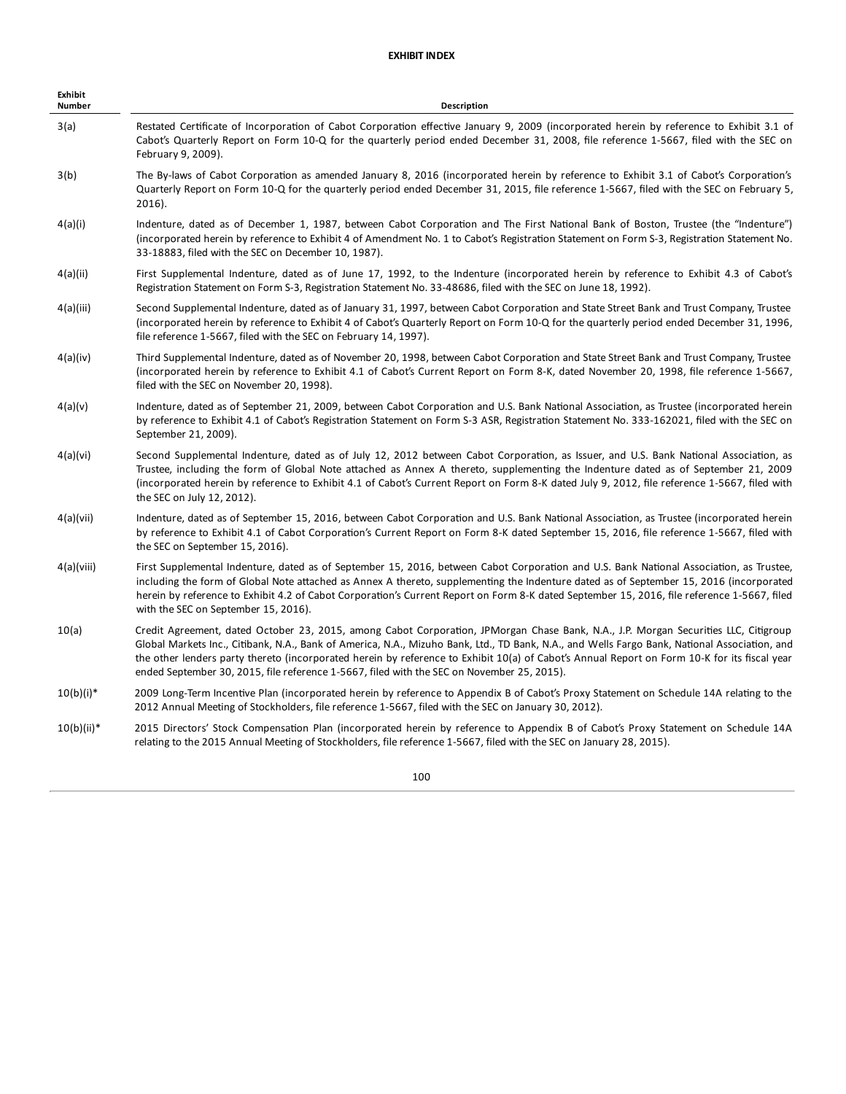# **EXHIBIT INDEX**

<span id="page-99-0"></span>

| Exhibit<br><b>Number</b> | <b>Description</b>                                                                                                                                                                                                                                                                                                                                                                                                                                                                                                                 |
|--------------------------|------------------------------------------------------------------------------------------------------------------------------------------------------------------------------------------------------------------------------------------------------------------------------------------------------------------------------------------------------------------------------------------------------------------------------------------------------------------------------------------------------------------------------------|
| 3(a)                     | Restated Certificate of Incorporation of Cabot Corporation effective January 9, 2009 (incorporated herein by reference to Exhibit 3.1 of<br>Cabot's Quarterly Report on Form 10-Q for the quarterly period ended December 31, 2008, file reference 1-5667, filed with the SEC on<br>February 9, 2009).                                                                                                                                                                                                                             |
| 3(b)                     | The By-laws of Cabot Corporation as amended January 8, 2016 (incorporated herein by reference to Exhibit 3.1 of Cabot's Corporation's<br>Quarterly Report on Form 10-Q for the quarterly period ended December 31, 2015, file reference 1-5667, filed with the SEC on February 5,<br>2016).                                                                                                                                                                                                                                        |
| 4(a)(i)                  | Indenture, dated as of December 1, 1987, between Cabot Corporation and The First National Bank of Boston, Trustee (the "Indenture")<br>(incorporated herein by reference to Exhibit 4 of Amendment No. 1 to Cabot's Registration Statement on Form S-3, Registration Statement No.<br>33-18883, filed with the SEC on December 10, 1987).                                                                                                                                                                                          |
| 4(a)(ii)                 | First Supplemental Indenture, dated as of June 17, 1992, to the Indenture (incorporated herein by reference to Exhibit 4.3 of Cabot's<br>Registration Statement on Form S-3, Registration Statement No. 33-48686, filed with the SEC on June 18, 1992).                                                                                                                                                                                                                                                                            |
| 4(a)(iii)                | Second Supplemental Indenture, dated as of January 31, 1997, between Cabot Corporation and State Street Bank and Trust Company, Trustee<br>(incorporated herein by reference to Exhibit 4 of Cabot's Quarterly Report on Form 10-Q for the quarterly period ended December 31, 1996,<br>file reference 1-5667, filed with the SEC on February 14, 1997).                                                                                                                                                                           |
| 4(a)(iv)                 | Third Supplemental Indenture, dated as of November 20, 1998, between Cabot Corporation and State Street Bank and Trust Company, Trustee<br>(incorporated herein by reference to Exhibit 4.1 of Cabot's Current Report on Form 8-K, dated November 20, 1998, file reference 1-5667,<br>filed with the SEC on November 20, 1998).                                                                                                                                                                                                    |
| 4(a)(v)                  | Indenture, dated as of September 21, 2009, between Cabot Corporation and U.S. Bank National Association, as Trustee (incorporated herein<br>by reference to Exhibit 4.1 of Cabot's Registration Statement on Form S-3 ASR, Registration Statement No. 333-162021, filed with the SEC on<br>September 21, 2009).                                                                                                                                                                                                                    |
| 4(a)(vi)                 | Second Supplemental Indenture, dated as of July 12, 2012 between Cabot Corporation, as Issuer, and U.S. Bank National Association, as<br>Trustee, including the form of Global Note attached as Annex A thereto, supplementing the Indenture dated as of September 21, 2009<br>(incorporated herein by reference to Exhibit 4.1 of Cabot's Current Report on Form 8-K dated July 9, 2012, file reference 1-5667, filed with<br>the SEC on July 12, 2012).                                                                          |
| 4(a)(vii)                | Indenture, dated as of September 15, 2016, between Cabot Corporation and U.S. Bank National Association, as Trustee (incorporated herein<br>by reference to Exhibit 4.1 of Cabot Corporation's Current Report on Form 8-K dated September 15, 2016, file reference 1-5667, filed with<br>the SEC on September 15, 2016).                                                                                                                                                                                                           |
| 4(a)(viii)               | First Supplemental Indenture, dated as of September 15, 2016, between Cabot Corporation and U.S. Bank National Association, as Trustee,<br>including the form of Global Note attached as Annex A thereto, supplementing the Indenture dated as of September 15, 2016 (incorporated<br>herein by reference to Exhibit 4.2 of Cabot Corporation's Current Report on Form 8-K dated September 15, 2016, file reference 1-5667, filed<br>with the SEC on September 15, 2016).                                                          |
| 10(a)                    | Credit Agreement, dated October 23, 2015, among Cabot Corporation, JPMorgan Chase Bank, N.A., J.P. Morgan Securities LLC, Citigroup<br>Global Markets Inc., Citibank, N.A., Bank of America, N.A., Mizuho Bank, Ltd., TD Bank, N.A., and Wells Fargo Bank, National Association, and<br>the other lenders party thereto (incorporated herein by reference to Exhibit 10(a) of Cabot's Annual Report on Form 10-K for its fiscal year<br>ended September 30, 2015, file reference 1-5667, filed with the SEC on November 25, 2015). |
| $10(b)(i)*$              | 2009 Long-Term Incentive Plan (incorporated herein by reference to Appendix B of Cabot's Proxy Statement on Schedule 14A relating to the<br>2012 Annual Meeting of Stockholders, file reference 1-5667, filed with the SEC on January 30, 2012).                                                                                                                                                                                                                                                                                   |
| $10(b)(ii)*$             | 2015 Directors' Stock Compensation Plan (incorporated herein by reference to Appendix B of Cabot's Proxy Statement on Schedule 14A<br>relating to the 2015 Annual Meeting of Stockholders, file reference 1-5667, filed with the SEC on January 28, 2015).                                                                                                                                                                                                                                                                         |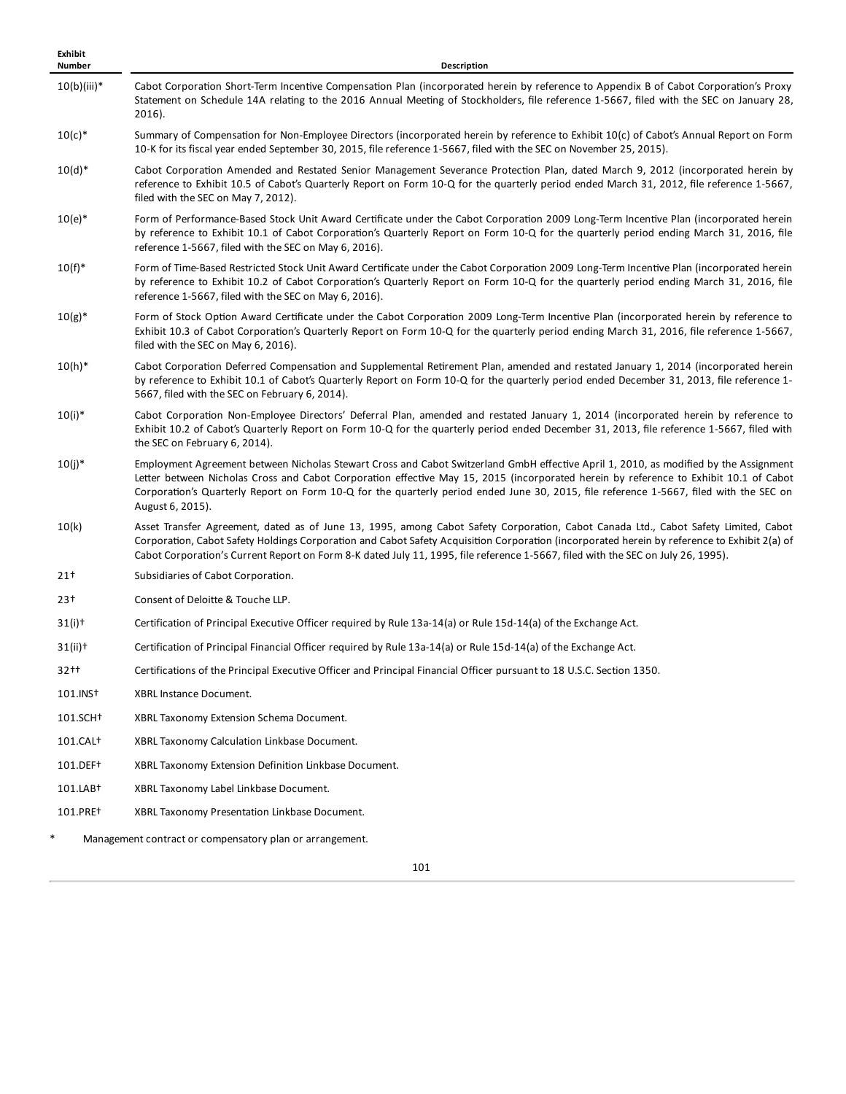| Exhibit<br>Number    | Description                                                                                                                                                                                                                                                                                                                                                                                                                                  |
|----------------------|----------------------------------------------------------------------------------------------------------------------------------------------------------------------------------------------------------------------------------------------------------------------------------------------------------------------------------------------------------------------------------------------------------------------------------------------|
| $10(b)(iii)*$        | Cabot Corporation Short-Term Incentive Compensation Plan (incorporated herein by reference to Appendix B of Cabot Corporation's Proxy<br>Statement on Schedule 14A relating to the 2016 Annual Meeting of Stockholders, file reference 1-5667, filed with the SEC on January 28,<br>2016).                                                                                                                                                   |
| $10(c)^{*}$          | Summary of Compensation for Non-Employee Directors (incorporated herein by reference to Exhibit 10(c) of Cabot's Annual Report on Form<br>10-K for its fiscal year ended September 30, 2015, file reference 1-5667, filed with the SEC on November 25, 2015).                                                                                                                                                                                |
| $10(d)^*$            | Cabot Corporation Amended and Restated Senior Management Severance Protection Plan, dated March 9, 2012 (incorporated herein by<br>reference to Exhibit 10.5 of Cabot's Quarterly Report on Form 10-Q for the quarterly period ended March 31, 2012, file reference 1-5667,<br>filed with the SEC on May 7, 2012).                                                                                                                           |
| $10(e)^*$            | Form of Performance-Based Stock Unit Award Certificate under the Cabot Corporation 2009 Long-Term Incentive Plan (incorporated herein<br>by reference to Exhibit 10.1 of Cabot Corporation's Quarterly Report on Form 10-Q for the quarterly period ending March 31, 2016, file<br>reference 1-5667, filed with the SEC on May 6, 2016).                                                                                                     |
| $10(f)^*$            | Form of Time-Based Restricted Stock Unit Award Certificate under the Cabot Corporation 2009 Long-Term Incentive Plan (incorporated herein<br>by reference to Exhibit 10.2 of Cabot Corporation's Quarterly Report on Form 10-Q for the quarterly period ending March 31, 2016, file<br>reference 1-5667, filed with the SEC on May 6, 2016).                                                                                                 |
| $10(g)^{*}$          | Form of Stock Option Award Certificate under the Cabot Corporation 2009 Long-Term Incentive Plan (incorporated herein by reference to<br>Exhibit 10.3 of Cabot Corporation's Quarterly Report on Form 10-Q for the quarterly period ending March 31, 2016, file reference 1-5667,<br>filed with the SEC on May 6, 2016).                                                                                                                     |
| $10(h)^*$            | Cabot Corporation Deferred Compensation and Supplemental Retirement Plan, amended and restated January 1, 2014 (incorporated herein<br>by reference to Exhibit 10.1 of Cabot's Quarterly Report on Form 10-Q for the quarterly period ended December 31, 2013, file reference 1-<br>5667, filed with the SEC on February 6, 2014).                                                                                                           |
| $10(i)*$             | Cabot Corporation Non-Employee Directors' Deferral Plan, amended and restated January 1, 2014 (incorporated herein by reference to<br>Exhibit 10.2 of Cabot's Quarterly Report on Form 10-Q for the quarterly period ended December 31, 2013, file reference 1-5667, filed with<br>the SEC on February 6, 2014).                                                                                                                             |
| $10(j)^*$            | Employment Agreement between Nicholas Stewart Cross and Cabot Switzerland GmbH effective April 1, 2010, as modified by the Assignment<br>Letter between Nicholas Cross and Cabot Corporation effective May 15, 2015 (incorporated herein by reference to Exhibit 10.1 of Cabot<br>Corporation's Quarterly Report on Form 10-Q for the quarterly period ended June 30, 2015, file reference 1-5667, filed with the SEC on<br>August 6, 2015). |
| 10(k)                | Asset Transfer Agreement, dated as of June 13, 1995, among Cabot Safety Corporation, Cabot Canada Ltd., Cabot Safety Limited, Cabot<br>Corporation, Cabot Safety Holdings Corporation and Cabot Safety Acquisition Corporation (incorporated herein by reference to Exhibit 2(a) of<br>Cabot Corporation's Current Report on Form 8-K dated July 11, 1995, file reference 1-5667, filed with the SEC on July 26, 1995).                      |
| 21 <sup>†</sup>      | Subsidiaries of Cabot Corporation.                                                                                                                                                                                                                                                                                                                                                                                                           |
| 23 <sup>†</sup>      | Consent of Deloitte & Touche LLP.                                                                                                                                                                                                                                                                                                                                                                                                            |
| $31(i)$ <sup>+</sup> | Certification of Principal Executive Officer required by Rule 13a-14(a) or Rule 15d-14(a) of the Exchange Act.                                                                                                                                                                                                                                                                                                                               |
| $31(i)$ <sup>+</sup> | Certification of Principal Financial Officer required by Rule 13a-14(a) or Rule 15d-14(a) of the Exchange Act.                                                                                                                                                                                                                                                                                                                               |
| 32++                 | Certifications of the Principal Executive Officer and Principal Financial Officer pursuant to 18 U.S.C. Section 1350.                                                                                                                                                                                                                                                                                                                        |
| 101.INS+             | XBRL Instance Document.                                                                                                                                                                                                                                                                                                                                                                                                                      |
| 101.SCH <sup>+</sup> | XBRL Taxonomy Extension Schema Document.                                                                                                                                                                                                                                                                                                                                                                                                     |
| 101.CAL <sup>+</sup> | XBRL Taxonomy Calculation Linkbase Document.                                                                                                                                                                                                                                                                                                                                                                                                 |
| 101.DEF <sup>+</sup> | XBRL Taxonomy Extension Definition Linkbase Document.                                                                                                                                                                                                                                                                                                                                                                                        |
| 101.LAB+             | XBRL Taxonomy Label Linkbase Document.                                                                                                                                                                                                                                                                                                                                                                                                       |
| 101.PRE <sup>+</sup> | XBRL Taxonomy Presentation Linkbase Document.                                                                                                                                                                                                                                                                                                                                                                                                |
|                      | Management contract or compensatory plan or arrangement.                                                                                                                                                                                                                                                                                                                                                                                     |
|                      | 101                                                                                                                                                                                                                                                                                                                                                                                                                                          |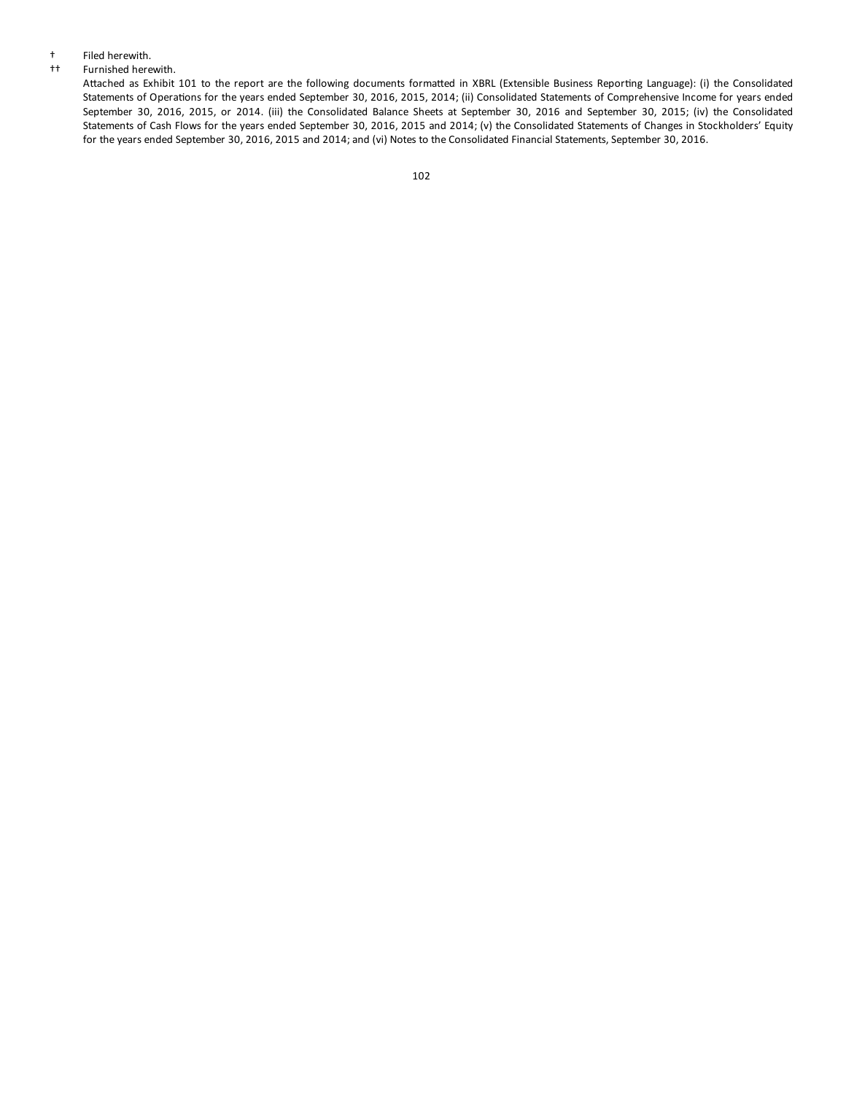# † Filed herewith.

# †† Furnished herewith.

Attached as Exhibit 101 to the report are the following documents formatted in XBRL (Extensible Business Reporting Language): (i) the Consolidated Statements of Operations for the years ended September 30, 2016, 2015, 2014; (ii) Consolidated Statements of Comprehensive Income for years ended September 30, 2016, 2015, or 2014. (iii) the Consolidated Balance Sheets at September 30, 2016 and September 30, 2015; (iv) the Consolidated Statements of Cash Flows for the years ended September 30, 2016, 2015 and 2014; (v) the Consolidated Statements of Changes in Stockholders' Equity for the years ended September 30, 2016, 2015 and 2014; and (vi) Notes to the Consolidated Financial Statements, September 30, 2016.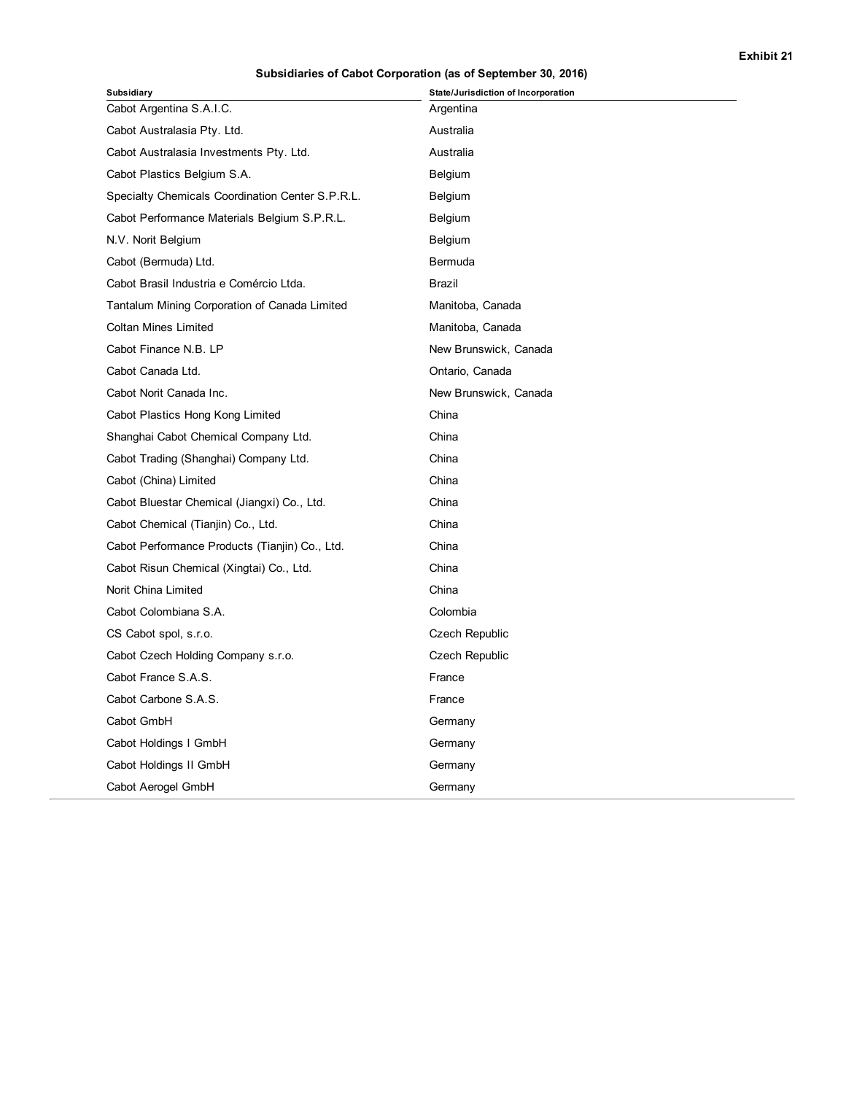# **Subsidiaries of Cabot Corporation (as of September 30, 2016)**

| State/Jurisdiction of Incorporation |
|-------------------------------------|
| Argentina                           |
| Australia                           |
| Australia                           |
| Belgium                             |
| Belgium                             |
| Belgium                             |
| Belgium                             |
| Bermuda                             |
| <b>Brazil</b>                       |
| Manitoba, Canada                    |
| Manitoba, Canada                    |
| New Brunswick, Canada               |
| Ontario, Canada                     |
| New Brunswick, Canada               |
| China                               |
| China                               |
| China                               |
| China                               |
| China                               |
| China                               |
| China                               |
| China                               |
| China                               |
| Colombia                            |
| Czech Republic                      |
| Czech Republic                      |
| France                              |
| France                              |
| Germany                             |
| Germany                             |
| Germany                             |
| Germany                             |
|                                     |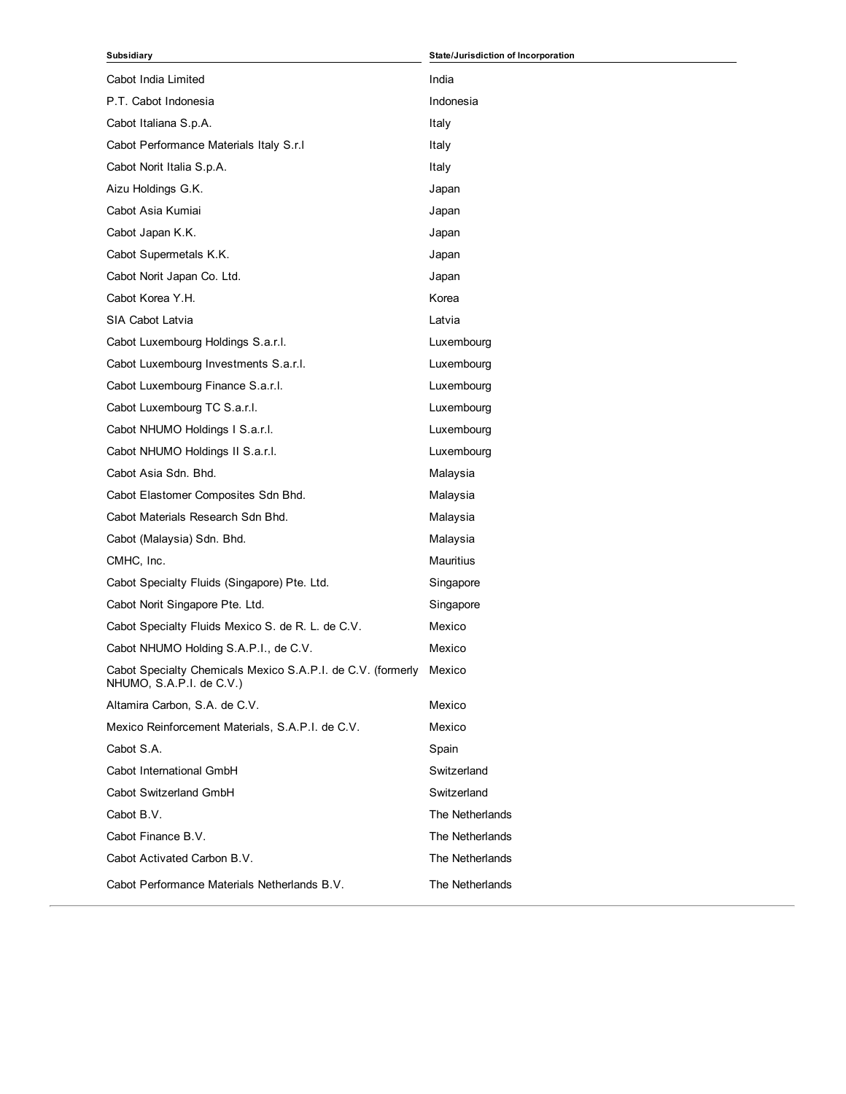| Subsidiary                                                                                     | State/Jurisdiction of Incorporation |
|------------------------------------------------------------------------------------------------|-------------------------------------|
| Cabot India Limited                                                                            | India                               |
| P.T. Cabot Indonesia                                                                           | Indonesia                           |
| Cabot Italiana S.p.A.                                                                          | Italy                               |
| Cabot Performance Materials Italy S.r.I                                                        | Italy                               |
| Cabot Norit Italia S.p.A.                                                                      | Italy                               |
| Aizu Holdings G.K.                                                                             | Japan                               |
| Cabot Asia Kumiai                                                                              | Japan                               |
| Cabot Japan K.K.                                                                               | Japan                               |
| Cabot Supermetals K.K.                                                                         | Japan                               |
| Cabot Norit Japan Co. Ltd.                                                                     | Japan                               |
| Cabot Korea Y.H.                                                                               | Korea                               |
| SIA Cabot Latvia                                                                               | Latvia                              |
| Cabot Luxembourg Holdings S.a.r.l.                                                             | Luxembourg                          |
| Cabot Luxembourg Investments S.a.r.l.                                                          | Luxembourg                          |
| Cabot Luxembourg Finance S.a.r.l.                                                              | Luxembourg                          |
| Cabot Luxembourg TC S.a.r.l.                                                                   | Luxembourg                          |
| Cabot NHUMO Holdings I S.a.r.l.                                                                | Luxembourg                          |
| Cabot NHUMO Holdings II S.a.r.l.                                                               | Luxembourg                          |
| Cabot Asia Sdn. Bhd.                                                                           | Malaysia                            |
| Cabot Elastomer Composites Sdn Bhd.                                                            | Malaysia                            |
| Cabot Materials Research Sdn Bhd.                                                              | Malaysia                            |
| Cabot (Malaysia) Sdn. Bhd.                                                                     | Malaysia                            |
| CMHC, Inc.                                                                                     | Mauritius                           |
| Cabot Specialty Fluids (Singapore) Pte. Ltd.                                                   | Singapore                           |
| Cabot Norit Singapore Pte. Ltd.                                                                | Singapore                           |
| Cabot Specialty Fluids Mexico S. de R. L. de C.V.                                              | Mexico                              |
| Cabot NHUMO Holding S.A.P.I., de C.V.                                                          | Mexico                              |
| Cabot Specialty Chemicals Mexico S.A.P.I. de C.V. (formerly Mexico<br>NHUMO, S.A.P.I. de C.V.) |                                     |
| Altamira Carbon, S.A. de C.V.                                                                  | Mexico                              |
| Mexico Reinforcement Materials, S.A.P.I. de C.V.                                               | Mexico                              |
| Cabot S.A.                                                                                     | Spain                               |
| Cabot International GmbH                                                                       | Switzerland                         |
| <b>Cabot Switzerland GmbH</b>                                                                  | Switzerland                         |
| Cabot B.V.                                                                                     | The Netherlands                     |
| Cabot Finance B.V.                                                                             | The Netherlands                     |
| Cabot Activated Carbon B.V.                                                                    | The Netherlands                     |
| Cabot Performance Materials Netherlands B.V.                                                   | The Netherlands                     |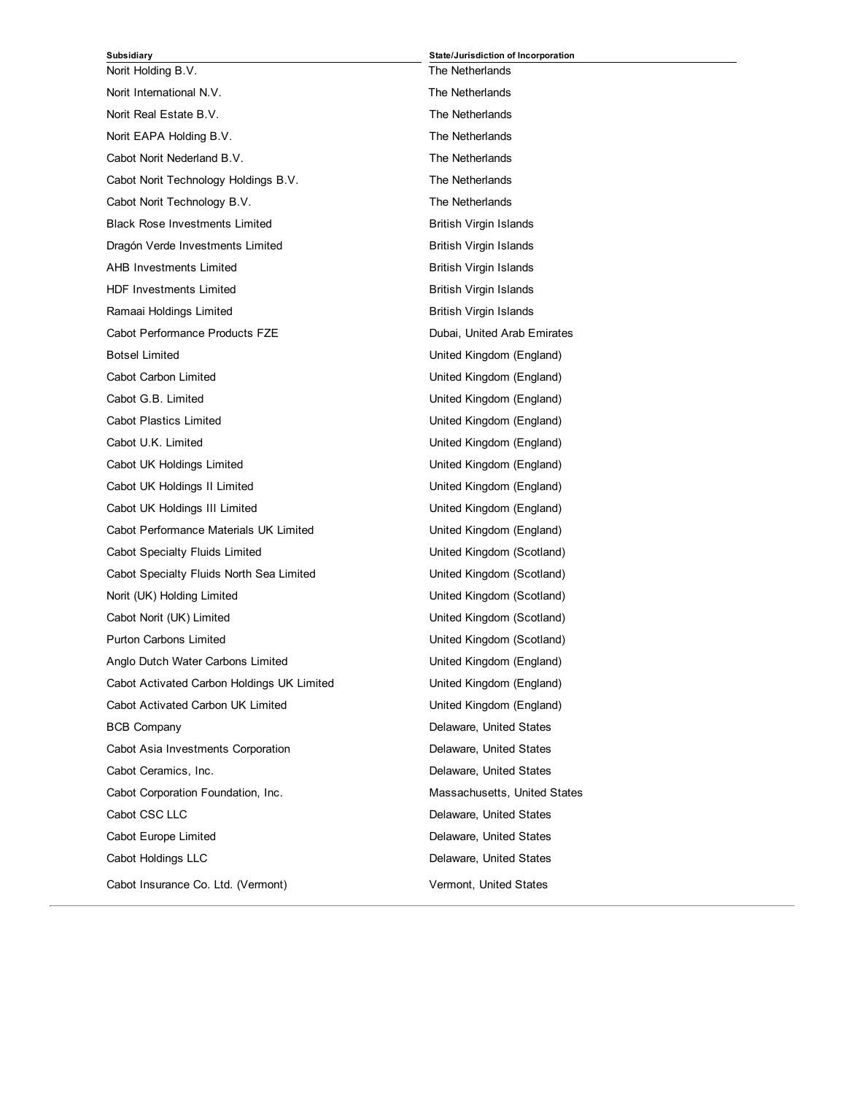| Subsidiary                                 | State/Jurisdiction of Incorporation |
|--------------------------------------------|-------------------------------------|
| Norit Holding B.V.                         | The Netherlands                     |
| Norit International N.V.                   | The Netherlands                     |
| Norit Real Estate B.V.                     | The Netherlands                     |
| Norit EAPA Holding B.V.                    | The Netherlands                     |
| Cabot Norit Nederland B.V.                 | The Netherlands                     |
| Cabot Norit Technology Holdings B.V.       | The Netherlands                     |
| Cabot Norit Technology B.V.                | The Netherlands                     |
| <b>Black Rose Investments Limited</b>      | British Virgin Islands              |
| Dragón Verde Investments Limited           | <b>British Virgin Islands</b>       |
| AHB Investments Limited                    | <b>British Virgin Islands</b>       |
| <b>HDF Investments Limited</b>             | British Virgin Islands              |
| Ramaai Holdings Limited                    | British Virgin Islands              |
| Cabot Performance Products FZE             | Dubai, United Arab Emirates         |
| <b>Botsel Limited</b>                      | United Kingdom (England)            |
| Cabot Carbon Limited                       | United Kingdom (England)            |
| Cabot G.B. Limited                         | United Kingdom (England)            |
| <b>Cabot Plastics Limited</b>              | United Kingdom (England)            |
| Cabot U.K. Limited                         | United Kingdom (England)            |
| Cabot UK Holdings Limited                  | United Kingdom (England)            |
| Cabot UK Holdings II Limited               | United Kingdom (England)            |
| Cabot UK Holdings III Limited              | United Kingdom (England)            |
| Cabot Performance Materials UK Limited     | United Kingdom (England)            |
| Cabot Specialty Fluids Limited             | United Kingdom (Scotland)           |
| Cabot Specialty Fluids North Sea Limited   | United Kingdom (Scotland)           |
| Norit (UK) Holding Limited                 | United Kingdom (Scotland)           |
| Cabot Norit (UK) Limited                   | United Kingdom (Scotland)           |
| <b>Purton Carbons Limited</b>              | United Kingdom (Scotland)           |
| Anglo Dutch Water Carbons Limited          | United Kingdom (England)            |
| Cabot Activated Carbon Holdings UK Limited | United Kingdom (England)            |
| Cabot Activated Carbon UK Limited          | United Kingdom (England)            |
| <b>BCB Company</b>                         | Delaware, United States             |
| Cabot Asia Investments Corporation         | Delaware, United States             |
| Cabot Ceramics, Inc.                       | Delaware, United States             |
| Cabot Corporation Foundation, Inc.         | Massachusetts, United States        |
| Cabot CSC LLC                              | Delaware, United States             |
| Cabot Europe Limited                       | Delaware, United States             |
| Cabot Holdings LLC                         | Delaware, United States             |
| Cabot Insurance Co. Ltd. (Vermont)         | Vermont, United States              |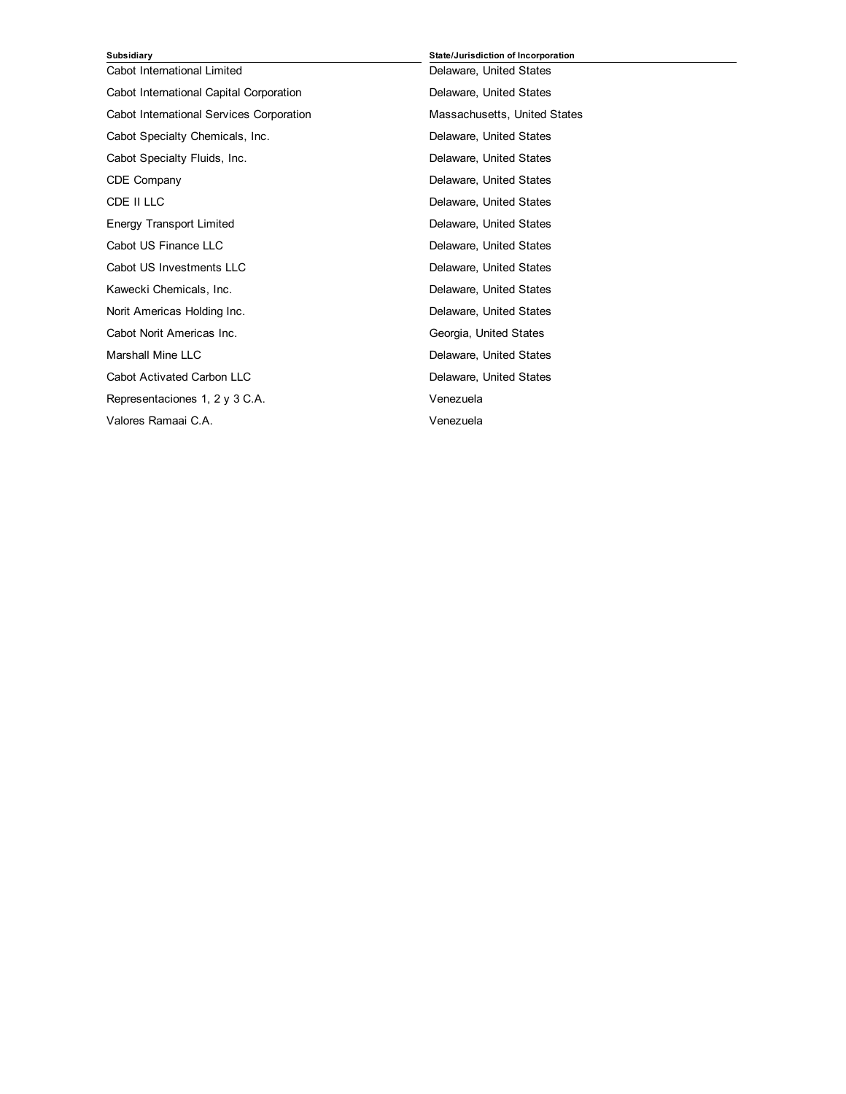| Subsidiary                               | State/Jurisdiction of Incorporation |
|------------------------------------------|-------------------------------------|
| Cabot International Limited              | Delaware, United States             |
| Cabot International Capital Corporation  | Delaware, United States             |
| Cabot International Services Corporation | Massachusetts, United States        |
| Cabot Specialty Chemicals, Inc.          | Delaware, United States             |
| Cabot Specialty Fluids, Inc.             | Delaware, United States             |
| CDE Company                              | Delaware, United States             |
| CDE II LLC                               | Delaware, United States             |
| Energy Transport Limited                 | Delaware, United States             |
| Cabot US Finance LLC                     | Delaware, United States             |
| Cabot US Investments LLC                 | Delaware, United States             |
| Kawecki Chemicals, Inc.                  | Delaware, United States             |
| Norit Americas Holding Inc.              | Delaware, United States             |
| Cabot Norit Americas Inc.                | Georgia, United States              |
| Marshall Mine LLC                        | Delaware, United States             |
| Cabot Activated Carbon LLC               | Delaware, United States             |
| Representaciones 1, $2 \vee 3$ C.A.      | Venezuela                           |
| Valores Ramaai C.A.                      | Venezuela                           |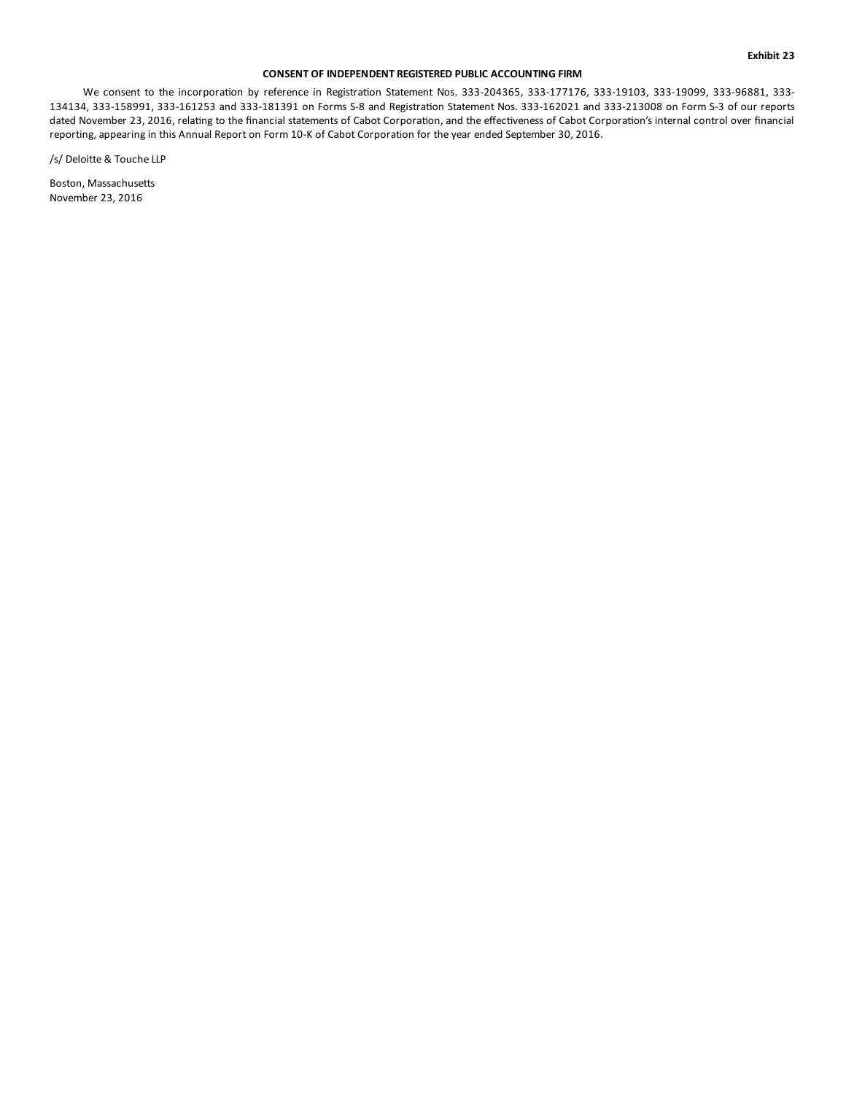# **CONSENT OF INDEPENDENT REGISTERED PUBLIC ACCOUNTING FIRM**

We consent to the incorporation by reference in Registration Statement Nos. 333-204365, 333-177176, 333-19103, 333-19099, 333-96881, 333-134134, 333-158991, 333-161253 and 333-181391 on Forms S-8 and Registration Statement Nos. 333-162021 and 333-213008 on Form S-3 of our reports dated November 23, 2016, relating to the financial statements of Cabot Corporation, and the effectiveness of Cabot Corporation's internal control over financial reporting, appearing in this Annual Report on Form 10-K of Cabot Corporation for the year ended September 30, 2016.

/s/ Deloitte & Touche LLP

Boston, Massachusetts November 23, 2016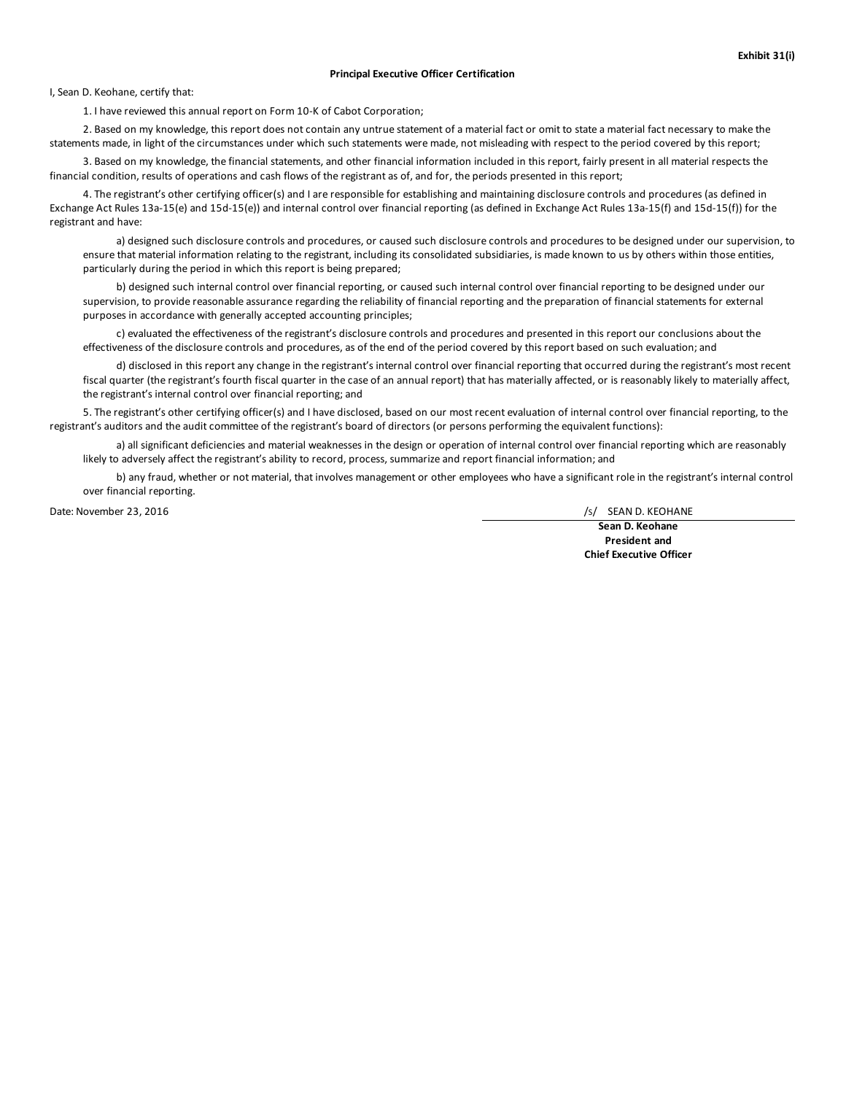# **Principal Executive Officer Certification**

I, Sean D. Keohane, certify that:

1. I have reviewed this annual report on Form 10-K of Cabot Corporation;

2. Based on my knowledge, this report does not contain any untrue statement of a material fact or omit to state a material fact necessary to make the statements made, in light of the circumstances under which such statements were made, not misleading with respect to the period covered by this report;

3. Based on my knowledge, the financial statements, and other financial information included in this report, fairly present in all material respects the financial condition, results of operations and cash flows of the registrant as of, and for, the periods presented in this report;

4. The registrant's other certifying officer(s) and I are responsible for establishing and maintaining disclosure controls and procedures (as defined in Exchange Act Rules 13a-15(e) and 15d-15(e)) and internal control over financial reporting (as defined in Exchange Act Rules 13a-15(f) and 15d-15(f)) for the registrant and have:

a) designed such disclosure controls and procedures, or caused such disclosure controls and procedures to be designed under our supervision, to ensure that material information relating to the registrant, including its consolidated subsidiaries, is made known to us by others within those entities, particularly during the period in which this report is being prepared;

b) designed such internal control over financial reporting, or caused such internal control over financial reporting to be designed under our supervision, to provide reasonable assurance regarding the reliability of financial reporting and the preparation of financial statements for external purposes in accordance with generally accepted accounting principles;

c) evaluated the effectiveness of the registrant's disclosure controls and procedures and presented in this report our conclusions about the effectiveness of the disclosure controls and procedures, as of the end of the period covered by this report based on such evaluation; and

d) disclosed in this report any change in the registrant's internal control over financial reporting that occurred during the registrant's most recent fiscal quarter (the registrant's fourth fiscal quarter in the case of an annual report) that has materially affected, or is reasonably likely to materially affect, the registrant's internal control over financial reporting; and

5. The registrant's other certifying officer(s) and I have disclosed, based on our most recent evaluation of internal control over financial reporting, to the registrant's auditors and the audit committee of the registrant's board of directors (or persons performing the equivalent functions):

a) all significant deficiencies and material weaknesses in the design or operation of internal control over financial reporting which are reasonably likely to adversely affect the registrant's ability to record, process, summarize and report financial information; and

b) any fraud, whether or not material, that involves management or other employees who have a significant role in the registrant's internal control over financial reporting.

Date: November 23, 2016 */S/ SEAN D. KEOHANE* 

**Sean D. Keohane President and Chief Executive Officer**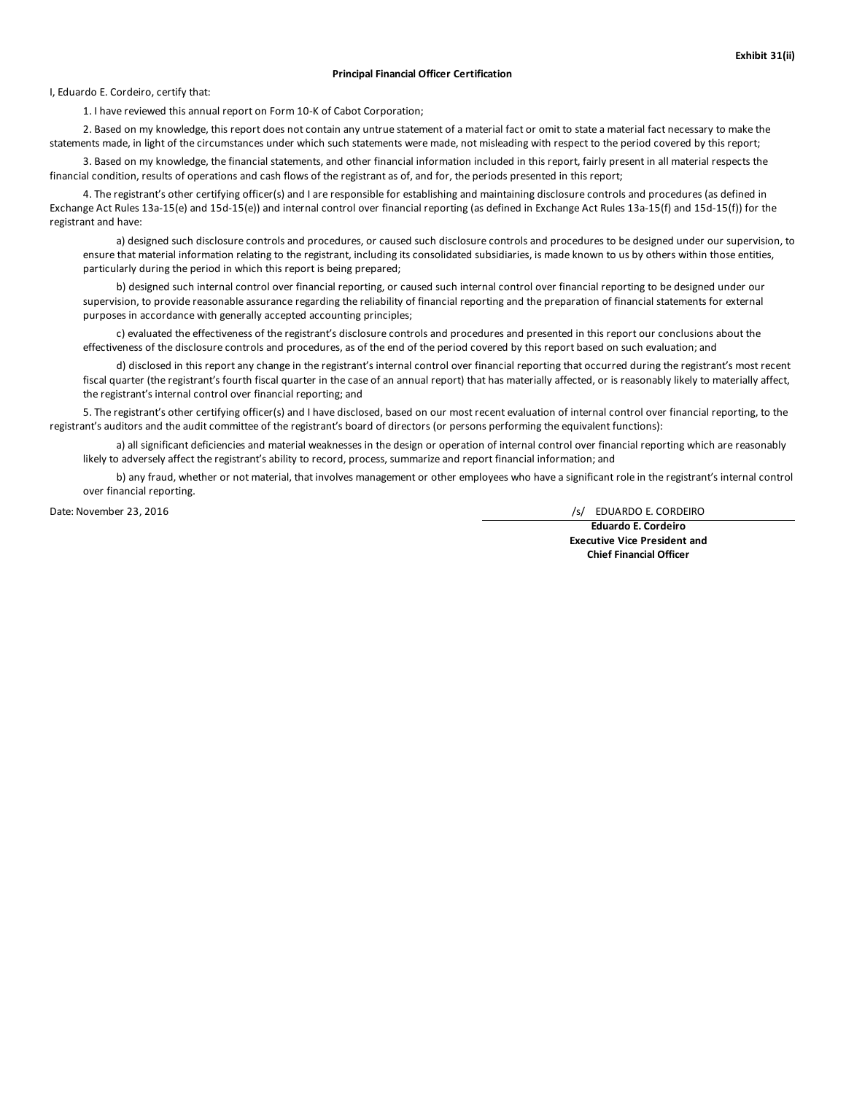## **Principal Financial Officer Certification**

I, Eduardo E. Cordeiro, certify that:

1. I have reviewed this annual report on Form 10-K of Cabot Corporation;

2. Based on my knowledge, this report does not contain any untrue statement of a material fact or omit to state a material fact necessary to make the statements made, in light of the circumstances under which such statements were made, not misleading with respect to the period covered by this report;

3. Based on my knowledge, the financial statements, and other financial information included in this report, fairly present in all material respects the financial condition, results of operations and cash flows of the registrant as of, and for, the periods presented in this report;

4. The registrant's other certifying officer(s) and I are responsible for establishing and maintaining disclosure controls and procedures (as defined in Exchange Act Rules 13a-15(e) and 15d-15(e)) and internal control over financial reporting (as defined in Exchange Act Rules 13a-15(f) and 15d-15(f)) for the registrant and have:

a) designed such disclosure controls and procedures, or caused such disclosure controls and procedures to be designed under our supervision, to ensure that material information relating to the registrant, including its consolidated subsidiaries, is made known to us by others within those entities, particularly during the period in which this report is being prepared;

b) designed such internal control over financial reporting, or caused such internal control over financial reporting to be designed under our supervision, to provide reasonable assurance regarding the reliability of financial reporting and the preparation of financial statements for external purposes in accordance with generally accepted accounting principles;

c) evaluated the effectiveness of the registrant's disclosure controls and procedures and presented in this report our conclusions about the effectiveness of the disclosure controls and procedures, as of the end of the period covered by this report based on such evaluation; and

d) disclosed in this report any change in the registrant's internal control over financial reporting that occurred during the registrant's most recent fiscal quarter (the registrant's fourth fiscal quarter in the case of an annual report) that has materially affected, or is reasonably likely to materially affect, the registrant's internal control over financial reporting; and

5. The registrant's other certifying officer(s) and I have disclosed, based on our most recent evaluation of internal control over financial reporting, to the registrant's auditors and the audit committee of the registrant's board of directors (or persons performing the equivalent functions):

a) all significant deficiencies and material weaknesses in the design or operation of internal control over financial reporting which are reasonably likely to adversely affect the registrant's ability to record, process, summarize and report financial information; and

b) any fraud, whether or not material, that involves management or other employees who have a significant role in the registrant's internal control over financial reporting.

Date: November 23, 2016 *CORDEIRO CORDEIRO CORDEIRO CORDEIRO CORDEIRO CORDEIRO CORDEIRO CORDEIRO* 

**Eduardo E. Cordeiro Executive Vice President and Chief Financial Officer**